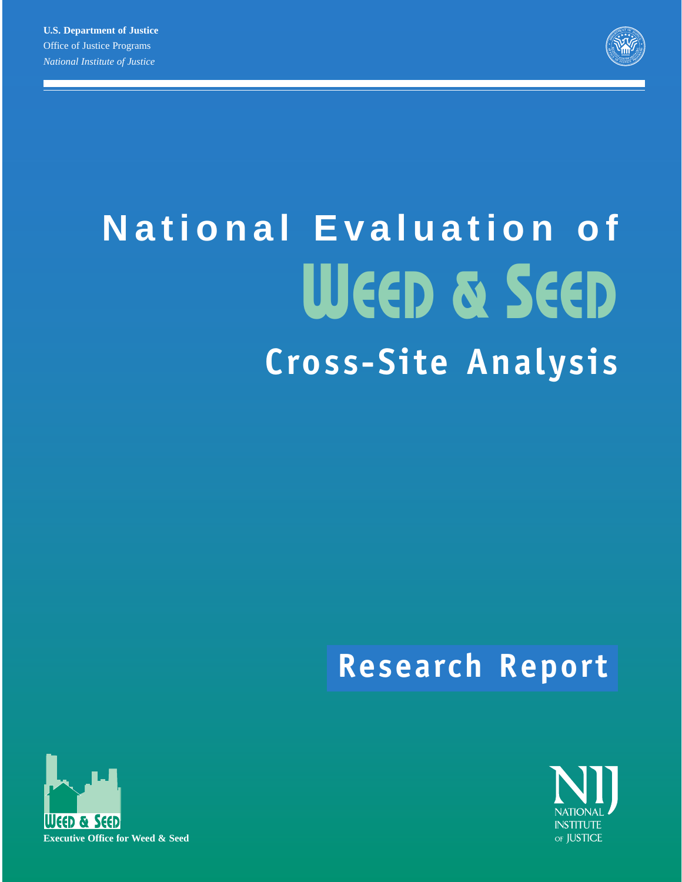

# **National Evaluation of WEED & SEED Cross-Site Analysis**

# **Research Report**



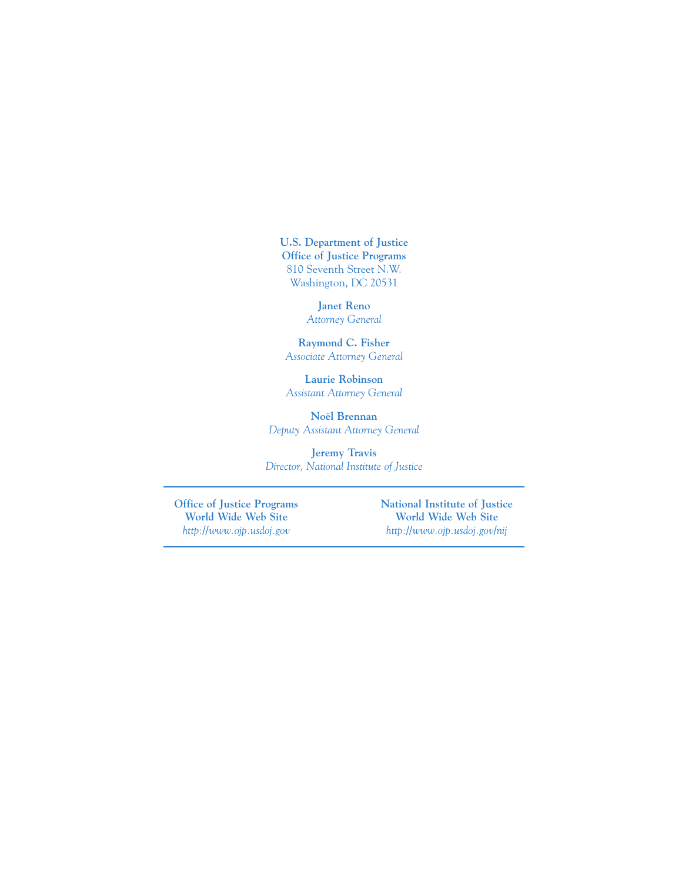**U.S. Department of Justice Office of Justice Programs** 810 Seventh Street N.W. Washington, DC 20531

> **Janet Reno** *Attorney General*

**Raymond C. Fisher** *Associate Attorney General*

**Laurie Robinson** *Assistant Attorney General*

**Noël Brennan** *Deputy Assistant Attorney General*

**Jeremy Travis** *Director, National Institute of Justice*

**Office of Justice Programs National Institute of Justice World Wide Web Site World Wide Web Site**  *http://www.ojp.usdoj.gov http://www.ojp.usdoj.gov/nij*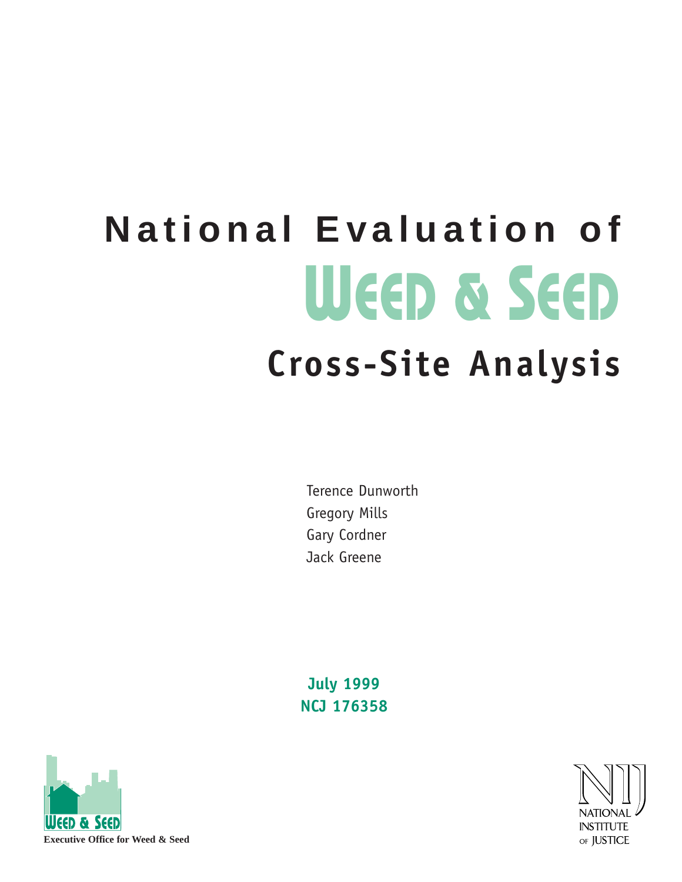# **National Evaluation of WEED & SEED Cross-Site Analysis**

Terence Dunworth Gregory Mills Gary Cordner Jack Greene

**July 1999 NCJ 176358**



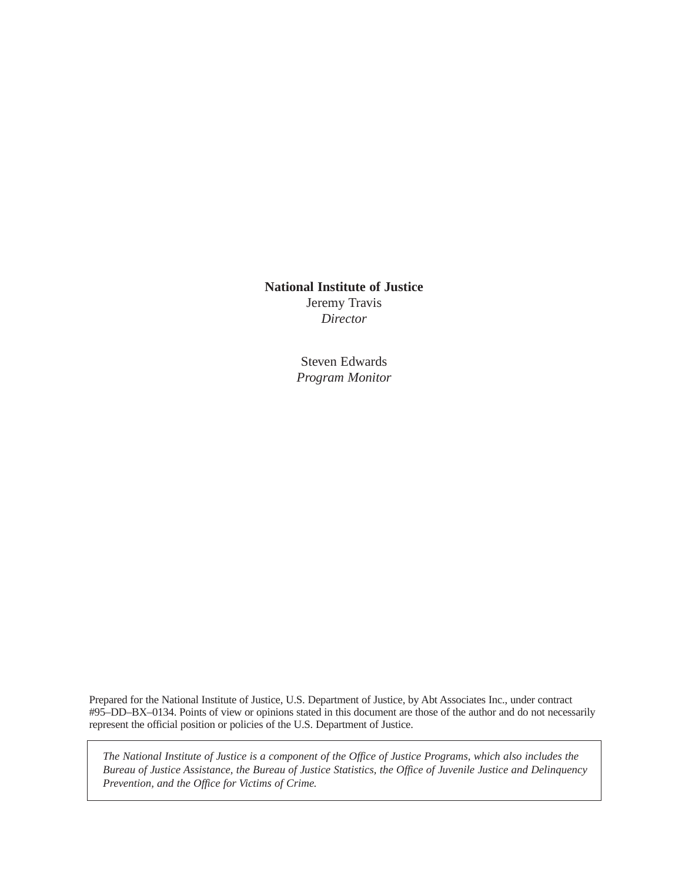### **National Institute of Justice**

Jeremy Travis *Director*

Steven Edwards *Program Monitor*

Prepared for the National Institute of Justice, U.S. Department of Justice, by Abt Associates Inc., under contract #95–DD–BX–0134. Points of view or opinions stated in this document are those of the author and do not necessarily represent the official position or policies of the U.S. Department of Justice.

*The National Institute of Justice is a component of the Office of Justice Programs, which also includes the Bureau of Justice Assistance, the Bureau of Justice Statistics, the Office of Juvenile Justice and Delinquency Prevention, and the Office for Victims of Crime.*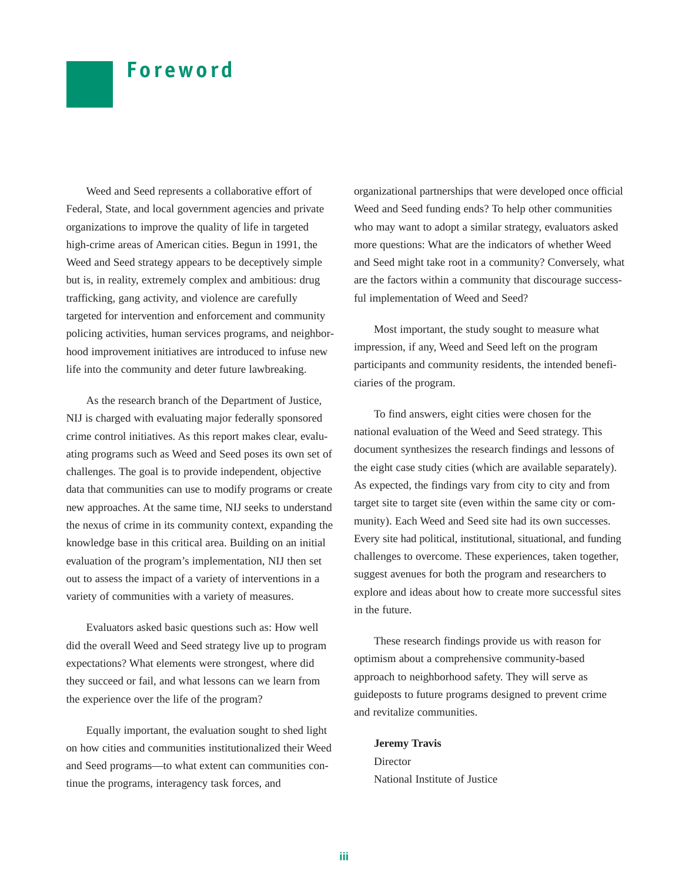# **Foreword**

Weed and Seed represents a collaborative effort of Federal, State, and local government agencies and private organizations to improve the quality of life in targeted high-crime areas of American cities. Begun in 1991, the Weed and Seed strategy appears to be deceptively simple but is, in reality, extremely complex and ambitious: drug trafficking, gang activity, and violence are carefully targeted for intervention and enforcement and community policing activities, human services programs, and neighborhood improvement initiatives are introduced to infuse new life into the community and deter future lawbreaking.

As the research branch of the Department of Justice, NIJ is charged with evaluating major federally sponsored crime control initiatives. As this report makes clear, evaluating programs such as Weed and Seed poses its own set of challenges. The goal is to provide independent, objective data that communities can use to modify programs or create new approaches. At the same time, NIJ seeks to understand the nexus of crime in its community context, expanding the knowledge base in this critical area. Building on an initial evaluation of the program's implementation, NIJ then set out to assess the impact of a variety of interventions in a variety of communities with a variety of measures.

Evaluators asked basic questions such as: How well did the overall Weed and Seed strategy live up to program expectations? What elements were strongest, where did they succeed or fail, and what lessons can we learn from the experience over the life of the program?

Equally important, the evaluation sought to shed light on how cities and communities institutionalized their Weed and Seed programs—to what extent can communities continue the programs, interagency task forces, and

organizational partnerships that were developed once official Weed and Seed funding ends? To help other communities who may want to adopt a similar strategy, evaluators asked more questions: What are the indicators of whether Weed and Seed might take root in a community? Conversely, what are the factors within a community that discourage successful implementation of Weed and Seed?

Most important, the study sought to measure what impression, if any, Weed and Seed left on the program participants and community residents, the intended beneficiaries of the program.

To find answers, eight cities were chosen for the national evaluation of the Weed and Seed strategy. This document synthesizes the research findings and lessons of the eight case study cities (which are available separately). As expected, the findings vary from city to city and from target site to target site (even within the same city or community). Each Weed and Seed site had its own successes. Every site had political, institutional, situational, and funding challenges to overcome. These experiences, taken together, suggest avenues for both the program and researchers to explore and ideas about how to create more successful sites in the future.

These research findings provide us with reason for optimism about a comprehensive community-based approach to neighborhood safety. They will serve as guideposts to future programs designed to prevent crime and revitalize communities.

**Jeremy Travis** Director National Institute of Justice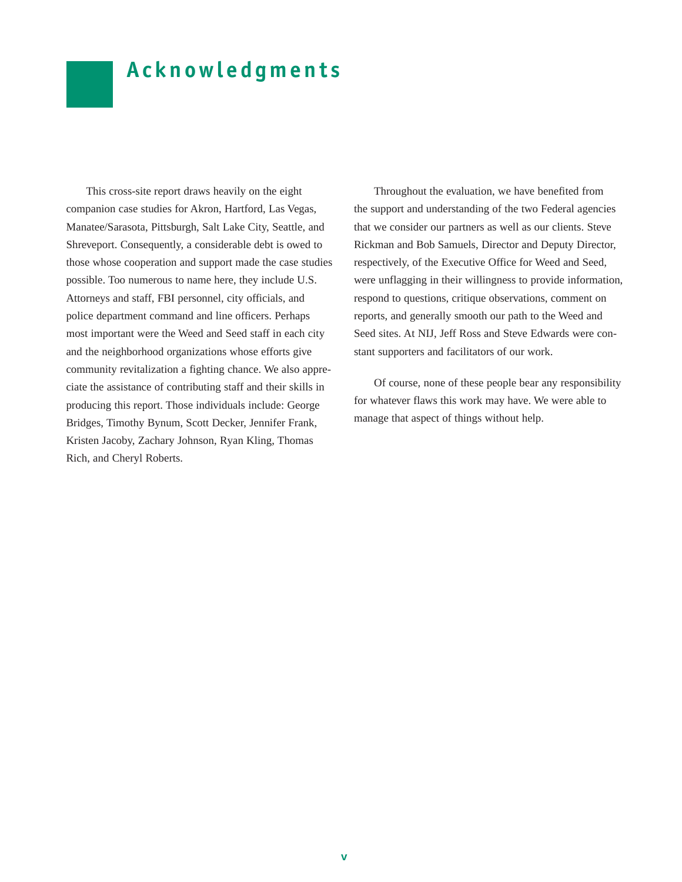# **Acknowledgments**

This cross-site report draws heavily on the eight companion case studies for Akron, Hartford, Las Vegas, Manatee/Sarasota, Pittsburgh, Salt Lake City, Seattle, and Shreveport. Consequently, a considerable debt is owed to those whose cooperation and support made the case studies possible. Too numerous to name here, they include U.S. Attorneys and staff, FBI personnel, city officials, and police department command and line officers. Perhaps most important were the Weed and Seed staff in each city and the neighborhood organizations whose efforts give community revitalization a fighting chance. We also appreciate the assistance of contributing staff and their skills in producing this report. Those individuals include: George Bridges, Timothy Bynum, Scott Decker, Jennifer Frank, Kristen Jacoby, Zachary Johnson, Ryan Kling, Thomas Rich, and Cheryl Roberts.

Throughout the evaluation, we have benefited from the support and understanding of the two Federal agencies that we consider our partners as well as our clients. Steve Rickman and Bob Samuels, Director and Deputy Director, respectively, of the Executive Office for Weed and Seed, were unflagging in their willingness to provide information, respond to questions, critique observations, comment on reports, and generally smooth our path to the Weed and Seed sites. At NIJ, Jeff Ross and Steve Edwards were constant supporters and facilitators of our work.

Of course, none of these people bear any responsibility for whatever flaws this work may have. We were able to manage that aspect of things without help.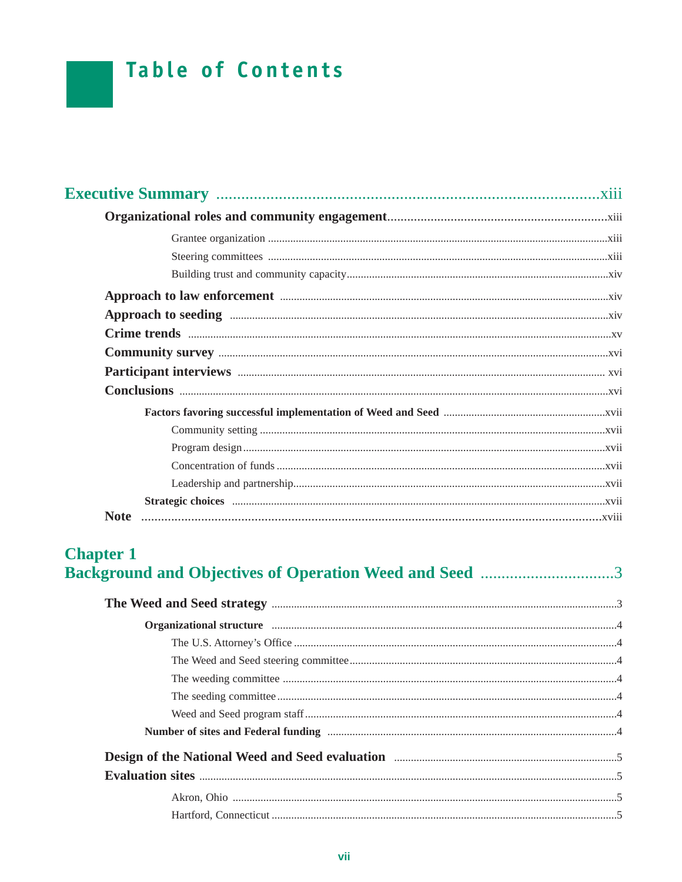# **Table of Contents**

# **Chapter 1 Background and Objectives of Operation Weed and Seed ..............................3**

| Organizational structure manufacture communications of the contract of the contract of the contract of the contract of the contract of the contract of the contract of the contract of the contract of the contract of the con |  |
|--------------------------------------------------------------------------------------------------------------------------------------------------------------------------------------------------------------------------------|--|
|                                                                                                                                                                                                                                |  |
|                                                                                                                                                                                                                                |  |
|                                                                                                                                                                                                                                |  |
|                                                                                                                                                                                                                                |  |
|                                                                                                                                                                                                                                |  |
|                                                                                                                                                                                                                                |  |
| Design of the National Weed and Seed evaluation <b>Engineering Constructs</b> 5                                                                                                                                                |  |
|                                                                                                                                                                                                                                |  |
|                                                                                                                                                                                                                                |  |
|                                                                                                                                                                                                                                |  |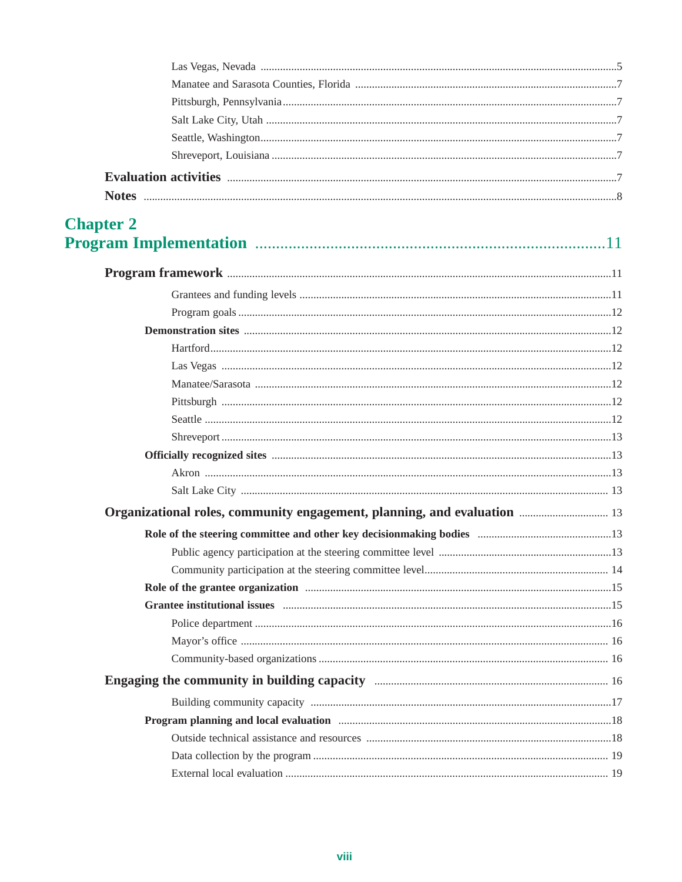| <b>Chapter 2</b> |                                                                                                                                                                                                                                |  |
|------------------|--------------------------------------------------------------------------------------------------------------------------------------------------------------------------------------------------------------------------------|--|
|                  |                                                                                                                                                                                                                                |  |
|                  |                                                                                                                                                                                                                                |  |
|                  |                                                                                                                                                                                                                                |  |
|                  |                                                                                                                                                                                                                                |  |
|                  |                                                                                                                                                                                                                                |  |
|                  |                                                                                                                                                                                                                                |  |
|                  |                                                                                                                                                                                                                                |  |
|                  |                                                                                                                                                                                                                                |  |
|                  |                                                                                                                                                                                                                                |  |
|                  |                                                                                                                                                                                                                                |  |
|                  |                                                                                                                                                                                                                                |  |
|                  |                                                                                                                                                                                                                                |  |
|                  |                                                                                                                                                                                                                                |  |
|                  | Organizational roles, community engagement, planning, and evaluation <i></i> 13                                                                                                                                                |  |
|                  |                                                                                                                                                                                                                                |  |
|                  |                                                                                                                                                                                                                                |  |
|                  |                                                                                                                                                                                                                                |  |
|                  |                                                                                                                                                                                                                                |  |
|                  | Grantee institutional issues manufactured in the contract of the state of the state of the state of the state of the state of the state of the state of the state of the state of the state of the state of the state of the s |  |
|                  |                                                                                                                                                                                                                                |  |
|                  |                                                                                                                                                                                                                                |  |
|                  |                                                                                                                                                                                                                                |  |
|                  |                                                                                                                                                                                                                                |  |
|                  |                                                                                                                                                                                                                                |  |
|                  | Program planning and local evaluation manufactured and state and state and state and state and state and state and state and state and state and state and state and state and state and state and state and state and state a |  |
|                  |                                                                                                                                                                                                                                |  |
|                  |                                                                                                                                                                                                                                |  |
|                  |                                                                                                                                                                                                                                |  |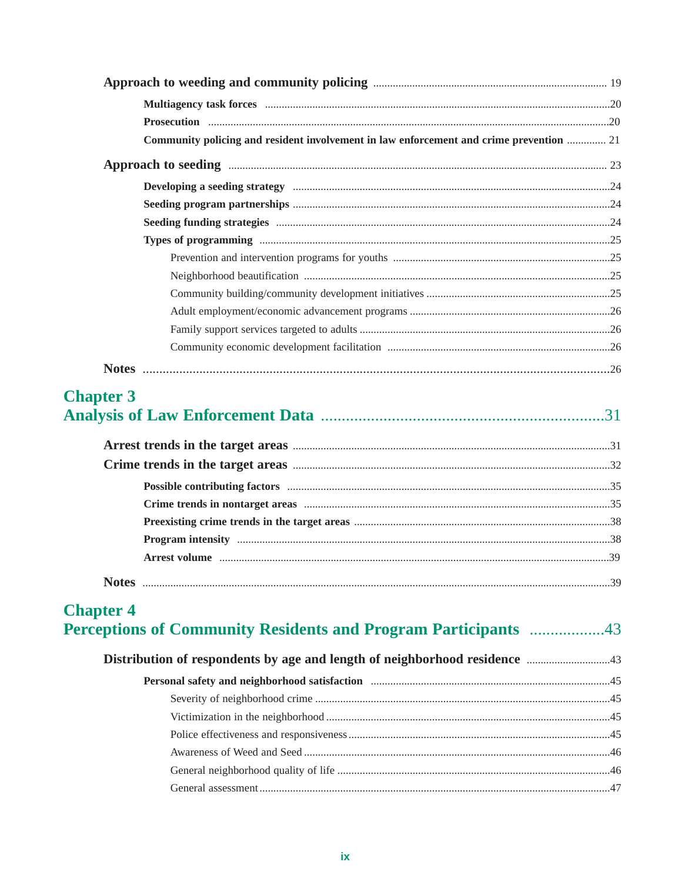| Community policing and resident involvement in law enforcement and crime prevention  21                        |  |
|----------------------------------------------------------------------------------------------------------------|--|
|                                                                                                                |  |
| Developing a seeding strategy manufactured and an according to the set of the set of the set of the set of the |  |
|                                                                                                                |  |
|                                                                                                                |  |
|                                                                                                                |  |
|                                                                                                                |  |
|                                                                                                                |  |
|                                                                                                                |  |
|                                                                                                                |  |
|                                                                                                                |  |
|                                                                                                                |  |
|                                                                                                                |  |

# **Chapter 3**

# **Chapter 4** Perceptions of Community Residents and Program Participants ..................43

| Personal safety and neighborhood satisfaction manufactured and resolution of the state of the state of the state of the state of the state of the state of the state of the state of the state of the state of the state of th |  |
|--------------------------------------------------------------------------------------------------------------------------------------------------------------------------------------------------------------------------------|--|
|                                                                                                                                                                                                                                |  |
|                                                                                                                                                                                                                                |  |
|                                                                                                                                                                                                                                |  |
|                                                                                                                                                                                                                                |  |
|                                                                                                                                                                                                                                |  |
|                                                                                                                                                                                                                                |  |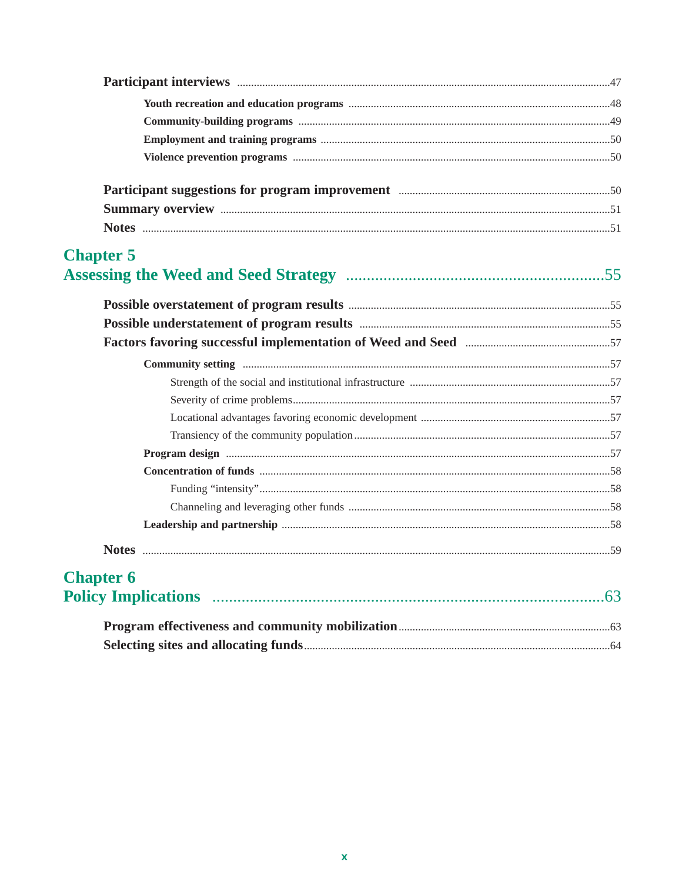| Participant suggestions for program improvement manufactured and solution of 0                                                                            |  |
|-----------------------------------------------------------------------------------------------------------------------------------------------------------|--|
|                                                                                                                                                           |  |
|                                                                                                                                                           |  |
| <b>Chapter 5</b>                                                                                                                                          |  |
|                                                                                                                                                           |  |
|                                                                                                                                                           |  |
| Factors favoring successful implementation of Weed and Seed <b>manufacturers</b> favoring successful implementation of Weed and Seed <b>manufacturers</b> |  |
|                                                                                                                                                           |  |
|                                                                                                                                                           |  |
|                                                                                                                                                           |  |
|                                                                                                                                                           |  |
|                                                                                                                                                           |  |
|                                                                                                                                                           |  |
|                                                                                                                                                           |  |
|                                                                                                                                                           |  |
|                                                                                                                                                           |  |
|                                                                                                                                                           |  |
|                                                                                                                                                           |  |
| <b>Chapter 6</b>                                                                                                                                          |  |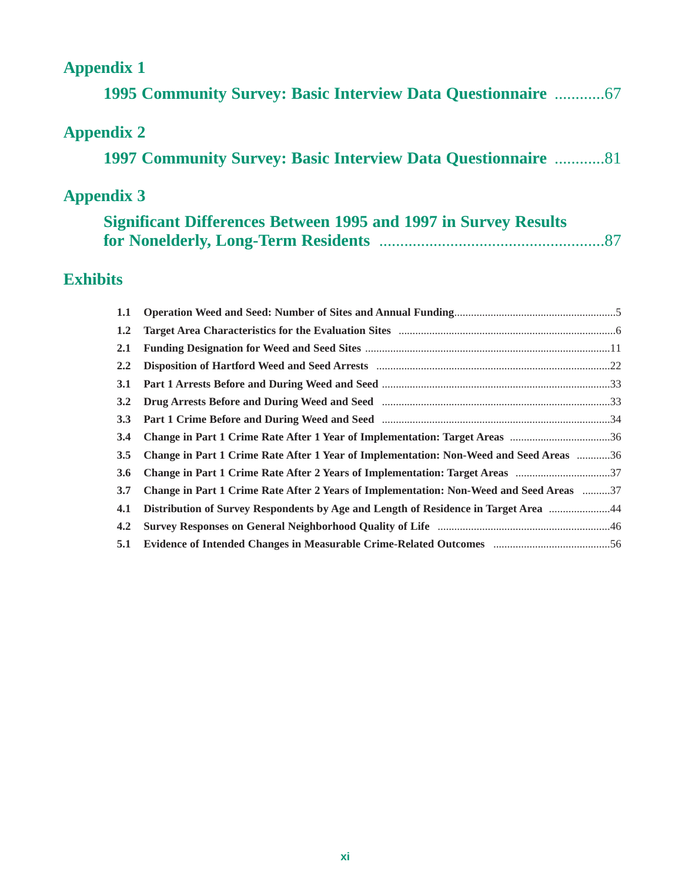| <b>Appendix 1</b> |                                                                                        |  |
|-------------------|----------------------------------------------------------------------------------------|--|
|                   | <b>1995 Community Survey: Basic Interview Data Questionnaire </b> 67                   |  |
| <b>Appendix 2</b> |                                                                                        |  |
|                   | <b>1997 Community Survey: Basic Interview Data Questionnaire 81</b>                    |  |
| <b>Appendix 3</b> |                                                                                        |  |
|                   | <b>Significant Differences Between 1995 and 1997 in Survey Results</b>                 |  |
| <b>Exhibits</b>   |                                                                                        |  |
| 1.1               |                                                                                        |  |
| 1.2               |                                                                                        |  |
| 2.1               |                                                                                        |  |
| 2.2               |                                                                                        |  |
| 3.1               |                                                                                        |  |
| 3.2               |                                                                                        |  |
| 3.3               |                                                                                        |  |
| 3.4               | Change in Part 1 Crime Rate After 1 Year of Implementation: Target Areas 36            |  |
|                   |                                                                                        |  |
| 3.5               | Change in Part 1 Crime Rate After 1 Year of Implementation: Non-Weed and Seed Areas 36 |  |

| 3.7 Change in Part 1 Crime Rate After 2 Years of Implementation: Non-Weed and Seed Areas 37 |  |
|---------------------------------------------------------------------------------------------|--|
| 44.1 Distribution of Survey Respondents by Age and Length of Residence in Target Area 44    |  |
|                                                                                             |  |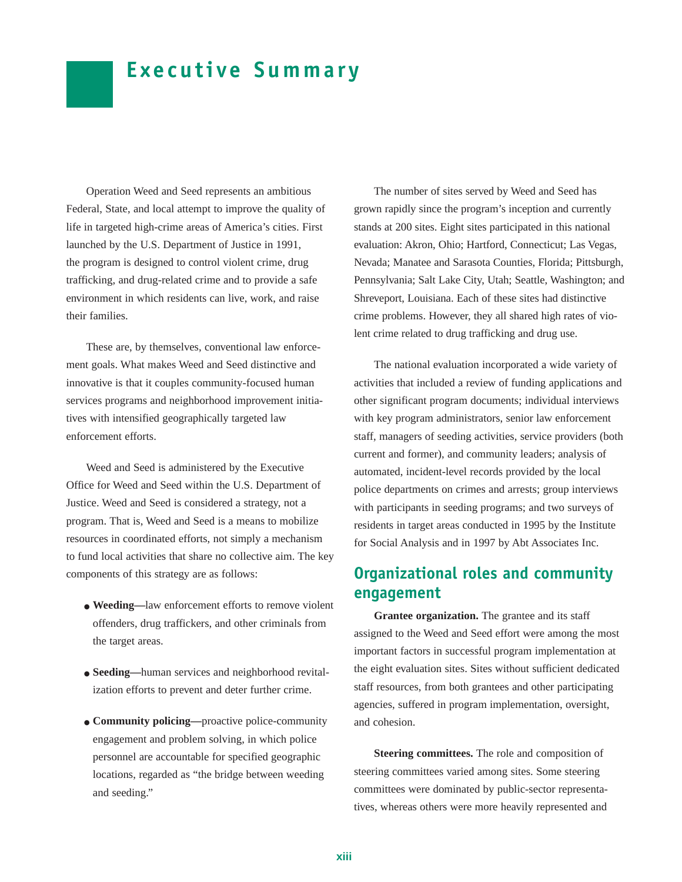# **Executive Summary**

Operation Weed and Seed represents an ambitious Federal, State, and local attempt to improve the quality of life in targeted high-crime areas of America's cities. First launched by the U.S. Department of Justice in 1991, the program is designed to control violent crime, drug trafficking, and drug-related crime and to provide a safe environment in which residents can live, work, and raise their families.

These are, by themselves, conventional law enforcement goals. What makes Weed and Seed distinctive and innovative is that it couples community-focused human services programs and neighborhood improvement initiatives with intensified geographically targeted law enforcement efforts.

Weed and Seed is administered by the Executive Office for Weed and Seed within the U.S. Department of Justice. Weed and Seed is considered a strategy, not a program. That is, Weed and Seed is a means to mobilize resources in coordinated efforts, not simply a mechanism to fund local activities that share no collective aim. The key components of this strategy are as follows:

- **Weeding—**law enforcement efforts to remove violent offenders, drug traffickers, and other criminals from the target areas.
- **Seeding—**human services and neighborhood revitalization efforts to prevent and deter further crime.
- **Community policing—**proactive police-community engagement and problem solving, in which police personnel are accountable for specified geographic locations, regarded as "the bridge between weeding and seeding."

The number of sites served by Weed and Seed has grown rapidly since the program's inception and currently stands at 200 sites. Eight sites participated in this national evaluation: Akron, Ohio; Hartford, Connecticut; Las Vegas, Nevada; Manatee and Sarasota Counties, Florida; Pittsburgh, Pennsylvania; Salt Lake City, Utah; Seattle, Washington; and Shreveport, Louisiana. Each of these sites had distinctive crime problems. However, they all shared high rates of violent crime related to drug trafficking and drug use.

The national evaluation incorporated a wide variety of activities that included a review of funding applications and other significant program documents; individual interviews with key program administrators, senior law enforcement staff, managers of seeding activities, service providers (both current and former), and community leaders; analysis of automated, incident-level records provided by the local police departments on crimes and arrests; group interviews with participants in seeding programs; and two surveys of residents in target areas conducted in 1995 by the Institute for Social Analysis and in 1997 by Abt Associates Inc.

# **Organizational roles and community engagement**

**Grantee organization.** The grantee and its staff assigned to the Weed and Seed effort were among the most important factors in successful program implementation at the eight evaluation sites. Sites without sufficient dedicated staff resources, from both grantees and other participating agencies, suffered in program implementation, oversight, and cohesion.

**Steering committees.** The role and composition of steering committees varied among sites. Some steering committees were dominated by public-sector representatives, whereas others were more heavily represented and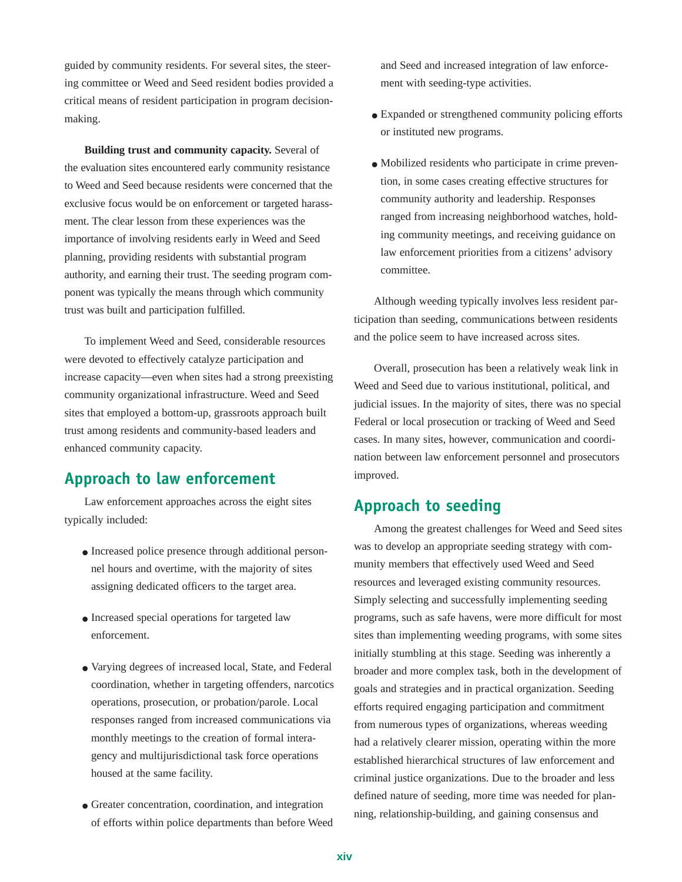guided by community residents. For several sites, the steering committee or Weed and Seed resident bodies provided a critical means of resident participation in program decisionmaking.

**Building trust and community capacity.** Several of the evaluation sites encountered early community resistance to Weed and Seed because residents were concerned that the exclusive focus would be on enforcement or targeted harassment. The clear lesson from these experiences was the importance of involving residents early in Weed and Seed planning, providing residents with substantial program authority, and earning their trust. The seeding program component was typically the means through which community trust was built and participation fulfilled.

To implement Weed and Seed, considerable resources were devoted to effectively catalyze participation and increase capacity—even when sites had a strong preexisting community organizational infrastructure. Weed and Seed sites that employed a bottom-up, grassroots approach built trust among residents and community-based leaders and enhanced community capacity.

### **Approach to law enforcement**

Law enforcement approaches across the eight sites typically included:

- Increased police presence through additional personnel hours and overtime, with the majority of sites assigning dedicated officers to the target area.
- Increased special operations for targeted law enforcement.
- Varying degrees of increased local, State, and Federal coordination, whether in targeting offenders, narcotics operations, prosecution, or probation/parole. Local responses ranged from increased communications via monthly meetings to the creation of formal interagency and multijurisdictional task force operations housed at the same facility.
- Greater concentration, coordination, and integration of efforts within police departments than before Weed

and Seed and increased integration of law enforcement with seeding-type activities.

- Expanded or strengthened community policing efforts or instituted new programs.
- Mobilized residents who participate in crime prevention, in some cases creating effective structures for community authority and leadership. Responses ranged from increasing neighborhood watches, holding community meetings, and receiving guidance on law enforcement priorities from a citizens' advisory committee.

Although weeding typically involves less resident participation than seeding, communications between residents and the police seem to have increased across sites.

Overall, prosecution has been a relatively weak link in Weed and Seed due to various institutional, political, and judicial issues. In the majority of sites, there was no special Federal or local prosecution or tracking of Weed and Seed cases. In many sites, however, communication and coordination between law enforcement personnel and prosecutors improved.

### **Approach to seeding**

Among the greatest challenges for Weed and Seed sites was to develop an appropriate seeding strategy with community members that effectively used Weed and Seed resources and leveraged existing community resources. Simply selecting and successfully implementing seeding programs, such as safe havens, were more difficult for most sites than implementing weeding programs, with some sites initially stumbling at this stage. Seeding was inherently a broader and more complex task, both in the development of goals and strategies and in practical organization. Seeding efforts required engaging participation and commitment from numerous types of organizations, whereas weeding had a relatively clearer mission, operating within the more established hierarchical structures of law enforcement and criminal justice organizations. Due to the broader and less defined nature of seeding, more time was needed for planning, relationship-building, and gaining consensus and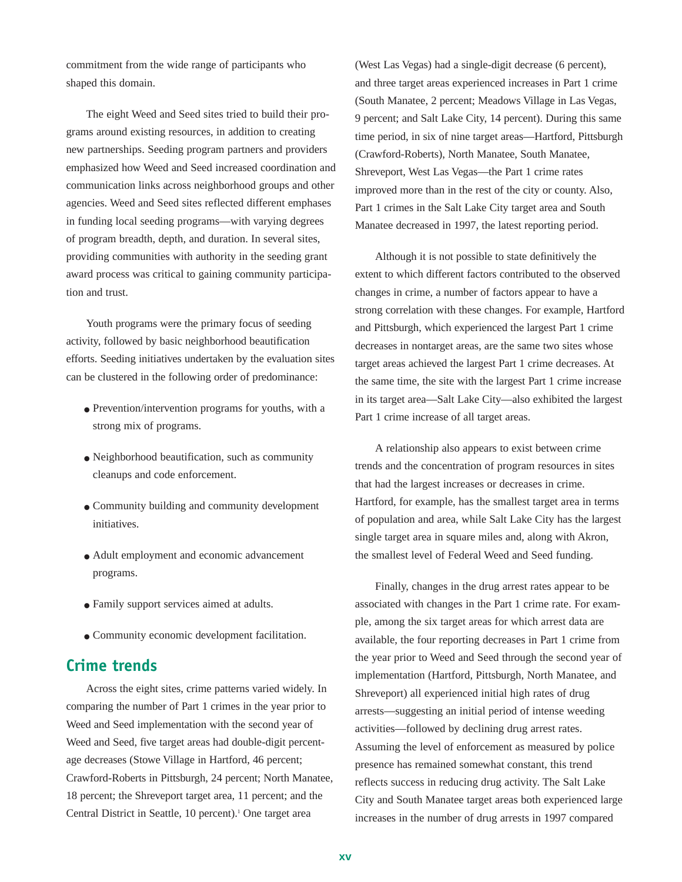commitment from the wide range of participants who shaped this domain.

The eight Weed and Seed sites tried to build their programs around existing resources, in addition to creating new partnerships. Seeding program partners and providers emphasized how Weed and Seed increased coordination and communication links across neighborhood groups and other agencies. Weed and Seed sites reflected different emphases in funding local seeding programs—with varying degrees of program breadth, depth, and duration. In several sites, providing communities with authority in the seeding grant award process was critical to gaining community participation and trust.

Youth programs were the primary focus of seeding activity, followed by basic neighborhood beautification efforts. Seeding initiatives undertaken by the evaluation sites can be clustered in the following order of predominance:

- Prevention/intervention programs for youths, with a strong mix of programs.
- Neighborhood beautification, such as community cleanups and code enforcement.
- Community building and community development initiatives.
- Adult employment and economic advancement programs.
- Family support services aimed at adults.
- Community economic development facilitation.

### **Crime trends**

Across the eight sites, crime patterns varied widely. In comparing the number of Part 1 crimes in the year prior to Weed and Seed implementation with the second year of Weed and Seed, five target areas had double-digit percentage decreases (Stowe Village in Hartford, 46 percent; Crawford-Roberts in Pittsburgh, 24 percent; North Manatee, 18 percent; the Shreveport target area, 11 percent; and the Central District in Seattle, 10 percent).<sup>1</sup> One target area

(West Las Vegas) had a single-digit decrease (6 percent), and three target areas experienced increases in Part 1 crime (South Manatee, 2 percent; Meadows Village in Las Vegas, 9 percent; and Salt Lake City, 14 percent). During this same time period, in six of nine target areas—Hartford, Pittsburgh (Crawford-Roberts), North Manatee, South Manatee, Shreveport, West Las Vegas—the Part 1 crime rates improved more than in the rest of the city or county. Also, Part 1 crimes in the Salt Lake City target area and South Manatee decreased in 1997, the latest reporting period.

Although it is not possible to state definitively the extent to which different factors contributed to the observed changes in crime, a number of factors appear to have a strong correlation with these changes. For example, Hartford and Pittsburgh, which experienced the largest Part 1 crime decreases in nontarget areas, are the same two sites whose target areas achieved the largest Part 1 crime decreases. At the same time, the site with the largest Part 1 crime increase in its target area—Salt Lake City—also exhibited the largest Part 1 crime increase of all target areas.

A relationship also appears to exist between crime trends and the concentration of program resources in sites that had the largest increases or decreases in crime. Hartford, for example, has the smallest target area in terms of population and area, while Salt Lake City has the largest single target area in square miles and, along with Akron, the smallest level of Federal Weed and Seed funding.

Finally, changes in the drug arrest rates appear to be associated with changes in the Part 1 crime rate. For example, among the six target areas for which arrest data are available, the four reporting decreases in Part 1 crime from the year prior to Weed and Seed through the second year of implementation (Hartford, Pittsburgh, North Manatee, and Shreveport) all experienced initial high rates of drug arrests—suggesting an initial period of intense weeding activities—followed by declining drug arrest rates. Assuming the level of enforcement as measured by police presence has remained somewhat constant, this trend reflects success in reducing drug activity. The Salt Lake City and South Manatee target areas both experienced large increases in the number of drug arrests in 1997 compared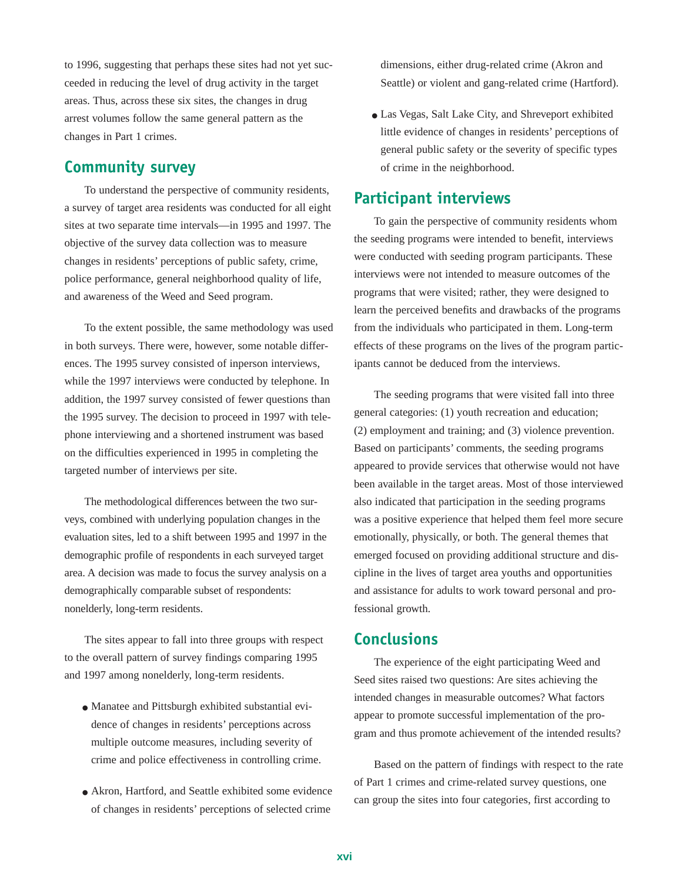to 1996, suggesting that perhaps these sites had not yet succeeded in reducing the level of drug activity in the target areas. Thus, across these six sites, the changes in drug arrest volumes follow the same general pattern as the changes in Part 1 crimes.

## **Community survey**

To understand the perspective of community residents, a survey of target area residents was conducted for all eight sites at two separate time intervals—in 1995 and 1997. The objective of the survey data collection was to measure changes in residents' perceptions of public safety, crime, police performance, general neighborhood quality of life, and awareness of the Weed and Seed program.

To the extent possible, the same methodology was used in both surveys. There were, however, some notable differences. The 1995 survey consisted of inperson interviews, while the 1997 interviews were conducted by telephone. In addition, the 1997 survey consisted of fewer questions than the 1995 survey. The decision to proceed in 1997 with telephone interviewing and a shortened instrument was based on the difficulties experienced in 1995 in completing the targeted number of interviews per site.

The methodological differences between the two surveys, combined with underlying population changes in the evaluation sites, led to a shift between 1995 and 1997 in the demographic profile of respondents in each surveyed target area. A decision was made to focus the survey analysis on a demographically comparable subset of respondents: nonelderly, long-term residents.

The sites appear to fall into three groups with respect to the overall pattern of survey findings comparing 1995 and 1997 among nonelderly, long-term residents.

- Manatee and Pittsburgh exhibited substantial evidence of changes in residents' perceptions across multiple outcome measures, including severity of crime and police effectiveness in controlling crime.
- Akron, Hartford, and Seattle exhibited some evidence of changes in residents' perceptions of selected crime

dimensions, either drug-related crime (Akron and Seattle) or violent and gang-related crime (Hartford).

• Las Vegas, Salt Lake City, and Shreveport exhibited little evidence of changes in residents' perceptions of general public safety or the severity of specific types of crime in the neighborhood.

### **Participant interviews**

To gain the perspective of community residents whom the seeding programs were intended to benefit, interviews were conducted with seeding program participants. These interviews were not intended to measure outcomes of the programs that were visited; rather, they were designed to learn the perceived benefits and drawbacks of the programs from the individuals who participated in them. Long-term effects of these programs on the lives of the program participants cannot be deduced from the interviews.

The seeding programs that were visited fall into three general categories: (1) youth recreation and education; (2) employment and training; and (3) violence prevention. Based on participants' comments, the seeding programs appeared to provide services that otherwise would not have been available in the target areas. Most of those interviewed also indicated that participation in the seeding programs was a positive experience that helped them feel more secure emotionally, physically, or both. The general themes that emerged focused on providing additional structure and discipline in the lives of target area youths and opportunities and assistance for adults to work toward personal and professional growth.

### **Conclusions**

The experience of the eight participating Weed and Seed sites raised two questions: Are sites achieving the intended changes in measurable outcomes? What factors appear to promote successful implementation of the program and thus promote achievement of the intended results?

Based on the pattern of findings with respect to the rate of Part 1 crimes and crime-related survey questions, one can group the sites into four categories, first according to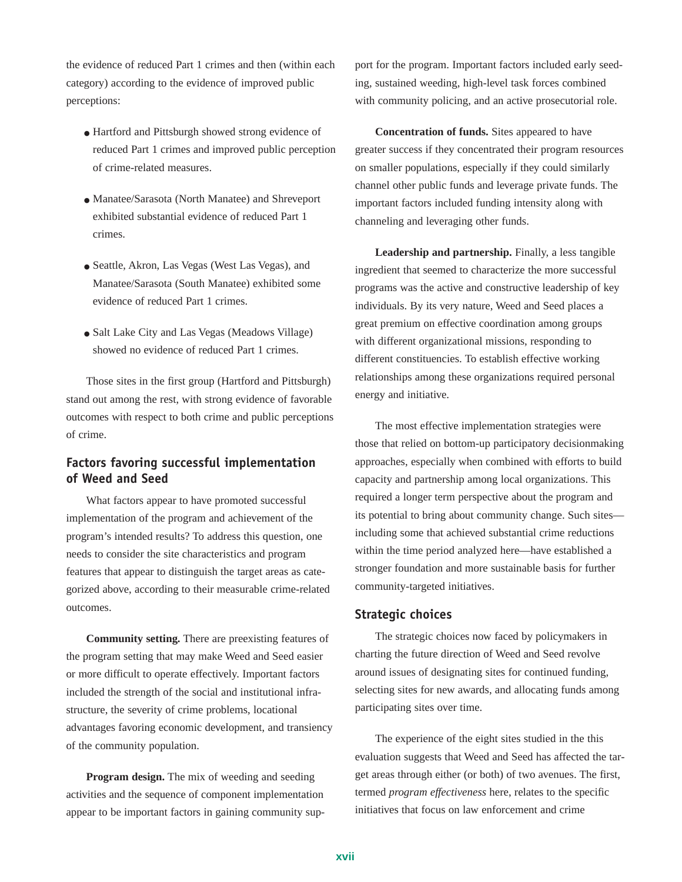the evidence of reduced Part 1 crimes and then (within each category) according to the evidence of improved public perceptions:

- Hartford and Pittsburgh showed strong evidence of reduced Part 1 crimes and improved public perception of crime-related measures.
- Manatee/Sarasota (North Manatee) and Shreveport exhibited substantial evidence of reduced Part 1 crimes.
- Seattle, Akron, Las Vegas (West Las Vegas), and Manatee/Sarasota (South Manatee) exhibited some evidence of reduced Part 1 crimes.
- Salt Lake City and Las Vegas (Meadows Village) showed no evidence of reduced Part 1 crimes.

Those sites in the first group (Hartford and Pittsburgh) stand out among the rest, with strong evidence of favorable outcomes with respect to both crime and public perceptions of crime.

### **Factors favoring successful implementation of Weed and Seed**

What factors appear to have promoted successful implementation of the program and achievement of the program's intended results? To address this question, one needs to consider the site characteristics and program features that appear to distinguish the target areas as categorized above, according to their measurable crime-related outcomes.

**Community setting.** There are preexisting features of the program setting that may make Weed and Seed easier or more difficult to operate effectively. Important factors included the strength of the social and institutional infrastructure, the severity of crime problems, locational advantages favoring economic development, and transiency of the community population.

**Program design.** The mix of weeding and seeding activities and the sequence of component implementation appear to be important factors in gaining community support for the program. Important factors included early seeding, sustained weeding, high-level task forces combined with community policing, and an active prosecutorial role.

**Concentration of funds.** Sites appeared to have greater success if they concentrated their program resources on smaller populations, especially if they could similarly channel other public funds and leverage private funds. The important factors included funding intensity along with channeling and leveraging other funds.

Leadership and partnership. Finally, a less tangible ingredient that seemed to characterize the more successful programs was the active and constructive leadership of key individuals. By its very nature, Weed and Seed places a great premium on effective coordination among groups with different organizational missions, responding to different constituencies. To establish effective working relationships among these organizations required personal energy and initiative.

The most effective implementation strategies were those that relied on bottom-up participatory decisionmaking approaches, especially when combined with efforts to build capacity and partnership among local organizations. This required a longer term perspective about the program and its potential to bring about community change. Such sites including some that achieved substantial crime reductions within the time period analyzed here—have established a stronger foundation and more sustainable basis for further community-targeted initiatives.

#### **Strategic choices**

The strategic choices now faced by policymakers in charting the future direction of Weed and Seed revolve around issues of designating sites for continued funding, selecting sites for new awards, and allocating funds among participating sites over time.

The experience of the eight sites studied in the this evaluation suggests that Weed and Seed has affected the target areas through either (or both) of two avenues. The first, termed *program effectiveness* here, relates to the specific initiatives that focus on law enforcement and crime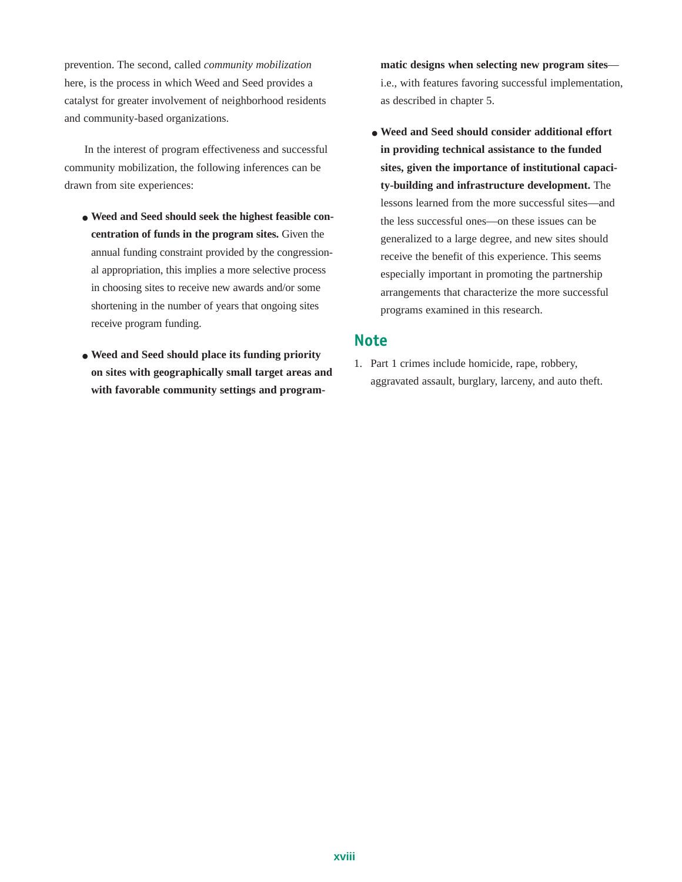prevention. The second, called *community mobilization* here, is the process in which Weed and Seed provides a catalyst for greater involvement of neighborhood residents and community-based organizations.

In the interest of program effectiveness and successful community mobilization, the following inferences can be drawn from site experiences:

- **Weed and Seed should seek the highest feasible concentration of funds in the program sites.** Given the annual funding constraint provided by the congressional appropriation, this implies a more selective process in choosing sites to receive new awards and/or some shortening in the number of years that ongoing sites receive program funding.
- **Weed and Seed should place its funding priority on sites with geographically small target areas and with favorable community settings and program-**

**matic designs when selecting new program sites** i.e., with features favoring successful implementation, as described in chapter 5.

● **Weed and Seed should consider additional effort in providing technical assistance to the funded sites, given the importance of institutional capacity-building and infrastructure development.** The lessons learned from the more successful sites—and the less successful ones—on these issues can be generalized to a large degree, and new sites should receive the benefit of this experience. This seems especially important in promoting the partnership arrangements that characterize the more successful programs examined in this research.

### **Note**

1. Part 1 crimes include homicide, rape, robbery, aggravated assault, burglary, larceny, and auto theft.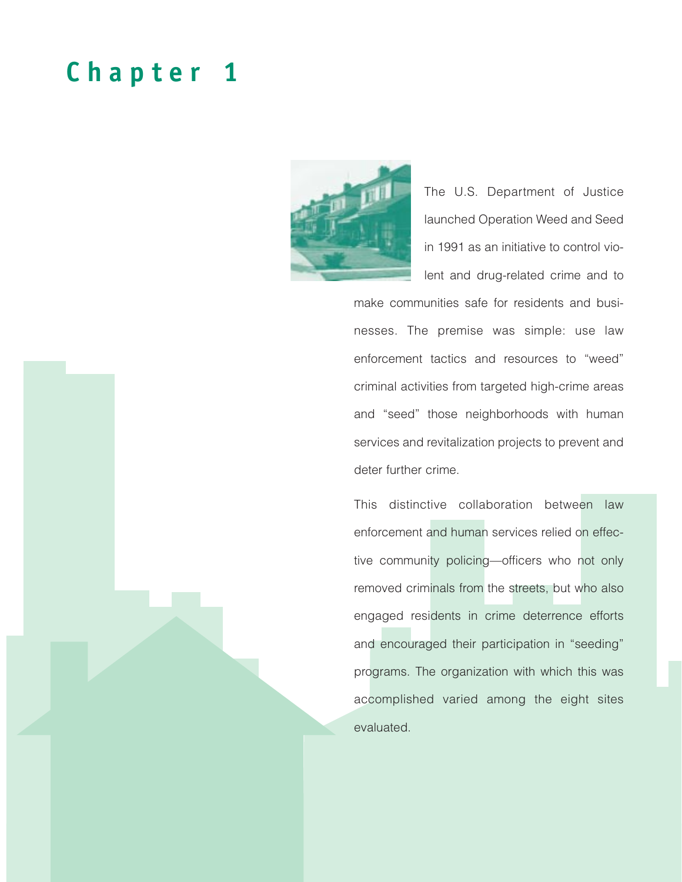# **Chapter 1**



The U.S. Department of Justice launched Operation Weed and Seed in 1991 as an initiative to control violent and drug-related crime and to

make communities safe for residents and businesses. The premise was simple: use law enforcement tactics and resources to "weed" criminal activities from targeted high-crime areas and "seed" those neighborhoods with human services and revitalization projects to prevent and deter further crime.

This distinctive collaboration between law enforcement and human services relied on effective community policing—officers who not only removed criminals from the streets, but who also engaged residents in crime deterrence efforts and encouraged their participation in "seeding" programs. The organization with which this was accomplished varied among the eight sites evaluated.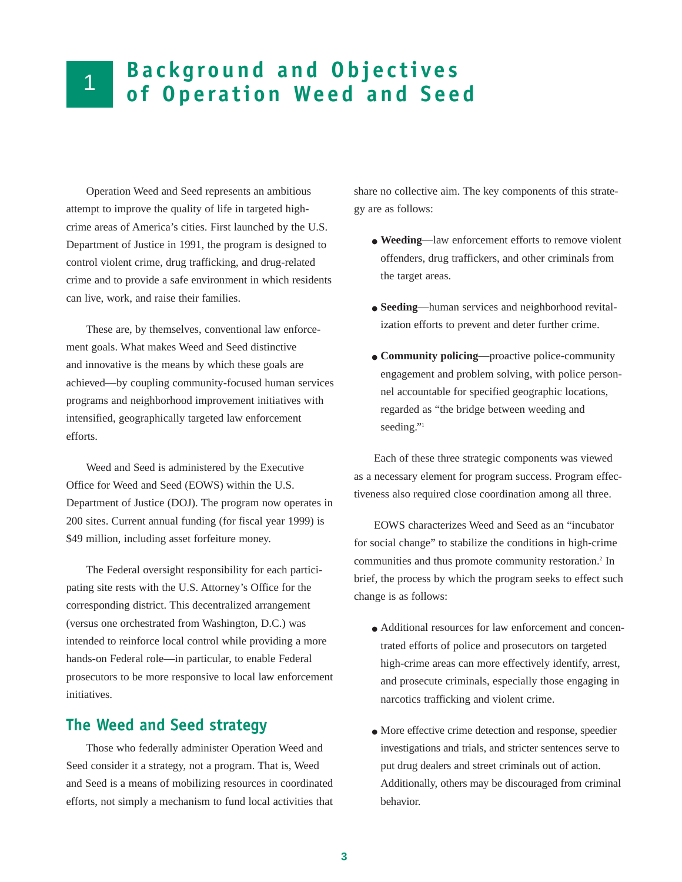# **Background and Objectives de Background and Upjectives**<br>**of Operation Weed and Seed**

Operation Weed and Seed represents an ambitious attempt to improve the quality of life in targeted highcrime areas of America's cities. First launched by the U.S. Department of Justice in 1991, the program is designed to control violent crime, drug trafficking, and drug-related crime and to provide a safe environment in which residents can live, work, and raise their families.

These are, by themselves, conventional law enforcement goals. What makes Weed and Seed distinctive and innovative is the means by which these goals are achieved—by coupling community-focused human services programs and neighborhood improvement initiatives with intensified, geographically targeted law enforcement efforts.

Weed and Seed is administered by the Executive Office for Weed and Seed (EOWS) within the U.S. Department of Justice (DOJ). The program now operates in 200 sites. Current annual funding (for fiscal year 1999) is \$49 million, including asset forfeiture money.

The Federal oversight responsibility for each participating site rests with the U.S. Attorney's Office for the corresponding district. This decentralized arrangement (versus one orchestrated from Washington, D.C.) was intended to reinforce local control while providing a more hands-on Federal role—in particular, to enable Federal prosecutors to be more responsive to local law enforcement initiatives.

### **The Weed and Seed strategy**

Those who federally administer Operation Weed and Seed consider it a strategy, not a program. That is, Weed and Seed is a means of mobilizing resources in coordinated efforts, not simply a mechanism to fund local activities that

share no collective aim. The key components of this strategy are as follows:

- **Weeding**—law enforcement efforts to remove violent offenders, drug traffickers, and other criminals from the target areas.
- **Seeding**—human services and neighborhood revitalization efforts to prevent and deter further crime.
- **Community policing**—proactive police-community engagement and problem solving, with police personnel accountable for specified geographic locations, regarded as "the bridge between weeding and seeding."<sup>1</sup>

Each of these three strategic components was viewed as a necessary element for program success. Program effectiveness also required close coordination among all three.

EOWS characterizes Weed and Seed as an "incubator for social change" to stabilize the conditions in high-crime communities and thus promote community restoration.2 In brief, the process by which the program seeks to effect such change is as follows:

- Additional resources for law enforcement and concentrated efforts of police and prosecutors on targeted high-crime areas can more effectively identify, arrest, and prosecute criminals, especially those engaging in narcotics trafficking and violent crime.
- More effective crime detection and response, speedier investigations and trials, and stricter sentences serve to put drug dealers and street criminals out of action. Additionally, others may be discouraged from criminal behavior.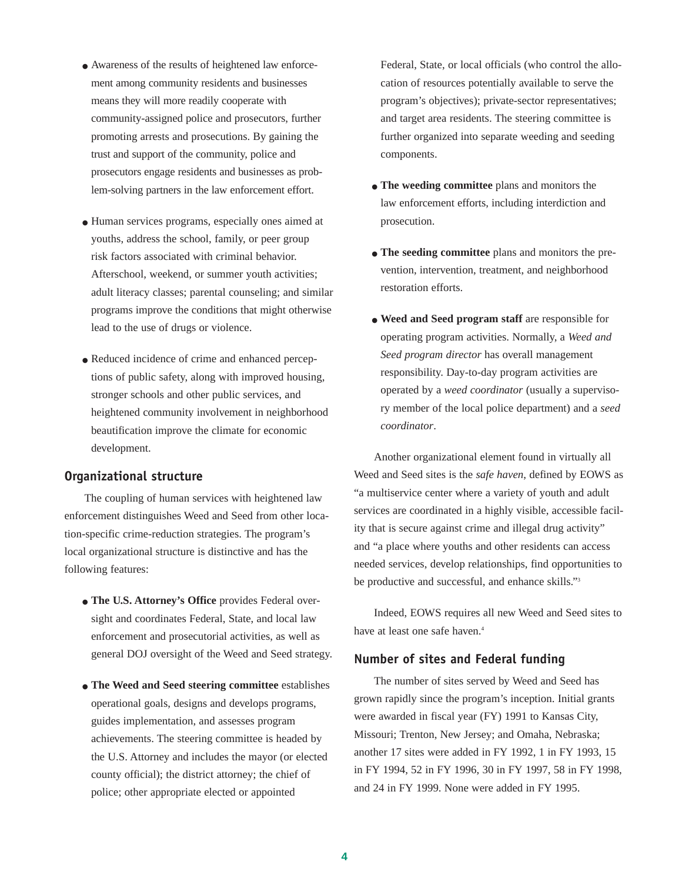- Awareness of the results of heightened law enforcement among community residents and businesses means they will more readily cooperate with community-assigned police and prosecutors, further promoting arrests and prosecutions. By gaining the trust and support of the community, police and prosecutors engage residents and businesses as problem-solving partners in the law enforcement effort.
- Human services programs, especially ones aimed at youths, address the school, family, or peer group risk factors associated with criminal behavior. Afterschool, weekend, or summer youth activities; adult literacy classes; parental counseling; and similar programs improve the conditions that might otherwise lead to the use of drugs or violence.
- Reduced incidence of crime and enhanced perceptions of public safety, along with improved housing, stronger schools and other public services, and heightened community involvement in neighborhood beautification improve the climate for economic development.

#### **Organizational structure**

The coupling of human services with heightened law enforcement distinguishes Weed and Seed from other location-specific crime-reduction strategies. The program's local organizational structure is distinctive and has the following features:

- **The U.S. Attorney's Office** provides Federal oversight and coordinates Federal, State, and local law enforcement and prosecutorial activities, as well as general DOJ oversight of the Weed and Seed strategy.
- **The Weed and Seed steering committee** establishes operational goals, designs and develops programs, guides implementation, and assesses program achievements. The steering committee is headed by the U.S. Attorney and includes the mayor (or elected county official); the district attorney; the chief of police; other appropriate elected or appointed

Federal, State, or local officials (who control the allocation of resources potentially available to serve the program's objectives); private-sector representatives; and target area residents. The steering committee is further organized into separate weeding and seeding components.

- **The weeding committee** plans and monitors the law enforcement efforts, including interdiction and prosecution.
- **The seeding committee** plans and monitors the prevention, intervention, treatment, and neighborhood restoration efforts.
- **Weed and Seed program staff** are responsible for operating program activities. Normally, a *Weed and Seed program director* has overall management responsibility. Day-to-day program activities are operated by a *weed coordinator* (usually a supervisory member of the local police department) and a *seed coordinator*.

Another organizational element found in virtually all Weed and Seed sites is the *safe haven*, defined by EOWS as "a multiservice center where a variety of youth and adult services are coordinated in a highly visible, accessible facility that is secure against crime and illegal drug activity" and "a place where youths and other residents can access needed services, develop relationships, find opportunities to be productive and successful, and enhance skills."3

Indeed, EOWS requires all new Weed and Seed sites to have at least one safe haven.<sup>4</sup>

#### **Number of sites and Federal funding**

The number of sites served by Weed and Seed has grown rapidly since the program's inception. Initial grants were awarded in fiscal year (FY) 1991 to Kansas City, Missouri; Trenton, New Jersey; and Omaha, Nebraska; another 17 sites were added in FY 1992, 1 in FY 1993, 15 in FY 1994, 52 in FY 1996, 30 in FY 1997, 58 in FY 1998, and 24 in FY 1999. None were added in FY 1995.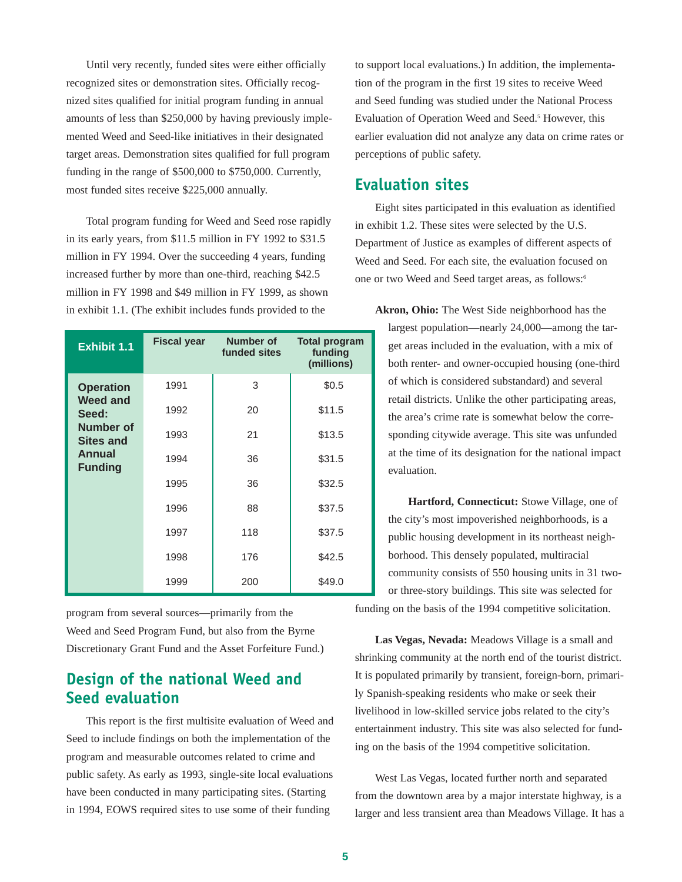Until very recently, funded sites were either officially recognized sites or demonstration sites. Officially recognized sites qualified for initial program funding in annual amounts of less than \$250,000 by having previously implemented Weed and Seed-like initiatives in their designated target areas. Demonstration sites qualified for full program funding in the range of \$500,000 to \$750,000. Currently, most funded sites receive \$225,000 annually.

Total program funding for Weed and Seed rose rapidly in its early years, from \$11.5 million in FY 1992 to \$31.5 million in FY 1994. Over the succeeding 4 years, funding increased further by more than one-third, reaching \$42.5 million in FY 1998 and \$49 million in FY 1999, as shown in exhibit 1.1. (The exhibit includes funds provided to the

| <b>Exhibit 1.1</b>            | <b>Fiscal year</b> | Number of<br>funded sites | <b>Total program</b><br>funding<br>(millions) |
|-------------------------------|--------------------|---------------------------|-----------------------------------------------|
| <b>Operation</b>              | 1991               | 3                         | \$0.5                                         |
| <b>Weed and</b><br>Seed:      | 1992               | 20                        | \$11.5                                        |
| Number of<br><b>Sites and</b> | 1993               | 21                        | \$13.5                                        |
| Annual<br><b>Funding</b>      | 1994               | 36                        | \$31.5                                        |
|                               | 1995               | 36                        | \$32.5                                        |
|                               | 1996               | 88                        | \$37.5                                        |
|                               | 1997               | 118                       | \$37.5                                        |
|                               | 1998               | 176                       | \$42.5                                        |
|                               | 1999               | 200                       | \$49.0                                        |

program from several sources—primarily from the Weed and Seed Program Fund, but also from the Byrne Discretionary Grant Fund and the Asset Forfeiture Fund.)

# **Design of the national Weed and Seed evaluation**

This report is the first multisite evaluation of Weed and Seed to include findings on both the implementation of the program and measurable outcomes related to crime and public safety. As early as 1993, single-site local evaluations have been conducted in many participating sites. (Starting in 1994, EOWS required sites to use some of their funding

to support local evaluations.) In addition, the implementation of the program in the first 19 sites to receive Weed and Seed funding was studied under the National Process Evaluation of Operation Weed and Seed.<sup>5</sup> However, this earlier evaluation did not analyze any data on crime rates or perceptions of public safety.

### **Evaluation sites**

Eight sites participated in this evaluation as identified in exhibit 1.2. These sites were selected by the U.S. Department of Justice as examples of different aspects of Weed and Seed. For each site, the evaluation focused on one or two Weed and Seed target areas, as follows:<sup>6</sup>

**Akron, Ohio:** The West Side neighborhood has the largest population—nearly 24,000—among the target areas included in the evaluation, with a mix of both renter- and owner-occupied housing (one-third of which is considered substandard) and several retail districts. Unlike the other participating areas, the area's crime rate is somewhat below the corresponding citywide average. This site was unfunded at the time of its designation for the national impact evaluation.

**Hartford, Connecticut:** Stowe Village, one of the city's most impoverished neighborhoods, is a public housing development in its northeast neighborhood. This densely populated, multiracial community consists of 550 housing units in 31 twoor three-story buildings. This site was selected for

funding on the basis of the 1994 competitive solicitation.

**Las Vegas, Nevada:** Meadows Village is a small and shrinking community at the north end of the tourist district. It is populated primarily by transient, foreign-born, primarily Spanish-speaking residents who make or seek their livelihood in low-skilled service jobs related to the city's entertainment industry. This site was also selected for funding on the basis of the 1994 competitive solicitation.

West Las Vegas, located further north and separated from the downtown area by a major interstate highway, is a larger and less transient area than Meadows Village. It has a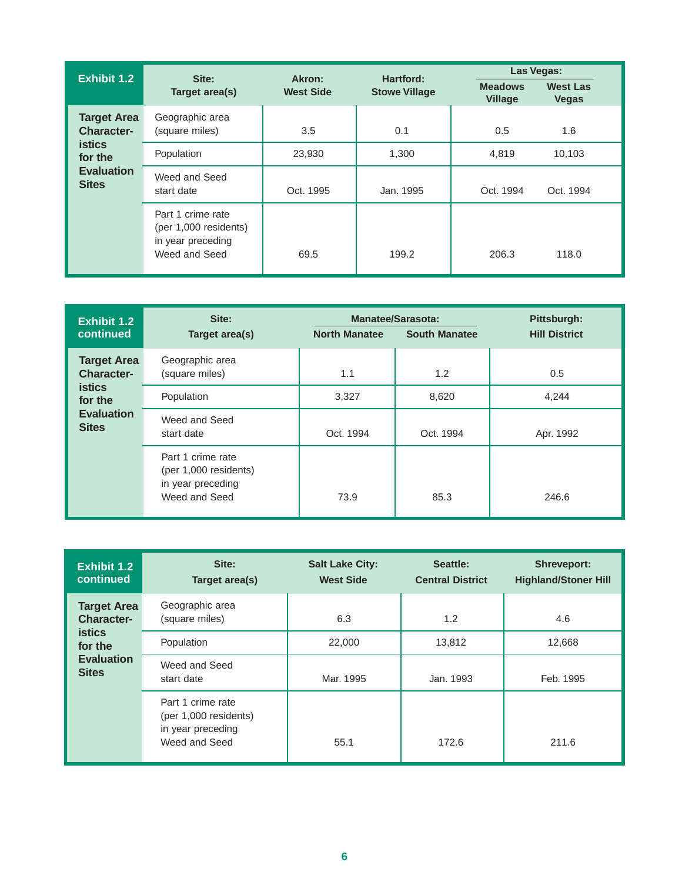| Exhibit 1.2                                                                                              | Site:<br>Target area(s)                                                          | Akron:<br><b>West Side</b> | Hartford:            | Las Vegas:                       |                                 |  |  |
|----------------------------------------------------------------------------------------------------------|----------------------------------------------------------------------------------|----------------------------|----------------------|----------------------------------|---------------------------------|--|--|
|                                                                                                          |                                                                                  |                            | <b>Stowe Village</b> | <b>Meadows</b><br><b>Village</b> | <b>West Las</b><br><b>Vegas</b> |  |  |
| <b>Target Area</b><br><b>Character-</b><br><b>istics</b><br>for the<br><b>Evaluation</b><br><b>Sites</b> | Geographic area<br>(square miles)                                                | 3.5                        | 0.1                  | 0.5                              | 1.6                             |  |  |
|                                                                                                          | Population                                                                       | 23,930                     | 1.300                | 4.819                            | 10.103                          |  |  |
|                                                                                                          | Weed and Seed<br>start date                                                      | Oct. 1995                  | Jan. 1995            | Oct. 1994                        | Oct. 1994                       |  |  |
|                                                                                                          | Part 1 crime rate<br>(per 1,000 residents)<br>in year preceding<br>Weed and Seed | 69.5                       | 199.2                | 206.3                            | 118.0                           |  |  |

| Exhibit 1.2                                                                                              | Site:                                                                            |                      | <b>Manatee/Sarasota:</b> | Pittsburgh:          |  |
|----------------------------------------------------------------------------------------------------------|----------------------------------------------------------------------------------|----------------------|--------------------------|----------------------|--|
| continued                                                                                                | Target area(s)                                                                   | <b>North Manatee</b> | <b>South Manatee</b>     | <b>Hill District</b> |  |
| <b>Target Area</b><br><b>Character-</b><br><b>istics</b><br>for the<br><b>Evaluation</b><br><b>Sites</b> | Geographic area<br>(square miles)                                                | 1.1                  | 1.2                      | 0.5                  |  |
|                                                                                                          | Population                                                                       | 3,327                | 8,620                    | 4,244                |  |
|                                                                                                          | Weed and Seed<br>start date                                                      | Oct. 1994            | Oct. 1994                | Apr. 1992            |  |
|                                                                                                          | Part 1 crime rate<br>(per 1,000 residents)<br>in year preceding<br>Weed and Seed | 73.9                 | 85.3                     | 246.6                |  |

| Exhibit 1.2<br>continued                                                                                 | Site:<br>Target area(s)                                                          | <b>Salt Lake City:</b><br><b>West Side</b> | Seattle:<br><b>Central District</b> | <b>Shreveport:</b><br><b>Highland/Stoner Hill</b> |  |
|----------------------------------------------------------------------------------------------------------|----------------------------------------------------------------------------------|--------------------------------------------|-------------------------------------|---------------------------------------------------|--|
| <b>Target Area</b><br><b>Character-</b><br><b>istics</b><br>for the<br><b>Evaluation</b><br><b>Sites</b> | Geographic area<br>(square miles)                                                | 6.3                                        | 1.2                                 | 4.6                                               |  |
|                                                                                                          | Population                                                                       | 22,000                                     | 13,812                              | 12,668                                            |  |
|                                                                                                          | Weed and Seed<br>start date                                                      | Mar. 1995                                  | Jan. 1993                           | Feb. 1995                                         |  |
|                                                                                                          | Part 1 crime rate<br>(per 1,000 residents)<br>in year preceding<br>Weed and Seed | 55.1                                       | 172.6                               | 211.6                                             |  |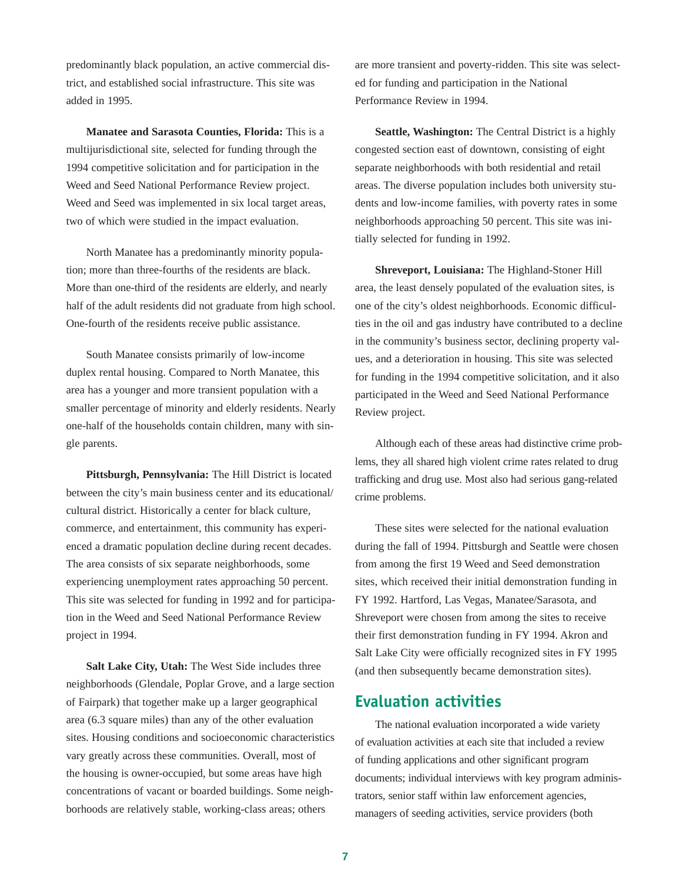predominantly black population, an active commercial district, and established social infrastructure. This site was added in 1995.

**Manatee and Sarasota Counties, Florida:** This is a multijurisdictional site, selected for funding through the 1994 competitive solicitation and for participation in the Weed and Seed National Performance Review project. Weed and Seed was implemented in six local target areas, two of which were studied in the impact evaluation.

North Manatee has a predominantly minority population; more than three-fourths of the residents are black. More than one-third of the residents are elderly, and nearly half of the adult residents did not graduate from high school. One-fourth of the residents receive public assistance.

South Manatee consists primarily of low-income duplex rental housing. Compared to North Manatee, this area has a younger and more transient population with a smaller percentage of minority and elderly residents. Nearly one-half of the households contain children, many with single parents.

**Pittsburgh, Pennsylvania:** The Hill District is located between the city's main business center and its educational/ cultural district. Historically a center for black culture, commerce, and entertainment, this community has experienced a dramatic population decline during recent decades. The area consists of six separate neighborhoods, some experiencing unemployment rates approaching 50 percent. This site was selected for funding in 1992 and for participation in the Weed and Seed National Performance Review project in 1994.

**Salt Lake City, Utah:** The West Side includes three neighborhoods (Glendale, Poplar Grove, and a large section of Fairpark) that together make up a larger geographical area (6.3 square miles) than any of the other evaluation sites. Housing conditions and socioeconomic characteristics vary greatly across these communities. Overall, most of the housing is owner-occupied, but some areas have high concentrations of vacant or boarded buildings. Some neighborhoods are relatively stable, working-class areas; others

are more transient and poverty-ridden. This site was selected for funding and participation in the National Performance Review in 1994.

**Seattle, Washington:** The Central District is a highly congested section east of downtown, consisting of eight separate neighborhoods with both residential and retail areas. The diverse population includes both university students and low-income families, with poverty rates in some neighborhoods approaching 50 percent. This site was initially selected for funding in 1992.

**Shreveport, Louisiana:** The Highland-Stoner Hill area, the least densely populated of the evaluation sites, is one of the city's oldest neighborhoods. Economic difficulties in the oil and gas industry have contributed to a decline in the community's business sector, declining property values, and a deterioration in housing. This site was selected for funding in the 1994 competitive solicitation, and it also participated in the Weed and Seed National Performance Review project.

Although each of these areas had distinctive crime problems, they all shared high violent crime rates related to drug trafficking and drug use. Most also had serious gang-related crime problems.

These sites were selected for the national evaluation during the fall of 1994. Pittsburgh and Seattle were chosen from among the first 19 Weed and Seed demonstration sites, which received their initial demonstration funding in FY 1992. Hartford, Las Vegas, Manatee/Sarasota, and Shreveport were chosen from among the sites to receive their first demonstration funding in FY 1994. Akron and Salt Lake City were officially recognized sites in FY 1995 (and then subsequently became demonstration sites).

### **Evaluation activities**

The national evaluation incorporated a wide variety of evaluation activities at each site that included a review of funding applications and other significant program documents; individual interviews with key program administrators, senior staff within law enforcement agencies, managers of seeding activities, service providers (both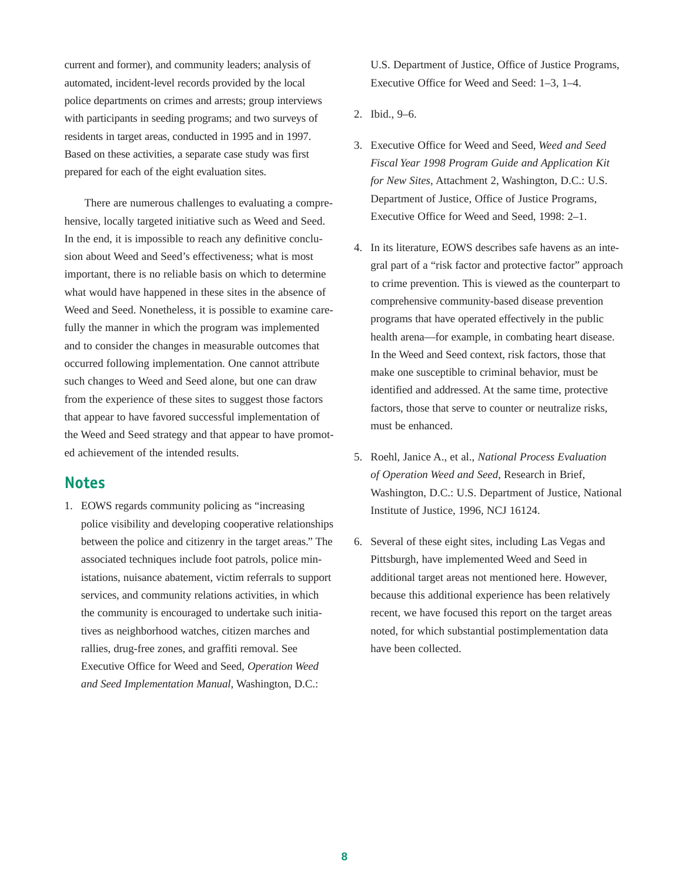current and former), and community leaders; analysis of automated, incident-level records provided by the local police departments on crimes and arrests; group interviews with participants in seeding programs; and two surveys of residents in target areas, conducted in 1995 and in 1997. Based on these activities, a separate case study was first prepared for each of the eight evaluation sites.

There are numerous challenges to evaluating a comprehensive, locally targeted initiative such as Weed and Seed. In the end, it is impossible to reach any definitive conclusion about Weed and Seed's effectiveness; what is most important, there is no reliable basis on which to determine what would have happened in these sites in the absence of Weed and Seed. Nonetheless, it is possible to examine carefully the manner in which the program was implemented and to consider the changes in measurable outcomes that occurred following implementation. One cannot attribute such changes to Weed and Seed alone, but one can draw from the experience of these sites to suggest those factors that appear to have favored successful implementation of the Weed and Seed strategy and that appear to have promoted achievement of the intended results.

### **Notes**

1. EOWS regards community policing as "increasing police visibility and developing cooperative relationships between the police and citizenry in the target areas." The associated techniques include foot patrols, police ministations, nuisance abatement, victim referrals to support services, and community relations activities, in which the community is encouraged to undertake such initiatives as neighborhood watches, citizen marches and rallies, drug-free zones, and graffiti removal. See Executive Office for Weed and Seed, *Operation Weed and Seed Implementation Manual*, Washington, D.C.:

U.S. Department of Justice, Office of Justice Programs, Executive Office for Weed and Seed: 1–3, 1–4.

- 2. Ibid., 9–6.
- 3. Executive Office for Weed and Seed, *Weed and Seed Fiscal Year 1998 Program Guide and Application Kit for New Sites*, Attachment 2, Washington, D.C.: U.S. Department of Justice, Office of Justice Programs, Executive Office for Weed and Seed, 1998: 2–1.
- 4. In its literature, EOWS describes safe havens as an integral part of a "risk factor and protective factor" approach to crime prevention. This is viewed as the counterpart to comprehensive community-based disease prevention programs that have operated effectively in the public health arena—for example, in combating heart disease. In the Weed and Seed context, risk factors, those that make one susceptible to criminal behavior, must be identified and addressed. At the same time, protective factors, those that serve to counter or neutralize risks, must be enhanced.
- 5. Roehl, Janice A., et al., *National Process Evaluation of Operation Weed and Seed*, Research in Brief, Washington, D.C.: U.S. Department of Justice, National Institute of Justice, 1996, NCJ 16124.
- 6. Several of these eight sites, including Las Vegas and Pittsburgh, have implemented Weed and Seed in additional target areas not mentioned here. However, because this additional experience has been relatively recent, we have focused this report on the target areas noted, for which substantial postimplementation data have been collected.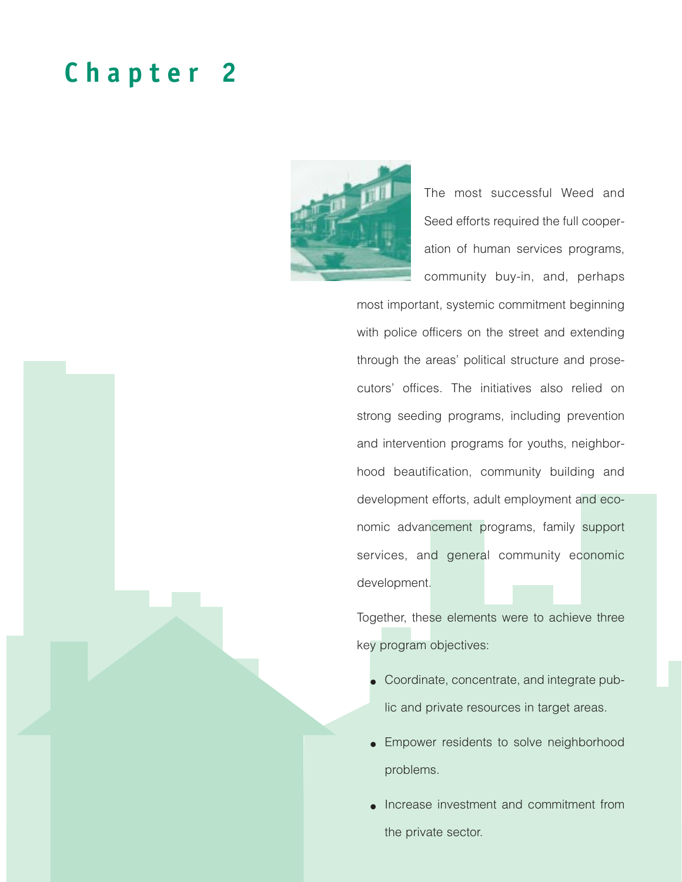# **Chapter 2**



The most successful Weed and Seed efforts required the full cooperation of human services programs, community buy-in, and, perhaps

most important, systemic commitment beginning with police officers on the street and extending through the areas' political structure and prosecutors' offices. The initiatives also relied on strong seeding programs, including prevention and intervention programs for youths, neighborhood beautification, community building and development efforts, adult employment and economic advancement programs, family support services, and general community economic development.

Together, these elements were to achieve three key program objectives:

- Coordinate, concentrate, and integrate public and private resources in target areas.
- Empower residents to solve neighborhood problems.
- Increase investment and commitment from the private sector.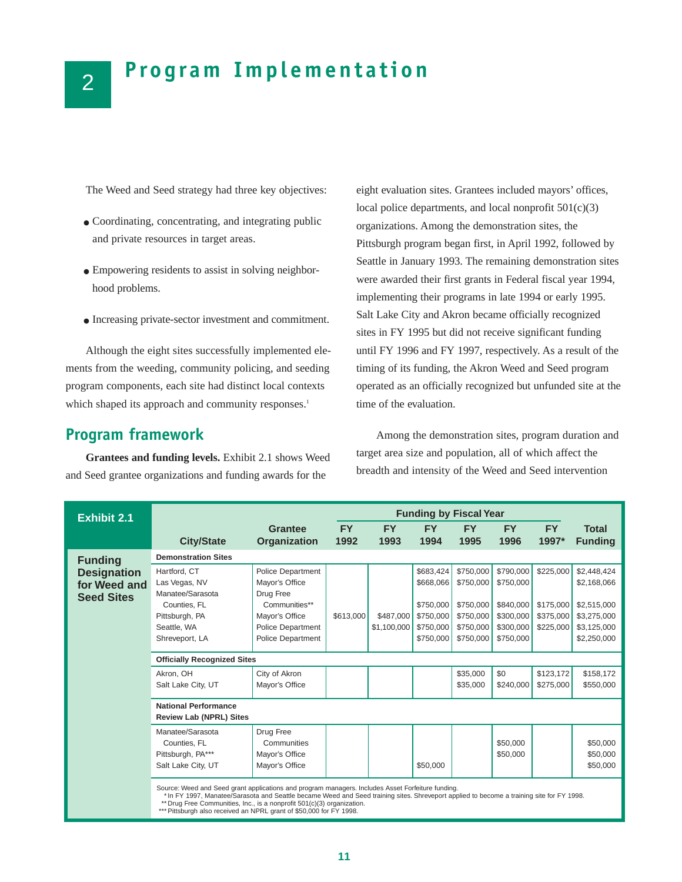# **Program Implementation**

The Weed and Seed strategy had three key objectives:

- Coordinating, concentrating, and integrating public and private resources in target areas.
- Empowering residents to assist in solving neighborhood problems.
- Increasing private-sector investment and commitment.

Although the eight sites successfully implemented elements from the weeding, community policing, and seeding program components, each site had distinct local contexts which shaped its approach and community responses.<sup>1</sup>

### **Program framework**

**Grantees and funding levels.** Exhibit 2.1 shows Weed and Seed grantee organizations and funding awards for the

eight evaluation sites. Grantees included mayors' offices, local police departments, and local nonprofit  $501(c)(3)$ organizations. Among the demonstration sites, the Pittsburgh program began first, in April 1992, followed by Seattle in January 1993. The remaining demonstration sites were awarded their first grants in Federal fiscal year 1994, implementing their programs in late 1994 or early 1995. Salt Lake City and Akron became officially recognized sites in FY 1995 but did not receive significant funding until FY 1996 and FY 1997, respectively. As a result of the timing of its funding, the Akron Weed and Seed program operated as an officially recognized but unfunded site at the time of the evaluation.

Among the demonstration sites, program duration and target area size and population, all of which affect the breadth and intensity of the Weed and Seed intervention

| <b>Exhibit 2.1</b> |                                                                                                                                                                                                                                                                                                                          |                            | <b>Funding by Fiscal Year</b> |             |                        |                        |                        |                        |                            |
|--------------------|--------------------------------------------------------------------------------------------------------------------------------------------------------------------------------------------------------------------------------------------------------------------------------------------------------------------------|----------------------------|-------------------------------|-------------|------------------------|------------------------|------------------------|------------------------|----------------------------|
|                    |                                                                                                                                                                                                                                                                                                                          | <b>Grantee</b>             | <b>FY</b>                     | <b>FY</b>   | <b>FY</b>              | <b>FY</b>              | <b>FY</b>              | <b>FY</b>              | <b>Total</b>               |
|                    | <b>City/State</b>                                                                                                                                                                                                                                                                                                        | Organization               | 1992                          | 1993        | 1994                   | 1995                   | 1996                   | 1997*                  | <b>Funding</b>             |
| <b>Funding</b>     | <b>Demonstration Sites</b>                                                                                                                                                                                                                                                                                               |                            |                               |             |                        |                        |                        |                        |                            |
| <b>Designation</b> | Hartford, CT                                                                                                                                                                                                                                                                                                             | <b>Police Department</b>   |                               |             | \$683,424              | \$750,000              | \$790,000              | \$225,000              | \$2,448,424                |
| for Weed and       | Las Vegas, NV                                                                                                                                                                                                                                                                                                            | Mayor's Office             |                               |             | \$668,066              | \$750,000              | \$750,000              |                        | \$2,168,066                |
| <b>Seed Sites</b>  | Manatee/Sarasota                                                                                                                                                                                                                                                                                                         | Drug Free<br>Communities** |                               |             |                        |                        |                        |                        |                            |
|                    | Counties, FL<br>Pittsburgh, PA                                                                                                                                                                                                                                                                                           | Mayor's Office             | \$613,000                     | \$487,000   | \$750,000<br>\$750,000 | \$750,000<br>\$750,000 | \$840,000<br>\$300,000 | \$175,000<br>\$375,000 | \$2,515,000<br>\$3,275,000 |
|                    | Seattle, WA                                                                                                                                                                                                                                                                                                              | <b>Police Department</b>   |                               | \$1,100,000 | \$750,000              | \$750,000              | \$300,000              | \$225,000              | \$3,125,000                |
|                    | Shreveport, LA                                                                                                                                                                                                                                                                                                           | Police Department          |                               |             | \$750,000              | \$750,000              | \$750,000              |                        | \$2,250,000                |
|                    |                                                                                                                                                                                                                                                                                                                          |                            |                               |             |                        |                        |                        |                        |                            |
|                    | <b>Officially Recognized Sites</b>                                                                                                                                                                                                                                                                                       |                            |                               |             |                        |                        |                        |                        |                            |
|                    | Akron. OH                                                                                                                                                                                                                                                                                                                | City of Akron              |                               |             |                        | \$35,000               | \$0                    | \$123,172              | \$158,172                  |
|                    | Salt Lake City, UT                                                                                                                                                                                                                                                                                                       | Mayor's Office             |                               |             |                        | \$35,000               | \$240,000              | \$275,000              | \$550,000                  |
|                    | <b>National Performance</b>                                                                                                                                                                                                                                                                                              |                            |                               |             |                        |                        |                        |                        |                            |
|                    | <b>Review Lab (NPRL) Sites</b>                                                                                                                                                                                                                                                                                           |                            |                               |             |                        |                        |                        |                        |                            |
|                    | Manatee/Sarasota                                                                                                                                                                                                                                                                                                         | Drug Free                  |                               |             |                        |                        |                        |                        |                            |
|                    | Counties, FL                                                                                                                                                                                                                                                                                                             | Communities                |                               |             |                        |                        | \$50,000               |                        | \$50,000                   |
|                    | Pittsburgh, PA***                                                                                                                                                                                                                                                                                                        | Mayor's Office             |                               |             |                        |                        | \$50,000               |                        | \$50,000                   |
|                    | Salt Lake City, UT                                                                                                                                                                                                                                                                                                       | Mayor's Office             |                               |             | \$50,000               |                        |                        |                        | \$50,000                   |
|                    | Source: Weed and Seed grant applications and program managers. Includes Asset Forfeiture funding.<br>* In FY 1997, Manatee/Sarasota and Seattle became Weed and Seed training sites. Shreveport applied to become a training site for FY 1998.<br>** Drug Free Communities, Inc., is a nonprofit 501(c)(3) organization. |                            |                               |             |                        |                        |                        |                        |                            |

Pittsburgh also received an NPRL grant of \$50,000 for FY 1998.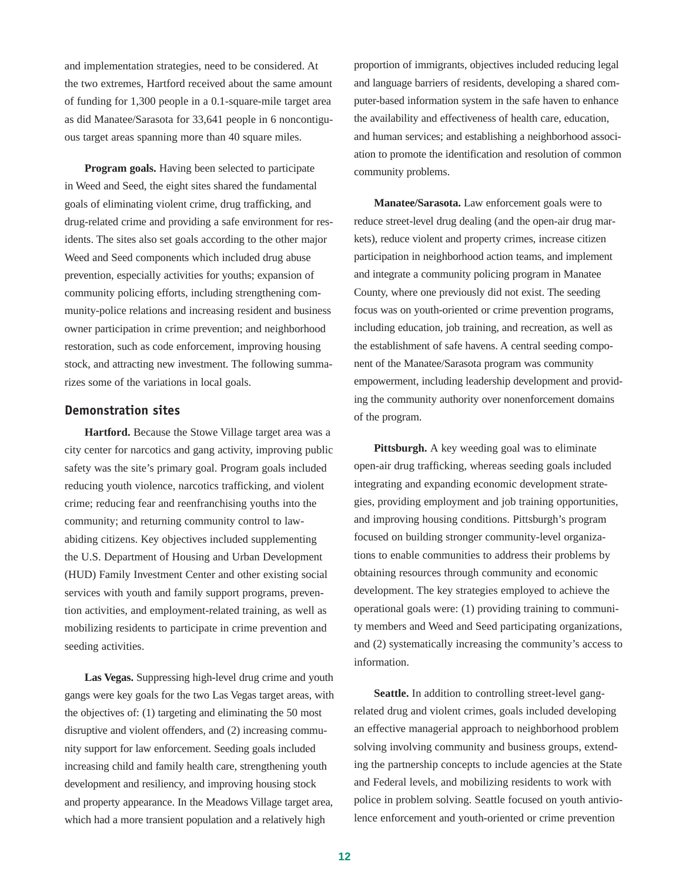and implementation strategies, need to be considered. At the two extremes, Hartford received about the same amount of funding for 1,300 people in a 0.1-square-mile target area as did Manatee/Sarasota for 33,641 people in 6 noncontiguous target areas spanning more than 40 square miles.

**Program goals.** Having been selected to participate in Weed and Seed, the eight sites shared the fundamental goals of eliminating violent crime, drug trafficking, and drug-related crime and providing a safe environment for residents. The sites also set goals according to the other major Weed and Seed components which included drug abuse prevention, especially activities for youths; expansion of community policing efforts, including strengthening community-police relations and increasing resident and business owner participation in crime prevention; and neighborhood restoration, such as code enforcement, improving housing stock, and attracting new investment. The following summarizes some of the variations in local goals.

### **Demonstration sites**

**Hartford.** Because the Stowe Village target area was a city center for narcotics and gang activity, improving public safety was the site's primary goal. Program goals included reducing youth violence, narcotics trafficking, and violent crime; reducing fear and reenfranchising youths into the community; and returning community control to lawabiding citizens. Key objectives included supplementing the U.S. Department of Housing and Urban Development (HUD) Family Investment Center and other existing social services with youth and family support programs, prevention activities, and employment-related training, as well as mobilizing residents to participate in crime prevention and seeding activities.

**Las Vegas.** Suppressing high-level drug crime and youth gangs were key goals for the two Las Vegas target areas, with the objectives of: (1) targeting and eliminating the 50 most disruptive and violent offenders, and (2) increasing community support for law enforcement. Seeding goals included increasing child and family health care, strengthening youth development and resiliency, and improving housing stock and property appearance. In the Meadows Village target area, which had a more transient population and a relatively high

proportion of immigrants, objectives included reducing legal and language barriers of residents, developing a shared computer-based information system in the safe haven to enhance the availability and effectiveness of health care, education, and human services; and establishing a neighborhood association to promote the identification and resolution of common community problems.

**Manatee/Sarasota.** Law enforcement goals were to reduce street-level drug dealing (and the open-air drug markets), reduce violent and property crimes, increase citizen participation in neighborhood action teams, and implement and integrate a community policing program in Manatee County, where one previously did not exist. The seeding focus was on youth-oriented or crime prevention programs, including education, job training, and recreation, as well as the establishment of safe havens. A central seeding component of the Manatee/Sarasota program was community empowerment, including leadership development and providing the community authority over nonenforcement domains of the program.

**Pittsburgh.** A key weeding goal was to eliminate open-air drug trafficking, whereas seeding goals included integrating and expanding economic development strategies, providing employment and job training opportunities, and improving housing conditions. Pittsburgh's program focused on building stronger community-level organizations to enable communities to address their problems by obtaining resources through community and economic development. The key strategies employed to achieve the operational goals were: (1) providing training to community members and Weed and Seed participating organizations, and (2) systematically increasing the community's access to information.

**Seattle.** In addition to controlling street-level gangrelated drug and violent crimes, goals included developing an effective managerial approach to neighborhood problem solving involving community and business groups, extending the partnership concepts to include agencies at the State and Federal levels, and mobilizing residents to work with police in problem solving. Seattle focused on youth antiviolence enforcement and youth-oriented or crime prevention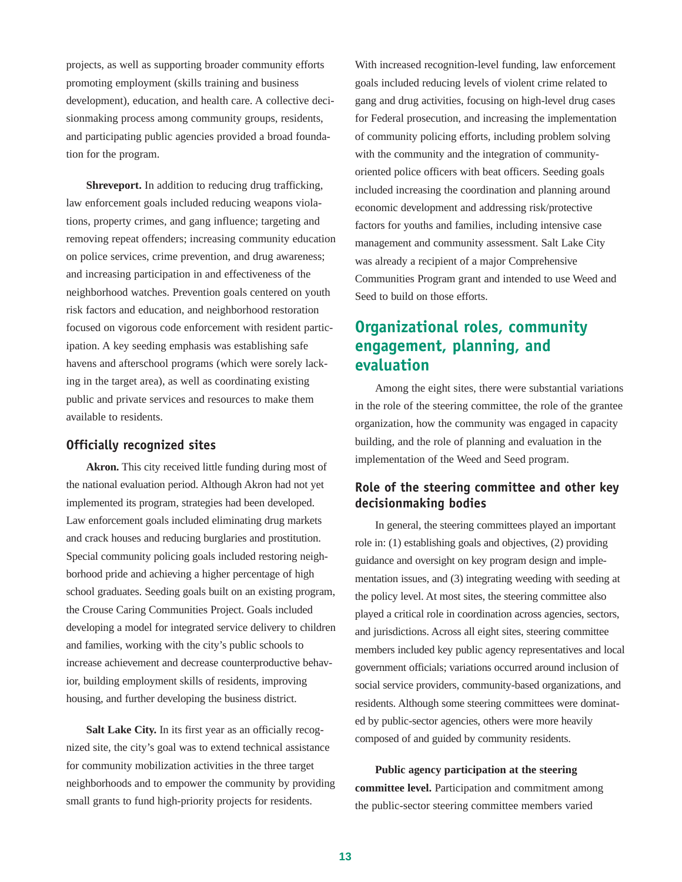projects, as well as supporting broader community efforts promoting employment (skills training and business development), education, and health care. A collective decisionmaking process among community groups, residents, and participating public agencies provided a broad foundation for the program.

**Shreveport.** In addition to reducing drug trafficking, law enforcement goals included reducing weapons violations, property crimes, and gang influence; targeting and removing repeat offenders; increasing community education on police services, crime prevention, and drug awareness; and increasing participation in and effectiveness of the neighborhood watches. Prevention goals centered on youth risk factors and education, and neighborhood restoration focused on vigorous code enforcement with resident participation. A key seeding emphasis was establishing safe havens and afterschool programs (which were sorely lacking in the target area), as well as coordinating existing public and private services and resources to make them available to residents.

#### **Officially recognized sites**

**Akron.** This city received little funding during most of the national evaluation period. Although Akron had not yet implemented its program, strategies had been developed. Law enforcement goals included eliminating drug markets and crack houses and reducing burglaries and prostitution. Special community policing goals included restoring neighborhood pride and achieving a higher percentage of high school graduates. Seeding goals built on an existing program, the Crouse Caring Communities Project. Goals included developing a model for integrated service delivery to children and families, working with the city's public schools to increase achievement and decrease counterproductive behavior, building employment skills of residents, improving housing, and further developing the business district.

Salt Lake City. In its first year as an officially recognized site, the city's goal was to extend technical assistance for community mobilization activities in the three target neighborhoods and to empower the community by providing small grants to fund high-priority projects for residents.

With increased recognition-level funding, law enforcement goals included reducing levels of violent crime related to gang and drug activities, focusing on high-level drug cases for Federal prosecution, and increasing the implementation of community policing efforts, including problem solving with the community and the integration of communityoriented police officers with beat officers. Seeding goals included increasing the coordination and planning around economic development and addressing risk/protective factors for youths and families, including intensive case management and community assessment. Salt Lake City was already a recipient of a major Comprehensive Communities Program grant and intended to use Weed and Seed to build on those efforts.

# **Organizational roles, community engagement, planning, and evaluation**

Among the eight sites, there were substantial variations in the role of the steering committee, the role of the grantee organization, how the community was engaged in capacity building, and the role of planning and evaluation in the implementation of the Weed and Seed program.

### **Role of the steering committee and other key decisionmaking bodies**

In general, the steering committees played an important role in: (1) establishing goals and objectives, (2) providing guidance and oversight on key program design and implementation issues, and (3) integrating weeding with seeding at the policy level. At most sites, the steering committee also played a critical role in coordination across agencies, sectors, and jurisdictions. Across all eight sites, steering committee members included key public agency representatives and local government officials; variations occurred around inclusion of social service providers, community-based organizations, and residents. Although some steering committees were dominated by public-sector agencies, others were more heavily composed of and guided by community residents.

**Public agency participation at the steering committee level.** Participation and commitment among the public-sector steering committee members varied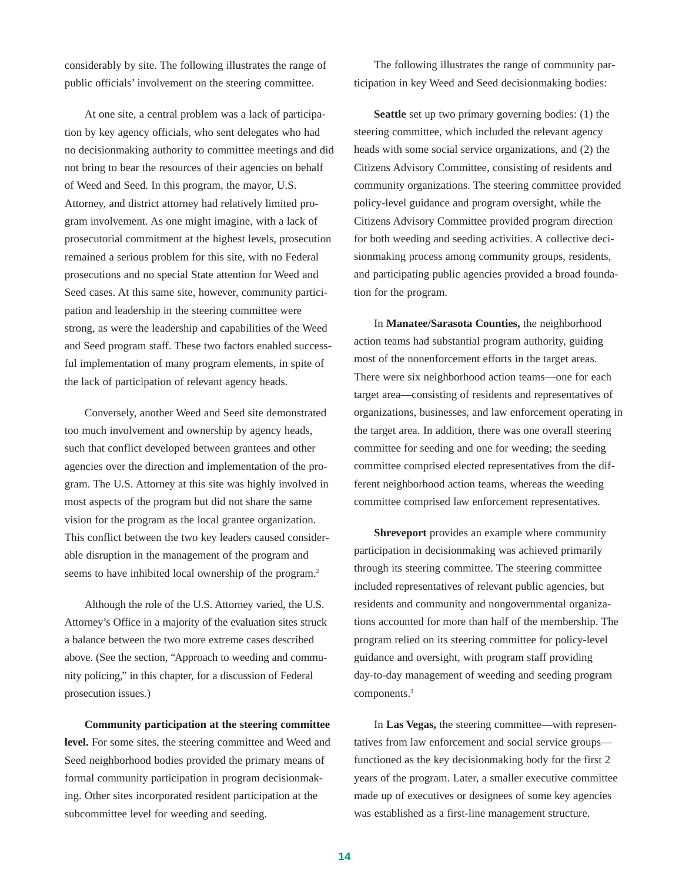considerably by site. The following illustrates the range of public officials' involvement on the steering committee.

At one site, a central problem was a lack of participation by key agency officials, who sent delegates who had no decisionmaking authority to committee meetings and did not bring to bear the resources of their agencies on behalf of Weed and Seed. In this program, the mayor, U.S. Attorney, and district attorney had relatively limited program involvement. As one might imagine, with a lack of prosecutorial commitment at the highest levels, prosecution remained a serious problem for this site, with no Federal prosecutions and no special State attention for Weed and Seed cases. At this same site, however, community participation and leadership in the steering committee were strong, as were the leadership and capabilities of the Weed and Seed program staff. These two factors enabled successful implementation of many program elements, in spite of the lack of participation of relevant agency heads.

Conversely, another Weed and Seed site demonstrated too much involvement and ownership by agency heads, such that conflict developed between grantees and other agencies over the direction and implementation of the program. The U.S. Attorney at this site was highly involved in most aspects of the program but did not share the same vision for the program as the local grantee organization. This conflict between the two key leaders caused considerable disruption in the management of the program and seems to have inhibited local ownership of the program.<sup>2</sup>

Although the role of the U.S. Attorney varied, the U.S. Attorney's Office in a majority of the evaluation sites struck a balance between the two more extreme cases described above. (See the section, "Approach to weeding and community policing," in this chapter, for a discussion of Federal prosecution issues.)

**Community participation at the steering committee level.** For some sites, the steering committee and Weed and Seed neighborhood bodies provided the primary means of formal community participation in program decisionmaking. Other sites incorporated resident participation at the subcommittee level for weeding and seeding.

The following illustrates the range of community participation in key Weed and Seed decisionmaking bodies:

**Seattle** set up two primary governing bodies: (1) the steering committee, which included the relevant agency heads with some social service organizations, and (2) the Citizens Advisory Committee, consisting of residents and community organizations. The steering committee provided policy-level guidance and program oversight, while the Citizens Advisory Committee provided program direction for both weeding and seeding activities. A collective decisionmaking process among community groups, residents, and participating public agencies provided a broad foundation for the program.

In **Manatee/Sarasota Counties,** the neighborhood action teams had substantial program authority, guiding most of the nonenforcement efforts in the target areas. There were six neighborhood action teams—one for each target area—consisting of residents and representatives of organizations, businesses, and law enforcement operating in the target area. In addition, there was one overall steering committee for seeding and one for weeding; the seeding committee comprised elected representatives from the different neighborhood action teams, whereas the weeding committee comprised law enforcement representatives.

**Shreveport** provides an example where community participation in decisionmaking was achieved primarily through its steering committee. The steering committee included representatives of relevant public agencies, but residents and community and nongovernmental organizations accounted for more than half of the membership. The program relied on its steering committee for policy-level guidance and oversight, with program staff providing day-to-day management of weeding and seeding program components.<sup>3</sup>

In **Las Vegas,** the steering committee—with representatives from law enforcement and social service groups functioned as the key decisionmaking body for the first 2 years of the program. Later, a smaller executive committee made up of executives or designees of some key agencies was established as a first-line management structure.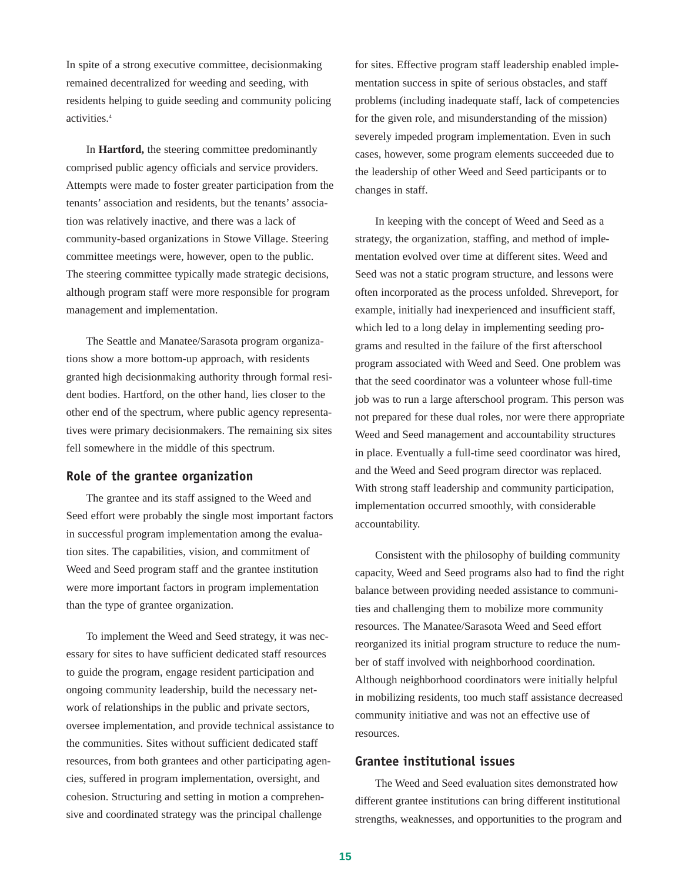In spite of a strong executive committee, decisionmaking remained decentralized for weeding and seeding, with residents helping to guide seeding and community policing activities.4

In **Hartford,** the steering committee predominantly comprised public agency officials and service providers. Attempts were made to foster greater participation from the tenants' association and residents, but the tenants' association was relatively inactive, and there was a lack of community-based organizations in Stowe Village. Steering committee meetings were, however, open to the public. The steering committee typically made strategic decisions, although program staff were more responsible for program management and implementation.

The Seattle and Manatee/Sarasota program organizations show a more bottom-up approach, with residents granted high decisionmaking authority through formal resident bodies. Hartford, on the other hand, lies closer to the other end of the spectrum, where public agency representatives were primary decisionmakers. The remaining six sites fell somewhere in the middle of this spectrum.

#### **Role of the grantee organization**

The grantee and its staff assigned to the Weed and Seed effort were probably the single most important factors in successful program implementation among the evaluation sites. The capabilities, vision, and commitment of Weed and Seed program staff and the grantee institution were more important factors in program implementation than the type of grantee organization.

To implement the Weed and Seed strategy, it was necessary for sites to have sufficient dedicated staff resources to guide the program, engage resident participation and ongoing community leadership, build the necessary network of relationships in the public and private sectors, oversee implementation, and provide technical assistance to the communities. Sites without sufficient dedicated staff resources, from both grantees and other participating agencies, suffered in program implementation, oversight, and cohesion. Structuring and setting in motion a comprehensive and coordinated strategy was the principal challenge

for sites. Effective program staff leadership enabled implementation success in spite of serious obstacles, and staff problems (including inadequate staff, lack of competencies for the given role, and misunderstanding of the mission) severely impeded program implementation. Even in such cases, however, some program elements succeeded due to the leadership of other Weed and Seed participants or to changes in staff.

In keeping with the concept of Weed and Seed as a strategy, the organization, staffing, and method of implementation evolved over time at different sites. Weed and Seed was not a static program structure, and lessons were often incorporated as the process unfolded. Shreveport, for example, initially had inexperienced and insufficient staff, which led to a long delay in implementing seeding programs and resulted in the failure of the first afterschool program associated with Weed and Seed. One problem was that the seed coordinator was a volunteer whose full-time job was to run a large afterschool program. This person was not prepared for these dual roles, nor were there appropriate Weed and Seed management and accountability structures in place. Eventually a full-time seed coordinator was hired, and the Weed and Seed program director was replaced. With strong staff leadership and community participation, implementation occurred smoothly, with considerable accountability.

Consistent with the philosophy of building community capacity, Weed and Seed programs also had to find the right balance between providing needed assistance to communities and challenging them to mobilize more community resources. The Manatee/Sarasota Weed and Seed effort reorganized its initial program structure to reduce the number of staff involved with neighborhood coordination. Although neighborhood coordinators were initially helpful in mobilizing residents, too much staff assistance decreased community initiative and was not an effective use of resources.

#### **Grantee institutional issues**

The Weed and Seed evaluation sites demonstrated how different grantee institutions can bring different institutional strengths, weaknesses, and opportunities to the program and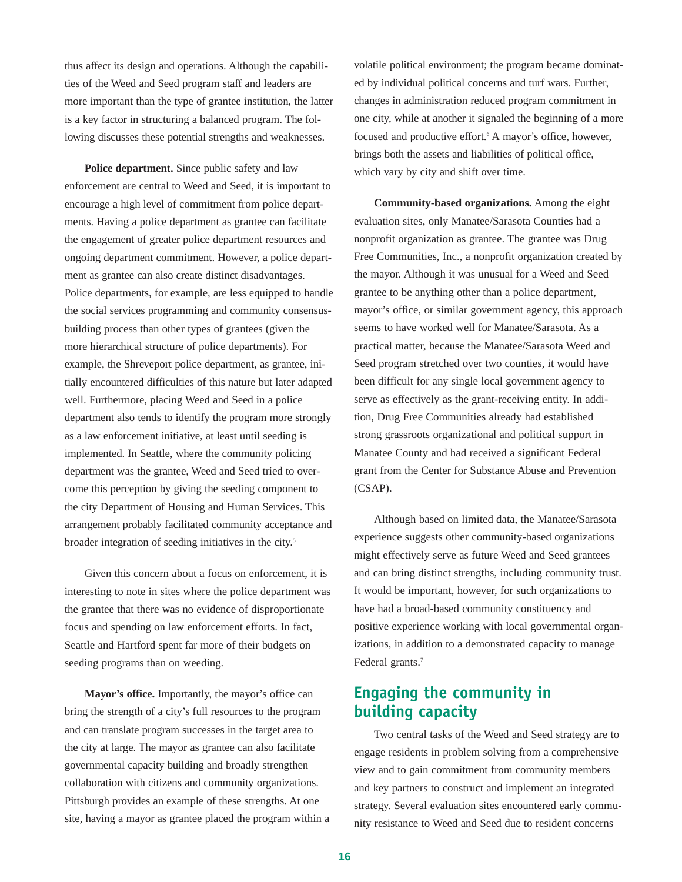thus affect its design and operations. Although the capabilities of the Weed and Seed program staff and leaders are more important than the type of grantee institution, the latter is a key factor in structuring a balanced program. The following discusses these potential strengths and weaknesses.

**Police department.** Since public safety and law enforcement are central to Weed and Seed, it is important to encourage a high level of commitment from police departments. Having a police department as grantee can facilitate the engagement of greater police department resources and ongoing department commitment. However, a police department as grantee can also create distinct disadvantages. Police departments, for example, are less equipped to handle the social services programming and community consensusbuilding process than other types of grantees (given the more hierarchical structure of police departments). For example, the Shreveport police department, as grantee, initially encountered difficulties of this nature but later adapted well. Furthermore, placing Weed and Seed in a police department also tends to identify the program more strongly as a law enforcement initiative, at least until seeding is implemented. In Seattle, where the community policing department was the grantee, Weed and Seed tried to overcome this perception by giving the seeding component to the city Department of Housing and Human Services. This arrangement probably facilitated community acceptance and broader integration of seeding initiatives in the city.5

Given this concern about a focus on enforcement, it is interesting to note in sites where the police department was the grantee that there was no evidence of disproportionate focus and spending on law enforcement efforts. In fact, Seattle and Hartford spent far more of their budgets on seeding programs than on weeding.

**Mayor's office.** Importantly, the mayor's office can bring the strength of a city's full resources to the program and can translate program successes in the target area to the city at large. The mayor as grantee can also facilitate governmental capacity building and broadly strengthen collaboration with citizens and community organizations. Pittsburgh provides an example of these strengths. At one site, having a mayor as grantee placed the program within a volatile political environment; the program became dominated by individual political concerns and turf wars. Further, changes in administration reduced program commitment in one city, while at another it signaled the beginning of a more focused and productive effort.<sup>6</sup> A mayor's office, however, brings both the assets and liabilities of political office, which vary by city and shift over time.

**Community-based organizations.** Among the eight evaluation sites, only Manatee/Sarasota Counties had a nonprofit organization as grantee. The grantee was Drug Free Communities, Inc., a nonprofit organization created by the mayor. Although it was unusual for a Weed and Seed grantee to be anything other than a police department, mayor's office, or similar government agency, this approach seems to have worked well for Manatee/Sarasota. As a practical matter, because the Manatee/Sarasota Weed and Seed program stretched over two counties, it would have been difficult for any single local government agency to serve as effectively as the grant-receiving entity. In addition, Drug Free Communities already had established strong grassroots organizational and political support in Manatee County and had received a significant Federal grant from the Center for Substance Abuse and Prevention (CSAP).

Although based on limited data, the Manatee/Sarasota experience suggests other community-based organizations might effectively serve as future Weed and Seed grantees and can bring distinct strengths, including community trust. It would be important, however, for such organizations to have had a broad-based community constituency and positive experience working with local governmental organizations, in addition to a demonstrated capacity to manage Federal grants.<sup>7</sup>

## **Engaging the community in building capacity**

Two central tasks of the Weed and Seed strategy are to engage residents in problem solving from a comprehensive view and to gain commitment from community members and key partners to construct and implement an integrated strategy. Several evaluation sites encountered early community resistance to Weed and Seed due to resident concerns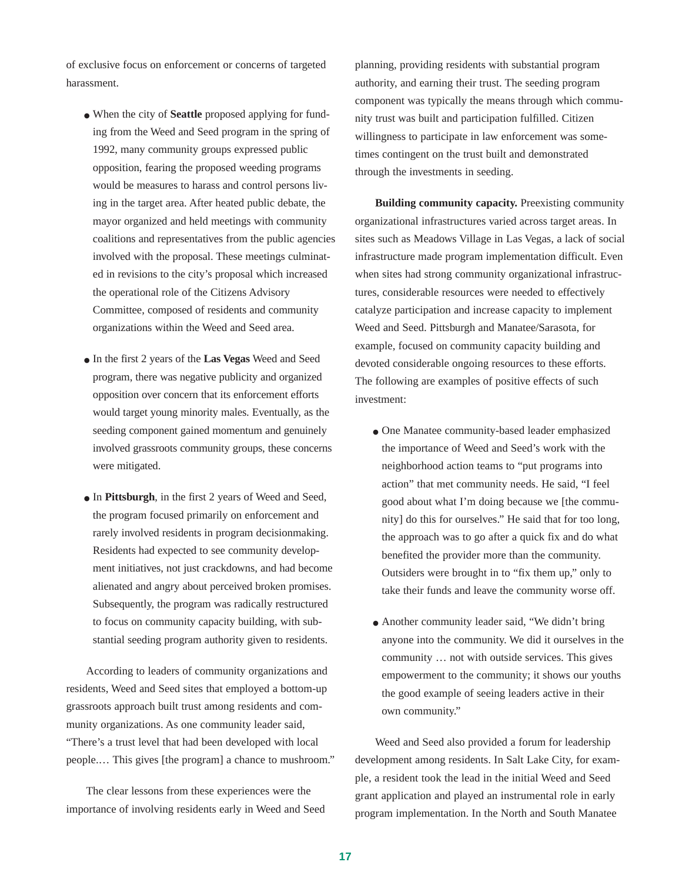of exclusive focus on enforcement or concerns of targeted harassment.

- When the city of **Seattle** proposed applying for funding from the Weed and Seed program in the spring of 1992, many community groups expressed public opposition, fearing the proposed weeding programs would be measures to harass and control persons living in the target area. After heated public debate, the mayor organized and held meetings with community coalitions and representatives from the public agencies involved with the proposal. These meetings culminated in revisions to the city's proposal which increased the operational role of the Citizens Advisory Committee, composed of residents and community organizations within the Weed and Seed area.
- In the first 2 years of the **Las Vegas** Weed and Seed program, there was negative publicity and organized opposition over concern that its enforcement efforts would target young minority males. Eventually, as the seeding component gained momentum and genuinely involved grassroots community groups, these concerns were mitigated.
- In **Pittsburgh**, in the first 2 years of Weed and Seed, the program focused primarily on enforcement and rarely involved residents in program decisionmaking. Residents had expected to see community development initiatives, not just crackdowns, and had become alienated and angry about perceived broken promises. Subsequently, the program was radically restructured to focus on community capacity building, with substantial seeding program authority given to residents.

According to leaders of community organizations and residents, Weed and Seed sites that employed a bottom-up grassroots approach built trust among residents and community organizations. As one community leader said, "There's a trust level that had been developed with local people.… This gives [the program] a chance to mushroom."

The clear lessons from these experiences were the importance of involving residents early in Weed and Seed planning, providing residents with substantial program authority, and earning their trust. The seeding program component was typically the means through which community trust was built and participation fulfilled. Citizen willingness to participate in law enforcement was sometimes contingent on the trust built and demonstrated through the investments in seeding.

**Building community capacity.** Preexisting community organizational infrastructures varied across target areas. In sites such as Meadows Village in Las Vegas, a lack of social infrastructure made program implementation difficult. Even when sites had strong community organizational infrastructures, considerable resources were needed to effectively catalyze participation and increase capacity to implement Weed and Seed. Pittsburgh and Manatee/Sarasota, for example, focused on community capacity building and devoted considerable ongoing resources to these efforts. The following are examples of positive effects of such investment:

- One Manatee community-based leader emphasized the importance of Weed and Seed's work with the neighborhood action teams to "put programs into action" that met community needs. He said, "I feel good about what I'm doing because we [the community] do this for ourselves." He said that for too long, the approach was to go after a quick fix and do what benefited the provider more than the community. Outsiders were brought in to "fix them up," only to take their funds and leave the community worse off.
- Another community leader said, "We didn't bring anyone into the community. We did it ourselves in the community … not with outside services. This gives empowerment to the community; it shows our youths the good example of seeing leaders active in their own community."

Weed and Seed also provided a forum for leadership development among residents. In Salt Lake City, for example, a resident took the lead in the initial Weed and Seed grant application and played an instrumental role in early program implementation. In the North and South Manatee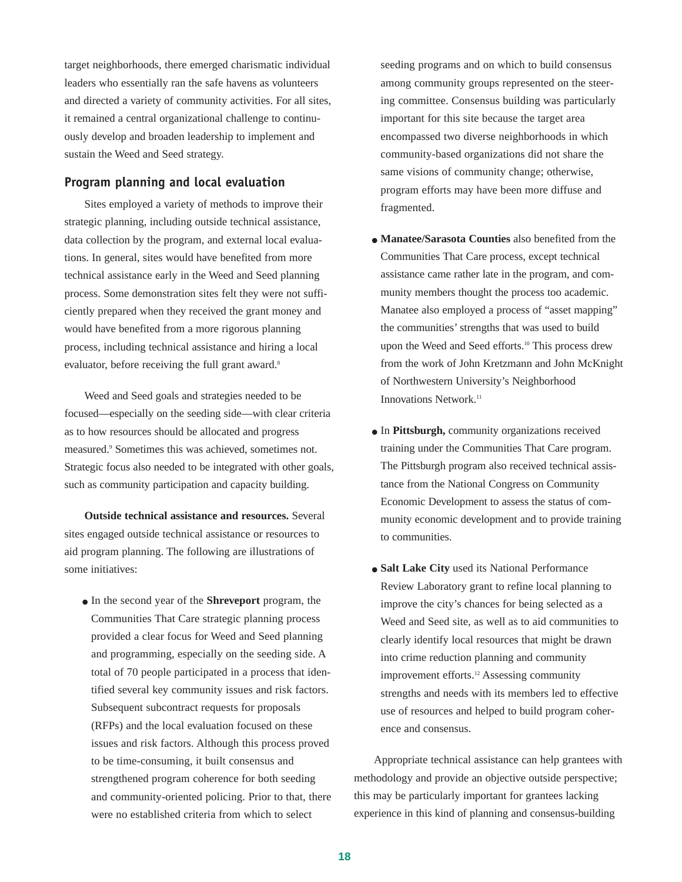target neighborhoods, there emerged charismatic individual leaders who essentially ran the safe havens as volunteers and directed a variety of community activities. For all sites, it remained a central organizational challenge to continuously develop and broaden leadership to implement and sustain the Weed and Seed strategy.

### **Program planning and local evaluation**

Sites employed a variety of methods to improve their strategic planning, including outside technical assistance, data collection by the program, and external local evaluations. In general, sites would have benefited from more technical assistance early in the Weed and Seed planning process. Some demonstration sites felt they were not sufficiently prepared when they received the grant money and would have benefited from a more rigorous planning process, including technical assistance and hiring a local evaluator, before receiving the full grant award.<sup>8</sup>

Weed and Seed goals and strategies needed to be focused—especially on the seeding side—with clear criteria as to how resources should be allocated and progress measured.9 Sometimes this was achieved, sometimes not. Strategic focus also needed to be integrated with other goals, such as community participation and capacity building.

**Outside technical assistance and resources.** Several sites engaged outside technical assistance or resources to aid program planning. The following are illustrations of some initiatives:

● In the second year of the **Shreveport** program, the Communities That Care strategic planning process provided a clear focus for Weed and Seed planning and programming, especially on the seeding side. A total of 70 people participated in a process that identified several key community issues and risk factors. Subsequent subcontract requests for proposals (RFPs) and the local evaluation focused on these issues and risk factors. Although this process proved to be time-consuming, it built consensus and strengthened program coherence for both seeding and community-oriented policing. Prior to that, there were no established criteria from which to select

seeding programs and on which to build consensus among community groups represented on the steering committee. Consensus building was particularly important for this site because the target area encompassed two diverse neighborhoods in which community-based organizations did not share the same visions of community change; otherwise, program efforts may have been more diffuse and fragmented.

- **Manatee/Sarasota Counties** also benefited from the Communities That Care process, except technical assistance came rather late in the program, and community members thought the process too academic. Manatee also employed a process of "asset mapping" the communities' strengths that was used to build upon the Weed and Seed efforts.<sup>10</sup> This process drew from the work of John Kretzmann and John McKnight of Northwestern University's Neighborhood Innovations Network.<sup>11</sup>
- In **Pittsburgh,** community organizations received training under the Communities That Care program. The Pittsburgh program also received technical assistance from the National Congress on Community Economic Development to assess the status of community economic development and to provide training to communities.
- **Salt Lake City** used its National Performance Review Laboratory grant to refine local planning to improve the city's chances for being selected as a Weed and Seed site, as well as to aid communities to clearly identify local resources that might be drawn into crime reduction planning and community improvement efforts.<sup>12</sup> Assessing community strengths and needs with its members led to effective use of resources and helped to build program coherence and consensus.

Appropriate technical assistance can help grantees with methodology and provide an objective outside perspective; this may be particularly important for grantees lacking experience in this kind of planning and consensus-building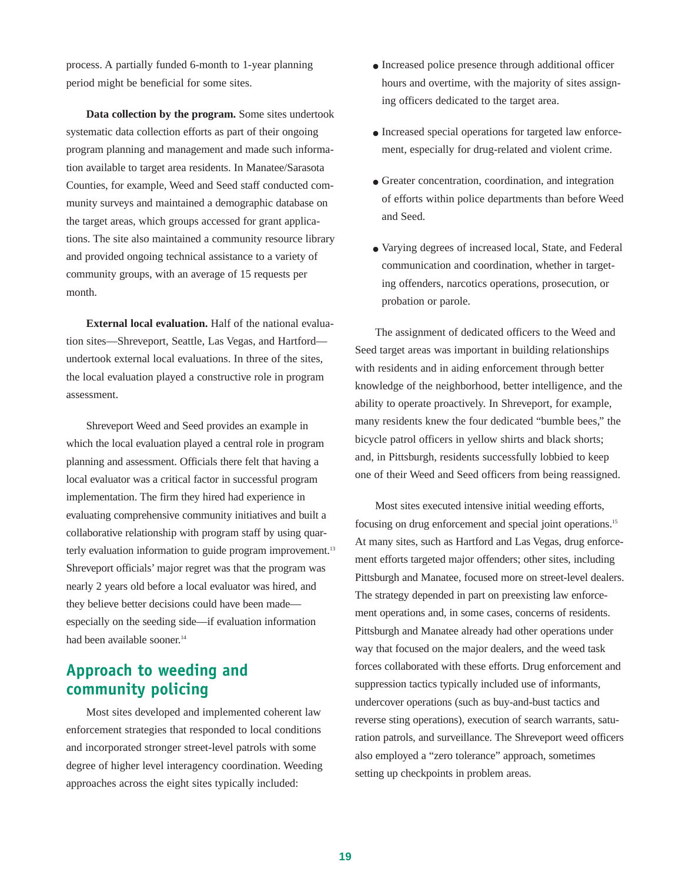process. A partially funded 6-month to 1-year planning period might be beneficial for some sites.

**Data collection by the program.** Some sites undertook systematic data collection efforts as part of their ongoing program planning and management and made such information available to target area residents. In Manatee/Sarasota Counties, for example, Weed and Seed staff conducted community surveys and maintained a demographic database on the target areas, which groups accessed for grant applications. The site also maintained a community resource library and provided ongoing technical assistance to a variety of community groups, with an average of 15 requests per month.

**External local evaluation.** Half of the national evaluation sites—Shreveport, Seattle, Las Vegas, and Hartford undertook external local evaluations. In three of the sites, the local evaluation played a constructive role in program assessment.

Shreveport Weed and Seed provides an example in which the local evaluation played a central role in program planning and assessment. Officials there felt that having a local evaluator was a critical factor in successful program implementation. The firm they hired had experience in evaluating comprehensive community initiatives and built a collaborative relationship with program staff by using quarterly evaluation information to guide program improvement.<sup>13</sup> Shreveport officials' major regret was that the program was nearly 2 years old before a local evaluator was hired, and they believe better decisions could have been made especially on the seeding side—if evaluation information had been available sooner.<sup>14</sup>

# **Approach to weeding and community policing**

Most sites developed and implemented coherent law enforcement strategies that responded to local conditions and incorporated stronger street-level patrols with some degree of higher level interagency coordination. Weeding approaches across the eight sites typically included:

- Increased police presence through additional officer hours and overtime, with the majority of sites assigning officers dedicated to the target area.
- Increased special operations for targeted law enforcement, especially for drug-related and violent crime.
- Greater concentration, coordination, and integration of efforts within police departments than before Weed and Seed.
- Varying degrees of increased local, State, and Federal communication and coordination, whether in targeting offenders, narcotics operations, prosecution, or probation or parole.

The assignment of dedicated officers to the Weed and Seed target areas was important in building relationships with residents and in aiding enforcement through better knowledge of the neighborhood, better intelligence, and the ability to operate proactively. In Shreveport, for example, many residents knew the four dedicated "bumble bees," the bicycle patrol officers in yellow shirts and black shorts; and, in Pittsburgh, residents successfully lobbied to keep one of their Weed and Seed officers from being reassigned.

Most sites executed intensive initial weeding efforts, focusing on drug enforcement and special joint operations.15 At many sites, such as Hartford and Las Vegas, drug enforcement efforts targeted major offenders; other sites, including Pittsburgh and Manatee, focused more on street-level dealers. The strategy depended in part on preexisting law enforcement operations and, in some cases, concerns of residents. Pittsburgh and Manatee already had other operations under way that focused on the major dealers, and the weed task forces collaborated with these efforts. Drug enforcement and suppression tactics typically included use of informants, undercover operations (such as buy-and-bust tactics and reverse sting operations), execution of search warrants, saturation patrols, and surveillance. The Shreveport weed officers also employed a "zero tolerance" approach, sometimes setting up checkpoints in problem areas.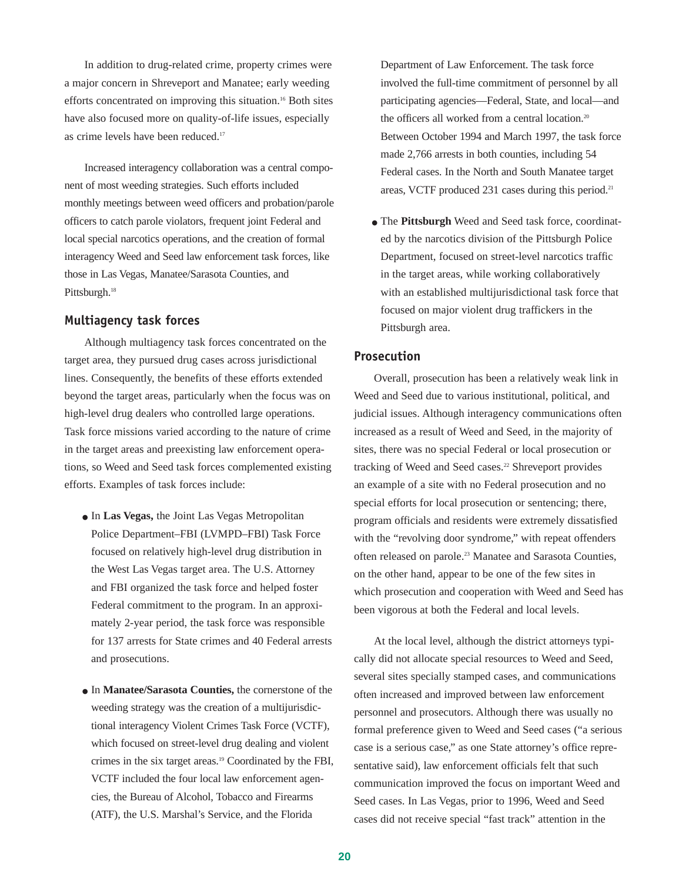In addition to drug-related crime, property crimes were a major concern in Shreveport and Manatee; early weeding efforts concentrated on improving this situation.16 Both sites have also focused more on quality-of-life issues, especially as crime levels have been reduced.<sup>17</sup>

Increased interagency collaboration was a central component of most weeding strategies. Such efforts included monthly meetings between weed officers and probation/parole officers to catch parole violators, frequent joint Federal and local special narcotics operations, and the creation of formal interagency Weed and Seed law enforcement task forces, like those in Las Vegas, Manatee/Sarasota Counties, and Pittsburgh.<sup>18</sup>

#### **Multiagency task forces**

Although multiagency task forces concentrated on the target area, they pursued drug cases across jurisdictional lines. Consequently, the benefits of these efforts extended beyond the target areas, particularly when the focus was on high-level drug dealers who controlled large operations. Task force missions varied according to the nature of crime in the target areas and preexisting law enforcement operations, so Weed and Seed task forces complemented existing efforts. Examples of task forces include:

- In **Las Vegas,** the Joint Las Vegas Metropolitan Police Department–FBI (LVMPD–FBI) Task Force focused on relatively high-level drug distribution in the West Las Vegas target area. The U.S. Attorney and FBI organized the task force and helped foster Federal commitment to the program. In an approximately 2-year period, the task force was responsible for 137 arrests for State crimes and 40 Federal arrests and prosecutions.
- In **Manatee/Sarasota Counties,** the cornerstone of the weeding strategy was the creation of a multijurisdictional interagency Violent Crimes Task Force (VCTF), which focused on street-level drug dealing and violent crimes in the six target areas.19 Coordinated by the FBI, VCTF included the four local law enforcement agencies, the Bureau of Alcohol, Tobacco and Firearms (ATF), the U.S. Marshal's Service, and the Florida

Department of Law Enforcement. The task force involved the full-time commitment of personnel by all participating agencies—Federal, State, and local—and the officers all worked from a central location.<sup>20</sup> Between October 1994 and March 1997, the task force made 2,766 arrests in both counties, including 54 Federal cases. In the North and South Manatee target areas, VCTF produced 231 cases during this period.<sup>21</sup>

● The **Pittsburgh** Weed and Seed task force, coordinated by the narcotics division of the Pittsburgh Police Department, focused on street-level narcotics traffic in the target areas, while working collaboratively with an established multijurisdictional task force that focused on major violent drug traffickers in the Pittsburgh area.

#### **Prosecution**

Overall, prosecution has been a relatively weak link in Weed and Seed due to various institutional, political, and judicial issues. Although interagency communications often increased as a result of Weed and Seed, in the majority of sites, there was no special Federal or local prosecution or tracking of Weed and Seed cases.<sup>22</sup> Shreveport provides an example of a site with no Federal prosecution and no special efforts for local prosecution or sentencing; there, program officials and residents were extremely dissatisfied with the "revolving door syndrome," with repeat offenders often released on parole.23 Manatee and Sarasota Counties, on the other hand, appear to be one of the few sites in which prosecution and cooperation with Weed and Seed has been vigorous at both the Federal and local levels.

At the local level, although the district attorneys typically did not allocate special resources to Weed and Seed, several sites specially stamped cases, and communications often increased and improved between law enforcement personnel and prosecutors. Although there was usually no formal preference given to Weed and Seed cases ("a serious case is a serious case," as one State attorney's office representative said), law enforcement officials felt that such communication improved the focus on important Weed and Seed cases. In Las Vegas, prior to 1996, Weed and Seed cases did not receive special "fast track" attention in the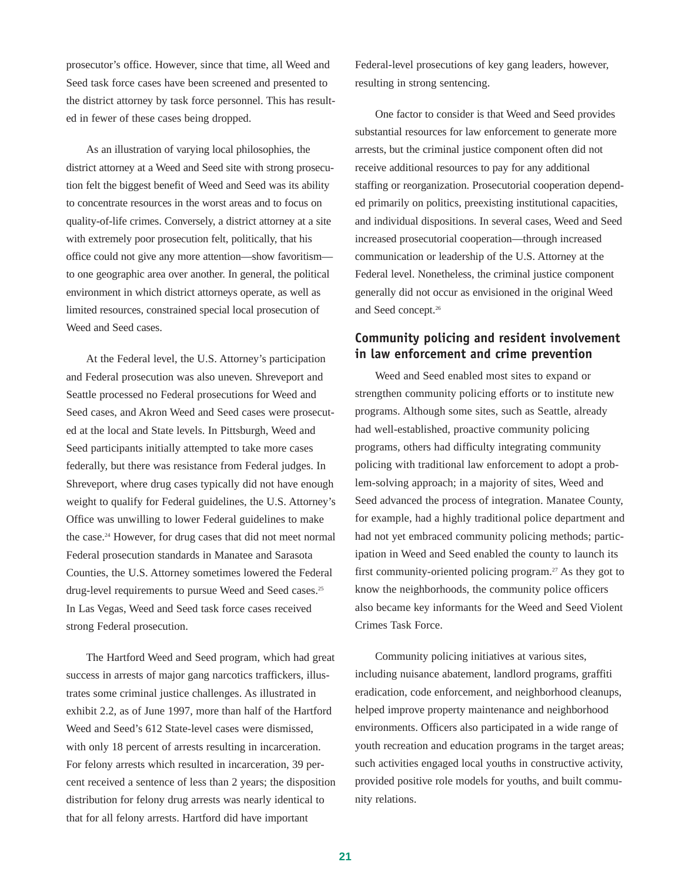prosecutor's office. However, since that time, all Weed and Seed task force cases have been screened and presented to the district attorney by task force personnel. This has resulted in fewer of these cases being dropped.

As an illustration of varying local philosophies, the district attorney at a Weed and Seed site with strong prosecution felt the biggest benefit of Weed and Seed was its ability to concentrate resources in the worst areas and to focus on quality-of-life crimes. Conversely, a district attorney at a site with extremely poor prosecution felt, politically, that his office could not give any more attention—show favoritism to one geographic area over another. In general, the political environment in which district attorneys operate, as well as limited resources, constrained special local prosecution of Weed and Seed cases.

At the Federal level, the U.S. Attorney's participation and Federal prosecution was also uneven. Shreveport and Seattle processed no Federal prosecutions for Weed and Seed cases, and Akron Weed and Seed cases were prosecuted at the local and State levels. In Pittsburgh, Weed and Seed participants initially attempted to take more cases federally, but there was resistance from Federal judges. In Shreveport, where drug cases typically did not have enough weight to qualify for Federal guidelines, the U.S. Attorney's Office was unwilling to lower Federal guidelines to make the case.24 However, for drug cases that did not meet normal Federal prosecution standards in Manatee and Sarasota Counties, the U.S. Attorney sometimes lowered the Federal drug-level requirements to pursue Weed and Seed cases.<sup>25</sup> In Las Vegas, Weed and Seed task force cases received strong Federal prosecution.

The Hartford Weed and Seed program, which had great success in arrests of major gang narcotics traffickers, illustrates some criminal justice challenges. As illustrated in exhibit 2.2, as of June 1997, more than half of the Hartford Weed and Seed's 612 State-level cases were dismissed, with only 18 percent of arrests resulting in incarceration. For felony arrests which resulted in incarceration, 39 percent received a sentence of less than 2 years; the disposition distribution for felony drug arrests was nearly identical to that for all felony arrests. Hartford did have important

Federal-level prosecutions of key gang leaders, however, resulting in strong sentencing.

One factor to consider is that Weed and Seed provides substantial resources for law enforcement to generate more arrests, but the criminal justice component often did not receive additional resources to pay for any additional staffing or reorganization. Prosecutorial cooperation depended primarily on politics, preexisting institutional capacities, and individual dispositions. In several cases, Weed and Seed increased prosecutorial cooperation—through increased communication or leadership of the U.S. Attorney at the Federal level. Nonetheless, the criminal justice component generally did not occur as envisioned in the original Weed and Seed concept.26

## **Community policing and resident involvement in law enforcement and crime prevention**

Weed and Seed enabled most sites to expand or strengthen community policing efforts or to institute new programs. Although some sites, such as Seattle, already had well-established, proactive community policing programs, others had difficulty integrating community policing with traditional law enforcement to adopt a problem-solving approach; in a majority of sites, Weed and Seed advanced the process of integration. Manatee County, for example, had a highly traditional police department and had not yet embraced community policing methods; participation in Weed and Seed enabled the county to launch its first community-oriented policing program.<sup>27</sup> As they got to know the neighborhoods, the community police officers also became key informants for the Weed and Seed Violent Crimes Task Force.

Community policing initiatives at various sites, including nuisance abatement, landlord programs, graffiti eradication, code enforcement, and neighborhood cleanups, helped improve property maintenance and neighborhood environments. Officers also participated in a wide range of youth recreation and education programs in the target areas; such activities engaged local youths in constructive activity, provided positive role models for youths, and built community relations.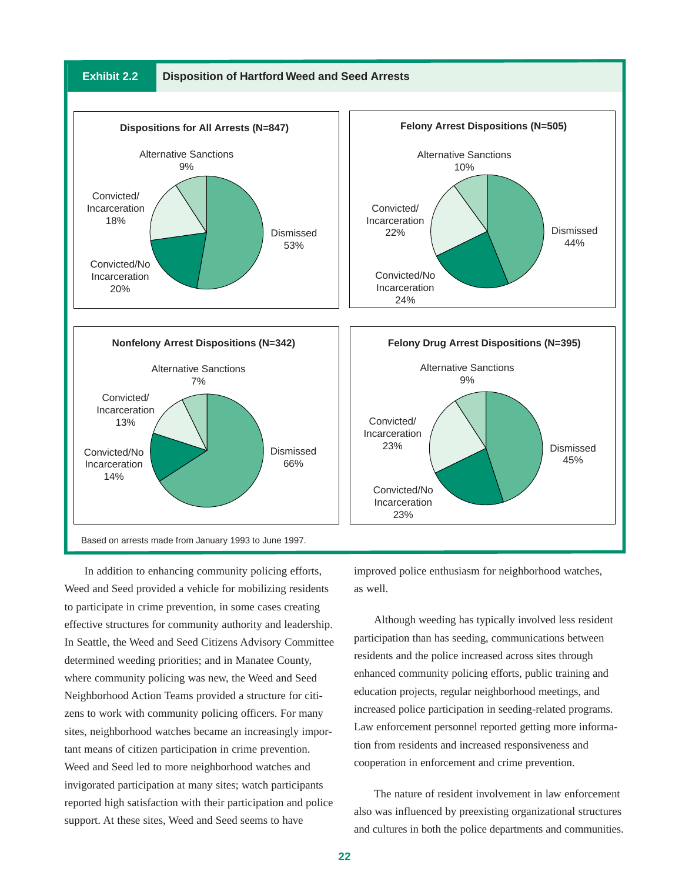

In addition to enhancing community policing efforts, Weed and Seed provided a vehicle for mobilizing residents to participate in crime prevention, in some cases creating effective structures for community authority and leadership. In Seattle, the Weed and Seed Citizens Advisory Committee determined weeding priorities; and in Manatee County, where community policing was new, the Weed and Seed Neighborhood Action Teams provided a structure for citizens to work with community policing officers. For many sites, neighborhood watches became an increasingly important means of citizen participation in crime prevention. Weed and Seed led to more neighborhood watches and invigorated participation at many sites; watch participants reported high satisfaction with their participation and police support. At these sites, Weed and Seed seems to have

improved police enthusiasm for neighborhood watches, as well.

Although weeding has typically involved less resident participation than has seeding, communications between residents and the police increased across sites through enhanced community policing efforts, public training and education projects, regular neighborhood meetings, and increased police participation in seeding-related programs. Law enforcement personnel reported getting more information from residents and increased responsiveness and cooperation in enforcement and crime prevention.

The nature of resident involvement in law enforcement also was influenced by preexisting organizational structures and cultures in both the police departments and communities.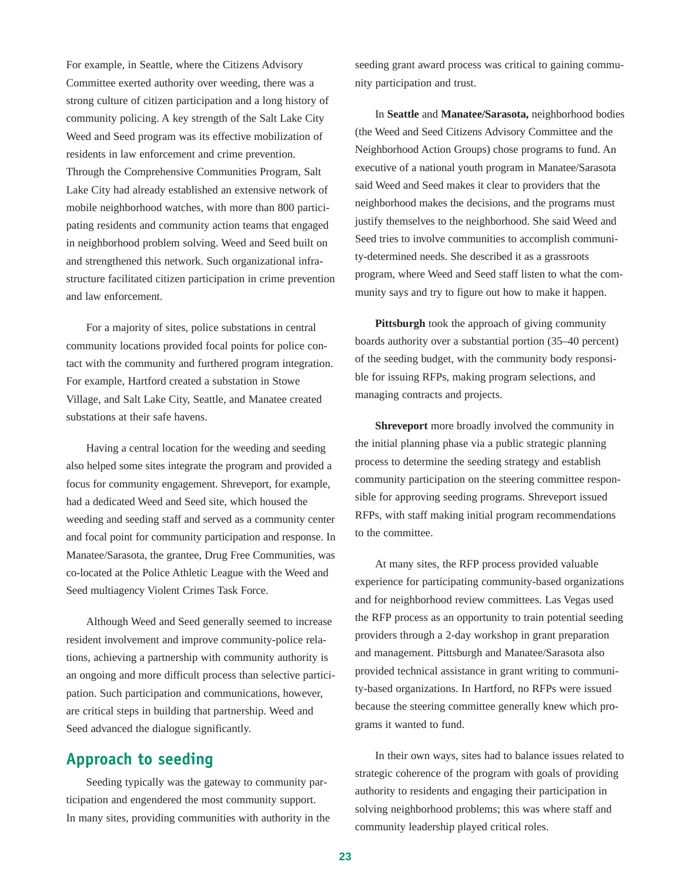For example, in Seattle, where the Citizens Advisory Committee exerted authority over weeding, there was a strong culture of citizen participation and a long history of community policing. A key strength of the Salt Lake City Weed and Seed program was its effective mobilization of residents in law enforcement and crime prevention. Through the Comprehensive Communities Program, Salt Lake City had already established an extensive network of mobile neighborhood watches, with more than 800 participating residents and community action teams that engaged in neighborhood problem solving. Weed and Seed built on and strengthened this network. Such organizational infrastructure facilitated citizen participation in crime prevention and law enforcement.

For a majority of sites, police substations in central community locations provided focal points for police contact with the community and furthered program integration. For example, Hartford created a substation in Stowe Village, and Salt Lake City, Seattle, and Manatee created substations at their safe havens.

Having a central location for the weeding and seeding also helped some sites integrate the program and provided a focus for community engagement. Shreveport, for example, had a dedicated Weed and Seed site, which housed the weeding and seeding staff and served as a community center and focal point for community participation and response. In Manatee/Sarasota, the grantee, Drug Free Communities, was co-located at the Police Athletic League with the Weed and Seed multiagency Violent Crimes Task Force.

Although Weed and Seed generally seemed to increase resident involvement and improve community-police relations, achieving a partnership with community authority is an ongoing and more difficult process than selective participation. Such participation and communications, however, are critical steps in building that partnership. Weed and Seed advanced the dialogue significantly.

## **Approach to seeding**

Seeding typically was the gateway to community participation and engendered the most community support. In many sites, providing communities with authority in the seeding grant award process was critical to gaining community participation and trust.

In **Seattle** and **Manatee/Sarasota,** neighborhood bodies (the Weed and Seed Citizens Advisory Committee and the Neighborhood Action Groups) chose programs to fund. An executive of a national youth program in Manatee/Sarasota said Weed and Seed makes it clear to providers that the neighborhood makes the decisions, and the programs must justify themselves to the neighborhood. She said Weed and Seed tries to involve communities to accomplish community-determined needs. She described it as a grassroots program, where Weed and Seed staff listen to what the community says and try to figure out how to make it happen.

**Pittsburgh** took the approach of giving community boards authority over a substantial portion (35–40 percent) of the seeding budget, with the community body responsible for issuing RFPs, making program selections, and managing contracts and projects.

**Shreveport** more broadly involved the community in the initial planning phase via a public strategic planning process to determine the seeding strategy and establish community participation on the steering committee responsible for approving seeding programs. Shreveport issued RFPs, with staff making initial program recommendations to the committee.

At many sites, the RFP process provided valuable experience for participating community-based organizations and for neighborhood review committees. Las Vegas used the RFP process as an opportunity to train potential seeding providers through a 2-day workshop in grant preparation and management. Pittsburgh and Manatee/Sarasota also provided technical assistance in grant writing to community-based organizations. In Hartford, no RFPs were issued because the steering committee generally knew which programs it wanted to fund.

In their own ways, sites had to balance issues related to strategic coherence of the program with goals of providing authority to residents and engaging their participation in solving neighborhood problems; this was where staff and community leadership played critical roles.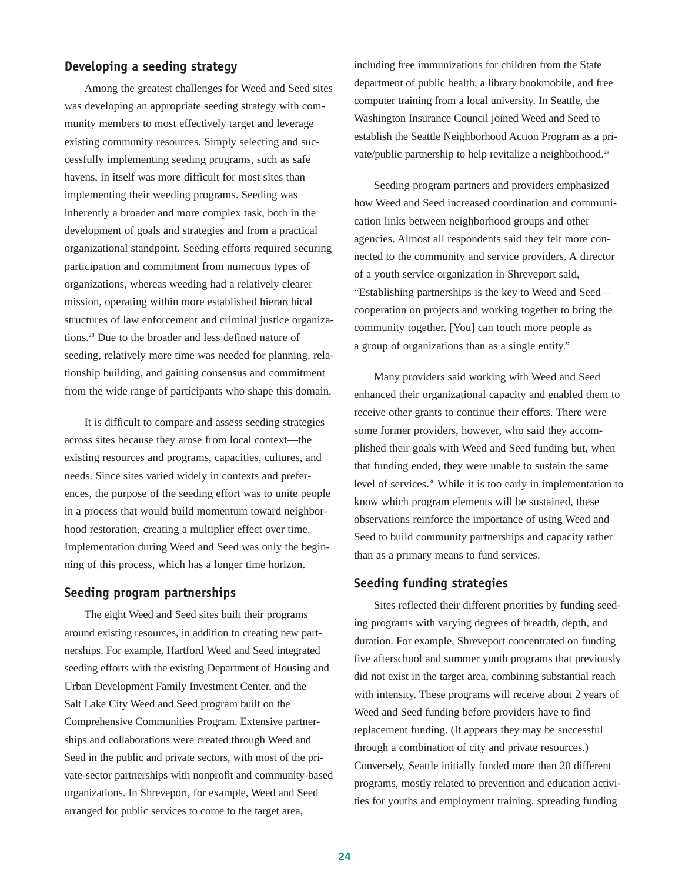## **Developing a seeding strategy**

Among the greatest challenges for Weed and Seed sites was developing an appropriate seeding strategy with community members to most effectively target and leverage existing community resources. Simply selecting and successfully implementing seeding programs, such as safe havens, in itself was more difficult for most sites than implementing their weeding programs. Seeding was inherently a broader and more complex task, both in the development of goals and strategies and from a practical organizational standpoint. Seeding efforts required securing participation and commitment from numerous types of organizations, whereas weeding had a relatively clearer mission, operating within more established hierarchical structures of law enforcement and criminal justice organizations.28 Due to the broader and less defined nature of seeding, relatively more time was needed for planning, relationship building, and gaining consensus and commitment from the wide range of participants who shape this domain.

It is difficult to compare and assess seeding strategies across sites because they arose from local context—the existing resources and programs, capacities, cultures, and needs. Since sites varied widely in contexts and preferences, the purpose of the seeding effort was to unite people in a process that would build momentum toward neighborhood restoration, creating a multiplier effect over time. Implementation during Weed and Seed was only the beginning of this process, which has a longer time horizon.

#### **Seeding program partnerships**

The eight Weed and Seed sites built their programs around existing resources, in addition to creating new partnerships. For example, Hartford Weed and Seed integrated seeding efforts with the existing Department of Housing and Urban Development Family Investment Center, and the Salt Lake City Weed and Seed program built on the Comprehensive Communities Program. Extensive partnerships and collaborations were created through Weed and Seed in the public and private sectors, with most of the private-sector partnerships with nonprofit and community-based organizations. In Shreveport, for example, Weed and Seed arranged for public services to come to the target area,

including free immunizations for children from the State department of public health, a library bookmobile, and free computer training from a local university. In Seattle, the Washington Insurance Council joined Weed and Seed to establish the Seattle Neighborhood Action Program as a private/public partnership to help revitalize a neighborhood.<sup>29</sup>

Seeding program partners and providers emphasized how Weed and Seed increased coordination and communication links between neighborhood groups and other agencies. Almost all respondents said they felt more connected to the community and service providers. A director of a youth service organization in Shreveport said, "Establishing partnerships is the key to Weed and Seed cooperation on projects and working together to bring the community together. [You] can touch more people as a group of organizations than as a single entity."

Many providers said working with Weed and Seed enhanced their organizational capacity and enabled them to receive other grants to continue their efforts. There were some former providers, however, who said they accomplished their goals with Weed and Seed funding but, when that funding ended, they were unable to sustain the same level of services.30 While it is too early in implementation to know which program elements will be sustained, these observations reinforce the importance of using Weed and Seed to build community partnerships and capacity rather than as a primary means to fund services.

#### **Seeding funding strategies**

Sites reflected their different priorities by funding seeding programs with varying degrees of breadth, depth, and duration. For example, Shreveport concentrated on funding five afterschool and summer youth programs that previously did not exist in the target area, combining substantial reach with intensity. These programs will receive about 2 years of Weed and Seed funding before providers have to find replacement funding. (It appears they may be successful through a combination of city and private resources.) Conversely, Seattle initially funded more than 20 different programs, mostly related to prevention and education activities for youths and employment training, spreading funding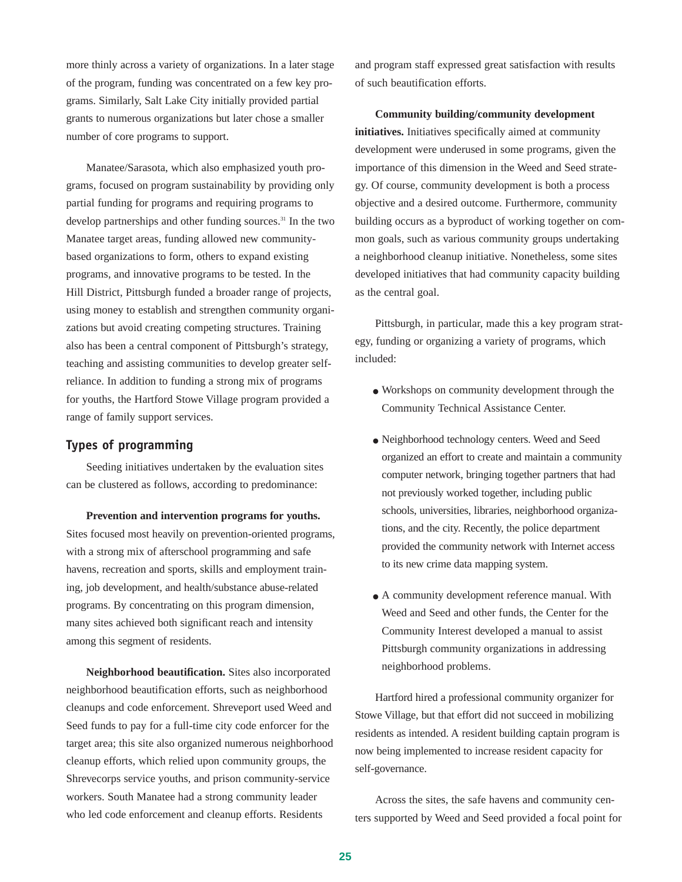more thinly across a variety of organizations. In a later stage of the program, funding was concentrated on a few key programs. Similarly, Salt Lake City initially provided partial grants to numerous organizations but later chose a smaller number of core programs to support.

Manatee/Sarasota, which also emphasized youth programs, focused on program sustainability by providing only partial funding for programs and requiring programs to develop partnerships and other funding sources.<sup>31</sup> In the two Manatee target areas, funding allowed new communitybased organizations to form, others to expand existing programs, and innovative programs to be tested. In the Hill District, Pittsburgh funded a broader range of projects, using money to establish and strengthen community organizations but avoid creating competing structures. Training also has been a central component of Pittsburgh's strategy, teaching and assisting communities to develop greater selfreliance. In addition to funding a strong mix of programs for youths, the Hartford Stowe Village program provided a range of family support services.

## **Types of programming**

Seeding initiatives undertaken by the evaluation sites can be clustered as follows, according to predominance:

**Prevention and intervention programs for youths.** Sites focused most heavily on prevention-oriented programs, with a strong mix of afterschool programming and safe havens, recreation and sports, skills and employment training, job development, and health/substance abuse-related programs. By concentrating on this program dimension, many sites achieved both significant reach and intensity among this segment of residents.

**Neighborhood beautification.** Sites also incorporated neighborhood beautification efforts, such as neighborhood cleanups and code enforcement. Shreveport used Weed and Seed funds to pay for a full-time city code enforcer for the target area; this site also organized numerous neighborhood cleanup efforts, which relied upon community groups, the Shrevecorps service youths, and prison community-service workers. South Manatee had a strong community leader who led code enforcement and cleanup efforts. Residents

and program staff expressed great satisfaction with results of such beautification efforts.

**Community building/community development initiatives.** Initiatives specifically aimed at community development were underused in some programs, given the importance of this dimension in the Weed and Seed strategy. Of course, community development is both a process objective and a desired outcome. Furthermore, community building occurs as a byproduct of working together on common goals, such as various community groups undertaking a neighborhood cleanup initiative. Nonetheless, some sites developed initiatives that had community capacity building as the central goal.

Pittsburgh, in particular, made this a key program strategy, funding or organizing a variety of programs, which included:

- Workshops on community development through the Community Technical Assistance Center.
- Neighborhood technology centers. Weed and Seed organized an effort to create and maintain a community computer network, bringing together partners that had not previously worked together, including public schools, universities, libraries, neighborhood organizations, and the city. Recently, the police department provided the community network with Internet access to its new crime data mapping system.
- A community development reference manual. With Weed and Seed and other funds, the Center for the Community Interest developed a manual to assist Pittsburgh community organizations in addressing neighborhood problems.

Hartford hired a professional community organizer for Stowe Village, but that effort did not succeed in mobilizing residents as intended. A resident building captain program is now being implemented to increase resident capacity for self-governance.

Across the sites, the safe havens and community centers supported by Weed and Seed provided a focal point for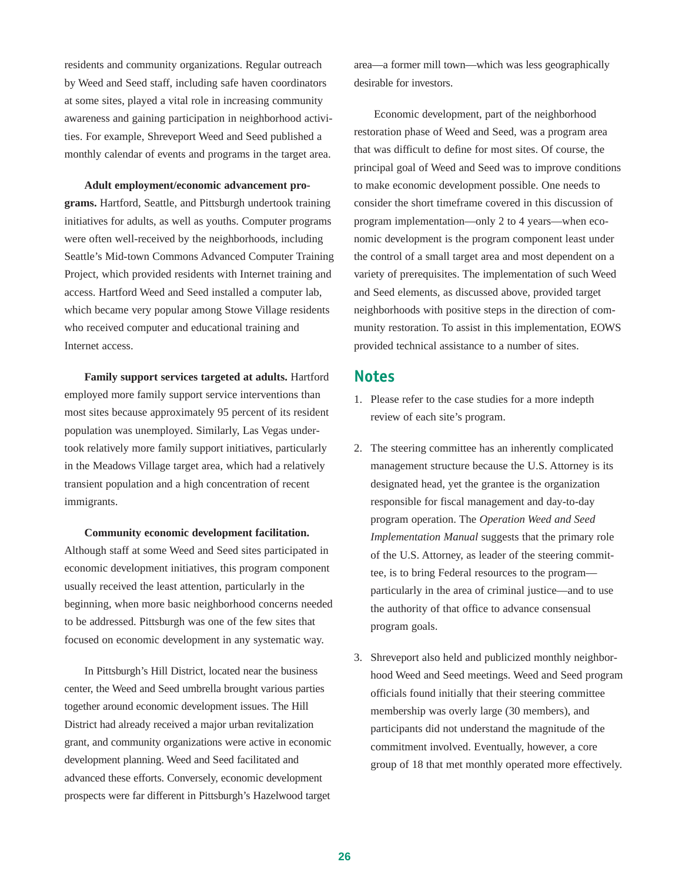residents and community organizations. Regular outreach by Weed and Seed staff, including safe haven coordinators at some sites, played a vital role in increasing community awareness and gaining participation in neighborhood activities. For example, Shreveport Weed and Seed published a monthly calendar of events and programs in the target area.

**Adult employment/economic advancement programs.** Hartford, Seattle, and Pittsburgh undertook training initiatives for adults, as well as youths. Computer programs were often well-received by the neighborhoods, including Seattle's Mid-town Commons Advanced Computer Training Project, which provided residents with Internet training and access. Hartford Weed and Seed installed a computer lab, which became very popular among Stowe Village residents who received computer and educational training and Internet access.

**Family support services targeted at adults.** Hartford employed more family support service interventions than most sites because approximately 95 percent of its resident population was unemployed. Similarly, Las Vegas undertook relatively more family support initiatives, particularly in the Meadows Village target area, which had a relatively transient population and a high concentration of recent immigrants.

**Community economic development facilitation.** Although staff at some Weed and Seed sites participated in economic development initiatives, this program component usually received the least attention, particularly in the beginning, when more basic neighborhood concerns needed to be addressed. Pittsburgh was one of the few sites that focused on economic development in any systematic way.

In Pittsburgh's Hill District, located near the business center, the Weed and Seed umbrella brought various parties together around economic development issues. The Hill District had already received a major urban revitalization grant, and community organizations were active in economic development planning. Weed and Seed facilitated and advanced these efforts. Conversely, economic development prospects were far different in Pittsburgh's Hazelwood target area—a former mill town—which was less geographically desirable for investors.

Economic development, part of the neighborhood restoration phase of Weed and Seed, was a program area that was difficult to define for most sites. Of course, the principal goal of Weed and Seed was to improve conditions to make economic development possible. One needs to consider the short timeframe covered in this discussion of program implementation—only 2 to 4 years—when economic development is the program component least under the control of a small target area and most dependent on a variety of prerequisites. The implementation of such Weed and Seed elements, as discussed above, provided target neighborhoods with positive steps in the direction of community restoration. To assist in this implementation, EOWS provided technical assistance to a number of sites.

## **Notes**

- 1. Please refer to the case studies for a more indepth review of each site's program.
- 2. The steering committee has an inherently complicated management structure because the U.S. Attorney is its designated head, yet the grantee is the organization responsible for fiscal management and day-to-day program operation. The *Operation Weed and Seed Implementation Manual* suggests that the primary role of the U.S. Attorney, as leader of the steering committee, is to bring Federal resources to the program particularly in the area of criminal justice—and to use the authority of that office to advance consensual program goals.
- 3. Shreveport also held and publicized monthly neighborhood Weed and Seed meetings. Weed and Seed program officials found initially that their steering committee membership was overly large (30 members), and participants did not understand the magnitude of the commitment involved. Eventually, however, a core group of 18 that met monthly operated more effectively.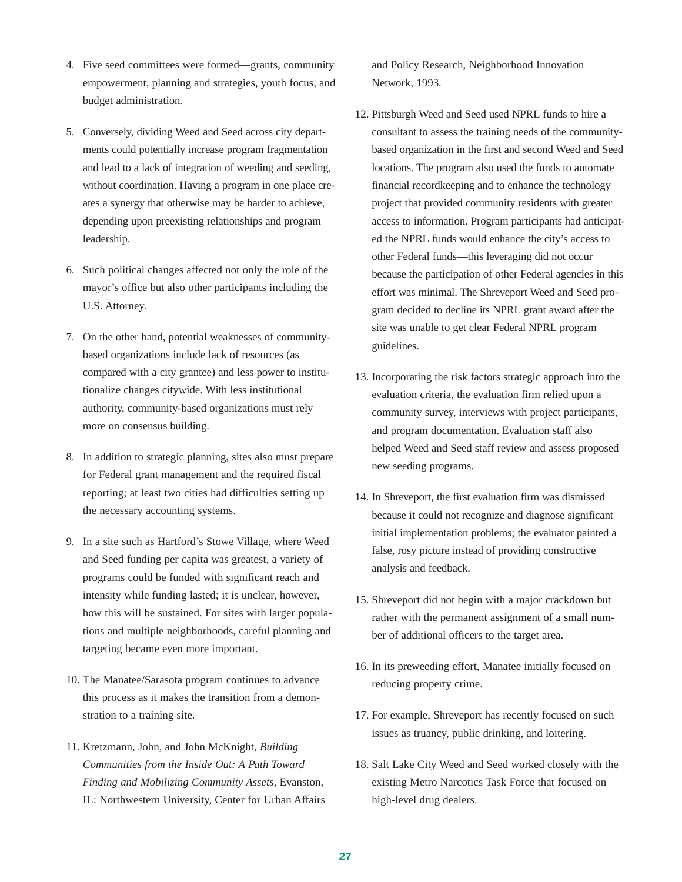- 4. Five seed committees were formed—grants, community empowerment, planning and strategies, youth focus, and budget administration.
- 5. Conversely, dividing Weed and Seed across city departments could potentially increase program fragmentation and lead to a lack of integration of weeding and seeding, without coordination. Having a program in one place creates a synergy that otherwise may be harder to achieve, depending upon preexisting relationships and program leadership.
- 6. Such political changes affected not only the role of the mayor's office but also other participants including the U.S. Attorney.
- 7. On the other hand, potential weaknesses of communitybased organizations include lack of resources (as compared with a city grantee) and less power to institutionalize changes citywide. With less institutional authority, community-based organizations must rely more on consensus building.
- 8. In addition to strategic planning, sites also must prepare for Federal grant management and the required fiscal reporting; at least two cities had difficulties setting up the necessary accounting systems.
- 9. In a site such as Hartford's Stowe Village, where Weed and Seed funding per capita was greatest, a variety of programs could be funded with significant reach and intensity while funding lasted; it is unclear, however, how this will be sustained. For sites with larger populations and multiple neighborhoods, careful planning and targeting became even more important.
- 10. The Manatee/Sarasota program continues to advance this process as it makes the transition from a demonstration to a training site.
- 11. Kretzmann, John, and John McKnight, *Building Communities from the Inside Out: A Path Toward Finding and Mobilizing Community Assets*, Evanston, IL: Northwestern University, Center for Urban Affairs

and Policy Research, Neighborhood Innovation Network, 1993.

- 12. Pittsburgh Weed and Seed used NPRL funds to hire a consultant to assess the training needs of the communitybased organization in the first and second Weed and Seed locations. The program also used the funds to automate financial recordkeeping and to enhance the technology project that provided community residents with greater access to information. Program participants had anticipated the NPRL funds would enhance the city's access to other Federal funds—this leveraging did not occur because the participation of other Federal agencies in this effort was minimal. The Shreveport Weed and Seed program decided to decline its NPRL grant award after the site was unable to get clear Federal NPRL program guidelines.
- 13. Incorporating the risk factors strategic approach into the evaluation criteria, the evaluation firm relied upon a community survey, interviews with project participants, and program documentation. Evaluation staff also helped Weed and Seed staff review and assess proposed new seeding programs.
- 14. In Shreveport, the first evaluation firm was dismissed because it could not recognize and diagnose significant initial implementation problems; the evaluator painted a false, rosy picture instead of providing constructive analysis and feedback.
- 15. Shreveport did not begin with a major crackdown but rather with the permanent assignment of a small number of additional officers to the target area.
- 16. In its preweeding effort, Manatee initially focused on reducing property crime.
- 17. For example, Shreveport has recently focused on such issues as truancy, public drinking, and loitering.
- 18. Salt Lake City Weed and Seed worked closely with the existing Metro Narcotics Task Force that focused on high-level drug dealers.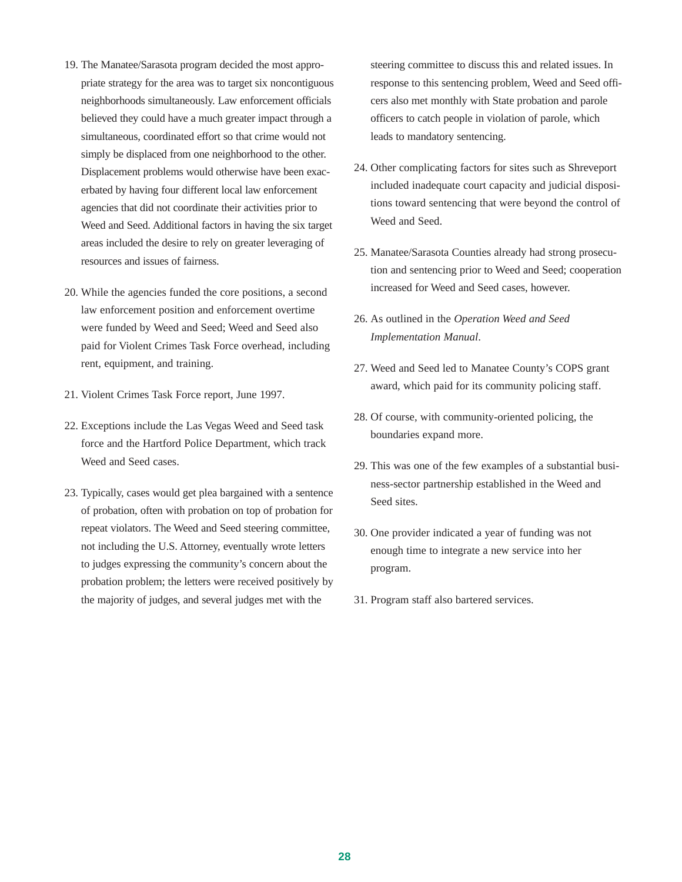- 19. The Manatee/Sarasota program decided the most appropriate strategy for the area was to target six noncontiguous neighborhoods simultaneously. Law enforcement officials believed they could have a much greater impact through a simultaneous, coordinated effort so that crime would not simply be displaced from one neighborhood to the other. Displacement problems would otherwise have been exacerbated by having four different local law enforcement agencies that did not coordinate their activities prior to Weed and Seed. Additional factors in having the six target areas included the desire to rely on greater leveraging of resources and issues of fairness.
- 20. While the agencies funded the core positions, a second law enforcement position and enforcement overtime were funded by Weed and Seed; Weed and Seed also paid for Violent Crimes Task Force overhead, including rent, equipment, and training.
- 21. Violent Crimes Task Force report, June 1997.
- 22. Exceptions include the Las Vegas Weed and Seed task force and the Hartford Police Department, which track Weed and Seed cases.
- 23. Typically, cases would get plea bargained with a sentence of probation, often with probation on top of probation for repeat violators. The Weed and Seed steering committee, not including the U.S. Attorney, eventually wrote letters to judges expressing the community's concern about the probation problem; the letters were received positively by the majority of judges, and several judges met with the

steering committee to discuss this and related issues. In response to this sentencing problem, Weed and Seed officers also met monthly with State probation and parole officers to catch people in violation of parole, which leads to mandatory sentencing.

- 24. Other complicating factors for sites such as Shreveport included inadequate court capacity and judicial dispositions toward sentencing that were beyond the control of Weed and Seed.
- 25. Manatee/Sarasota Counties already had strong prosecution and sentencing prior to Weed and Seed; cooperation increased for Weed and Seed cases, however.
- 26. As outlined in the *Operation Weed and Seed Implementation Manual*.
- 27. Weed and Seed led to Manatee County's COPS grant award, which paid for its community policing staff.
- 28. Of course, with community-oriented policing, the boundaries expand more.
- 29. This was one of the few examples of a substantial business-sector partnership established in the Weed and Seed sites.
- 30. One provider indicated a year of funding was not enough time to integrate a new service into her program.
- 31. Program staff also bartered services.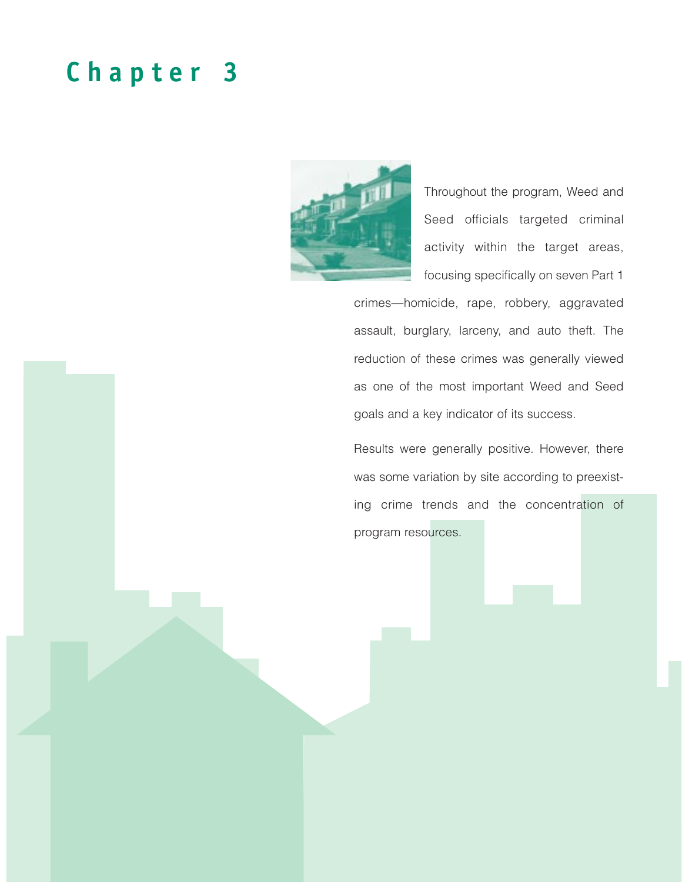# **Chapter 3**



Throughout the program, Weed and Seed officials targeted criminal activity within the target areas, focusing specifically on seven Part 1

crimes—homicide, rape, robbery, aggravated assault, burglary, larceny, and auto theft. The reduction of these crimes was generally viewed as one of the most important Weed and Seed goals and a key indicator of its success.

Results were generally positive. However, there was some variation by site according to preexisting crime trends and the concentration of program resources.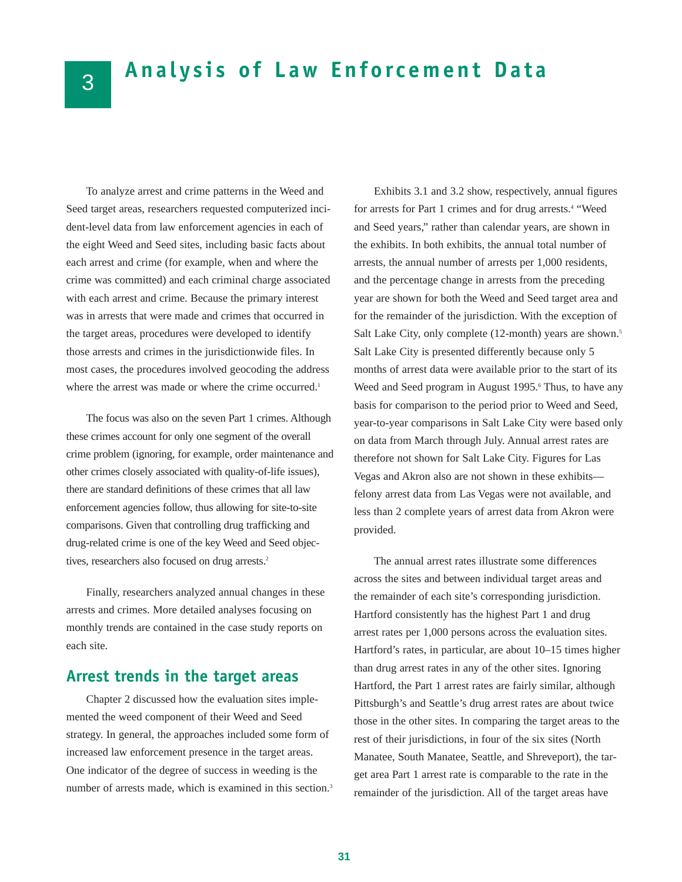# **Analysis of Law Enforcement Data**

To analyze arrest and crime patterns in the Weed and Seed target areas, researchers requested computerized incident-level data from law enforcement agencies in each of the eight Weed and Seed sites, including basic facts about each arrest and crime (for example, when and where the crime was committed) and each criminal charge associated with each arrest and crime. Because the primary interest was in arrests that were made and crimes that occurred in the target areas, procedures were developed to identify those arrests and crimes in the jurisdictionwide files. In most cases, the procedures involved geocoding the address where the arrest was made or where the crime occurred.<sup>1</sup>

The focus was also on the seven Part 1 crimes. Although these crimes account for only one segment of the overall crime problem (ignoring, for example, order maintenance and other crimes closely associated with quality-of-life issues), there are standard definitions of these crimes that all law enforcement agencies follow, thus allowing for site-to-site comparisons. Given that controlling drug trafficking and drug-related crime is one of the key Weed and Seed objectives, researchers also focused on drug arrests.<sup>2</sup>

Finally, researchers analyzed annual changes in these arrests and crimes. More detailed analyses focusing on monthly trends are contained in the case study reports on each site.

## **Arrest trends in the target areas**

Chapter 2 discussed how the evaluation sites implemented the weed component of their Weed and Seed strategy. In general, the approaches included some form of increased law enforcement presence in the target areas. One indicator of the degree of success in weeding is the number of arrests made, which is examined in this section.<sup>3</sup>

Exhibits 3.1 and 3.2 show, respectively, annual figures for arrests for Part 1 crimes and for drug arrests.4 "Weed and Seed years," rather than calendar years, are shown in the exhibits. In both exhibits, the annual total number of arrests, the annual number of arrests per 1,000 residents, and the percentage change in arrests from the preceding year are shown for both the Weed and Seed target area and for the remainder of the jurisdiction. With the exception of Salt Lake City, only complete (12-month) years are shown.<sup>5</sup> Salt Lake City is presented differently because only 5 months of arrest data were available prior to the start of its Weed and Seed program in August 1995.<sup>6</sup> Thus, to have any basis for comparison to the period prior to Weed and Seed, year-to-year comparisons in Salt Lake City were based only on data from March through July. Annual arrest rates are therefore not shown for Salt Lake City. Figures for Las Vegas and Akron also are not shown in these exhibits felony arrest data from Las Vegas were not available, and less than 2 complete years of arrest data from Akron were provided.

The annual arrest rates illustrate some differences across the sites and between individual target areas and the remainder of each site's corresponding jurisdiction. Hartford consistently has the highest Part 1 and drug arrest rates per 1,000 persons across the evaluation sites. Hartford's rates, in particular, are about 10–15 times higher than drug arrest rates in any of the other sites. Ignoring Hartford, the Part 1 arrest rates are fairly similar, although Pittsburgh's and Seattle's drug arrest rates are about twice those in the other sites. In comparing the target areas to the rest of their jurisdictions, in four of the six sites (North Manatee, South Manatee, Seattle, and Shreveport), the target area Part 1 arrest rate is comparable to the rate in the remainder of the jurisdiction. All of the target areas have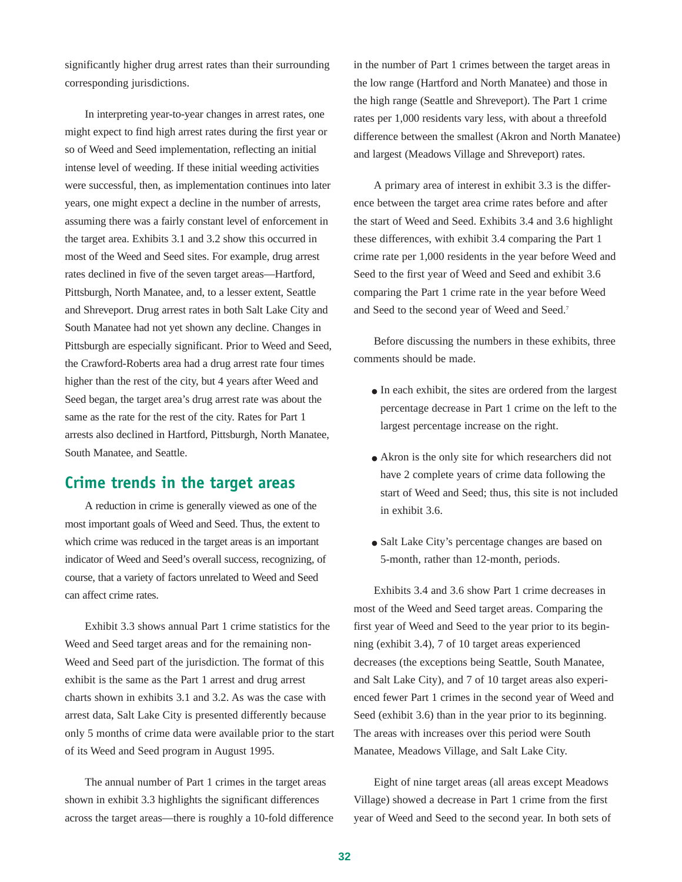significantly higher drug arrest rates than their surrounding corresponding jurisdictions.

In interpreting year-to-year changes in arrest rates, one might expect to find high arrest rates during the first year or so of Weed and Seed implementation, reflecting an initial intense level of weeding. If these initial weeding activities were successful, then, as implementation continues into later years, one might expect a decline in the number of arrests, assuming there was a fairly constant level of enforcement in the target area. Exhibits 3.1 and 3.2 show this occurred in most of the Weed and Seed sites. For example, drug arrest rates declined in five of the seven target areas—Hartford, Pittsburgh, North Manatee, and, to a lesser extent, Seattle and Shreveport. Drug arrest rates in both Salt Lake City and South Manatee had not yet shown any decline. Changes in Pittsburgh are especially significant. Prior to Weed and Seed, the Crawford-Roberts area had a drug arrest rate four times higher than the rest of the city, but 4 years after Weed and Seed began, the target area's drug arrest rate was about the same as the rate for the rest of the city. Rates for Part 1 arrests also declined in Hartford, Pittsburgh, North Manatee, South Manatee, and Seattle.

## **Crime trends in the target areas**

A reduction in crime is generally viewed as one of the most important goals of Weed and Seed. Thus, the extent to which crime was reduced in the target areas is an important indicator of Weed and Seed's overall success, recognizing, of course, that a variety of factors unrelated to Weed and Seed can affect crime rates.

Exhibit 3.3 shows annual Part 1 crime statistics for the Weed and Seed target areas and for the remaining non-Weed and Seed part of the jurisdiction. The format of this exhibit is the same as the Part 1 arrest and drug arrest charts shown in exhibits 3.1 and 3.2. As was the case with arrest data, Salt Lake City is presented differently because only 5 months of crime data were available prior to the start of its Weed and Seed program in August 1995.

The annual number of Part 1 crimes in the target areas shown in exhibit 3.3 highlights the significant differences across the target areas—there is roughly a 10-fold difference in the number of Part 1 crimes between the target areas in the low range (Hartford and North Manatee) and those in the high range (Seattle and Shreveport). The Part 1 crime rates per 1,000 residents vary less, with about a threefold difference between the smallest (Akron and North Manatee) and largest (Meadows Village and Shreveport) rates.

A primary area of interest in exhibit 3.3 is the difference between the target area crime rates before and after the start of Weed and Seed. Exhibits 3.4 and 3.6 highlight these differences, with exhibit 3.4 comparing the Part 1 crime rate per 1,000 residents in the year before Weed and Seed to the first year of Weed and Seed and exhibit 3.6 comparing the Part 1 crime rate in the year before Weed and Seed to the second year of Weed and Seed.7

Before discussing the numbers in these exhibits, three comments should be made.

- In each exhibit, the sites are ordered from the largest percentage decrease in Part 1 crime on the left to the largest percentage increase on the right.
- Akron is the only site for which researchers did not have 2 complete years of crime data following the start of Weed and Seed; thus, this site is not included in exhibit 3.6.
- Salt Lake City's percentage changes are based on 5-month, rather than 12-month, periods.

Exhibits 3.4 and 3.6 show Part 1 crime decreases in most of the Weed and Seed target areas. Comparing the first year of Weed and Seed to the year prior to its beginning (exhibit 3.4), 7 of 10 target areas experienced decreases (the exceptions being Seattle, South Manatee, and Salt Lake City), and 7 of 10 target areas also experienced fewer Part 1 crimes in the second year of Weed and Seed (exhibit 3.6) than in the year prior to its beginning. The areas with increases over this period were South Manatee, Meadows Village, and Salt Lake City.

Eight of nine target areas (all areas except Meadows Village) showed a decrease in Part 1 crime from the first year of Weed and Seed to the second year. In both sets of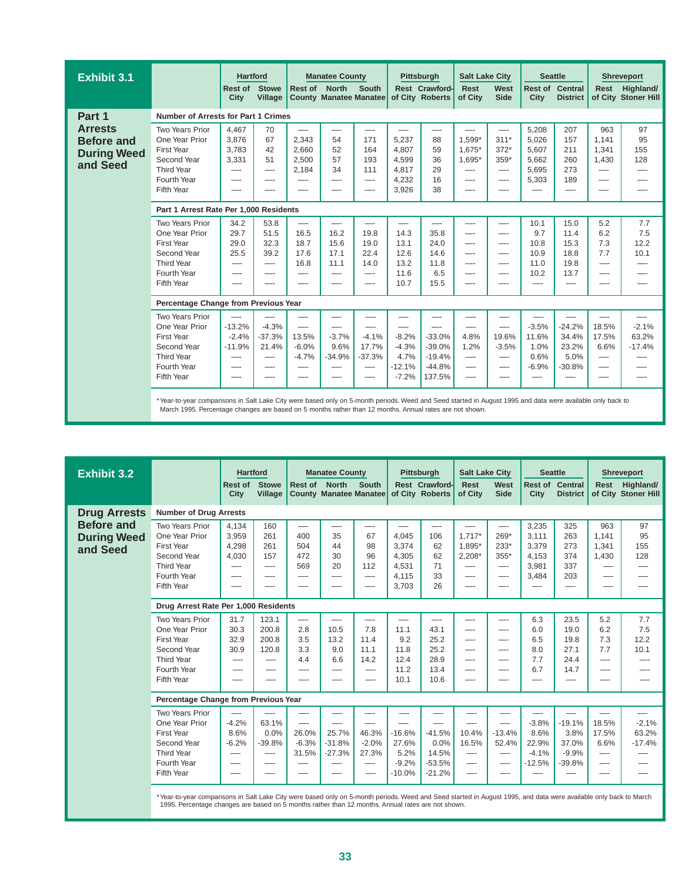| <b>Exhibit 3.1</b>                                                    |                                                                                                                                                                                                                                                                      | <b>Hartford</b>                             |                                               |                                                          | <b>Manatee County</b>                              |                                           |                                                         | Pittsburgh                                                   | <b>Salt Lake City</b>                         |                                        | <b>Seattle</b>                                     |                                                |                                                  | <b>Shreveport</b>                |
|-----------------------------------------------------------------------|----------------------------------------------------------------------------------------------------------------------------------------------------------------------------------------------------------------------------------------------------------------------|---------------------------------------------|-----------------------------------------------|----------------------------------------------------------|----------------------------------------------------|-------------------------------------------|---------------------------------------------------------|--------------------------------------------------------------|-----------------------------------------------|----------------------------------------|----------------------------------------------------|------------------------------------------------|--------------------------------------------------|----------------------------------|
|                                                                       |                                                                                                                                                                                                                                                                      | Rest of<br><b>City</b>                      | <b>Stowe</b><br>Village                       | Rest of North                                            | <b>County Manatee Manatee</b>                      | South                                     |                                                         | Rest Crawford-<br>of City Roberts                            | <b>Rest</b><br>of City                        | West<br><b>Side</b>                    | City                                               | <b>Rest of Central</b><br><b>District</b>      | <b>Rest</b>                                      | Highland/<br>of City Stoner Hill |
| Part 1                                                                | Number of Arrests for Part 1 Crimes                                                                                                                                                                                                                                  |                                             |                                               |                                                          |                                                    |                                           |                                                         |                                                              |                                               |                                        |                                                    |                                                |                                                  |                                  |
| <b>Arrests</b><br><b>Before and</b><br><b>During Weed</b><br>and Seed | Two Years Prior<br>One Year Prior<br><b>First Year</b><br>Second Year<br><b>Third Year</b><br>Fourth Year<br>Fifth Year                                                                                                                                              | 4,467<br>3,876<br>3,783<br>3,331<br>—-      | 70<br>67<br>42<br>51<br>—                     | 2,343<br>2,660<br>2,500<br>2,184                         | —-<br>54<br>52<br>57<br>34<br>—                    | 171<br>164<br>193<br>111<br>—-            | 5,237<br>4,807<br>4,599<br>4,817<br>4,232<br>3,926      | —<br>88<br>59<br>36<br>29<br>16<br>38                        | $1.599*$<br>1,675*<br>1,695*<br>—-<br>--<br>— | $311*$<br>$372*$<br>$359*$<br>—-<br>—- | 5,208<br>5.026<br>5,607<br>5,662<br>5,695<br>5,303 | 207<br>157<br>211<br>260<br>273<br>189         | 963<br>1.141<br>1,341<br>1,430<br>—-<br>—-<br>—- | 97<br>95<br>155<br>128           |
|                                                                       | Part 1 Arrest Rate Per 1,000 Residents                                                                                                                                                                                                                               |                                             |                                               |                                                          |                                                    |                                           |                                                         |                                                              |                                               |                                        |                                                    |                                                |                                                  |                                  |
|                                                                       | <b>Two Years Prior</b><br>One Year Prior<br>First Year<br>Second Year<br><b>Third Year</b><br>Fourth Year                                                                                                                                                            | 34.2<br>29.7<br>29.0<br>25.5<br>—-<br>--    | 53.8<br>51.5<br>32.3<br>39.2<br>—             | $\overline{\phantom{a}}$<br>16.5<br>18.7<br>17.6<br>16.8 | —-<br>16.2<br>15.6<br>17.1<br>11.1                 | —-<br>19.8<br>19.0<br>22.4<br>14.0<br>--- | —-<br>14.3<br>13.1<br>12.6<br>13.2<br>11.6              | <u>.</u><br>35.8<br>24.0<br>14.6<br>11.8<br>6.5              | —-<br>—-<br>—-<br>—-<br>—-<br>--              | —-<br>—-<br>—-<br>—-                   | 10.1<br>9.7<br>10.8<br>10.9<br>11.0<br>10.2        | 15.0<br>11.4<br>15.3<br>18.8<br>19.8<br>13.7   | 5.2<br>6.2<br>7.3<br>7.7<br>—-<br>—-             | 7.7<br>7.5<br>12.2<br>10.1       |
|                                                                       | Fifth Year                                                                                                                                                                                                                                                           |                                             |                                               |                                                          |                                                    |                                           | 10.7                                                    | 15.5                                                         |                                               |                                        |                                                    |                                                |                                                  |                                  |
|                                                                       | Percentage Change from Previous Year                                                                                                                                                                                                                                 |                                             |                                               |                                                          |                                                    |                                           |                                                         |                                                              |                                               |                                        |                                                    |                                                |                                                  |                                  |
|                                                                       | Two Years Prior<br>One Year Prior<br><b>First Year</b><br>Second Year<br><b>Third Year</b><br>Fourth Year<br>Fifth Year                                                                                                                                              | —-<br>$-13.2%$<br>$-2.4%$<br>$-11.9%$<br>-- | —<br>$-4.3%$<br>$-37.3%$<br>21.4%<br>$-\cdot$ | —<br>13.5%<br>$-6.0%$<br>$-4.7%$                         | —<br>—-<br>$-3.7%$<br>9.6%<br>$-34.9%$<br>—-<br>-- | —-<br>$-4.1%$<br>17.7%<br>$-37.3%$<br>—-  | —-<br>$-8.2%$<br>$-4.3%$<br>4.7%<br>$-12.1%$<br>$-7.2%$ | —-<br>$-33.0%$<br>$-39.0%$<br>$-19.4%$<br>$-44.8%$<br>137.5% | 4.8%<br>1.2%<br>—-<br>—-<br>—-                | 19.6%<br>$-3.5%$<br>—-<br>—-<br>---    | $-3.5%$<br>11.6%<br>1.0%<br>0.6%<br>$-6.9%$<br>--- | $-24.2%$<br>34.4%<br>23.2%<br>5.0%<br>$-30.8%$ | 18.5%<br>17.5%<br>6.6%<br>—-<br>—-<br>—          | $-2.1%$<br>63.2%<br>$-17.4%$     |
|                                                                       | *Year-to-year comparisons in Salt Lake City were based only on 5-month periods. Weed and Seed started in August 1995 and data were available only back to<br>March 1995. Percentage changes are based on 5 months rather than 12 months. Annual rates are not shown. |                                             |                                               |                                                          |                                                    |                                           |                                                         |                                                              |                                               |                                        |                                                    |                                                |                                                  |                                  |

| <b>Exhibit 3.2</b>                                  |                                                                                                                                                                  | <b>Hartford</b>                        |                                       |                                        | <b>Manatee County</b>                     |                                               |                                                    | Pittsburgh                                        | <b>Salt Lake City</b>                      |                                   | <b>Seattle</b>                                     |                                                  | <b>Shreveport</b>                          |                                  |
|-----------------------------------------------------|------------------------------------------------------------------------------------------------------------------------------------------------------------------|----------------------------------------|---------------------------------------|----------------------------------------|-------------------------------------------|-----------------------------------------------|----------------------------------------------------|---------------------------------------------------|--------------------------------------------|-----------------------------------|----------------------------------------------------|--------------------------------------------------|--------------------------------------------|----------------------------------|
|                                                     |                                                                                                                                                                  | Rest of<br>City                        | <b>Stowe</b><br>Village               | Rest of North                          | <b>County Manatee Manatee</b>             | <b>South</b>                                  |                                                    | Rest Crawford-<br>of City Roberts                 | <b>Rest</b><br>of City                     | West<br><b>Side</b>               | City                                               | <b>Rest of Central</b><br><b>District</b>        | <b>Rest</b>                                | Highland/<br>of City Stoner Hill |
| <b>Drug Arrests</b>                                 | <b>Number of Drug Arrests</b>                                                                                                                                    |                                        |                                       |                                        |                                           |                                               |                                                    |                                                   |                                            |                                   |                                                    |                                                  |                                            |                                  |
| <b>Before and</b><br><b>During Weed</b><br>and Seed | Two Years Prior<br>One Year Prior<br><b>First Year</b><br>Second Year<br>Third Year<br>Fourth Year<br>Fifth Year                                                 | 4,134<br>3,959<br>4,298<br>4,030<br>—- | 160<br>261<br>261<br>157<br>—-<br>—-  | 400<br>504<br>472<br>569<br>—-         | 35<br>44<br>30<br>20<br>—-<br>—-          | 67<br>98<br>96<br>112<br>—-                   | 4.045<br>3.374<br>4,305<br>4,531<br>4,115<br>3,703 | 106<br>62<br>62<br>71<br>33<br>26                 | $1.717*$<br>1.895*<br>$2,208*$<br>—-<br>—- | 269*<br>233*<br>355*<br>---<br>—- | 3,235<br>3,111<br>3,379<br>4,153<br>3,981<br>3,484 | 325<br>263<br>273<br>374<br>337<br>203           | 963<br>1.141<br>1.341<br>1,430<br>—-<br>—- | 97<br>95<br>155<br>128           |
|                                                     | Drug Arrest Rate Per 1,000 Residents                                                                                                                             |                                        |                                       |                                        |                                           |                                               |                                                    |                                                   |                                            |                                   |                                                    |                                                  |                                            |                                  |
|                                                     | Two Years Prior<br>One Year Prior<br><b>First Year</b><br>Second Year<br><b>Third Year</b>                                                                       | 31.7<br>30.3<br>32.9<br>30.9<br>—-     | 123.1<br>200.8<br>200.8<br>120.8      | ---<br>2.8<br>3.5<br>3.3<br>4.4        | —-<br>10.5<br>13.2<br>9.0<br>6.6          | —-<br>7.8<br>11.4<br>11.1<br>14.2             | —-<br>11.1<br>9.2<br>11.8<br>12.4                  | —-<br>43.1<br>25.2<br>25.2<br>28.9                | —-<br>—-<br>—-<br>—-                       | $-\!$<br>—-                       | 6.3<br>6.0<br>6.5<br>8.0<br>7.7                    | 23.5<br>19.0<br>19.8<br>27.1<br>24.4             | 5.2<br>6.2<br>7.3<br>7.7<br>---            | 7.7<br>7.5<br>12.2<br>10.1       |
|                                                     | Fourth Year<br>Fifth Year                                                                                                                                        | --                                     |                                       |                                        | ---                                       | $\overline{\phantom{0}}$                      | 11.2<br>10.1                                       | 13.4<br>10.6                                      | —-                                         |                                   | 6.7                                                | 14.7                                             | ---                                        |                                  |
|                                                     | Percentage Change from Previous Year                                                                                                                             |                                        |                                       |                                        |                                           |                                               |                                                    |                                                   |                                            |                                   |                                                    |                                                  |                                            |                                  |
|                                                     | Two Years Prior<br>One Year Prior<br><b>First Year</b><br>Second Year<br><b>Third Year</b><br>Fourth Year<br>Fifth Year                                          | $-4.2%$<br>8.6%<br>$-6.2%$<br>--       | 63.1%<br>0.0%<br>$-39.8%$<br>—-<br>—- | —-<br>26.0%<br>$-6.3%$<br>31.5%<br>--- | —-<br>25.7%<br>$-31.8%$<br>$-27.3%$<br>—- | —-<br>46.3%<br>$-2.0%$<br>27.3%<br>---<br>--- | $-16.6%$<br>27.6%<br>5.2%<br>$-9.2%$<br>$-10.0%$   | $-41.5%$<br>0.0%<br>14.5%<br>$-53.5%$<br>$-21.2%$ | 10.4%<br>16.5%<br>---<br>---<br>—-         | $-13.4%$<br>52.4%<br>—-           | $-3.8%$<br>8.6%<br>22.9%<br>$-4.1%$<br>$-12.5%$    | $-19.1%$<br>3.8%<br>37.0%<br>$-9.9%$<br>$-39.8%$ | 18.5%<br>17.5%<br>6.6%<br>---<br>—-<br>--- | $-2.1%$<br>63.2%<br>$-17.4%$     |
|                                                     | *Year-to-year comparisons in Salt Lake City were based only on 5-month periods. Weed and Seed started in August 1995, and data were available only back to March |                                        |                                       |                                        |                                           |                                               |                                                    |                                                   |                                            |                                   |                                                    |                                                  |                                            |                                  |

\* Year-to-year comparisons in Salt Lake City were based only on 5-month periods. Weed and Seed started in August 1995, and data were available only back to March<br>1995. Percentage changes are based on 5 months rather than 1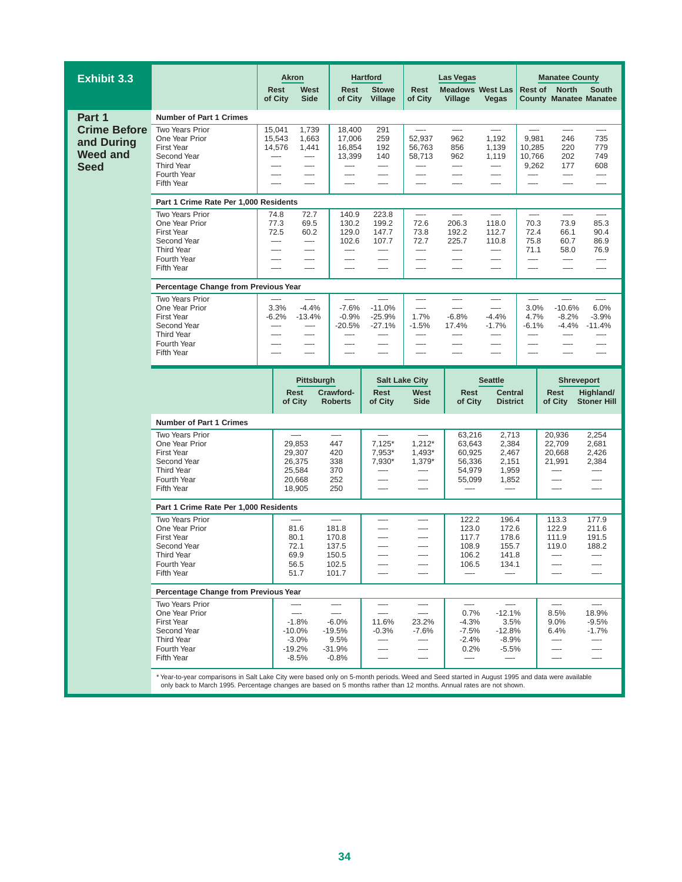| <b>Exhibit 3.3</b>                                                  |                                                                                                                                       | <b>Akron</b>                                                                                                |                                                        | <b>Hartford</b>                                    |                                                                              | <b>Las Vegas</b>                                         |                                                                       |                                                                | <b>Manatee County</b>                                                |                                                                |  |  |  |
|---------------------------------------------------------------------|---------------------------------------------------------------------------------------------------------------------------------------|-------------------------------------------------------------------------------------------------------------|--------------------------------------------------------|----------------------------------------------------|------------------------------------------------------------------------------|----------------------------------------------------------|-----------------------------------------------------------------------|----------------------------------------------------------------|----------------------------------------------------------------------|----------------------------------------------------------------|--|--|--|
|                                                                     |                                                                                                                                       | West<br>Rest<br>of City<br><b>Side</b>                                                                      | <b>Rest</b><br>of City                                 | <b>Stowe</b><br>Village                            | Rest<br>of City                                                              | <b>Meadows West Las</b><br>Village                       | Vegas                                                                 |                                                                | <b>Rest of North</b><br><b>County Manatee Manatee</b>                | <b>South</b>                                                   |  |  |  |
| Part 1                                                              | <b>Number of Part 1 Crimes</b>                                                                                                        |                                                                                                             |                                                        |                                                    |                                                                              |                                                          |                                                                       |                                                                |                                                                      |                                                                |  |  |  |
| <b>Crime Before</b><br>and During<br><b>Weed and</b><br><b>Seed</b> | <b>Two Years Prior</b><br>One Year Prior<br><b>First Year</b><br>Second Year<br><b>Third Year</b><br>Fourth Year<br><b>Fifth Year</b> | 15,041<br>1,739<br>15,543<br>1,663<br>14,576<br>1,441<br>$-\cdot$<br>—-<br>—-<br>$-\cdot$<br>—-<br>—-<br>—- | 18,400<br>17,006<br>16,854<br>13,399<br>—-<br>—-<br>—- | 291<br>259<br>192<br>140<br>—-<br>—-<br>—-         | 52.937<br>56,763<br>58,713<br>—-<br>—-<br>—-                                 | —-<br>962<br>856<br>962<br>---<br>—-<br>—-               | 1,192<br>1,139<br>1,119<br>$-\!$<br>$-\cdot$<br>—-                    | 9,981<br>10,285<br>10,766<br>9,262<br>—<br>—-                  | —-<br>246<br>220<br>202<br>177<br>—-<br>—-                           | 735<br>779<br>749<br>608<br>—-<br>—-                           |  |  |  |
|                                                                     | Part 1 Crime Rate Per 1,000 Residents                                                                                                 |                                                                                                             |                                                        |                                                    |                                                                              |                                                          |                                                                       |                                                                |                                                                      |                                                                |  |  |  |
|                                                                     | <b>Two Years Prior</b><br>One Year Prior<br><b>First Year</b><br>Second Year<br><b>Third Year</b><br>Fourth Year<br>Fifth Year        | 72.7<br>74.8<br>69.5<br>77.3<br>72.5<br>60.2<br>$-\cdot$<br>—-<br>—-<br>—                                   | 140.9<br>130.2<br>129.0<br>102.6<br>—-<br>---          | 223.8<br>199.2<br>147.7<br>107.7<br>—-<br>—-       | 72.6<br>206.3<br>73.8<br>192.2<br>72.7<br>225.7<br>—-<br>—<br>—-<br>—-<br>—- |                                                          | $\overline{\phantom{0}}$<br>118.0<br>112.7<br>110.8<br>—-<br>—-<br>—- | $\overline{\phantom{0}}$<br>70.3<br>72.4<br>75.8<br>71.1<br>—- | $\overline{\phantom{0}}$<br>73.9<br>66.1<br>60.7<br>58.0<br>—-<br>—- | $\overline{\phantom{0}}$<br>85.3<br>90.4<br>86.9<br>76.9<br>—- |  |  |  |
|                                                                     | Percentage Change from Previous Year                                                                                                  |                                                                                                             |                                                        |                                                    |                                                                              |                                                          |                                                                       |                                                                |                                                                      |                                                                |  |  |  |
|                                                                     | Two Years Prior<br>One Year Prior<br><b>First Year</b><br>Second Year<br><b>Third Year</b><br>Fourth Year<br><b>Fifth Year</b>        | 3.3%<br>$-4.4%$<br>$-6.2%$<br>$-13.4%$<br>—-<br>—-<br>—-                                                    | $-7.6%$<br>$-0.9%$<br>$-20.5%$<br>—-<br>—-             | $-11.0%$<br>$-25.9%$<br>$-27.1%$<br>$-\cdot$<br>—- | —-<br>—-<br>1.7%<br>$-1.5%$<br>—<br>—-<br>—-                                 | —-<br>$-6.8%$<br>17.4%<br>—-                             | —-<br>—-<br>$-4.4%$<br>$-1.7%$<br>—<br>—-<br>—-                       | 3.0%<br>4.7%<br>$-6.1%$<br>—-<br>—                             | $-10.6%$<br>$-8.2%$<br>$-4.4%$<br>—-<br>—-<br>—-                     | 6.0%<br>$-3.9%$<br>$-11.4%$                                    |  |  |  |
|                                                                     |                                                                                                                                       |                                                                                                             |                                                        |                                                    |                                                                              |                                                          |                                                                       |                                                                |                                                                      |                                                                |  |  |  |
|                                                                     |                                                                                                                                       | Pittsburgh<br><b>Rest</b>                                                                                   | Crawford-                                              | <b>Salt Lake City</b><br><b>Rest</b>               | West                                                                         | Rest                                                     | <b>Seattle</b>                                                        |                                                                | <b>Shreveport</b>                                                    |                                                                |  |  |  |
|                                                                     |                                                                                                                                       | of City                                                                                                     | <b>Roberts</b>                                         | of City                                            | Side                                                                         | of City                                                  | <b>Central</b><br><b>District</b>                                     |                                                                | <b>Rest</b><br>of City                                               | Highland/<br><b>Stoner Hill</b>                                |  |  |  |
|                                                                     | <b>Number of Part 1 Crimes</b>                                                                                                        |                                                                                                             |                                                        |                                                    |                                                                              |                                                          |                                                                       |                                                                |                                                                      |                                                                |  |  |  |
|                                                                     | Two Years Prior<br>One Year Prior<br><b>First Year</b><br>Second Year<br><b>Third Year</b><br>Fourth Year<br><b>Fifth Year</b>        | 29,853<br>29,307<br>26,375<br>25,584<br>20,668<br>18,905                                                    | 447<br>420<br>338<br>370<br>252<br>250                 | $7,125*$<br>7,953*<br>7,930*<br>—<br>—             | $\overline{\phantom{0}}$<br>$1,212*$<br>$1,493*$<br>1,379*<br>—-<br>—-       | 63,216<br>63,643<br>60,925<br>56,336<br>54,979<br>55,099 | 2,713<br>2,384<br>2,467<br>2,151<br>1,959<br>1,852<br>$-\!$           |                                                                | 20,936<br>22,709<br>20,668<br>21,991<br>—                            | 2,254<br>2,681<br>2,426<br>2,384<br>—-                         |  |  |  |
|                                                                     | Part 1 Crime Rate Per 1,000 Residents                                                                                                 |                                                                                                             |                                                        |                                                    |                                                                              |                                                          |                                                                       |                                                                |                                                                      |                                                                |  |  |  |
|                                                                     | <b>Two Years Prior</b><br>One Year Prior<br><b>First Year</b><br>Second Year<br><b>Third Year</b><br>Fourth Year<br>Fifth Year        | 81.6<br>80.1<br>72.1<br>69.9<br>56.5<br>51.7                                                                | 181.8<br>170.8<br>137.5<br>150.5<br>102.5<br>101.7     | —<br>—-                                            | —-<br>$-\cdot$<br>—-<br>$-\!$                                                | 122.2<br>123.0<br>117.7<br>108.9<br>106.2<br>106.5       | 196.4<br>172.6<br>178.6<br>155.7<br>141.8<br>134.1                    |                                                                | 113.3<br>122.9<br>111.9<br>119.0                                     | 177.9<br>211.6<br>191.5<br>188.2<br>—-                         |  |  |  |
|                                                                     | Percentage Change from Previous Year                                                                                                  |                                                                                                             |                                                        |                                                    |                                                                              |                                                          |                                                                       |                                                                |                                                                      |                                                                |  |  |  |
|                                                                     | Two Years Prior<br>One Year Prior<br><b>First Year</b><br>Second Year<br><b>Third Year</b><br>Fourth Year<br>Fifth Year               | $-1.8%$<br>$-10.0\%$<br>$-3.0%$<br>$-19.2%$<br>$-8.5%$                                                      | $-6.0%$<br>$-19.5%$<br>9.5%<br>$-31.9%$<br>$-0.8%$     | 11.6%<br>$-0.3%$                                   | 23.2%<br>-7.6%                                                               | 0.7%<br>$-4.3%$<br>$-7.5%$<br>$-2.4%$<br>0.2%<br>—-      | $-12.1%$<br>3.5%<br>$-12.8%$<br>$-8.9%$<br>$-5.5%$<br>$-\!$           |                                                                | 8.5%<br>9.0%<br>6.4%                                                 | 18.9%<br>$-9.5%$<br>$-1.7%$                                    |  |  |  |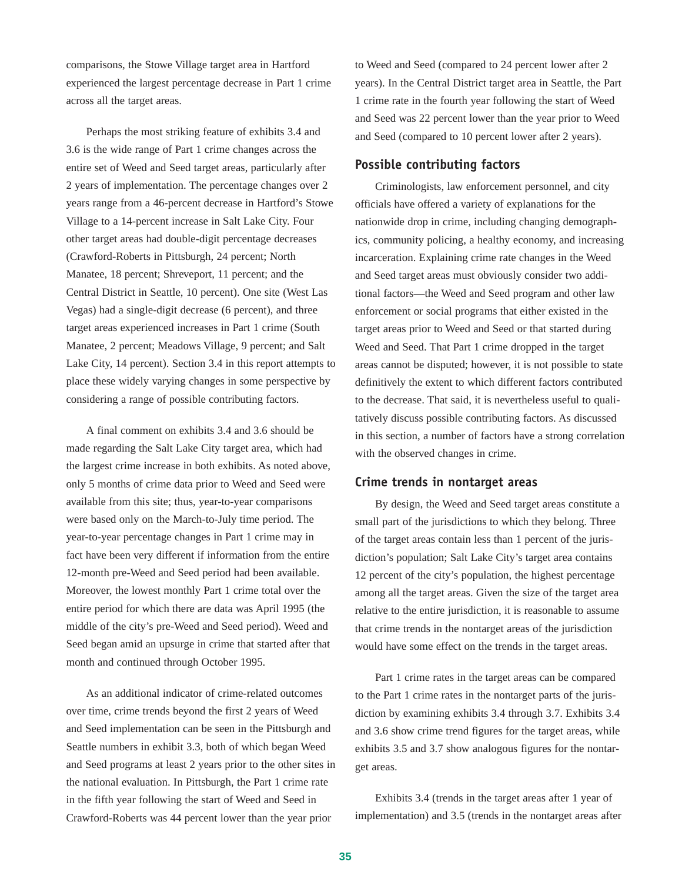comparisons, the Stowe Village target area in Hartford experienced the largest percentage decrease in Part 1 crime across all the target areas.

Perhaps the most striking feature of exhibits 3.4 and 3.6 is the wide range of Part 1 crime changes across the entire set of Weed and Seed target areas, particularly after 2 years of implementation. The percentage changes over 2 years range from a 46-percent decrease in Hartford's Stowe Village to a 14-percent increase in Salt Lake City. Four other target areas had double-digit percentage decreases (Crawford-Roberts in Pittsburgh, 24 percent; North Manatee, 18 percent; Shreveport, 11 percent; and the Central District in Seattle, 10 percent). One site (West Las Vegas) had a single-digit decrease (6 percent), and three target areas experienced increases in Part 1 crime (South Manatee, 2 percent; Meadows Village, 9 percent; and Salt Lake City, 14 percent). Section 3.4 in this report attempts to place these widely varying changes in some perspective by considering a range of possible contributing factors.

A final comment on exhibits 3.4 and 3.6 should be made regarding the Salt Lake City target area, which had the largest crime increase in both exhibits. As noted above, only 5 months of crime data prior to Weed and Seed were available from this site; thus, year-to-year comparisons were based only on the March-to-July time period. The year-to-year percentage changes in Part 1 crime may in fact have been very different if information from the entire 12-month pre-Weed and Seed period had been available. Moreover, the lowest monthly Part 1 crime total over the entire period for which there are data was April 1995 (the middle of the city's pre-Weed and Seed period). Weed and Seed began amid an upsurge in crime that started after that month and continued through October 1995.

As an additional indicator of crime-related outcomes over time, crime trends beyond the first 2 years of Weed and Seed implementation can be seen in the Pittsburgh and Seattle numbers in exhibit 3.3, both of which began Weed and Seed programs at least 2 years prior to the other sites in the national evaluation. In Pittsburgh, the Part 1 crime rate in the fifth year following the start of Weed and Seed in Crawford-Roberts was 44 percent lower than the year prior

to Weed and Seed (compared to 24 percent lower after 2 years). In the Central District target area in Seattle, the Part 1 crime rate in the fourth year following the start of Weed and Seed was 22 percent lower than the year prior to Weed and Seed (compared to 10 percent lower after 2 years).

#### **Possible contributing factors**

Criminologists, law enforcement personnel, and city officials have offered a variety of explanations for the nationwide drop in crime, including changing demographics, community policing, a healthy economy, and increasing incarceration. Explaining crime rate changes in the Weed and Seed target areas must obviously consider two additional factors—the Weed and Seed program and other law enforcement or social programs that either existed in the target areas prior to Weed and Seed or that started during Weed and Seed. That Part 1 crime dropped in the target areas cannot be disputed; however, it is not possible to state definitively the extent to which different factors contributed to the decrease. That said, it is nevertheless useful to qualitatively discuss possible contributing factors. As discussed in this section, a number of factors have a strong correlation with the observed changes in crime.

#### **Crime trends in nontarget areas**

By design, the Weed and Seed target areas constitute a small part of the jurisdictions to which they belong. Three of the target areas contain less than 1 percent of the jurisdiction's population; Salt Lake City's target area contains 12 percent of the city's population, the highest percentage among all the target areas. Given the size of the target area relative to the entire jurisdiction, it is reasonable to assume that crime trends in the nontarget areas of the jurisdiction would have some effect on the trends in the target areas.

Part 1 crime rates in the target areas can be compared to the Part 1 crime rates in the nontarget parts of the jurisdiction by examining exhibits 3.4 through 3.7. Exhibits 3.4 and 3.6 show crime trend figures for the target areas, while exhibits 3.5 and 3.7 show analogous figures for the nontarget areas.

Exhibits 3.4 (trends in the target areas after 1 year of implementation) and 3.5 (trends in the nontarget areas after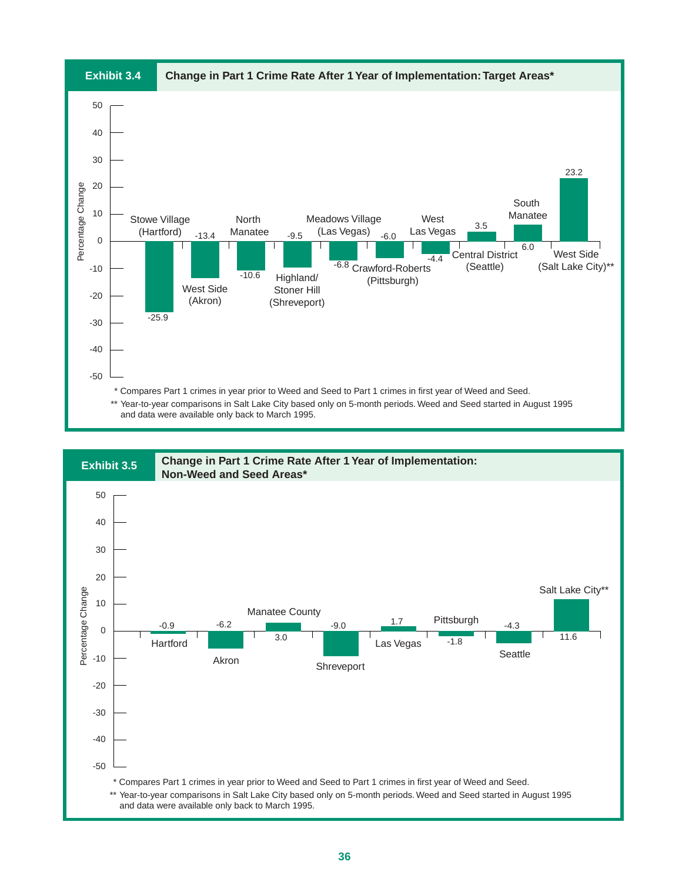

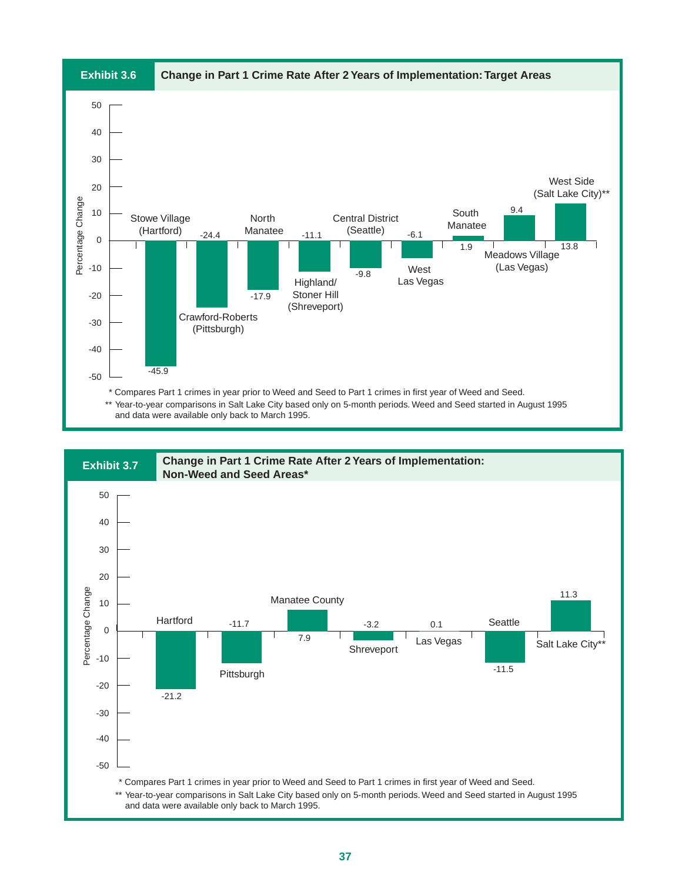

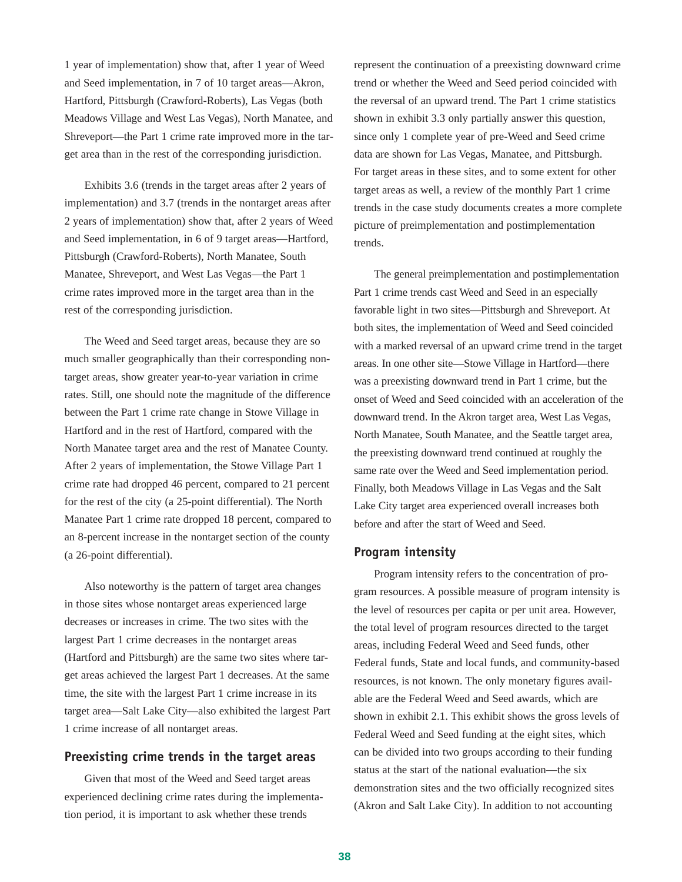1 year of implementation) show that, after 1 year of Weed and Seed implementation, in 7 of 10 target areas—Akron, Hartford, Pittsburgh (Crawford-Roberts), Las Vegas (both Meadows Village and West Las Vegas), North Manatee, and Shreveport—the Part 1 crime rate improved more in the target area than in the rest of the corresponding jurisdiction.

Exhibits 3.6 (trends in the target areas after 2 years of implementation) and 3.7 (trends in the nontarget areas after 2 years of implementation) show that, after 2 years of Weed and Seed implementation, in 6 of 9 target areas—Hartford, Pittsburgh (Crawford-Roberts), North Manatee, South Manatee, Shreveport, and West Las Vegas—the Part 1 crime rates improved more in the target area than in the rest of the corresponding jurisdiction.

The Weed and Seed target areas, because they are so much smaller geographically than their corresponding nontarget areas, show greater year-to-year variation in crime rates. Still, one should note the magnitude of the difference between the Part 1 crime rate change in Stowe Village in Hartford and in the rest of Hartford, compared with the North Manatee target area and the rest of Manatee County. After 2 years of implementation, the Stowe Village Part 1 crime rate had dropped 46 percent, compared to 21 percent for the rest of the city (a 25-point differential). The North Manatee Part 1 crime rate dropped 18 percent, compared to an 8-percent increase in the nontarget section of the county (a 26-point differential).

Also noteworthy is the pattern of target area changes in those sites whose nontarget areas experienced large decreases or increases in crime. The two sites with the largest Part 1 crime decreases in the nontarget areas (Hartford and Pittsburgh) are the same two sites where target areas achieved the largest Part 1 decreases. At the same time, the site with the largest Part 1 crime increase in its target area—Salt Lake City—also exhibited the largest Part 1 crime increase of all nontarget areas.

#### **Preexisting crime trends in the target areas**

Given that most of the Weed and Seed target areas experienced declining crime rates during the implementation period, it is important to ask whether these trends

represent the continuation of a preexisting downward crime trend or whether the Weed and Seed period coincided with the reversal of an upward trend. The Part 1 crime statistics shown in exhibit 3.3 only partially answer this question, since only 1 complete year of pre-Weed and Seed crime data are shown for Las Vegas, Manatee, and Pittsburgh. For target areas in these sites, and to some extent for other target areas as well, a review of the monthly Part 1 crime trends in the case study documents creates a more complete picture of preimplementation and postimplementation trends.

The general preimplementation and postimplementation Part 1 crime trends cast Weed and Seed in an especially favorable light in two sites—Pittsburgh and Shreveport. At both sites, the implementation of Weed and Seed coincided with a marked reversal of an upward crime trend in the target areas. In one other site—Stowe Village in Hartford—there was a preexisting downward trend in Part 1 crime, but the onset of Weed and Seed coincided with an acceleration of the downward trend. In the Akron target area, West Las Vegas, North Manatee, South Manatee, and the Seattle target area, the preexisting downward trend continued at roughly the same rate over the Weed and Seed implementation period. Finally, both Meadows Village in Las Vegas and the Salt Lake City target area experienced overall increases both before and after the start of Weed and Seed.

#### **Program intensity**

Program intensity refers to the concentration of program resources. A possible measure of program intensity is the level of resources per capita or per unit area. However, the total level of program resources directed to the target areas, including Federal Weed and Seed funds, other Federal funds, State and local funds, and community-based resources, is not known. The only monetary figures available are the Federal Weed and Seed awards, which are shown in exhibit 2.1. This exhibit shows the gross levels of Federal Weed and Seed funding at the eight sites, which can be divided into two groups according to their funding status at the start of the national evaluation—the six demonstration sites and the two officially recognized sites (Akron and Salt Lake City). In addition to not accounting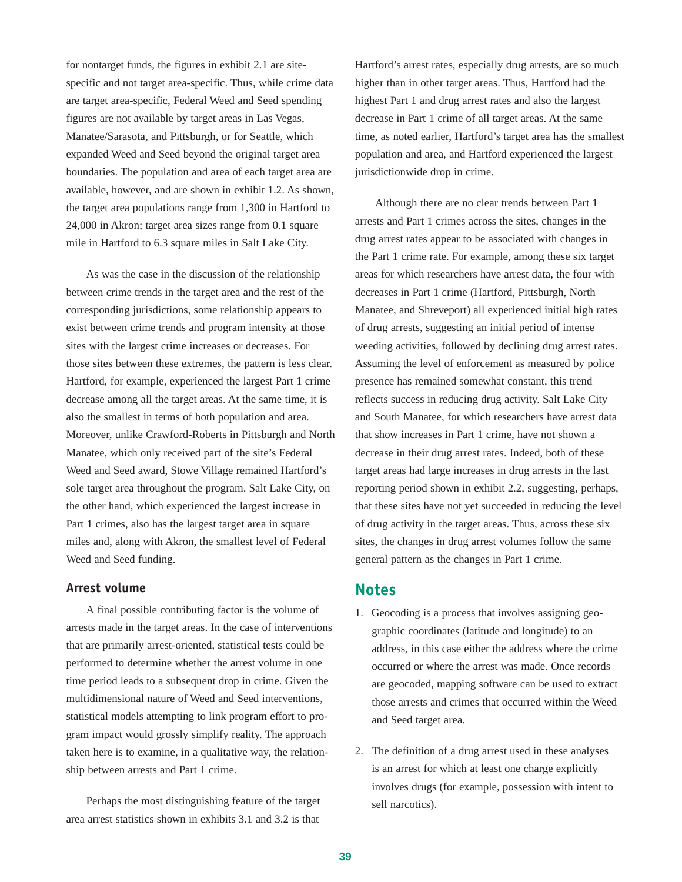for nontarget funds, the figures in exhibit 2.1 are sitespecific and not target area-specific. Thus, while crime data are target area-specific, Federal Weed and Seed spending figures are not available by target areas in Las Vegas, Manatee/Sarasota, and Pittsburgh, or for Seattle, which expanded Weed and Seed beyond the original target area boundaries. The population and area of each target area are available, however, and are shown in exhibit 1.2. As shown, the target area populations range from 1,300 in Hartford to 24,000 in Akron; target area sizes range from 0.1 square mile in Hartford to 6.3 square miles in Salt Lake City.

As was the case in the discussion of the relationship between crime trends in the target area and the rest of the corresponding jurisdictions, some relationship appears to exist between crime trends and program intensity at those sites with the largest crime increases or decreases. For those sites between these extremes, the pattern is less clear. Hartford, for example, experienced the largest Part 1 crime decrease among all the target areas. At the same time, it is also the smallest in terms of both population and area. Moreover, unlike Crawford-Roberts in Pittsburgh and North Manatee, which only received part of the site's Federal Weed and Seed award, Stowe Village remained Hartford's sole target area throughout the program. Salt Lake City, on the other hand, which experienced the largest increase in Part 1 crimes, also has the largest target area in square miles and, along with Akron, the smallest level of Federal Weed and Seed funding.

#### **Arrest volume**

A final possible contributing factor is the volume of arrests made in the target areas. In the case of interventions that are primarily arrest-oriented, statistical tests could be performed to determine whether the arrest volume in one time period leads to a subsequent drop in crime. Given the multidimensional nature of Weed and Seed interventions, statistical models attempting to link program effort to program impact would grossly simplify reality. The approach taken here is to examine, in a qualitative way, the relationship between arrests and Part 1 crime.

Perhaps the most distinguishing feature of the target area arrest statistics shown in exhibits 3.1 and 3.2 is that Hartford's arrest rates, especially drug arrests, are so much higher than in other target areas. Thus, Hartford had the highest Part 1 and drug arrest rates and also the largest decrease in Part 1 crime of all target areas. At the same time, as noted earlier, Hartford's target area has the smallest population and area, and Hartford experienced the largest jurisdictionwide drop in crime.

Although there are no clear trends between Part 1 arrests and Part 1 crimes across the sites, changes in the drug arrest rates appear to be associated with changes in the Part 1 crime rate. For example, among these six target areas for which researchers have arrest data, the four with decreases in Part 1 crime (Hartford, Pittsburgh, North Manatee, and Shreveport) all experienced initial high rates of drug arrests, suggesting an initial period of intense weeding activities, followed by declining drug arrest rates. Assuming the level of enforcement as measured by police presence has remained somewhat constant, this trend reflects success in reducing drug activity. Salt Lake City and South Manatee, for which researchers have arrest data that show increases in Part 1 crime, have not shown a decrease in their drug arrest rates. Indeed, both of these target areas had large increases in drug arrests in the last reporting period shown in exhibit 2.2, suggesting, perhaps, that these sites have not yet succeeded in reducing the level of drug activity in the target areas. Thus, across these six sites, the changes in drug arrest volumes follow the same general pattern as the changes in Part 1 crime.

### **Notes**

- 1. Geocoding is a process that involves assigning geographic coordinates (latitude and longitude) to an address, in this case either the address where the crime occurred or where the arrest was made. Once records are geocoded, mapping software can be used to extract those arrests and crimes that occurred within the Weed and Seed target area.
- 2. The definition of a drug arrest used in these analyses is an arrest for which at least one charge explicitly involves drugs (for example, possession with intent to sell narcotics).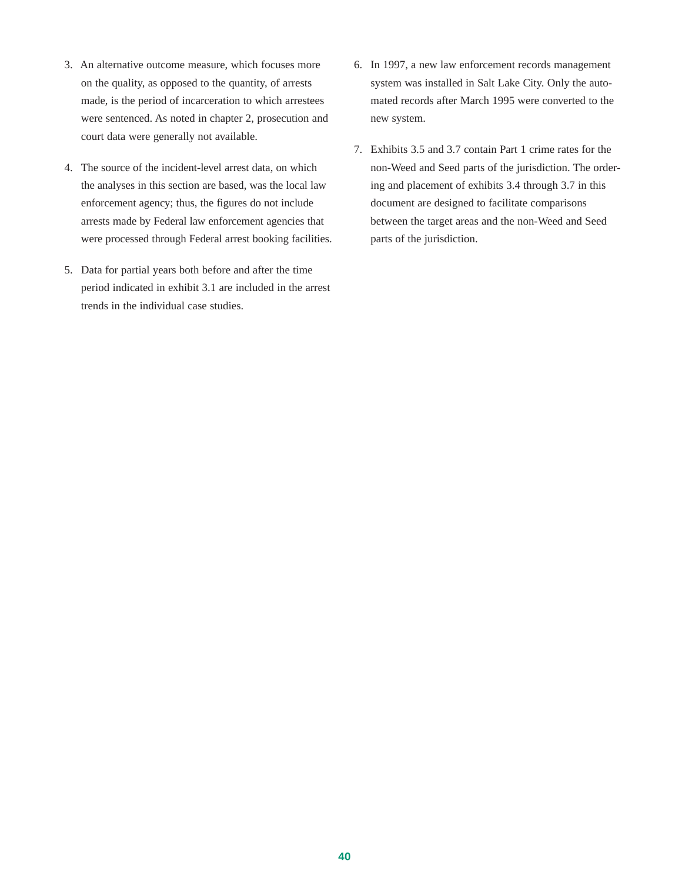- 3. An alternative outcome measure, which focuses more on the quality, as opposed to the quantity, of arrests made, is the period of incarceration to which arrestees were sentenced. As noted in chapter 2, prosecution and court data were generally not available.
- 4. The source of the incident-level arrest data, on which the analyses in this section are based, was the local law enforcement agency; thus, the figures do not include arrests made by Federal law enforcement agencies that were processed through Federal arrest booking facilities.
- 5. Data for partial years both before and after the time period indicated in exhibit 3.1 are included in the arrest trends in the individual case studies.
- 6. In 1997, a new law enforcement records management system was installed in Salt Lake City. Only the automated records after March 1995 were converted to the new system.
- 7. Exhibits 3.5 and 3.7 contain Part 1 crime rates for the non-Weed and Seed parts of the jurisdiction. The ordering and placement of exhibits 3.4 through 3.7 in this document are designed to facilitate comparisons between the target areas and the non-Weed and Seed parts of the jurisdiction.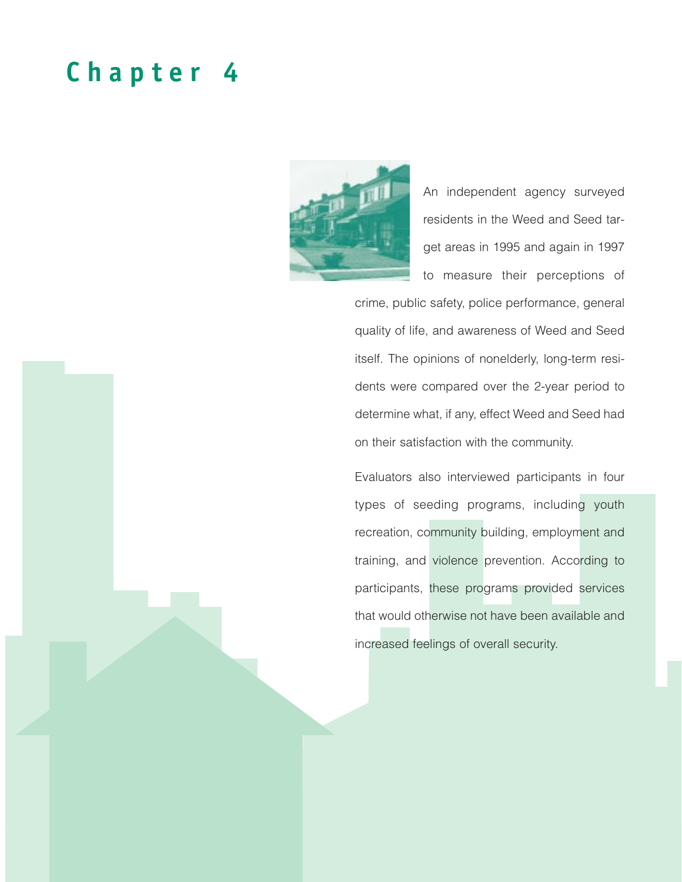# **Chapter 4**



An independent agency surveyed residents in the Weed and Seed target areas in 1995 and again in 1997 to measure their perceptions of

crime, public safety, police performance, general quality of life, and awareness of Weed and Seed itself. The opinions of nonelderly, long-term residents were compared over the 2-year period to determine what, if any, effect Weed and Seed had on their satisfaction with the community.

Evaluators also interviewed participants in four types of seeding programs, including youth recreation, community building, employment and training, and violence prevention. According to participants, these programs provided services that would otherwise not have been available and increased feelings of overall security.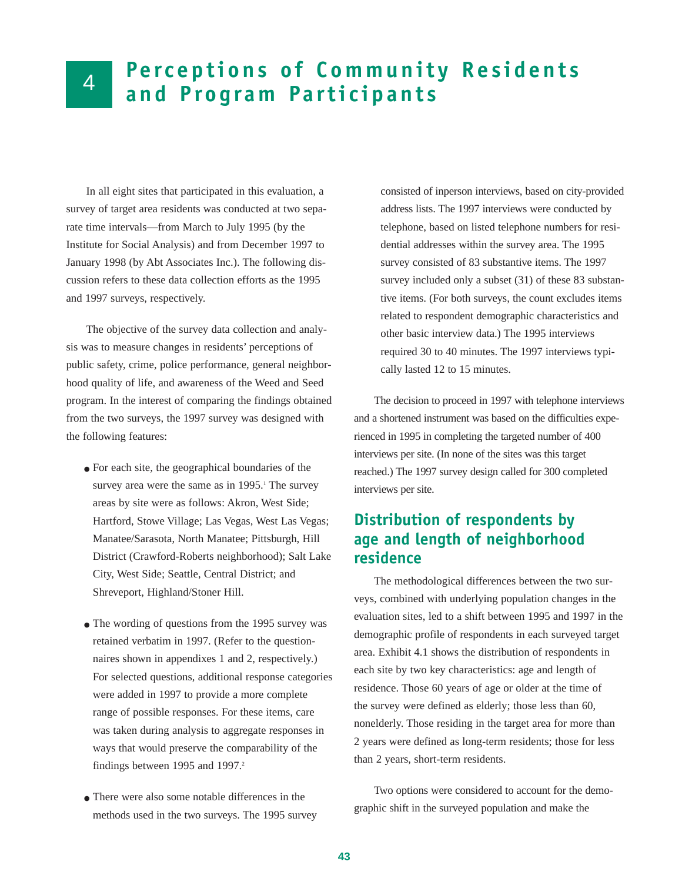# 4

# **Perceptions of Community Residents and Program Participants**

In all eight sites that participated in this evaluation, a survey of target area residents was conducted at two separate time intervals—from March to July 1995 (by the Institute for Social Analysis) and from December 1997 to January 1998 (by Abt Associates Inc.). The following discussion refers to these data collection efforts as the 1995 and 1997 surveys, respectively.

The objective of the survey data collection and analysis was to measure changes in residents' perceptions of public safety, crime, police performance, general neighborhood quality of life, and awareness of the Weed and Seed program. In the interest of comparing the findings obtained from the two surveys, the 1997 survey was designed with the following features:

- For each site, the geographical boundaries of the survey area were the same as in  $1995$ .<sup>1</sup> The survey areas by site were as follows: Akron, West Side; Hartford, Stowe Village; Las Vegas, West Las Vegas; Manatee/Sarasota, North Manatee; Pittsburgh, Hill District (Crawford-Roberts neighborhood); Salt Lake City, West Side; Seattle, Central District; and Shreveport, Highland/Stoner Hill.
- The wording of questions from the 1995 survey was retained verbatim in 1997. (Refer to the questionnaires shown in appendixes 1 and 2, respectively.) For selected questions, additional response categories were added in 1997 to provide a more complete range of possible responses. For these items, care was taken during analysis to aggregate responses in ways that would preserve the comparability of the findings between 1995 and 1997.<sup>2</sup>
- There were also some notable differences in the methods used in the two surveys. The 1995 survey

consisted of inperson interviews, based on city-provided address lists. The 1997 interviews were conducted by telephone, based on listed telephone numbers for residential addresses within the survey area. The 1995 survey consisted of 83 substantive items. The 1997 survey included only a subset (31) of these 83 substantive items. (For both surveys, the count excludes items related to respondent demographic characteristics and other basic interview data.) The 1995 interviews required 30 to 40 minutes. The 1997 interviews typically lasted 12 to 15 minutes.

The decision to proceed in 1997 with telephone interviews and a shortened instrument was based on the difficulties experienced in 1995 in completing the targeted number of 400 interviews per site. (In none of the sites was this target reached.) The 1997 survey design called for 300 completed interviews per site.

# **Distribution of respondents by age and length of neighborhood residence**

The methodological differences between the two surveys, combined with underlying population changes in the evaluation sites, led to a shift between 1995 and 1997 in the demographic profile of respondents in each surveyed target area. Exhibit 4.1 shows the distribution of respondents in each site by two key characteristics: age and length of residence. Those 60 years of age or older at the time of the survey were defined as elderly; those less than 60, nonelderly. Those residing in the target area for more than 2 years were defined as long-term residents; those for less than 2 years, short-term residents.

Two options were considered to account for the demographic shift in the surveyed population and make the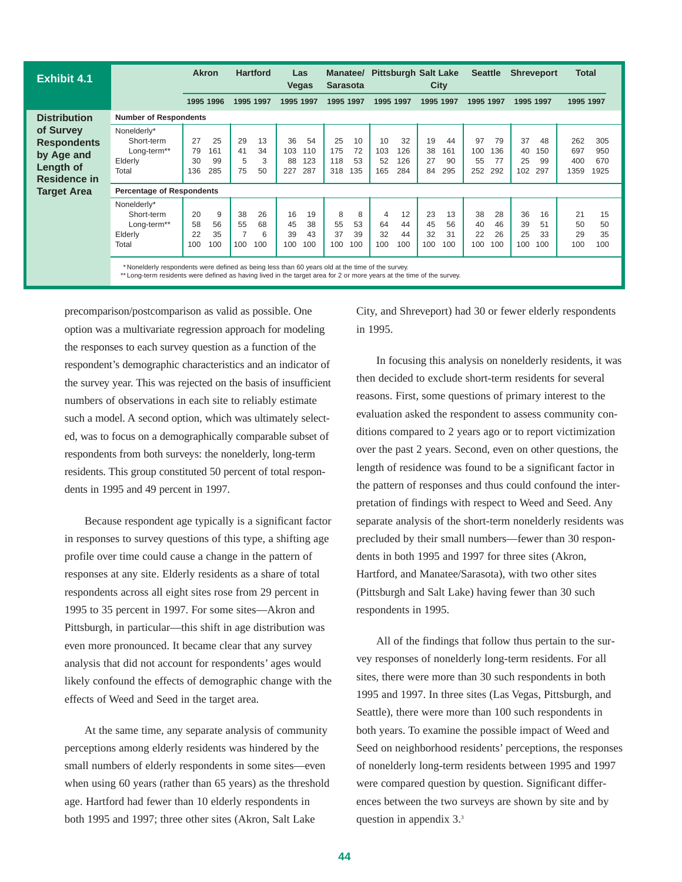| <b>Exhibit 4.1</b>  |                                    | <b>Akron</b> |           |           | <b>Hartford</b> |           | Las<br><b>Vegas</b> | Manatee/<br><b>Sarasota</b> |           |           | <b>Pittsburgh Salt Lake</b> |           | City      | <b>Seattle</b> |           |           | <b>Shreveport</b> | <b>Total</b> |            |
|---------------------|------------------------------------|--------------|-----------|-----------|-----------------|-----------|---------------------|-----------------------------|-----------|-----------|-----------------------------|-----------|-----------|----------------|-----------|-----------|-------------------|--------------|------------|
|                     |                                    | 1995 1996    |           | 1995 1997 |                 | 1995 1997 |                     | 1995 1997                   |           |           | 1995 1997                   |           | 1995 1997 | 1995 1997      |           | 1995 1997 |                   | 1995 1997    |            |
| <b>Distribution</b> | <b>Number of Respondents</b>       |              |           |           |                 |           |                     |                             |           |           |                             |           |           |                |           |           |                   |              |            |
| of Survey           | Nonelderly*                        |              |           |           |                 |           |                     |                             |           |           |                             |           |           |                |           |           |                   |              |            |
| <b>Respondents</b>  | Short-term                         | 27           | 25        | 29        | 13              | 36        | 54                  | 25                          | 10        | 10        | 32                          | 19        | 44        | 97             | 79        | 37        | 48                | 262          | 305        |
| by Age and          | Long-term <sup>**</sup><br>Elderly | 79<br>30     | 161<br>99 | 41<br>5   | 34<br>3         | 103<br>88 | 110<br>123          | 175<br>118                  | 72<br>53  | 103<br>52 | 126<br>126                  | 38<br>27  | 161<br>90 | 100<br>55      | 136<br>77 | 40<br>25  | 150<br>99         | 697<br>400   | 950<br>670 |
| Length of           | Total                              | 136          | 285       | 75        | 50              | 227       | 287                 | 318                         | 135       | 165       | 284                         | 84        | 295       | 252            | 292       | 102       | 297               | 1359         | 1925       |
| Residence in        |                                    |              |           |           |                 |           |                     |                             |           |           |                             |           |           |                |           |           |                   |              |            |
| <b>Target Area</b>  | <b>Percentage of Respondents</b>   |              |           |           |                 |           |                     |                             |           |           |                             |           |           |                |           |           |                   |              |            |
|                     | Nonelderly*                        |              |           |           |                 |           |                     |                             |           |           |                             |           |           |                |           |           |                   |              |            |
|                     | Short-term                         | 20           | 9         | 38        | 26              | 16        | 19                  | 8                           | 8         | 4         | 12                          | 23        | 13        | 38             | 28        | 36        | 16                | 21           | 15         |
|                     | Long-term**                        | 58           | 56        | 55<br>7   | 68              | 45        | 38                  | 55                          | 53        | 64        | 44                          | 45        | 56        | 40             | 46        | 39        | 51                | 50           | 50         |
|                     | Elderly<br>Total                   | 22<br>100    | 35<br>100 | 100       | 6<br>100        | 39<br>100 | 43<br>100           | 37<br>100                   | 39<br>100 | 32<br>100 | 44<br>100                   | 32<br>100 | 31<br>100 | 22<br>100      | 26<br>100 | 25<br>100 | 33<br>100         | 29<br>100    | 35<br>100  |
|                     |                                    |              |           |           |                 |           |                     |                             |           |           |                             |           |           |                |           |           |                   |              |            |
|                     |                                    |              |           |           |                 |           |                     |                             |           |           |                             |           |           |                |           |           |                   |              |            |

\* Nonelderly respondents were defined as being less than 60 years old at the time of the survey.

\*\* Long-term residents were defined as having lived in the target area for 2 or more years at the time of the survey.

precomparison/postcomparison as valid as possible. One option was a multivariate regression approach for modeling the responses to each survey question as a function of the respondent's demographic characteristics and an indicator of the survey year. This was rejected on the basis of insufficient numbers of observations in each site to reliably estimate such a model. A second option, which was ultimately selected, was to focus on a demographically comparable subset of respondents from both surveys: the nonelderly, long-term residents. This group constituted 50 percent of total respondents in 1995 and 49 percent in 1997.

Because respondent age typically is a significant factor in responses to survey questions of this type, a shifting age profile over time could cause a change in the pattern of responses at any site. Elderly residents as a share of total respondents across all eight sites rose from 29 percent in 1995 to 35 percent in 1997. For some sites—Akron and Pittsburgh, in particular—this shift in age distribution was even more pronounced. It became clear that any survey analysis that did not account for respondents' ages would likely confound the effects of demographic change with the effects of Weed and Seed in the target area.

At the same time, any separate analysis of community perceptions among elderly residents was hindered by the small numbers of elderly respondents in some sites—even when using 60 years (rather than 65 years) as the threshold age. Hartford had fewer than 10 elderly respondents in both 1995 and 1997; three other sites (Akron, Salt Lake

City, and Shreveport) had 30 or fewer elderly respondents in 1995.

In focusing this analysis on nonelderly residents, it was then decided to exclude short-term residents for several reasons. First, some questions of primary interest to the evaluation asked the respondent to assess community conditions compared to 2 years ago or to report victimization over the past 2 years. Second, even on other questions, the length of residence was found to be a significant factor in the pattern of responses and thus could confound the interpretation of findings with respect to Weed and Seed. Any separate analysis of the short-term nonelderly residents was precluded by their small numbers—fewer than 30 respondents in both 1995 and 1997 for three sites (Akron, Hartford, and Manatee/Sarasota), with two other sites (Pittsburgh and Salt Lake) having fewer than 30 such respondents in 1995.

All of the findings that follow thus pertain to the survey responses of nonelderly long-term residents. For all sites, there were more than 30 such respondents in both 1995 and 1997. In three sites (Las Vegas, Pittsburgh, and Seattle), there were more than 100 such respondents in both years. To examine the possible impact of Weed and Seed on neighborhood residents' perceptions, the responses of nonelderly long-term residents between 1995 and 1997 were compared question by question. Significant differences between the two surveys are shown by site and by question in appendix 3.3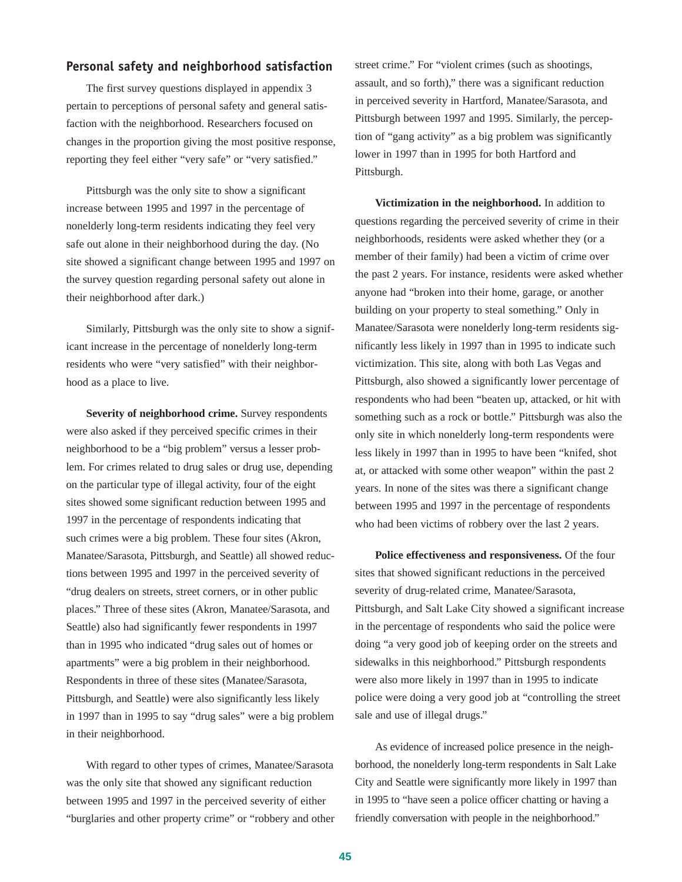## **Personal safety and neighborhood satisfaction**

The first survey questions displayed in appendix 3 pertain to perceptions of personal safety and general satisfaction with the neighborhood. Researchers focused on changes in the proportion giving the most positive response, reporting they feel either "very safe" or "very satisfied."

Pittsburgh was the only site to show a significant increase between 1995 and 1997 in the percentage of nonelderly long-term residents indicating they feel very safe out alone in their neighborhood during the day. (No site showed a significant change between 1995 and 1997 on the survey question regarding personal safety out alone in their neighborhood after dark.)

Similarly, Pittsburgh was the only site to show a significant increase in the percentage of nonelderly long-term residents who were "very satisfied" with their neighborhood as a place to live.

**Severity of neighborhood crime.** Survey respondents were also asked if they perceived specific crimes in their neighborhood to be a "big problem" versus a lesser problem. For crimes related to drug sales or drug use, depending on the particular type of illegal activity, four of the eight sites showed some significant reduction between 1995 and 1997 in the percentage of respondents indicating that such crimes were a big problem. These four sites (Akron, Manatee/Sarasota, Pittsburgh, and Seattle) all showed reductions between 1995 and 1997 in the perceived severity of "drug dealers on streets, street corners, or in other public places." Three of these sites (Akron, Manatee/Sarasota, and Seattle) also had significantly fewer respondents in 1997 than in 1995 who indicated "drug sales out of homes or apartments" were a big problem in their neighborhood. Respondents in three of these sites (Manatee/Sarasota, Pittsburgh, and Seattle) were also significantly less likely in 1997 than in 1995 to say "drug sales" were a big problem in their neighborhood.

With regard to other types of crimes, Manatee/Sarasota was the only site that showed any significant reduction between 1995 and 1997 in the perceived severity of either "burglaries and other property crime" or "robbery and other street crime." For "violent crimes (such as shootings, assault, and so forth)," there was a significant reduction in perceived severity in Hartford, Manatee/Sarasota, and Pittsburgh between 1997 and 1995. Similarly, the perception of "gang activity" as a big problem was significantly lower in 1997 than in 1995 for both Hartford and Pittsburgh.

**Victimization in the neighborhood.** In addition to questions regarding the perceived severity of crime in their neighborhoods, residents were asked whether they (or a member of their family) had been a victim of crime over the past 2 years. For instance, residents were asked whether anyone had "broken into their home, garage, or another building on your property to steal something." Only in Manatee/Sarasota were nonelderly long-term residents significantly less likely in 1997 than in 1995 to indicate such victimization. This site, along with both Las Vegas and Pittsburgh, also showed a significantly lower percentage of respondents who had been "beaten up, attacked, or hit with something such as a rock or bottle." Pittsburgh was also the only site in which nonelderly long-term respondents were less likely in 1997 than in 1995 to have been "knifed, shot at, or attacked with some other weapon" within the past 2 years. In none of the sites was there a significant change between 1995 and 1997 in the percentage of respondents who had been victims of robbery over the last 2 years.

**Police effectiveness and responsiveness.** Of the four sites that showed significant reductions in the perceived severity of drug-related crime, Manatee/Sarasota, Pittsburgh, and Salt Lake City showed a significant increase in the percentage of respondents who said the police were doing "a very good job of keeping order on the streets and sidewalks in this neighborhood." Pittsburgh respondents were also more likely in 1997 than in 1995 to indicate police were doing a very good job at "controlling the street sale and use of illegal drugs."

As evidence of increased police presence in the neighborhood, the nonelderly long-term respondents in Salt Lake City and Seattle were significantly more likely in 1997 than in 1995 to "have seen a police officer chatting or having a friendly conversation with people in the neighborhood."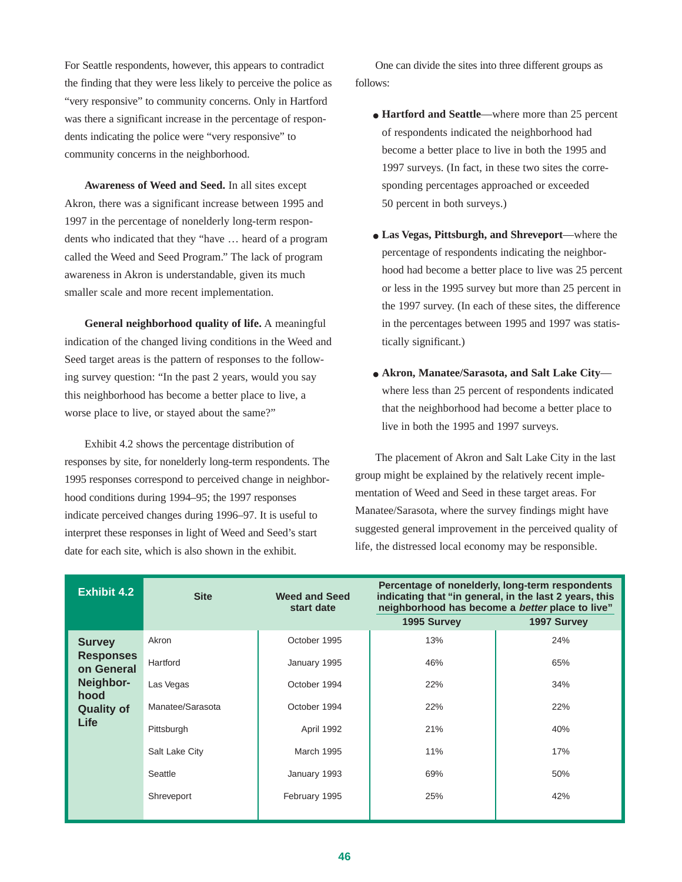For Seattle respondents, however, this appears to contradict the finding that they were less likely to perceive the police as "very responsive" to community concerns. Only in Hartford was there a significant increase in the percentage of respondents indicating the police were "very responsive" to community concerns in the neighborhood.

**Awareness of Weed and Seed.** In all sites except Akron, there was a significant increase between 1995 and 1997 in the percentage of nonelderly long-term respondents who indicated that they "have … heard of a program called the Weed and Seed Program." The lack of program awareness in Akron is understandable, given its much smaller scale and more recent implementation.

**General neighborhood quality of life.** A meaningful indication of the changed living conditions in the Weed and Seed target areas is the pattern of responses to the following survey question: "In the past 2 years, would you say this neighborhood has become a better place to live, a worse place to live, or stayed about the same?"

Exhibit 4.2 shows the percentage distribution of responses by site, for nonelderly long-term respondents. The 1995 responses correspond to perceived change in neighborhood conditions during 1994–95; the 1997 responses indicate perceived changes during 1996–97. It is useful to interpret these responses in light of Weed and Seed's start date for each site, which is also shown in the exhibit.

One can divide the sites into three different groups as follows:

- **Hartford and Seattle—where more than 25 percent** of respondents indicated the neighborhood had become a better place to live in both the 1995 and 1997 surveys. (In fact, in these two sites the corresponding percentages approached or exceeded 50 percent in both surveys.)
- **Las Vegas, Pittsburgh, and Shreveport**—where the percentage of respondents indicating the neighborhood had become a better place to live was 25 percent or less in the 1995 survey but more than 25 percent in the 1997 survey. (In each of these sites, the difference in the percentages between 1995 and 1997 was statistically significant.)
- **Akron, Manatee/Sarasota, and Salt Lake City** where less than 25 percent of respondents indicated that the neighborhood had become a better place to live in both the 1995 and 1997 surveys.

The placement of Akron and Salt Lake City in the last group might be explained by the relatively recent implementation of Weed and Seed in these target areas. For Manatee/Sarasota, where the survey findings might have suggested general improvement in the perceived quality of life, the distressed local economy may be responsible.

| <b>Exhibit 4.2</b>             | <b>Site</b>      | <b>Weed and Seed</b><br>start date | Percentage of nonelderly, long-term respondents<br>indicating that "in general, in the last 2 years, this<br>neighborhood has become a better place to live" |             |  |  |  |  |
|--------------------------------|------------------|------------------------------------|--------------------------------------------------------------------------------------------------------------------------------------------------------------|-------------|--|--|--|--|
|                                |                  |                                    | 1995 Survey                                                                                                                                                  | 1997 Survey |  |  |  |  |
| <b>Survey</b>                  | Akron            | October 1995                       | 13%                                                                                                                                                          | 24%         |  |  |  |  |
| <b>Responses</b><br>on General | Hartford         | January 1995                       | 46%                                                                                                                                                          | 65%         |  |  |  |  |
| Neighbor-<br>hood              | Las Vegas        | October 1994                       | 22%                                                                                                                                                          | 34%         |  |  |  |  |
| <b>Quality of</b>              | Manatee/Sarasota | October 1994                       | 22%                                                                                                                                                          | 22%         |  |  |  |  |
| Life                           | Pittsburgh       | April 1992                         | 21%                                                                                                                                                          | 40%         |  |  |  |  |
|                                | Salt Lake City   | <b>March 1995</b>                  | 11%                                                                                                                                                          | 17%         |  |  |  |  |
|                                | Seattle          | January 1993                       | 69%                                                                                                                                                          | 50%         |  |  |  |  |
|                                | Shreveport       | February 1995                      | 25%                                                                                                                                                          | 42%         |  |  |  |  |
|                                |                  |                                    |                                                                                                                                                              |             |  |  |  |  |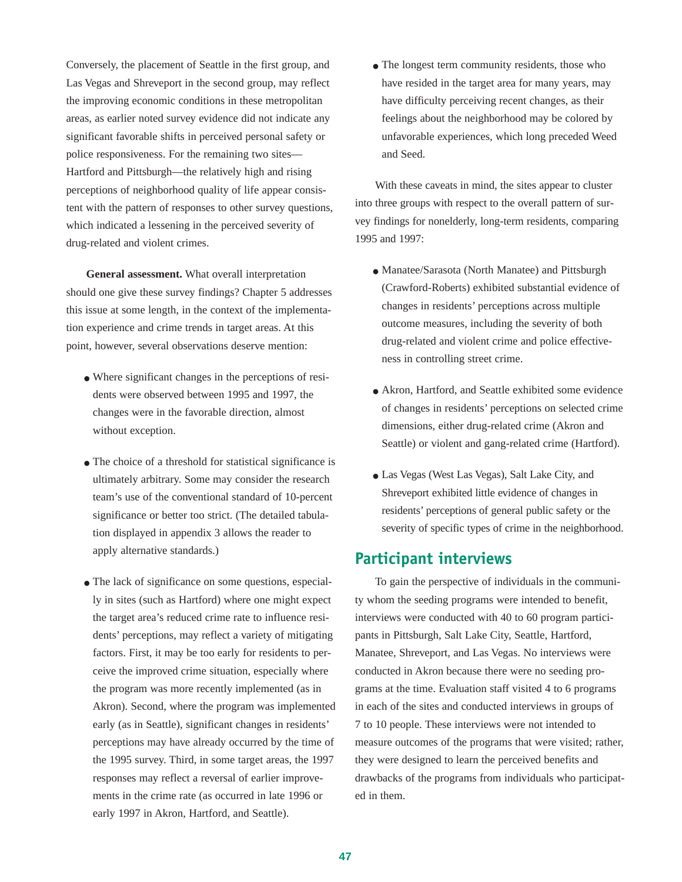Conversely, the placement of Seattle in the first group, and Las Vegas and Shreveport in the second group, may reflect the improving economic conditions in these metropolitan areas, as earlier noted survey evidence did not indicate any significant favorable shifts in perceived personal safety or police responsiveness. For the remaining two sites— Hartford and Pittsburgh—the relatively high and rising perceptions of neighborhood quality of life appear consistent with the pattern of responses to other survey questions, which indicated a lessening in the perceived severity of drug-related and violent crimes.

**General assessment.** What overall interpretation should one give these survey findings? Chapter 5 addresses this issue at some length, in the context of the implementation experience and crime trends in target areas. At this point, however, several observations deserve mention:

- Where significant changes in the perceptions of residents were observed between 1995 and 1997, the changes were in the favorable direction, almost without exception.
- The choice of a threshold for statistical significance is ultimately arbitrary. Some may consider the research team's use of the conventional standard of 10-percent significance or better too strict. (The detailed tabulation displayed in appendix 3 allows the reader to apply alternative standards.)
- The lack of significance on some questions, especially in sites (such as Hartford) where one might expect the target area's reduced crime rate to influence residents' perceptions, may reflect a variety of mitigating factors. First, it may be too early for residents to perceive the improved crime situation, especially where the program was more recently implemented (as in Akron). Second, where the program was implemented early (as in Seattle), significant changes in residents' perceptions may have already occurred by the time of the 1995 survey. Third, in some target areas, the 1997 responses may reflect a reversal of earlier improvements in the crime rate (as occurred in late 1996 or early 1997 in Akron, Hartford, and Seattle).

• The longest term community residents, those who have resided in the target area for many years, may have difficulty perceiving recent changes, as their feelings about the neighborhood may be colored by unfavorable experiences, which long preceded Weed and Seed.

With these caveats in mind, the sites appear to cluster into three groups with respect to the overall pattern of survey findings for nonelderly, long-term residents, comparing 1995 and 1997:

- Manatee/Sarasota (North Manatee) and Pittsburgh (Crawford-Roberts) exhibited substantial evidence of changes in residents' perceptions across multiple outcome measures, including the severity of both drug-related and violent crime and police effectiveness in controlling street crime.
- Akron, Hartford, and Seattle exhibited some evidence of changes in residents' perceptions on selected crime dimensions, either drug-related crime (Akron and Seattle) or violent and gang-related crime (Hartford).
- Las Vegas (West Las Vegas), Salt Lake City, and Shreveport exhibited little evidence of changes in residents' perceptions of general public safety or the severity of specific types of crime in the neighborhood.

## **Participant interviews**

To gain the perspective of individuals in the community whom the seeding programs were intended to benefit, interviews were conducted with 40 to 60 program participants in Pittsburgh, Salt Lake City, Seattle, Hartford, Manatee, Shreveport, and Las Vegas. No interviews were conducted in Akron because there were no seeding programs at the time. Evaluation staff visited 4 to 6 programs in each of the sites and conducted interviews in groups of 7 to 10 people. These interviews were not intended to measure outcomes of the programs that were visited; rather, they were designed to learn the perceived benefits and drawbacks of the programs from individuals who participated in them.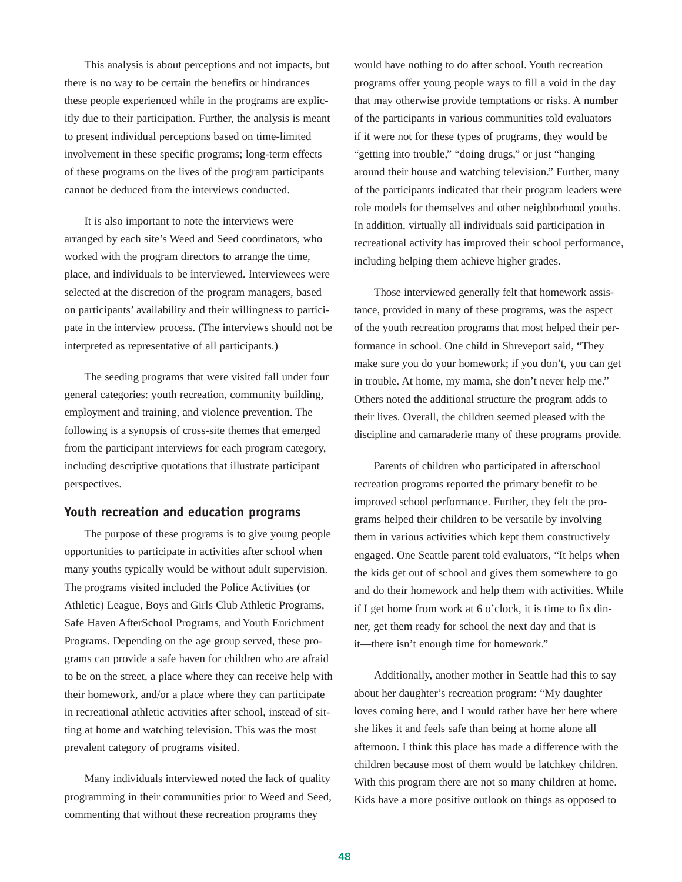This analysis is about perceptions and not impacts, but there is no way to be certain the benefits or hindrances these people experienced while in the programs are explicitly due to their participation. Further, the analysis is meant to present individual perceptions based on time-limited involvement in these specific programs; long-term effects of these programs on the lives of the program participants cannot be deduced from the interviews conducted.

It is also important to note the interviews were arranged by each site's Weed and Seed coordinators, who worked with the program directors to arrange the time, place, and individuals to be interviewed. Interviewees were selected at the discretion of the program managers, based on participants' availability and their willingness to participate in the interview process. (The interviews should not be interpreted as representative of all participants.)

The seeding programs that were visited fall under four general categories: youth recreation, community building, employment and training, and violence prevention. The following is a synopsis of cross-site themes that emerged from the participant interviews for each program category, including descriptive quotations that illustrate participant perspectives.

#### **Youth recreation and education programs**

The purpose of these programs is to give young people opportunities to participate in activities after school when many youths typically would be without adult supervision. The programs visited included the Police Activities (or Athletic) League, Boys and Girls Club Athletic Programs, Safe Haven AfterSchool Programs, and Youth Enrichment Programs. Depending on the age group served, these programs can provide a safe haven for children who are afraid to be on the street, a place where they can receive help with their homework, and/or a place where they can participate in recreational athletic activities after school, instead of sitting at home and watching television. This was the most prevalent category of programs visited.

Many individuals interviewed noted the lack of quality programming in their communities prior to Weed and Seed, commenting that without these recreation programs they

would have nothing to do after school. Youth recreation programs offer young people ways to fill a void in the day that may otherwise provide temptations or risks. A number of the participants in various communities told evaluators if it were not for these types of programs, they would be "getting into trouble," "doing drugs," or just "hanging around their house and watching television." Further, many of the participants indicated that their program leaders were role models for themselves and other neighborhood youths. In addition, virtually all individuals said participation in recreational activity has improved their school performance, including helping them achieve higher grades.

Those interviewed generally felt that homework assistance, provided in many of these programs, was the aspect of the youth recreation programs that most helped their performance in school. One child in Shreveport said, "They make sure you do your homework; if you don't, you can get in trouble. At home, my mama, she don't never help me." Others noted the additional structure the program adds to their lives. Overall, the children seemed pleased with the discipline and camaraderie many of these programs provide.

Parents of children who participated in afterschool recreation programs reported the primary benefit to be improved school performance. Further, they felt the programs helped their children to be versatile by involving them in various activities which kept them constructively engaged. One Seattle parent told evaluators, "It helps when the kids get out of school and gives them somewhere to go and do their homework and help them with activities. While if I get home from work at 6 o'clock, it is time to fix dinner, get them ready for school the next day and that is it—there isn't enough time for homework."

Additionally, another mother in Seattle had this to say about her daughter's recreation program: "My daughter loves coming here, and I would rather have her here where she likes it and feels safe than being at home alone all afternoon. I think this place has made a difference with the children because most of them would be latchkey children. With this program there are not so many children at home. Kids have a more positive outlook on things as opposed to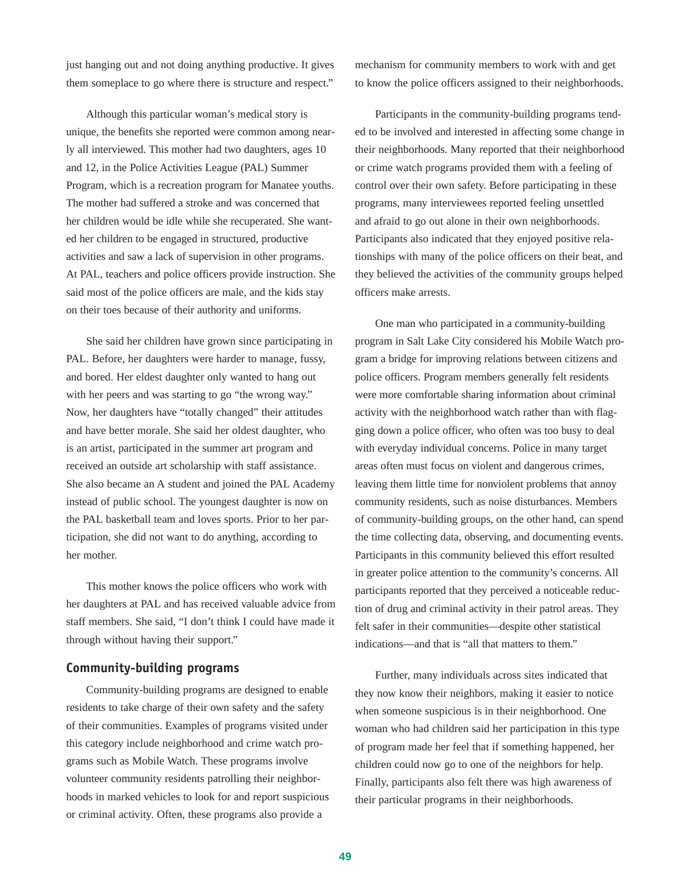just hanging out and not doing anything productive. It gives them someplace to go where there is structure and respect."

Although this particular woman's medical story is unique, the benefits she reported were common among nearly all interviewed. This mother had two daughters, ages 10 and 12, in the Police Activities League (PAL) Summer Program, which is a recreation program for Manatee youths. The mother had suffered a stroke and was concerned that her children would be idle while she recuperated. She wanted her children to be engaged in structured, productive activities and saw a lack of supervision in other programs. At PAL, teachers and police officers provide instruction. She said most of the police officers are male, and the kids stay on their toes because of their authority and uniforms.

She said her children have grown since participating in PAL. Before, her daughters were harder to manage, fussy, and bored. Her eldest daughter only wanted to hang out with her peers and was starting to go "the wrong way." Now, her daughters have "totally changed" their attitudes and have better morale. She said her oldest daughter, who is an artist, participated in the summer art program and received an outside art scholarship with staff assistance. She also became an A student and joined the PAL Academy instead of public school. The youngest daughter is now on the PAL basketball team and loves sports. Prior to her participation, she did not want to do anything, according to her mother.

This mother knows the police officers who work with her daughters at PAL and has received valuable advice from staff members. She said, "I don't think I could have made it through without having their support."

#### **Community-building programs**

Community-building programs are designed to enable residents to take charge of their own safety and the safety of their communities. Examples of programs visited under this category include neighborhood and crime watch programs such as Mobile Watch. These programs involve volunteer community residents patrolling their neighborhoods in marked vehicles to look for and report suspicious or criminal activity. Often, these programs also provide a

mechanism for community members to work with and get to know the police officers assigned to their neighborhoods.

Participants in the community-building programs tended to be involved and interested in affecting some change in their neighborhoods. Many reported that their neighborhood or crime watch programs provided them with a feeling of control over their own safety. Before participating in these programs, many interviewees reported feeling unsettled and afraid to go out alone in their own neighborhoods. Participants also indicated that they enjoyed positive relationships with many of the police officers on their beat, and they believed the activities of the community groups helped officers make arrests.

One man who participated in a community-building program in Salt Lake City considered his Mobile Watch program a bridge for improving relations between citizens and police officers. Program members generally felt residents were more comfortable sharing information about criminal activity with the neighborhood watch rather than with flagging down a police officer, who often was too busy to deal with everyday individual concerns. Police in many target areas often must focus on violent and dangerous crimes, leaving them little time for nonviolent problems that annoy community residents, such as noise disturbances. Members of community-building groups, on the other hand, can spend the time collecting data, observing, and documenting events. Participants in this community believed this effort resulted in greater police attention to the community's concerns. All participants reported that they perceived a noticeable reduction of drug and criminal activity in their patrol areas. They felt safer in their communities—despite other statistical indications—and that is "all that matters to them."

Further, many individuals across sites indicated that they now know their neighbors, making it easier to notice when someone suspicious is in their neighborhood. One woman who had children said her participation in this type of program made her feel that if something happened, her children could now go to one of the neighbors for help. Finally, participants also felt there was high awareness of their particular programs in their neighborhoods.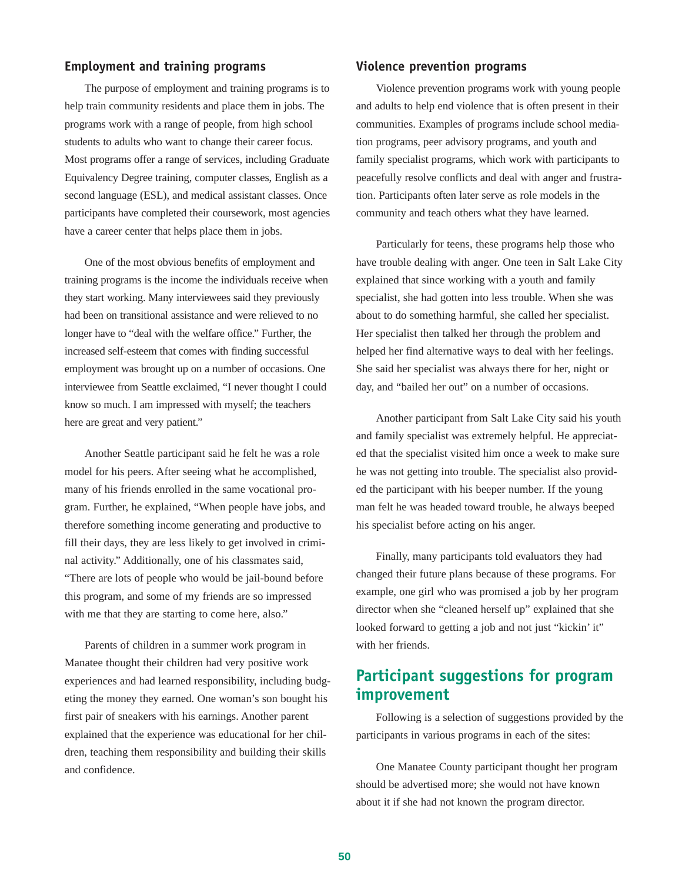### **Employment and training programs**

The purpose of employment and training programs is to help train community residents and place them in jobs. The programs work with a range of people, from high school students to adults who want to change their career focus. Most programs offer a range of services, including Graduate Equivalency Degree training, computer classes, English as a second language (ESL), and medical assistant classes. Once participants have completed their coursework, most agencies have a career center that helps place them in jobs.

One of the most obvious benefits of employment and training programs is the income the individuals receive when they start working. Many interviewees said they previously had been on transitional assistance and were relieved to no longer have to "deal with the welfare office." Further, the increased self-esteem that comes with finding successful employment was brought up on a number of occasions. One interviewee from Seattle exclaimed, "I never thought I could know so much. I am impressed with myself; the teachers here are great and very patient."

Another Seattle participant said he felt he was a role model for his peers. After seeing what he accomplished, many of his friends enrolled in the same vocational program. Further, he explained, "When people have jobs, and therefore something income generating and productive to fill their days, they are less likely to get involved in criminal activity." Additionally, one of his classmates said, "There are lots of people who would be jail-bound before this program, and some of my friends are so impressed with me that they are starting to come here, also."

Parents of children in a summer work program in Manatee thought their children had very positive work experiences and had learned responsibility, including budgeting the money they earned. One woman's son bought his first pair of sneakers with his earnings. Another parent explained that the experience was educational for her children, teaching them responsibility and building their skills and confidence.

### **Violence prevention programs**

Violence prevention programs work with young people and adults to help end violence that is often present in their communities. Examples of programs include school mediation programs, peer advisory programs, and youth and family specialist programs, which work with participants to peacefully resolve conflicts and deal with anger and frustration. Participants often later serve as role models in the community and teach others what they have learned.

Particularly for teens, these programs help those who have trouble dealing with anger. One teen in Salt Lake City explained that since working with a youth and family specialist, she had gotten into less trouble. When she was about to do something harmful, she called her specialist. Her specialist then talked her through the problem and helped her find alternative ways to deal with her feelings. She said her specialist was always there for her, night or day, and "bailed her out" on a number of occasions.

Another participant from Salt Lake City said his youth and family specialist was extremely helpful. He appreciated that the specialist visited him once a week to make sure he was not getting into trouble. The specialist also provided the participant with his beeper number. If the young man felt he was headed toward trouble, he always beeped his specialist before acting on his anger.

Finally, many participants told evaluators they had changed their future plans because of these programs. For example, one girl who was promised a job by her program director when she "cleaned herself up" explained that she looked forward to getting a job and not just "kickin' it" with her friends.

## **Participant suggestions for program improvement**

Following is a selection of suggestions provided by the participants in various programs in each of the sites:

One Manatee County participant thought her program should be advertised more; she would not have known about it if she had not known the program director.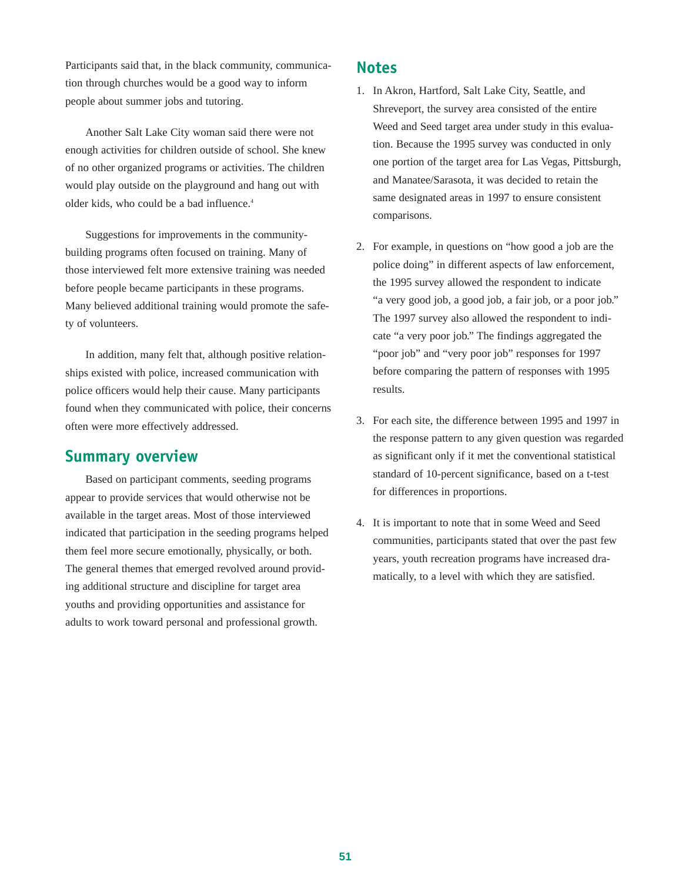Participants said that, in the black community, communication through churches would be a good way to inform people about summer jobs and tutoring.

Another Salt Lake City woman said there were not enough activities for children outside of school. She knew of no other organized programs or activities. The children would play outside on the playground and hang out with older kids, who could be a bad influence.<sup>4</sup>

Suggestions for improvements in the communitybuilding programs often focused on training. Many of those interviewed felt more extensive training was needed before people became participants in these programs. Many believed additional training would promote the safety of volunteers.

In addition, many felt that, although positive relationships existed with police, increased communication with police officers would help their cause. Many participants found when they communicated with police, their concerns often were more effectively addressed.

## **Summary overview**

Based on participant comments, seeding programs appear to provide services that would otherwise not be available in the target areas. Most of those interviewed indicated that participation in the seeding programs helped them feel more secure emotionally, physically, or both. The general themes that emerged revolved around providing additional structure and discipline for target area youths and providing opportunities and assistance for adults to work toward personal and professional growth.

## **Notes**

- 1. In Akron, Hartford, Salt Lake City, Seattle, and Shreveport, the survey area consisted of the entire Weed and Seed target area under study in this evaluation. Because the 1995 survey was conducted in only one portion of the target area for Las Vegas, Pittsburgh, and Manatee/Sarasota, it was decided to retain the same designated areas in 1997 to ensure consistent comparisons.
- 2. For example, in questions on "how good a job are the police doing" in different aspects of law enforcement, the 1995 survey allowed the respondent to indicate "a very good job, a good job, a fair job, or a poor job." The 1997 survey also allowed the respondent to indicate "a very poor job." The findings aggregated the "poor job" and "very poor job" responses for 1997 before comparing the pattern of responses with 1995 results.
- 3. For each site, the difference between 1995 and 1997 in the response pattern to any given question was regarded as significant only if it met the conventional statistical standard of 10-percent significance, based on a t-test for differences in proportions.
- 4. It is important to note that in some Weed and Seed communities, participants stated that over the past few years, youth recreation programs have increased dramatically, to a level with which they are satisfied.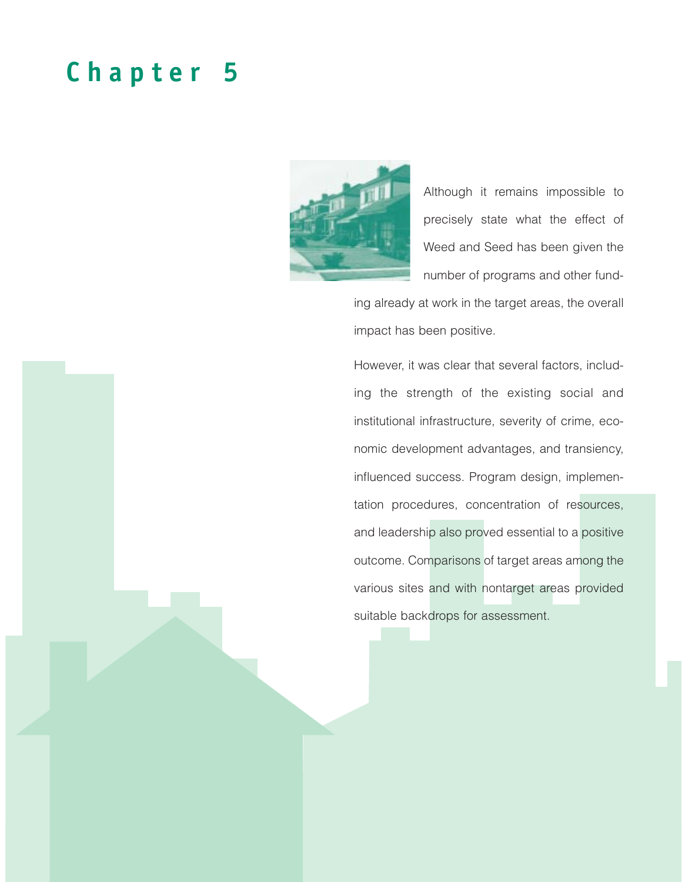## **Chapter 5**



Although it remains impossible to precisely state what the effect of Weed and Seed has been given the number of programs and other fund-

ing already at work in the target areas, the overall impact has been positive.

However, it was clear that several factors, including the strength of the existing social and institutional infrastructure, severity of crime, economic development advantages, and transiency, influenced success. Program design, implementation procedures, concentration of resources, and leadership also proved essential to a positive outcome. Comparisons of target areas among the various sites and with nontarget areas provided suitable backdrops for assessment.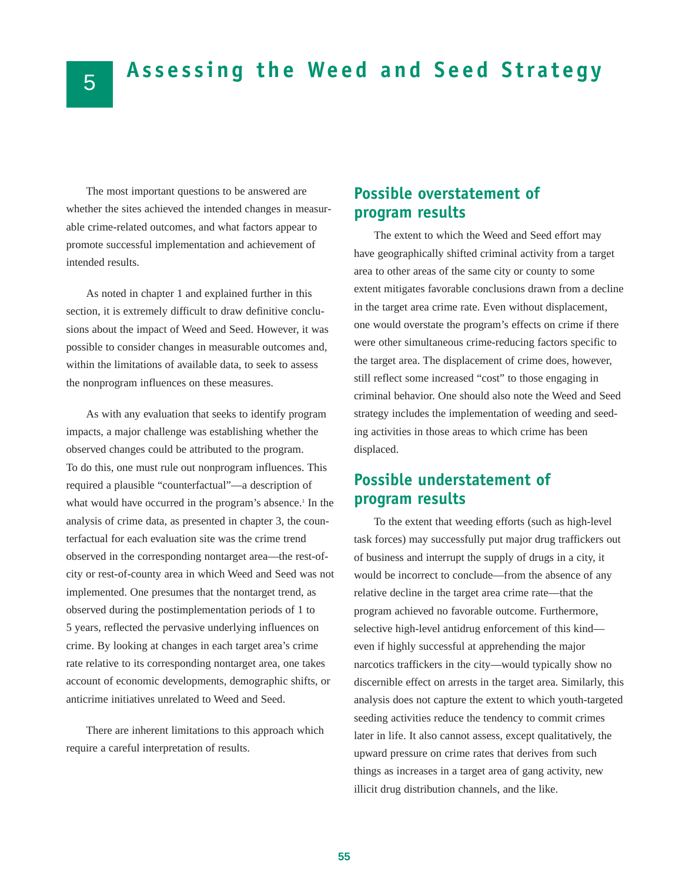## **Assessing the Weed and Seed Strategy**

The most important questions to be answered are whether the sites achieved the intended changes in measurable crime-related outcomes, and what factors appear to promote successful implementation and achievement of intended results.

As noted in chapter 1 and explained further in this section, it is extremely difficult to draw definitive conclusions about the impact of Weed and Seed. However, it was possible to consider changes in measurable outcomes and, within the limitations of available data, to seek to assess the nonprogram influences on these measures.

As with any evaluation that seeks to identify program impacts, a major challenge was establishing whether the observed changes could be attributed to the program. To do this, one must rule out nonprogram influences. This required a plausible "counterfactual"—a description of what would have occurred in the program's absence.<sup>1</sup> In the analysis of crime data, as presented in chapter 3, the counterfactual for each evaluation site was the crime trend observed in the corresponding nontarget area—the rest-ofcity or rest-of-county area in which Weed and Seed was not implemented. One presumes that the nontarget trend, as observed during the postimplementation periods of 1 to 5 years, reflected the pervasive underlying influences on crime. By looking at changes in each target area's crime rate relative to its corresponding nontarget area, one takes account of economic developments, demographic shifts, or anticrime initiatives unrelated to Weed and Seed.

There are inherent limitations to this approach which require a careful interpretation of results.

### **Possible overstatement of program results**

The extent to which the Weed and Seed effort may have geographically shifted criminal activity from a target area to other areas of the same city or county to some extent mitigates favorable conclusions drawn from a decline in the target area crime rate. Even without displacement, one would overstate the program's effects on crime if there were other simultaneous crime-reducing factors specific to the target area. The displacement of crime does, however, still reflect some increased "cost" to those engaging in criminal behavior. One should also note the Weed and Seed strategy includes the implementation of weeding and seeding activities in those areas to which crime has been displaced.

### **Possible understatement of program results**

To the extent that weeding efforts (such as high-level task forces) may successfully put major drug traffickers out of business and interrupt the supply of drugs in a city, it would be incorrect to conclude—from the absence of any relative decline in the target area crime rate—that the program achieved no favorable outcome. Furthermore, selective high-level antidrug enforcement of this kind even if highly successful at apprehending the major narcotics traffickers in the city—would typically show no discernible effect on arrests in the target area. Similarly, this analysis does not capture the extent to which youth-targeted seeding activities reduce the tendency to commit crimes later in life. It also cannot assess, except qualitatively, the upward pressure on crime rates that derives from such things as increases in a target area of gang activity, new illicit drug distribution channels, and the like.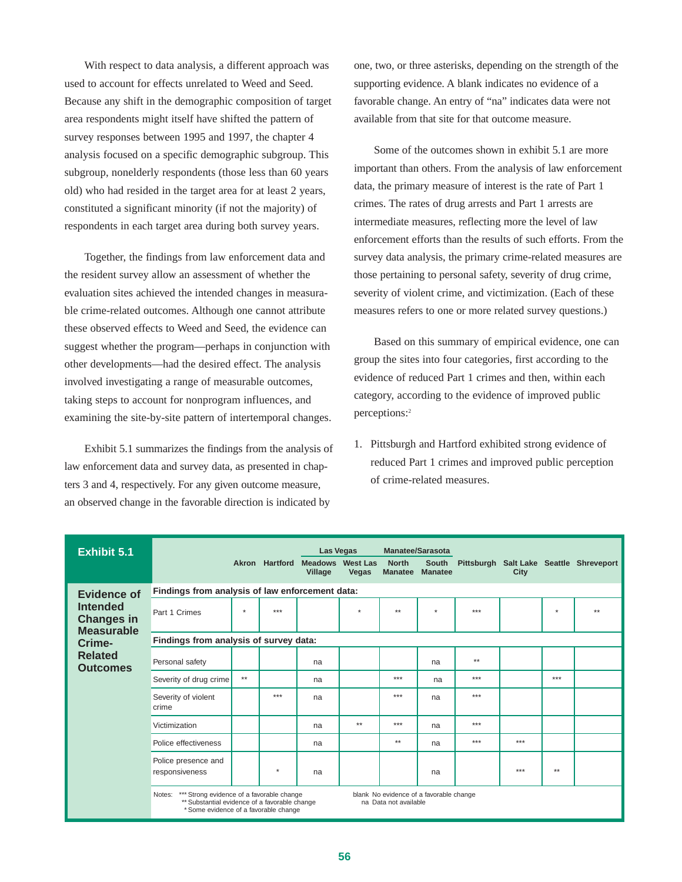With respect to data analysis, a different approach was used to account for effects unrelated to Weed and Seed. Because any shift in the demographic composition of target area respondents might itself have shifted the pattern of survey responses between 1995 and 1997, the chapter 4 analysis focused on a specific demographic subgroup. This subgroup, nonelderly respondents (those less than 60 years old) who had resided in the target area for at least 2 years, constituted a significant minority (if not the majority) of respondents in each target area during both survey years.

Together, the findings from law enforcement data and the resident survey allow an assessment of whether the evaluation sites achieved the intended changes in measurable crime-related outcomes. Although one cannot attribute these observed effects to Weed and Seed, the evidence can suggest whether the program—perhaps in conjunction with other developments—had the desired effect. The analysis involved investigating a range of measurable outcomes, taking steps to account for nonprogram influences, and examining the site-by-site pattern of intertemporal changes.

Exhibit 5.1 summarizes the findings from the analysis of law enforcement data and survey data, as presented in chapters 3 and 4, respectively. For any given outcome measure, an observed change in the favorable direction is indicated by

one, two, or three asterisks, depending on the strength of the supporting evidence. A blank indicates no evidence of a favorable change. An entry of "na" indicates data were not available from that site for that outcome measure.

Some of the outcomes shown in exhibit 5.1 are more important than others. From the analysis of law enforcement data, the primary measure of interest is the rate of Part 1 crimes. The rates of drug arrests and Part 1 arrests are intermediate measures, reflecting more the level of law enforcement efforts than the results of such efforts. From the survey data analysis, the primary crime-related measures are those pertaining to personal safety, severity of drug crime, severity of violent crime, and victimization. (Each of these measures refers to one or more related survey questions.)

Based on this summary of empirical evidence, one can group the sites into four categories, first according to the evidence of reduced Part 1 crimes and then, within each category, according to the evidence of improved public perceptions:2

1. Pittsburgh and Hartford exhibited strong evidence of reduced Part 1 crimes and improved public perception of crime-related measures.

| <b>Exhibit 5.1</b>                                        |                                                                                                                                              |      | Akron Hartford | Las Vegas<br><b>Meadows</b> West Las<br>Village | Vegas   | <b>Manatee/Sarasota</b><br><b>North</b><br><b>Manatee</b>        | <b>South</b><br><b>Manatee</b> |      | City |        | Pittsburgh Salt Lake Seattle Shreveport |
|-----------------------------------------------------------|----------------------------------------------------------------------------------------------------------------------------------------------|------|----------------|-------------------------------------------------|---------|------------------------------------------------------------------|--------------------------------|------|------|--------|-----------------------------------------|
| <b>Evidence of</b>                                        | Findings from analysis of law enforcement data:                                                                                              |      |                |                                                 |         |                                                                  |                                |      |      |        |                                         |
| <b>Intended</b><br><b>Changes in</b><br><b>Measurable</b> | Part 1 Crimes                                                                                                                                | ÷    | ***            |                                                 | $\star$ | $**$                                                             | $\boldsymbol{\ast}$            | ***  |      | $\Phi$ | $**$                                    |
| Crime-                                                    | Findings from analysis of survey data:                                                                                                       |      |                |                                                 |         |                                                                  |                                |      |      |        |                                         |
| <b>Related</b><br><b>Outcomes</b>                         | Personal safety                                                                                                                              |      |                | na                                              |         |                                                                  | na                             | $**$ |      |        |                                         |
|                                                           | Severity of drug crime                                                                                                                       | $**$ |                | na                                              |         | ***                                                              | na                             | ***  |      | ***    |                                         |
|                                                           | Severity of violent<br>crime                                                                                                                 |      | ***            | na                                              |         | ***                                                              | na                             | ***  |      |        |                                         |
|                                                           | Victimization                                                                                                                                |      |                | na                                              | $**$    | ***                                                              | na                             | ***  |      |        |                                         |
|                                                           | Police effectiveness                                                                                                                         |      |                | na                                              |         | $**$                                                             | na                             | ***  | ***  |        |                                         |
|                                                           | Police presence and<br>responsiveness                                                                                                        |      | $\star$        | na                                              |         |                                                                  | na                             |      | ***  | $**$   |                                         |
|                                                           | *** Strong evidence of a favorable change<br>Notes:<br>** Substantial evidence of a favorable change<br>*Some evidence of a favorable change |      |                |                                                 |         | blank No evidence of a favorable change<br>na Data not available |                                |      |      |        |                                         |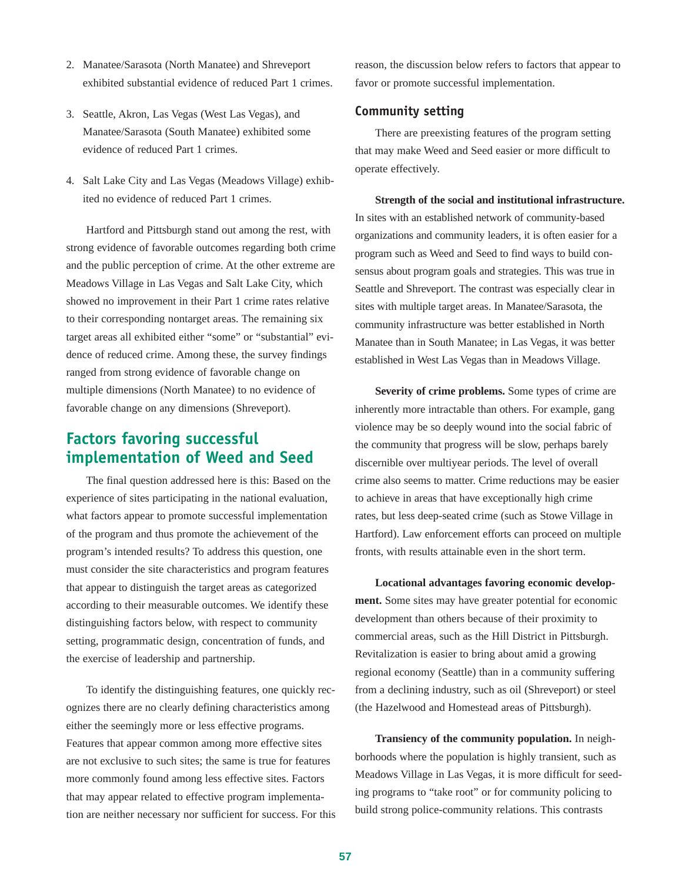- 2. Manatee/Sarasota (North Manatee) and Shreveport exhibited substantial evidence of reduced Part 1 crimes.
- 3. Seattle, Akron, Las Vegas (West Las Vegas), and Manatee/Sarasota (South Manatee) exhibited some evidence of reduced Part 1 crimes.
- 4. Salt Lake City and Las Vegas (Meadows Village) exhibited no evidence of reduced Part 1 crimes.

Hartford and Pittsburgh stand out among the rest, with strong evidence of favorable outcomes regarding both crime and the public perception of crime. At the other extreme are Meadows Village in Las Vegas and Salt Lake City, which showed no improvement in their Part 1 crime rates relative to their corresponding nontarget areas. The remaining six target areas all exhibited either "some" or "substantial" evidence of reduced crime. Among these, the survey findings ranged from strong evidence of favorable change on multiple dimensions (North Manatee) to no evidence of favorable change on any dimensions (Shreveport).

### **Factors favoring successful implementation of Weed and Seed**

The final question addressed here is this: Based on the experience of sites participating in the national evaluation, what factors appear to promote successful implementation of the program and thus promote the achievement of the program's intended results? To address this question, one must consider the site characteristics and program features that appear to distinguish the target areas as categorized according to their measurable outcomes. We identify these distinguishing factors below, with respect to community setting, programmatic design, concentration of funds, and the exercise of leadership and partnership.

To identify the distinguishing features, one quickly recognizes there are no clearly defining characteristics among either the seemingly more or less effective programs. Features that appear common among more effective sites are not exclusive to such sites; the same is true for features more commonly found among less effective sites. Factors that may appear related to effective program implementation are neither necessary nor sufficient for success. For this reason, the discussion below refers to factors that appear to favor or promote successful implementation.

#### **Community setting**

There are preexisting features of the program setting that may make Weed and Seed easier or more difficult to operate effectively.

**Strength of the social and institutional infrastructure.** In sites with an established network of community-based organizations and community leaders, it is often easier for a program such as Weed and Seed to find ways to build consensus about program goals and strategies. This was true in Seattle and Shreveport. The contrast was especially clear in sites with multiple target areas. In Manatee/Sarasota, the community infrastructure was better established in North Manatee than in South Manatee; in Las Vegas, it was better established in West Las Vegas than in Meadows Village.

**Severity of crime problems.** Some types of crime are inherently more intractable than others. For example, gang violence may be so deeply wound into the social fabric of the community that progress will be slow, perhaps barely discernible over multiyear periods. The level of overall crime also seems to matter. Crime reductions may be easier to achieve in areas that have exceptionally high crime rates, but less deep-seated crime (such as Stowe Village in Hartford). Law enforcement efforts can proceed on multiple fronts, with results attainable even in the short term.

**Locational advantages favoring economic development.** Some sites may have greater potential for economic development than others because of their proximity to commercial areas, such as the Hill District in Pittsburgh. Revitalization is easier to bring about amid a growing regional economy (Seattle) than in a community suffering from a declining industry, such as oil (Shreveport) or steel (the Hazelwood and Homestead areas of Pittsburgh).

**Transiency of the community population.** In neighborhoods where the population is highly transient, such as Meadows Village in Las Vegas, it is more difficult for seeding programs to "take root" or for community policing to build strong police-community relations. This contrasts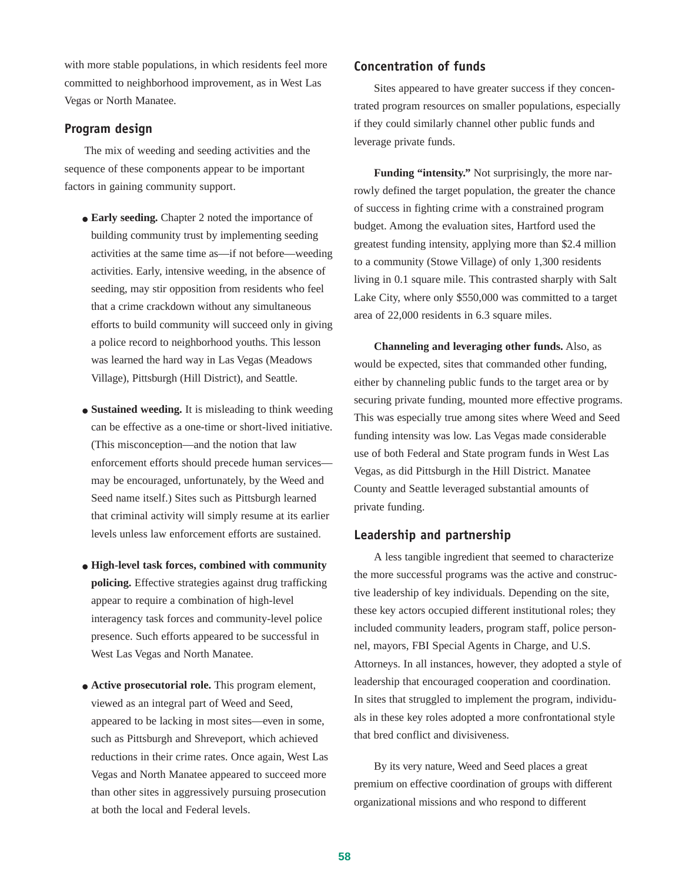with more stable populations, in which residents feel more committed to neighborhood improvement, as in West Las Vegas or North Manatee.

#### **Program design**

The mix of weeding and seeding activities and the sequence of these components appear to be important factors in gaining community support.

- **Early seeding.** Chapter 2 noted the importance of building community trust by implementing seeding activities at the same time as—if not before—weeding activities. Early, intensive weeding, in the absence of seeding, may stir opposition from residents who feel that a crime crackdown without any simultaneous efforts to build community will succeed only in giving a police record to neighborhood youths. This lesson was learned the hard way in Las Vegas (Meadows Village), Pittsburgh (Hill District), and Seattle.
- **Sustained weeding.** It is misleading to think weeding can be effective as a one-time or short-lived initiative. (This misconception—and the notion that law enforcement efforts should precede human services may be encouraged, unfortunately, by the Weed and Seed name itself.) Sites such as Pittsburgh learned that criminal activity will simply resume at its earlier levels unless law enforcement efforts are sustained.
- **High-level task forces, combined with community policing.** Effective strategies against drug trafficking appear to require a combination of high-level interagency task forces and community-level police presence. Such efforts appeared to be successful in West Las Vegas and North Manatee.
- **Active prosecutorial role.** This program element, viewed as an integral part of Weed and Seed, appeared to be lacking in most sites—even in some, such as Pittsburgh and Shreveport, which achieved reductions in their crime rates. Once again, West Las Vegas and North Manatee appeared to succeed more than other sites in aggressively pursuing prosecution at both the local and Federal levels.

#### **Concentration of funds**

Sites appeared to have greater success if they concentrated program resources on smaller populations, especially if they could similarly channel other public funds and leverage private funds.

**Funding "intensity."** Not surprisingly, the more narrowly defined the target population, the greater the chance of success in fighting crime with a constrained program budget. Among the evaluation sites, Hartford used the greatest funding intensity, applying more than \$2.4 million to a community (Stowe Village) of only 1,300 residents living in 0.1 square mile. This contrasted sharply with Salt Lake City, where only \$550,000 was committed to a target area of 22,000 residents in 6.3 square miles.

**Channeling and leveraging other funds.** Also, as would be expected, sites that commanded other funding, either by channeling public funds to the target area or by securing private funding, mounted more effective programs. This was especially true among sites where Weed and Seed funding intensity was low. Las Vegas made considerable use of both Federal and State program funds in West Las Vegas, as did Pittsburgh in the Hill District. Manatee County and Seattle leveraged substantial amounts of private funding.

#### **Leadership and partnership**

A less tangible ingredient that seemed to characterize the more successful programs was the active and constructive leadership of key individuals. Depending on the site, these key actors occupied different institutional roles; they included community leaders, program staff, police personnel, mayors, FBI Special Agents in Charge, and U.S. Attorneys. In all instances, however, they adopted a style of leadership that encouraged cooperation and coordination. In sites that struggled to implement the program, individuals in these key roles adopted a more confrontational style that bred conflict and divisiveness.

By its very nature, Weed and Seed places a great premium on effective coordination of groups with different organizational missions and who respond to different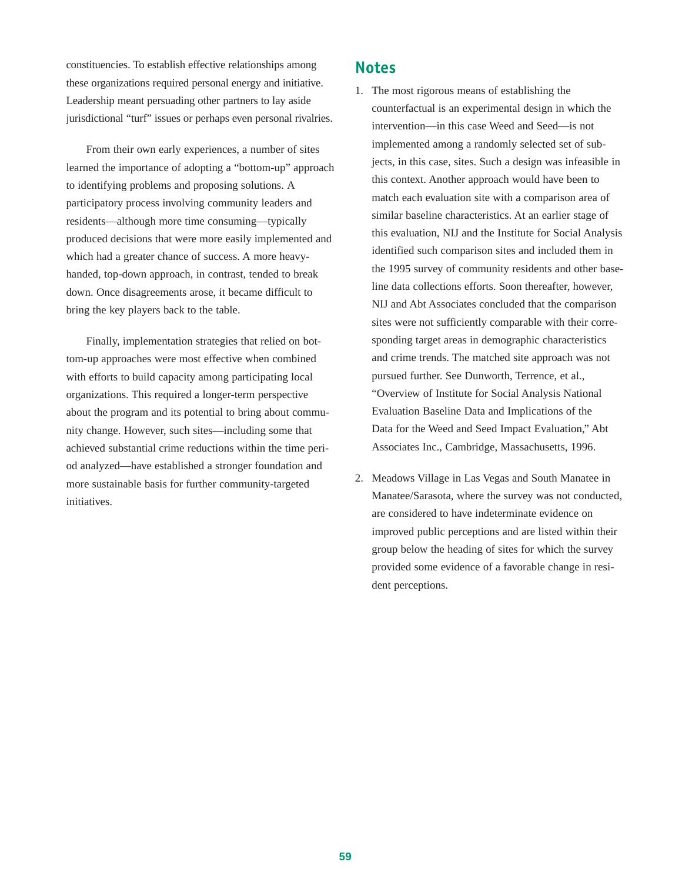constituencies. To establish effective relationships among these organizations required personal energy and initiative. Leadership meant persuading other partners to lay aside jurisdictional "turf" issues or perhaps even personal rivalries.

From their own early experiences, a number of sites learned the importance of adopting a "bottom-up" approach to identifying problems and proposing solutions. A participatory process involving community leaders and residents—although more time consuming—typically produced decisions that were more easily implemented and which had a greater chance of success. A more heavyhanded, top-down approach, in contrast, tended to break down. Once disagreements arose, it became difficult to bring the key players back to the table.

Finally, implementation strategies that relied on bottom-up approaches were most effective when combined with efforts to build capacity among participating local organizations. This required a longer-term perspective about the program and its potential to bring about community change. However, such sites—including some that achieved substantial crime reductions within the time period analyzed—have established a stronger foundation and more sustainable basis for further community-targeted initiatives.

#### **Notes**

- 1. The most rigorous means of establishing the counterfactual is an experimental design in which the intervention—in this case Weed and Seed—is not implemented among a randomly selected set of subjects, in this case, sites. Such a design was infeasible in this context. Another approach would have been to match each evaluation site with a comparison area of similar baseline characteristics. At an earlier stage of this evaluation, NIJ and the Institute for Social Analysis identified such comparison sites and included them in the 1995 survey of community residents and other baseline data collections efforts. Soon thereafter, however, NIJ and Abt Associates concluded that the comparison sites were not sufficiently comparable with their corresponding target areas in demographic characteristics and crime trends. The matched site approach was not pursued further. See Dunworth, Terrence, et al., "Overview of Institute for Social Analysis National Evaluation Baseline Data and Implications of the Data for the Weed and Seed Impact Evaluation," Abt Associates Inc., Cambridge, Massachusetts, 1996.
- 2. Meadows Village in Las Vegas and South Manatee in Manatee/Sarasota, where the survey was not conducted, are considered to have indeterminate evidence on improved public perceptions and are listed within their group below the heading of sites for which the survey provided some evidence of a favorable change in resident perceptions.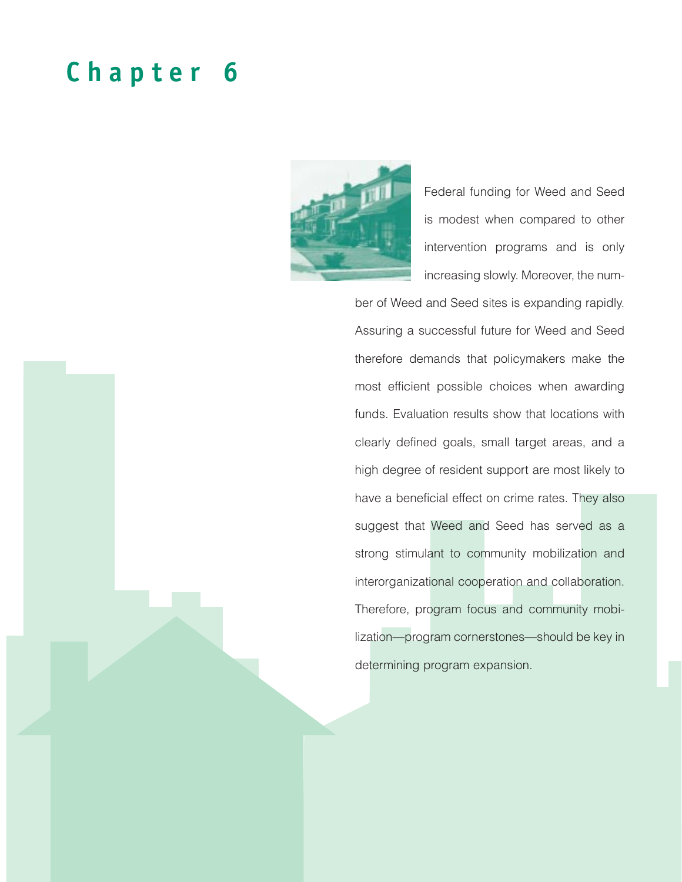## **Chapter 6**



Federal funding for Weed and Seed is modest when compared to other intervention programs and is only increasing slowly. Moreover, the num-

ber of Weed and Seed sites is expanding rapidly. Assuring a successful future for Weed and Seed therefore demands that policymakers make the most efficient possible choices when awarding funds. Evaluation results show that locations with clearly defined goals, small target areas, and a high degree of resident support are most likely to have a beneficial effect on crime rates. They also suggest that Weed and Seed has served as a strong stimulant to community mobilization and interorganizational cooperation and collaboration. Therefore, program focus and community mobilization—program cornerstones—should be key in determining program expansion.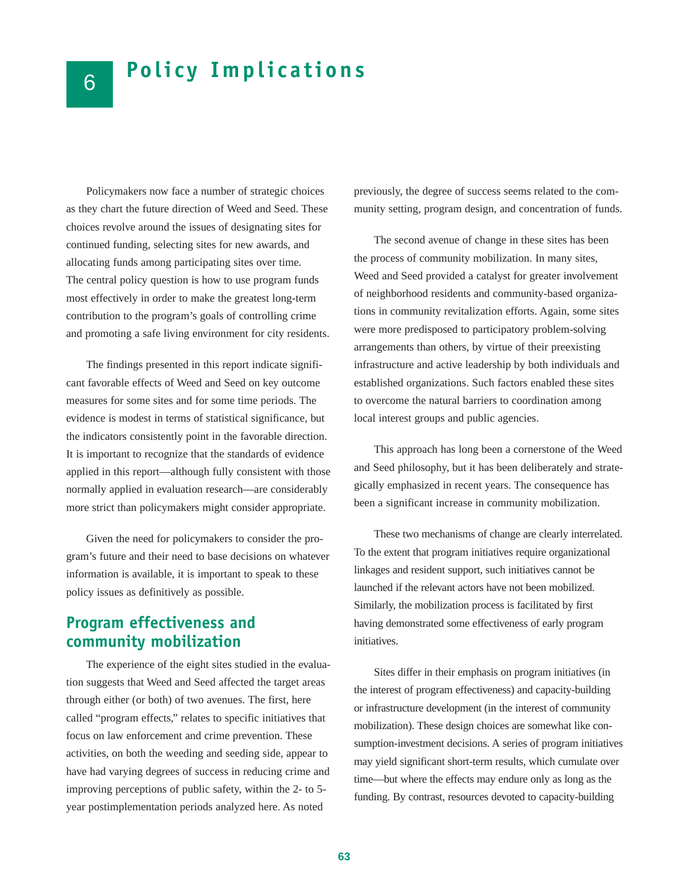Policymakers now face a number of strategic choices as they chart the future direction of Weed and Seed. These choices revolve around the issues of designating sites for continued funding, selecting sites for new awards, and allocating funds among participating sites over time. The central policy question is how to use program funds most effectively in order to make the greatest long-term contribution to the program's goals of controlling crime and promoting a safe living environment for city residents.

6

The findings presented in this report indicate significant favorable effects of Weed and Seed on key outcome measures for some sites and for some time periods. The evidence is modest in terms of statistical significance, but the indicators consistently point in the favorable direction. It is important to recognize that the standards of evidence applied in this report—although fully consistent with those normally applied in evaluation research—are considerably more strict than policymakers might consider appropriate.

Given the need for policymakers to consider the program's future and their need to base decisions on whatever information is available, it is important to speak to these policy issues as definitively as possible.

## **Program effectiveness and community mobilization**

The experience of the eight sites studied in the evaluation suggests that Weed and Seed affected the target areas through either (or both) of two avenues. The first, here called "program effects," relates to specific initiatives that focus on law enforcement and crime prevention. These activities, on both the weeding and seeding side, appear to have had varying degrees of success in reducing crime and improving perceptions of public safety, within the 2- to 5 year postimplementation periods analyzed here. As noted

previously, the degree of success seems related to the community setting, program design, and concentration of funds.

The second avenue of change in these sites has been the process of community mobilization. In many sites, Weed and Seed provided a catalyst for greater involvement of neighborhood residents and community-based organizations in community revitalization efforts. Again, some sites were more predisposed to participatory problem-solving arrangements than others, by virtue of their preexisting infrastructure and active leadership by both individuals and established organizations. Such factors enabled these sites to overcome the natural barriers to coordination among local interest groups and public agencies.

This approach has long been a cornerstone of the Weed and Seed philosophy, but it has been deliberately and strategically emphasized in recent years. The consequence has been a significant increase in community mobilization.

These two mechanisms of change are clearly interrelated. To the extent that program initiatives require organizational linkages and resident support, such initiatives cannot be launched if the relevant actors have not been mobilized. Similarly, the mobilization process is facilitated by first having demonstrated some effectiveness of early program initiatives.

Sites differ in their emphasis on program initiatives (in the interest of program effectiveness) and capacity-building or infrastructure development (in the interest of community mobilization). These design choices are somewhat like consumption-investment decisions. A series of program initiatives may yield significant short-term results, which cumulate over time—but where the effects may endure only as long as the funding. By contrast, resources devoted to capacity-building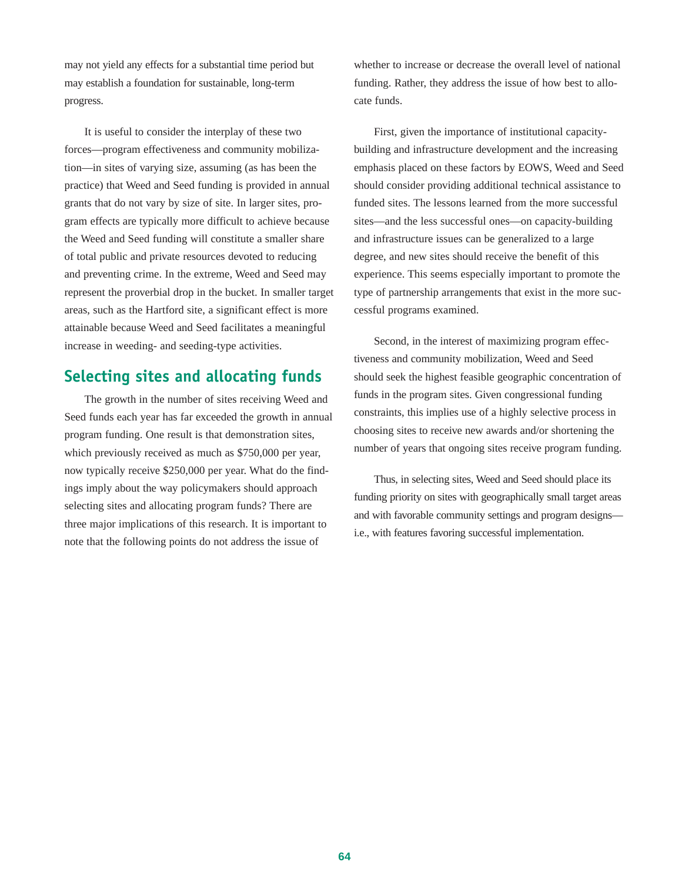may not yield any effects for a substantial time period but may establish a foundation for sustainable, long-term progress.

It is useful to consider the interplay of these two forces—program effectiveness and community mobilization—in sites of varying size, assuming (as has been the practice) that Weed and Seed funding is provided in annual grants that do not vary by size of site. In larger sites, program effects are typically more difficult to achieve because the Weed and Seed funding will constitute a smaller share of total public and private resources devoted to reducing and preventing crime. In the extreme, Weed and Seed may represent the proverbial drop in the bucket. In smaller target areas, such as the Hartford site, a significant effect is more attainable because Weed and Seed facilitates a meaningful increase in weeding- and seeding-type activities.

### **Selecting sites and allocating funds**

The growth in the number of sites receiving Weed and Seed funds each year has far exceeded the growth in annual program funding. One result is that demonstration sites, which previously received as much as \$750,000 per year, now typically receive \$250,000 per year. What do the findings imply about the way policymakers should approach selecting sites and allocating program funds? There are three major implications of this research. It is important to note that the following points do not address the issue of

whether to increase or decrease the overall level of national funding. Rather, they address the issue of how best to allocate funds.

First, given the importance of institutional capacitybuilding and infrastructure development and the increasing emphasis placed on these factors by EOWS, Weed and Seed should consider providing additional technical assistance to funded sites. The lessons learned from the more successful sites—and the less successful ones—on capacity-building and infrastructure issues can be generalized to a large degree, and new sites should receive the benefit of this experience. This seems especially important to promote the type of partnership arrangements that exist in the more successful programs examined.

Second, in the interest of maximizing program effectiveness and community mobilization, Weed and Seed should seek the highest feasible geographic concentration of funds in the program sites. Given congressional funding constraints, this implies use of a highly selective process in choosing sites to receive new awards and/or shortening the number of years that ongoing sites receive program funding.

Thus, in selecting sites, Weed and Seed should place its funding priority on sites with geographically small target areas and with favorable community settings and program designs i.e., with features favoring successful implementation.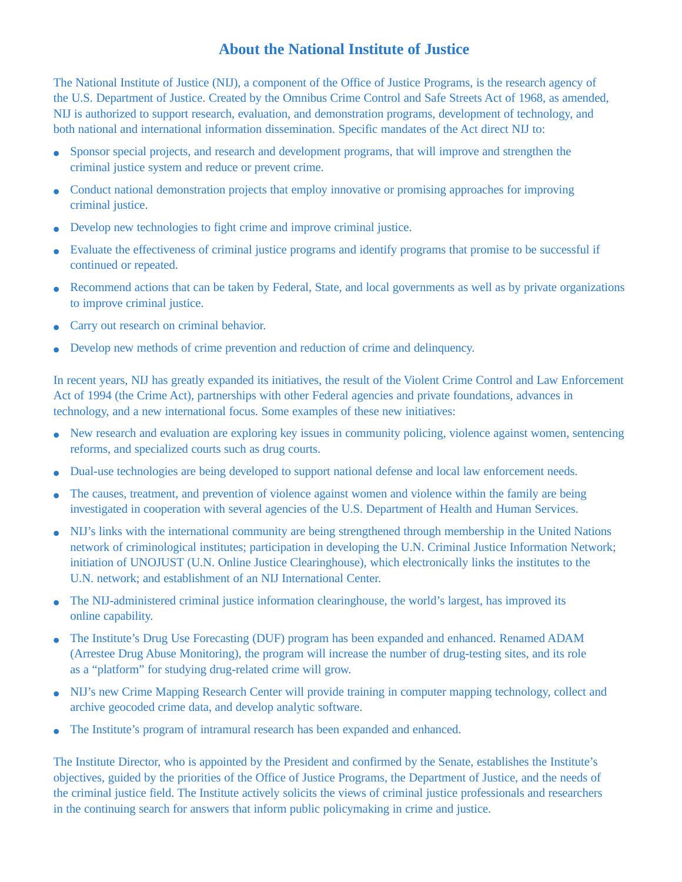### **About the National Institute of Justice**

The National Institute of Justice (NIJ), a component of the Office of Justice Programs, is the research agency of the U.S. Department of Justice. Created by the Omnibus Crime Control and Safe Streets Act of 1968, as amended, NIJ is authorized to support research, evaluation, and demonstration programs, development of technology, and both national and international information dissemination. Specific mandates of the Act direct NIJ to:

- Sponsor special projects, and research and development programs, that will improve and strengthen the criminal justice system and reduce or prevent crime.
- Conduct national demonstration projects that employ innovative or promising approaches for improving criminal justice.
- Develop new technologies to fight crime and improve criminal justice.
- Evaluate the effectiveness of criminal justice programs and identify programs that promise to be successful if continued or repeated.
- Recommend actions that can be taken by Federal, State, and local governments as well as by private organizations to improve criminal justice.
- Carry out research on criminal behavior.
- Develop new methods of crime prevention and reduction of crime and delinquency.

In recent years, NIJ has greatly expanded its initiatives, the result of the Violent Crime Control and Law Enforcement Act of 1994 (the Crime Act), partnerships with other Federal agencies and private foundations, advances in technology, and a new international focus. Some examples of these new initiatives:

- New research and evaluation are exploring key issues in community policing, violence against women, sentencing reforms, and specialized courts such as drug courts.
- Dual-use technologies are being developed to support national defense and local law enforcement needs.
- The causes, treatment, and prevention of violence against women and violence within the family are being investigated in cooperation with several agencies of the U.S. Department of Health and Human Services.
- NIJ's links with the international community are being strengthened through membership in the United Nations network of criminological institutes; participation in developing the U.N. Criminal Justice Information Network; initiation of UNOJUST (U.N. Online Justice Clearinghouse), which electronically links the institutes to the U.N. network; and establishment of an NIJ International Center.
- The NIJ-administered criminal justice information clearinghouse, the world's largest, has improved its online capability.
- The Institute's Drug Use Forecasting (DUF) program has been expanded and enhanced. Renamed ADAM (Arrestee Drug Abuse Monitoring), the program will increase the number of drug-testing sites, and its role as a "platform" for studying drug-related crime will grow.
- NIJ's new Crime Mapping Research Center will provide training in computer mapping technology, collect and archive geocoded crime data, and develop analytic software.
- The Institute's program of intramural research has been expanded and enhanced.

The Institute Director, who is appointed by the President and confirmed by the Senate, establishes the Institute's objectives, guided by the priorities of the Office of Justice Programs, the Department of Justice, and the needs of the criminal justice field. The Institute actively solicits the views of criminal justice professionals and researchers in the continuing search for answers that inform public policymaking in crime and justice.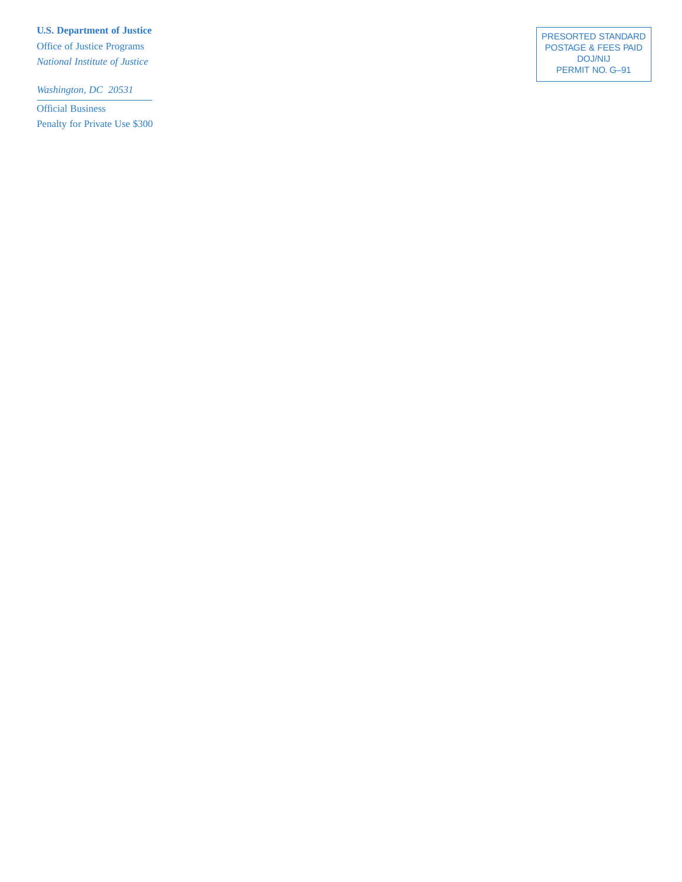**U.S. Department of Justice**

Office of Justice Programs *National Institute of Justice*

*Washington, DC 20531*

Official Business Penalty for Private Use \$300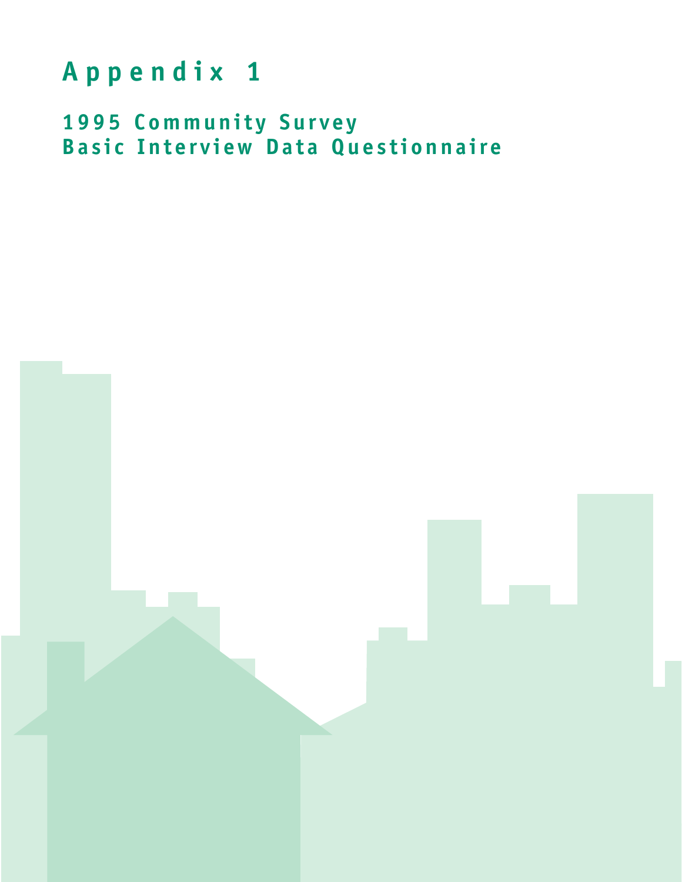## **Appendix 1**

**1995 Community Survey Basic Interview Data Questionnaire**

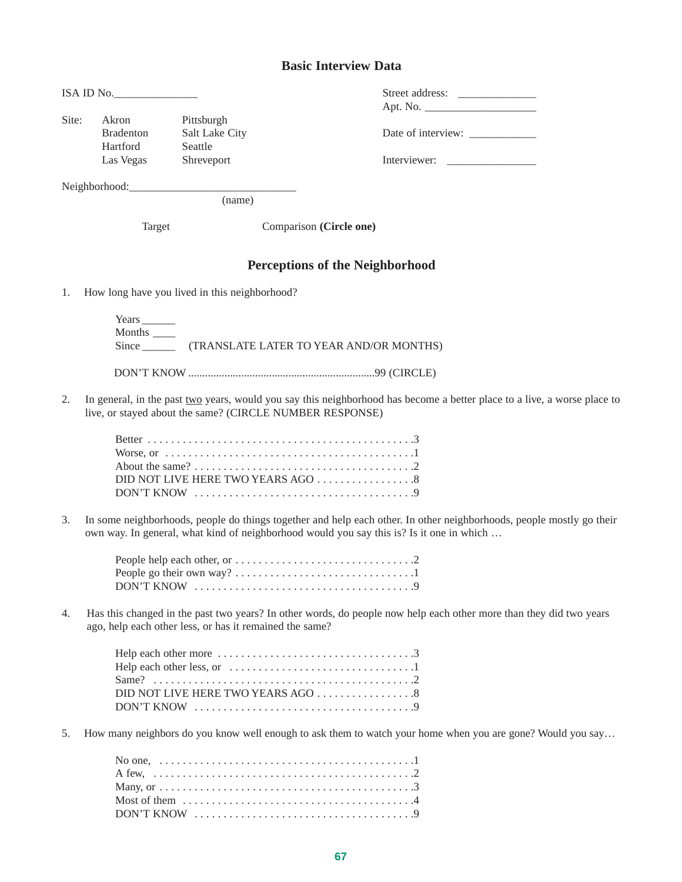#### **Basic Interview Data**

| ISA ID No. |                  |                | Street address:    |
|------------|------------------|----------------|--------------------|
|            |                  |                | Apt. No.           |
| Site:      | Akron            | Pittsburgh     |                    |
|            | <b>Bradenton</b> | Salt Lake City | Date of interview: |
|            | Hartford         | Seattle        |                    |
|            | Las Vegas        | Shreveport     | Interviewer:       |
|            |                  |                |                    |
|            | Neighborhood:    |                |                    |

(name)

Target Comparison **(Circle one)**

#### **Perceptions of the Neighborhood**

1. How long have you lived in this neighborhood?

Years \_\_\_\_\_\_ Months \_\_\_\_ Since \_\_\_\_\_\_\_\_ (TRANSLATE LATER TO YEAR AND/OR MONTHS) DON'T KNOW ...................................................................99 (CIRCLE)

2. In general, in the past two years, would you say this neighborhood has become a better place to a live, a worse place to live, or stayed about the same? (CIRCLE NUMBER RESPONSE)

| DID NOT LIVE HERE TWO YEARS AGO $\ldots \ldots \ldots \ldots \ldots$ |
|----------------------------------------------------------------------|
| DON'T KNOW                                                           |

3. In some neighborhoods, people do things together and help each other. In other neighborhoods, people mostly go their own way. In general, what kind of neighborhood would you say this is? Is it one in which …

4. Has this changed in the past two years? In other words, do people now help each other more than they did two years ago, help each other less, or has it remained the same?

5. How many neighbors do you know well enough to ask them to watch your home when you are gone? Would you say...

| Most of them $\dots\dots\dots\dots\dots\dots\dots\dots\dots\dots\dots\dots\dots$ |  |
|----------------------------------------------------------------------------------|--|
|                                                                                  |  |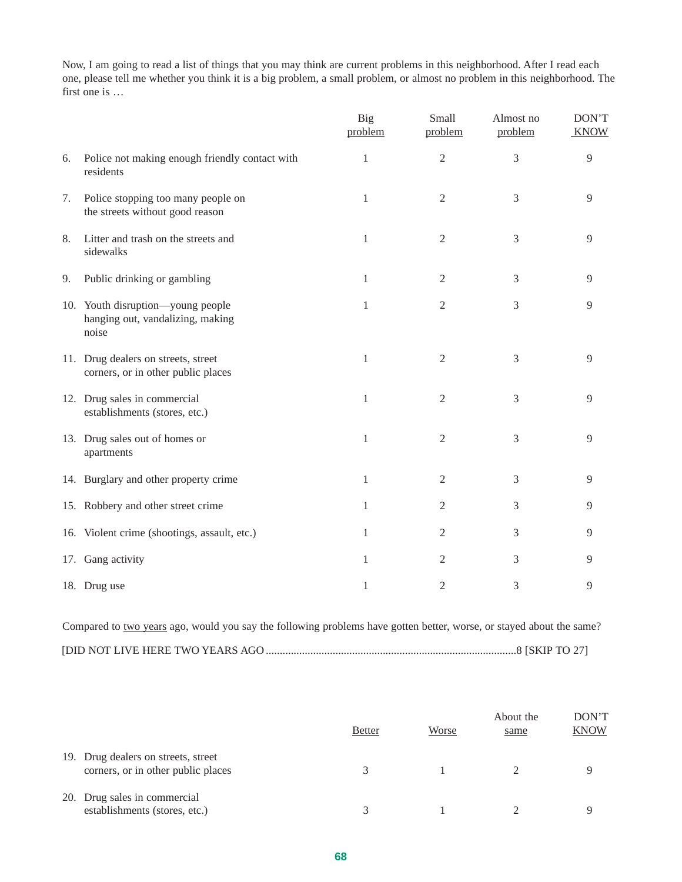Now, I am going to read a list of things that you may think are current problems in this neighborhood. After I read each one, please tell me whether you think it is a big problem, a small problem, or almost no problem in this neighborhood. The first one is …

|    |                                                                                | Big<br>problem | Small<br>problem | Almost no<br>problem | DON'T<br><b>KNOW</b> |
|----|--------------------------------------------------------------------------------|----------------|------------------|----------------------|----------------------|
| 6. | Police not making enough friendly contact with<br>residents                    | 1              | $\overline{2}$   | 3                    | 9                    |
| 7. | Police stopping too many people on<br>the streets without good reason          | 1              | $\sqrt{2}$       | 3                    | 9                    |
| 8. | Litter and trash on the streets and<br>sidewalks                               | 1              | $\overline{2}$   | 3                    | 9                    |
| 9. | Public drinking or gambling                                                    | 1              | $\mathbf{2}$     | 3                    | 9                    |
|    | 10. Youth disruption-young people<br>hanging out, vandalizing, making<br>noise | 1              | $\mathbf{2}$     | 3                    | 9                    |
|    | 11. Drug dealers on streets, street<br>corners, or in other public places      | $\mathbf{1}$   | $\mathfrak{2}$   | 3                    | $\overline{9}$       |
|    | 12. Drug sales in commercial<br>establishments (stores, etc.)                  | 1              | $\mathfrak{2}$   | 3                    | 9                    |
|    | 13. Drug sales out of homes or<br>apartments                                   | 1              | $\mathfrak{2}$   | 3                    | 9                    |
|    | 14. Burglary and other property crime                                          | 1              | 2                | 3                    | 9                    |
|    | 15. Robbery and other street crime                                             | 1              | 2                | 3                    | 9                    |
|    | 16. Violent crime (shootings, assault, etc.)                                   | 1              | 2                | 3                    | 9                    |
|    | 17. Gang activity                                                              | 1              | 2                | 3                    | 9                    |
|    | 18. Drug use                                                                   | 1              | 2                | 3                    | 9                    |

| Compared to two years ago, would you say the following problems have gotten better, worse, or stayed about the same? |  |  |  |  |
|----------------------------------------------------------------------------------------------------------------------|--|--|--|--|
|                                                                                                                      |  |  |  |  |

|                                                                           | <b>Better</b> | Worse | About the<br>same | DON'T<br><b>KNOW</b> |
|---------------------------------------------------------------------------|---------------|-------|-------------------|----------------------|
| 19. Drug dealers on streets, street<br>corners, or in other public places |               |       |                   |                      |
| 20. Drug sales in commercial<br>establishments (stores, etc.)             |               |       |                   |                      |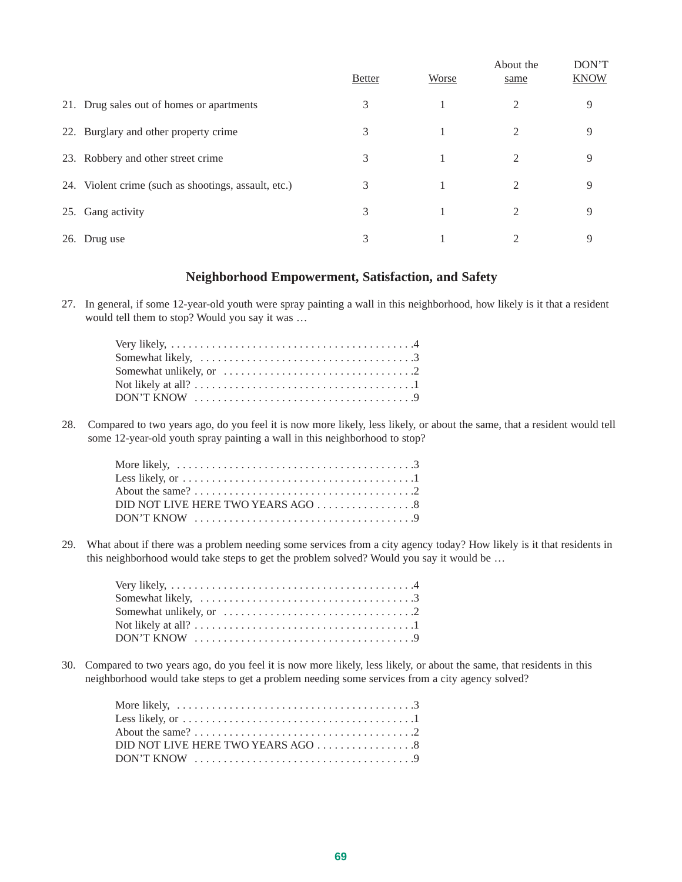|     |                                                      | <b>Better</b> | Worse | About the<br>same | DON'T<br><b>KNOW</b> |
|-----|------------------------------------------------------|---------------|-------|-------------------|----------------------|
|     | 21. Drug sales out of homes or apartments            | 3             |       | $\mathfrak{D}$    | 9                    |
|     | 22. Burglary and other property crime                | 3             |       | 2                 | 9                    |
|     | 23. Robbery and other street crime                   | 3             |       | 2                 | 9                    |
|     | 24. Violent crime (such as shootings, assault, etc.) | 3             |       | 2                 | 9                    |
| 25. | Gang activity                                        | 3             |       | 2                 | 9                    |
|     | 26. Drug use                                         | 3             |       | 2                 | 9                    |

#### **Neighborhood Empowerment, Satisfaction, and Safety**

27. In general, if some 12-year-old youth were spray painting a wall in this neighborhood, how likely is it that a resident would tell them to stop? Would you say it was …

| Very likely, $\dots \dots \dots \dots \dots \dots \dots \dots \dots \dots \dots \dots \dots \dots \dots$ |
|----------------------------------------------------------------------------------------------------------|
| Somewhat likely, $\dots \dots \dots \dots \dots \dots \dots \dots \dots \dots \dots \dots$               |
| Somewhat unlikely, or $\dots \dots \dots \dots \dots \dots \dots \dots \dots \dots$                      |
|                                                                                                          |
|                                                                                                          |
|                                                                                                          |

28. Compared to two years ago, do you feel it is now more likely, less likely, or about the same, that a resident would tell some 12-year-old youth spray painting a wall in this neighborhood to stop?

| Less likely, or $\dots \dots \dots \dots \dots \dots \dots \dots \dots \dots \dots \dots \dots \dots$ |  |
|-------------------------------------------------------------------------------------------------------|--|
|                                                                                                       |  |
|                                                                                                       |  |
| $DON'T$ KNOW $\ldots \ldots \ldots \ldots \ldots \ldots \ldots \ldots \ldots \ldots \ldots \ldots$    |  |

29. What about if there was a problem needing some services from a city agency today? How likely is it that residents in this neighborhood would take steps to get the problem solved? Would you say it would be …

| Very likely, $\dots \dots \dots \dots \dots \dots \dots \dots \dots \dots \dots \dots \dots \dots \dots$ |  |
|----------------------------------------------------------------------------------------------------------|--|
| Somewhat likely, $\dots \dots \dots \dots \dots \dots \dots \dots \dots \dots \dots \dots$               |  |
| Somewhat unlikely, or $\dots \dots \dots \dots \dots \dots \dots \dots \dots \dots \dots$                |  |
|                                                                                                          |  |
| $DON'T$ KNOW $\ldots \ldots \ldots \ldots \ldots \ldots \ldots \ldots \ldots \ldots \ldots \ldots$       |  |

30. Compared to two years ago, do you feel it is now more likely, less likely, or about the same, that residents in this neighborhood would take steps to get a problem needing some services from a city agency solved?

| More likely, $\dots \dots \dots \dots \dots \dots \dots \dots \dots \dots \dots \dots \dots \dots$    |
|-------------------------------------------------------------------------------------------------------|
| Less likely, or $\dots \dots \dots \dots \dots \dots \dots \dots \dots \dots \dots \dots \dots \dots$ |
|                                                                                                       |
| DID NOT LIVE HERE TWO YEARS AGO 8                                                                     |
|                                                                                                       |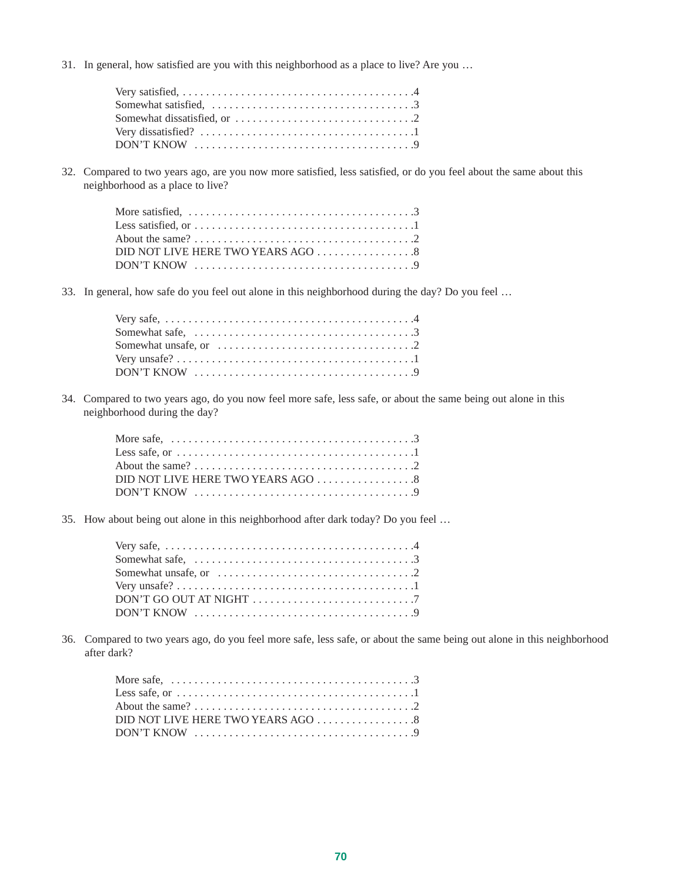31. In general, how satisfied are you with this neighborhood as a place to live? Are you …

| $DON'T$ KNOW $\ldots \ldots \ldots \ldots \ldots \ldots \ldots \ldots \ldots \ldots \ldots$ |  |
|---------------------------------------------------------------------------------------------|--|

32. Compared to two years ago, are you now more satisfied, less satisfied, or do you feel about the same about this neighborhood as a place to live?

| Less satisfied, or $\dots \dots \dots \dots \dots \dots \dots \dots \dots \dots \dots \dots \dots$ |  |
|----------------------------------------------------------------------------------------------------|--|
|                                                                                                    |  |
| DID NOT LIVE HERE TWO YEARS AGO 8                                                                  |  |
|                                                                                                    |  |

33. In general, how safe do you feel out alone in this neighborhood during the day? Do you feel …

| Somewhat safe, $\ldots \ldots \ldots \ldots \ldots \ldots \ldots \ldots \ldots \ldots \ldots \ldots$ |
|------------------------------------------------------------------------------------------------------|
| Somewhat unsafe, or $\dots \dots \dots \dots \dots \dots \dots \dots \dots \dots \dots$              |
|                                                                                                      |
|                                                                                                      |

34. Compared to two years ago, do you now feel more safe, less safe, or about the same being out alone in this neighborhood during the day?

| Less safe, or $\dots \dots \dots \dots \dots \dots \dots \dots \dots \dots \dots \dots \dots \dots$ |
|-----------------------------------------------------------------------------------------------------|
|                                                                                                     |
|                                                                                                     |
| $DON'T KNOW \dots \dots \dots \dots \dots \dots \dots \dots \dots \dots \dots \dots \dots$          |

35. How about being out alone in this neighborhood after dark today? Do you feel …

| $DON'T GO OUT AT NIGHT \dots \dots \dots \dots \dots \dots \dots \dots \dots \dots$ |  |
|-------------------------------------------------------------------------------------|--|
|                                                                                     |  |

36. Compared to two years ago, do you feel more safe, less safe, or about the same being out alone in this neighborhood after dark?

| More safe, $\dots \dots \dots \dots \dots \dots \dots \dots \dots \dots \dots \dots \dots \dots \dots$ |  |
|--------------------------------------------------------------------------------------------------------|--|
| Less safe, or $\dots \dots \dots \dots \dots \dots \dots \dots \dots \dots \dots \dots \dots \dots$    |  |
|                                                                                                        |  |
| DID NOT LIVE HERE TWO YEARS AGO 8                                                                      |  |
|                                                                                                        |  |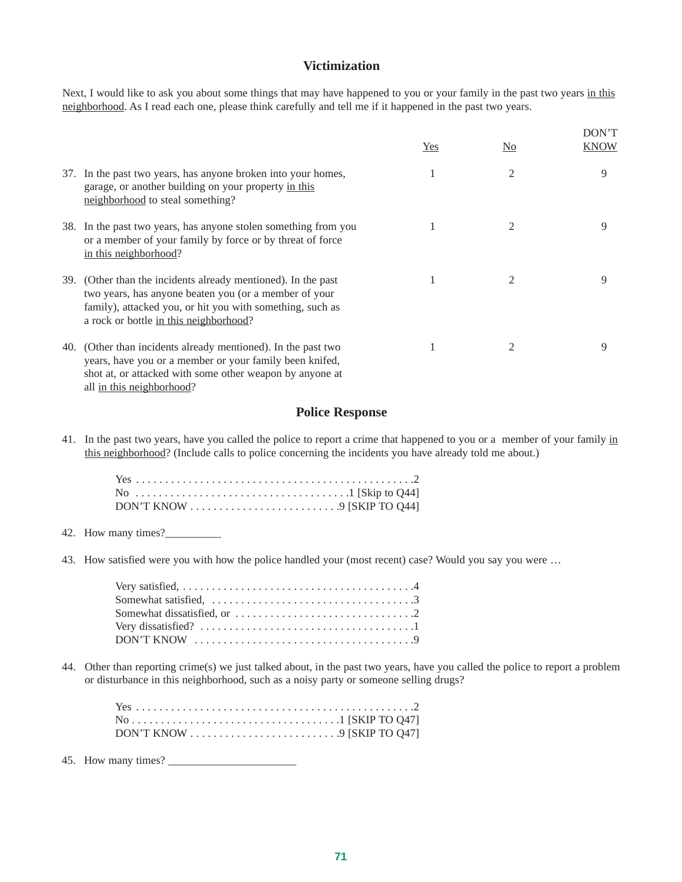#### **Victimization**

Next, I would like to ask you about some things that may have happened to you or your family in the past two years in this neighborhood. As I read each one, please think carefully and tell me if it happened in the past two years.

|                                                                                                                                                                                                                               | Yes | N <sub>0</sub> | DON'T<br>KNOW |
|-------------------------------------------------------------------------------------------------------------------------------------------------------------------------------------------------------------------------------|-----|----------------|---------------|
| 37. In the past two years, has anyone broken into your homes,<br>garage, or another building on your property in this<br>neighborhood to steal something?                                                                     |     | $\overline{2}$ | 9             |
| 38. In the past two years, has anyone stolen something from you<br>or a member of your family by force or by threat of force<br>in this neighborhood?                                                                         |     |                | 9             |
| 39. (Other than the incidents already mentioned). In the past<br>two years, has anyone beaten you (or a member of your<br>family), attacked you, or hit you with something, such as<br>a rock or bottle in this neighborhood? |     | 2              | 9             |
| 40. (Other than incidents already mentioned). In the past two<br>years, have you or a member or your family been knifed,<br>shot at, or attacked with some other weapon by anyone at                                          |     | 2              | 9             |

all in this neighborhood?

#### **Police Response**

41. In the past two years, have you called the police to report a crime that happened to you or a member of your family in this neighborhood? (Include calls to police concerning the incidents you have already told me about.)

- 42. How many times?
- 43. How satisfied were you with how the police handled your (most recent) case? Would you say you were …

| Somewhat dissatisfied, or $\dots \dots \dots \dots \dots \dots \dots \dots \dots \dots$ |
|-----------------------------------------------------------------------------------------|
|                                                                                         |
|                                                                                         |
|                                                                                         |

44. Other than reporting crime(s) we just talked about, in the past two years, have you called the police to report a problem or disturbance in this neighborhood, such as a noisy party or someone selling drugs?

| DON'T KNOW $\ldots \ldots \ldots \ldots \ldots \ldots \ldots \ldots$ . 9 [SKIP TO Q47] |  |  |  |  |  |  |  |  |  |  |  |  |  |  |
|----------------------------------------------------------------------------------------|--|--|--|--|--|--|--|--|--|--|--|--|--|--|

45. How many times? \_\_\_\_\_\_\_\_\_\_\_\_\_\_\_\_\_\_\_\_\_\_\_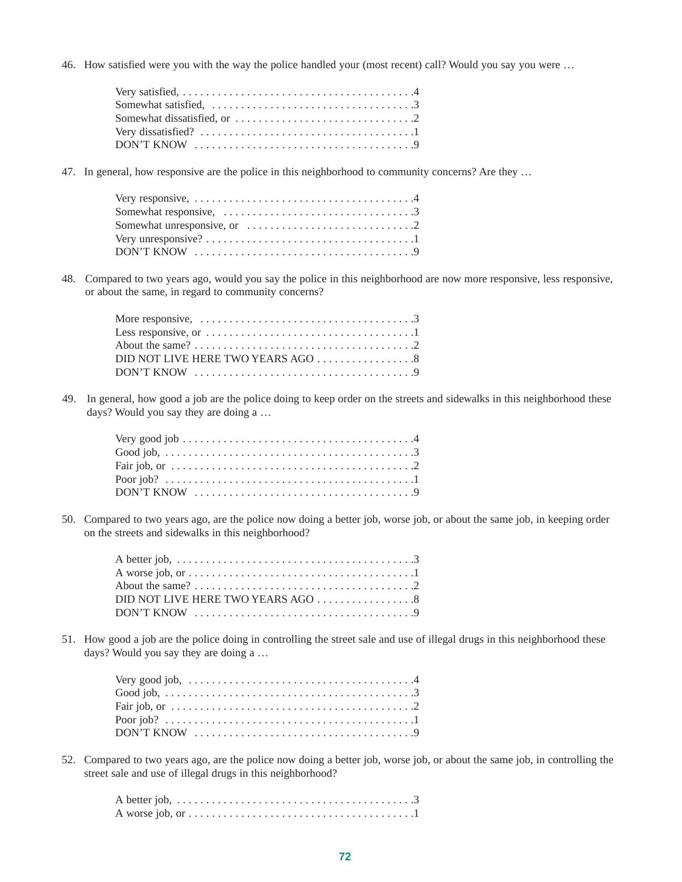46. How satisfied were you with the way the police handled your (most recent) call? Would you say you were …

| $DON'T$ KNOW $\ldots \ldots \ldots \ldots \ldots \ldots \ldots \ldots \ldots \ldots \ldots \ldots$ |
|----------------------------------------------------------------------------------------------------|

47. In general, how responsive are the police in this neighborhood to community concerns? Are they …

| $DON'T KNOW \dots \dots \dots \dots \dots \dots \dots \dots \dots \dots \dots \dots$ |  |
|--------------------------------------------------------------------------------------|--|

48. Compared to two years ago, would you say the police in this neighborhood are now more responsive, less responsive, or about the same, in regard to community concerns?

| More responsive, $\ldots \ldots \ldots \ldots \ldots \ldots \ldots \ldots \ldots \ldots \ldots \ldots$ |  |
|--------------------------------------------------------------------------------------------------------|--|
| Less responsive, or $\dots \dots \dots \dots \dots \dots \dots \dots \dots \dots \dots \dots$          |  |
|                                                                                                        |  |
|                                                                                                        |  |
|                                                                                                        |  |

49. In general, how good a job are the police doing to keep order on the streets and sidewalks in this neighborhood these days? Would you say they are doing a …

| Fair job, or $\dots \dots \dots \dots \dots \dots \dots \dots \dots \dots \dots \dots \dots \dots \dots \dots$ |  |
|----------------------------------------------------------------------------------------------------------------|--|
|                                                                                                                |  |
| $DON'T$ KNOW $\dots\dots\dots\dots\dots\dots\dots\dots\dots\dots\dots\dots\dots$                               |  |

50. Compared to two years ago, are the police now doing a better job, worse job, or about the same job, in keeping order on the streets and sidewalks in this neighborhood?

| A worse job, or $\dots \dots \dots \dots \dots \dots \dots \dots \dots \dots \dots \dots \dots \dots$ |
|-------------------------------------------------------------------------------------------------------|
|                                                                                                       |
| DID NOT LIVE HERE TWO YEARS AGO 8                                                                     |
|                                                                                                       |

51. How good a job are the police doing in controlling the street sale and use of illegal drugs in this neighborhood these days? Would you say they are doing a …

| Very good job, $\dots \dots \dots \dots \dots \dots \dots \dots \dots \dots \dots \dots \dots$                 |  |  |  |  |  |  |  |  |  |  |  |  |  |  |  |  |  |
|----------------------------------------------------------------------------------------------------------------|--|--|--|--|--|--|--|--|--|--|--|--|--|--|--|--|--|
|                                                                                                                |  |  |  |  |  |  |  |  |  |  |  |  |  |  |  |  |  |
| Fair job, or $\dots \dots \dots \dots \dots \dots \dots \dots \dots \dots \dots \dots \dots \dots \dots \dots$ |  |  |  |  |  |  |  |  |  |  |  |  |  |  |  |  |  |
|                                                                                                                |  |  |  |  |  |  |  |  |  |  |  |  |  |  |  |  |  |
|                                                                                                                |  |  |  |  |  |  |  |  |  |  |  |  |  |  |  |  |  |

52. Compared to two years ago, are the police now doing a better job, worse job, or about the same job, in controlling the street sale and use of illegal drugs in this neighborhood?

| A worse job, or $\dots \dots \dots \dots \dots \dots \dots \dots \dots \dots \dots \dots \dots \dots$ |  |  |  |  |  |  |  |  |  |  |  |  |  |  |  |  |  |  |
|-------------------------------------------------------------------------------------------------------|--|--|--|--|--|--|--|--|--|--|--|--|--|--|--|--|--|--|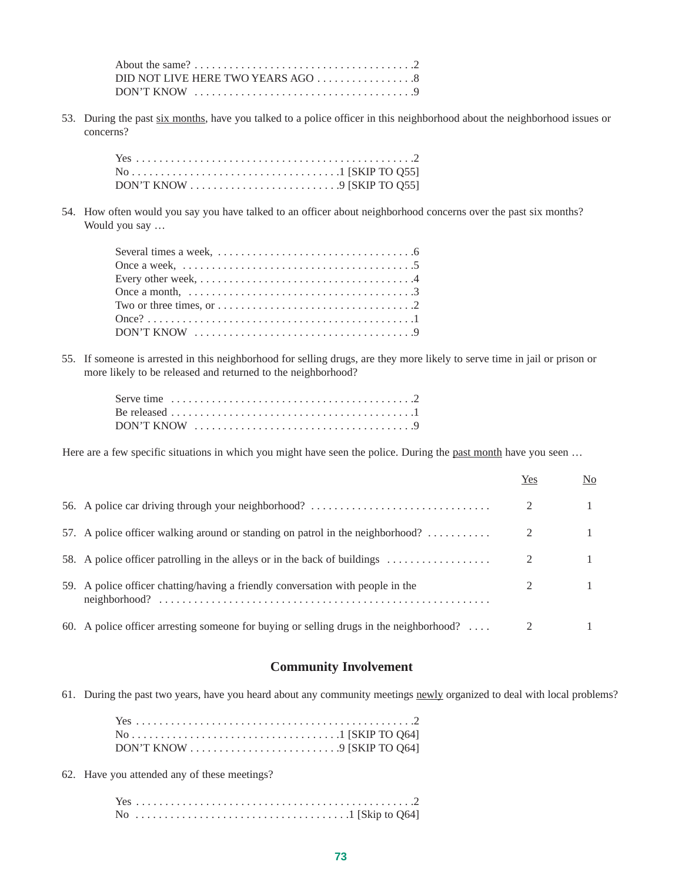53. During the past six months, have you talked to a police officer in this neighborhood about the neighborhood issues or concerns?

| DON'T KNOW $\ldots \ldots \ldots \ldots \ldots \ldots \ldots \ldots$ . 9 [SKIP TO Q55] |  |
|----------------------------------------------------------------------------------------|--|

54. How often would you say you have talked to an officer about neighborhood concerns over the past six months? Would you say …

| Several times a week, $\dots \dots \dots \dots \dots \dots \dots \dots \dots \dots \dots \dots$           |  |
|-----------------------------------------------------------------------------------------------------------|--|
| Once a week, $\ldots \ldots \ldots \ldots \ldots \ldots \ldots \ldots \ldots \ldots \ldots \ldots \ldots$ |  |
|                                                                                                           |  |
|                                                                                                           |  |
|                                                                                                           |  |
|                                                                                                           |  |
|                                                                                                           |  |

55. If someone is arrested in this neighborhood for selling drugs, are they more likely to serve time in jail or prison or more likely to be released and returned to the neighborhood?

| DON'T KNOW $\dots\dots\dots\dots\dots\dots\dots\dots\dots\dots\dots\dots9$ |  |  |  |  |  |  |  |  |  |  |  |  |  |  |  |  |
|----------------------------------------------------------------------------|--|--|--|--|--|--|--|--|--|--|--|--|--|--|--|--|

Here are a few specific situations in which you might have seen the police. During the past month have you seen ...

|                                                                                                 | Yes | No |
|-------------------------------------------------------------------------------------------------|-----|----|
| 56. A police car driving through your neighborhood?                                             |     |    |
| 57. A police officer walking around or standing on patrol in the neighborhood?                  |     |    |
| 58. A police officer patrolling in the alleys or in the back of buildings                       |     |    |
| 59. A police officer chatting/having a friendly conversation with people in the                 |     |    |
| 60. A police officer arresting someone for buying or selling drugs in the neighborhood? $\dots$ |     |    |

#### **Community Involvement**

61. During the past two years, have you heard about any community meetings newly organized to deal with local problems?

| $\text{No} \ldots \ldots \ldots \ldots \ldots \ldots \ldots \ldots \ldots \ldots \ldots \ldots \text{ISKIP TO Q64}$ |
|---------------------------------------------------------------------------------------------------------------------|
| DON'T KNOW $\ldots \ldots \ldots \ldots \ldots \ldots \ldots \ldots$ . 9 [SKIP TO Q64]                              |

62. Have you attended any of these meetings?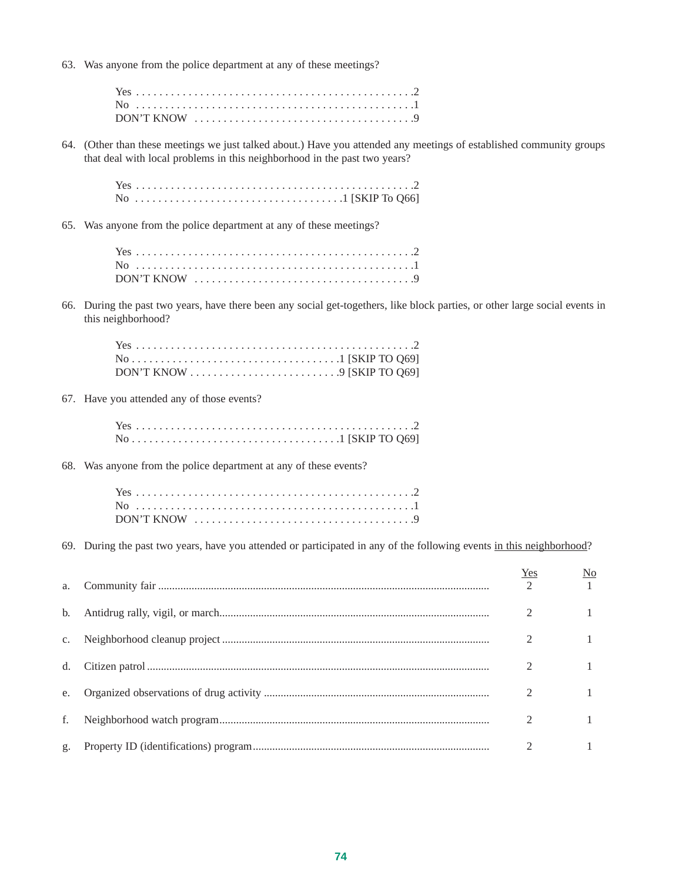63. Was anyone from the police department at any of these meetings?

64. (Other than these meetings we just talked about.) Have you attended any meetings of established community groups that deal with local problems in this neighborhood in the past two years?

#### 65. Was anyone from the police department at any of these meetings?

|  |  | $DON'T$ KNOW $\dots\dots\dots\dots\dots\dots\dots\dots\dots\dots\dots\dots9$ |
|--|--|------------------------------------------------------------------------------|

66. During the past two years, have there been any social get-togethers, like block parties, or other large social events in this neighborhood?

67. Have you attended any of those events?

68. Was anyone from the police department at any of these events?

69. During the past two years, have you attended or participated in any of the following events in this neighborhood?

| a. | Yes<br>$\mathcal{D}$ | <u>No</u> |
|----|----------------------|-----------|
|    |                      |           |
|    | 2                    |           |
| d. |                      |           |
| e. |                      |           |
|    |                      |           |
| g. |                      |           |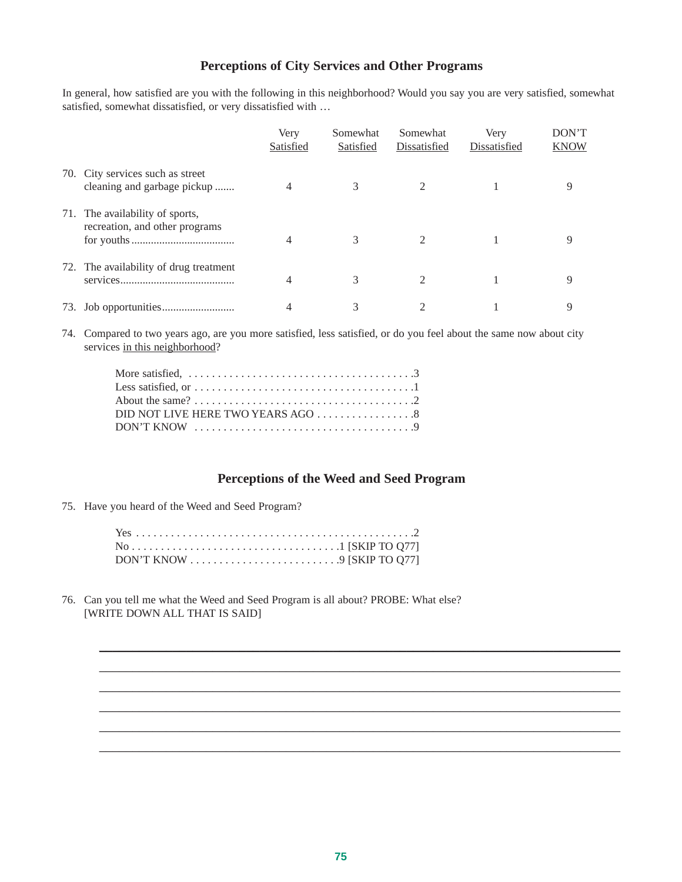#### **Perceptions of City Services and Other Programs**

In general, how satisfied are you with the following in this neighborhood? Would you say you are very satisfied, somewhat satisfied, somewhat dissatisfied, or very dissatisfied with …

|     |                                                                   | Very<br>Satisfied | Somewhat<br>Satisfied | Somewhat<br>Dissatisfied | Very<br>Dissatisfied | DON'T<br><b>KNOW</b> |
|-----|-------------------------------------------------------------------|-------------------|-----------------------|--------------------------|----------------------|----------------------|
|     | 70. City services such as street<br>cleaning and garbage pickup   | 4                 | 3                     | $\mathcal{L}$            |                      | Q                    |
|     | 71. The availability of sports,<br>recreation, and other programs | 4                 | 3                     |                          |                      | Q                    |
|     | 72. The availability of drug treatment                            | 4                 | 3                     |                          |                      | 9                    |
| 73. |                                                                   | 4                 |                       |                          |                      | Q                    |

74. Compared to two years ago, are you more satisfied, less satisfied, or do you feel about the same now about city services in this neighborhood?

| More satisfied, $\ldots \ldots \ldots \ldots \ldots \ldots \ldots \ldots \ldots \ldots \ldots \ldots \ldots$ |  |
|--------------------------------------------------------------------------------------------------------------|--|
| Less satisfied, or $\dots \dots \dots \dots \dots \dots \dots \dots \dots \dots \dots \dots \dots$           |  |
|                                                                                                              |  |
| DID NOT LIVE HERE TWO YEARS AGO 8                                                                            |  |
| $DON'T$ KNOW $\ldots \ldots \ldots \ldots \ldots \ldots \ldots \ldots \ldots \ldots \ldots \ldots$           |  |
|                                                                                                              |  |

#### **Perceptions of the Weed and Seed Program**

\_\_\_\_\_\_\_\_\_\_\_\_\_\_\_\_\_\_\_\_\_\_\_\_\_\_\_\_\_\_\_\_\_\_\_\_\_\_\_\_\_\_\_\_\_\_\_\_\_\_\_\_\_\_\_\_\_\_\_\_\_\_\_\_\_\_\_\_\_\_\_\_\_\_\_\_\_\_ \_\_\_\_\_\_\_\_\_\_\_\_\_\_\_\_\_\_\_\_\_\_\_\_\_\_\_\_\_\_\_\_\_\_\_\_\_\_\_\_\_\_\_\_\_\_\_\_\_\_\_\_\_\_\_\_\_\_\_\_\_\_\_\_\_\_\_\_\_\_\_\_\_\_\_\_\_\_ \_\_\_\_\_\_\_\_\_\_\_\_\_\_\_\_\_\_\_\_\_\_\_\_\_\_\_\_\_\_\_\_\_\_\_\_\_\_\_\_\_\_\_\_\_\_\_\_\_\_\_\_\_\_\_\_\_\_\_\_\_\_\_\_\_\_\_\_\_\_\_\_\_\_\_\_\_\_ \_\_\_\_\_\_\_\_\_\_\_\_\_\_\_\_\_\_\_\_\_\_\_\_\_\_\_\_\_\_\_\_\_\_\_\_\_\_\_\_\_\_\_\_\_\_\_\_\_\_\_\_\_\_\_\_\_\_\_\_\_\_\_\_\_\_\_\_\_\_\_\_\_\_\_\_\_\_ \_\_\_\_\_\_\_\_\_\_\_\_\_\_\_\_\_\_\_\_\_\_\_\_\_\_\_\_\_\_\_\_\_\_\_\_\_\_\_\_\_\_\_\_\_\_\_\_\_\_\_\_\_\_\_\_\_\_\_\_\_\_\_\_\_\_\_\_\_\_\_\_\_\_\_\_\_\_ \_\_\_\_\_\_\_\_\_\_\_\_\_\_\_\_\_\_\_\_\_\_\_\_\_\_\_\_\_\_\_\_\_\_\_\_\_\_\_\_\_\_\_\_\_\_\_\_\_\_\_\_\_\_\_\_\_\_\_\_\_\_\_\_\_\_\_\_\_\_\_\_\_\_\_\_\_\_

75. Have you heard of the Weed and Seed Program?

76. Can you tell me what the Weed and Seed Program is all about? PROBE: What else? [WRITE DOWN ALL THAT IS SAID]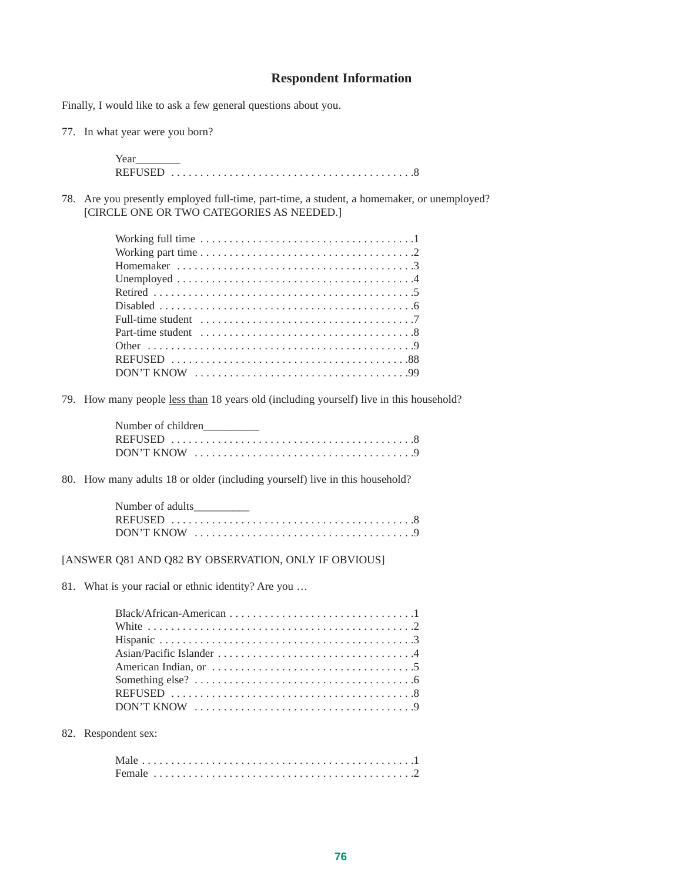#### **Respondent Information**

Finally, I would like to ask a few general questions about you.

77. In what year were you born?

| Year |  |  |  |  |  |  |  |  |
|------|--|--|--|--|--|--|--|--|
|      |  |  |  |  |  |  |  |  |

78. Are you presently employed full-time, part-time, a student, a homemaker, or unemployed? [CIRCLE ONE OR TWO CATEGORIES AS NEEDED.]

| Working part time $\ldots \ldots \ldots \ldots \ldots \ldots \ldots \ldots \ldots \ldots \ldots \ldots$ |
|---------------------------------------------------------------------------------------------------------|
|                                                                                                         |
|                                                                                                         |
|                                                                                                         |
|                                                                                                         |
| Full-time student $\dots \dots \dots \dots \dots \dots \dots \dots \dots \dots \dots \dots$             |
|                                                                                                         |
|                                                                                                         |
|                                                                                                         |
|                                                                                                         |

79. How many people less than 18 years old (including yourself) live in this household?

| Number of children                                                                                 |  |  |  |  |  |  |  |  |  |  |
|----------------------------------------------------------------------------------------------------|--|--|--|--|--|--|--|--|--|--|
|                                                                                                    |  |  |  |  |  |  |  |  |  |  |
| $DON'T$ KNOW $\ldots \ldots \ldots \ldots \ldots \ldots \ldots \ldots \ldots \ldots \ldots \ldots$ |  |  |  |  |  |  |  |  |  |  |

80. How many adults 18 or older (including yourself) live in this household?

| Number of adults |  |  |  |  |  |  |  |  |
|------------------|--|--|--|--|--|--|--|--|
|                  |  |  |  |  |  |  |  |  |
|                  |  |  |  |  |  |  |  |  |

[ANSWER Q81 AND Q82 BY OBSERVATION, ONLY IF OBVIOUS]

81. What is your racial or ethnic identity? Are you …

82. Respondent sex: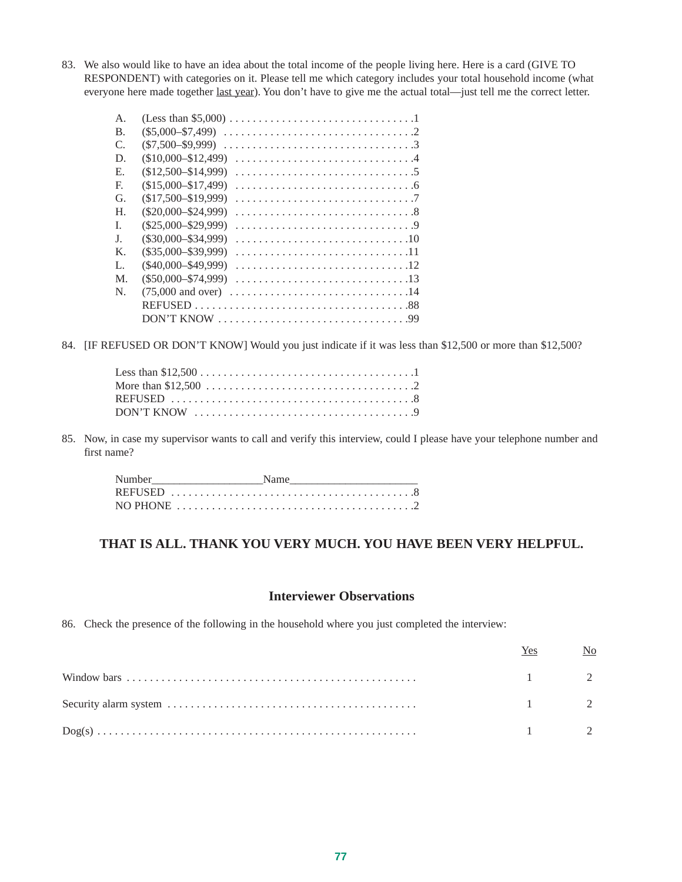83. We also would like to have an idea about the total income of the people living here. Here is a card (GIVE TO RESPONDENT) with categories on it. Please tell me which category includes your total household income (what everyone here made together last year). You don't have to give me the actual total—just tell me the correct letter.

| $\mathsf{A}$ . | (Less than \$5,000) $\dots \dots \dots \dots \dots \dots \dots \dots \dots \dots \dots \dots$ |
|----------------|-----------------------------------------------------------------------------------------------|
| $\mathbf{B}$ . | $(\$5,000 - \$7,499)$                                                                         |
| C.             | $(S7.500 - S9.999)$                                                                           |
| D.             | $($10,000 - $12,499)$                                                                         |
| Е.             | $(S12.500 - S14.999)$                                                                         |
| F.             | $(S15,000 - S17,499)$                                                                         |
| G.             | $($17,500 - $19,999)$                                                                         |
| Η.             | $(S20.000 - S24.999)$                                                                         |
| L              | $(\$25.000 - \$29.999)$                                                                       |
| J.             | $(S30.000 - S34.999)$                                                                         |
| $K_{\cdot}$    | $(S35,000 - S39,999)$                                                                         |
| L.             | $(S40.000 - $49.999)$                                                                         |
| M.             | $(S50.000 - S74.999)$                                                                         |
| N.             | $(75,000$ and over)                                                                           |
|                |                                                                                               |
|                |                                                                                               |

84. [IF REFUSED OR DON'T KNOW] Would you just indicate if it was less than \$12,500 or more than \$12,500?

85. Now, in case my supervisor wants to call and verify this interview, could I please have your telephone number and first name?

| Number and the state of the state of the state of the state of the state of the state of the state of the state of the state of the state of the state of the state of the state of the state of the state of the state of the | Name                                                                                                  |
|--------------------------------------------------------------------------------------------------------------------------------------------------------------------------------------------------------------------------------|-------------------------------------------------------------------------------------------------------|
|                                                                                                                                                                                                                                |                                                                                                       |
|                                                                                                                                                                                                                                | NO PHONE $\ldots \ldots \ldots \ldots \ldots \ldots \ldots \ldots \ldots \ldots \ldots \ldots \ldots$ |

#### **THAT IS ALL. THANK YOU VERY MUCH. YOU HAVE BEEN VERY HELPFUL.**

#### **Interviewer Observations**

86. Check the presence of the following in the household where you just completed the interview:

| Yes.                | N <sub>0</sub> |
|---------------------|----------------|
| $1 \qquad \qquad 2$ |                |
| $1 \qquad \qquad 2$ |                |
| $1 \qquad \qquad 2$ |                |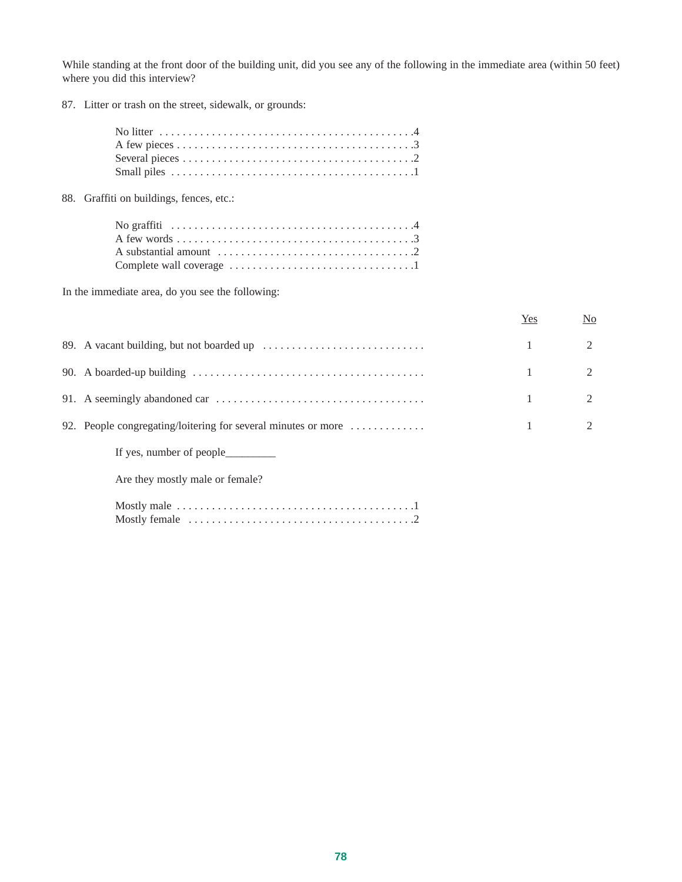While standing at the front door of the building unit, did you see any of the following in the immediate area (within 50 feet) where you did this interview?

87. Litter or trash on the street, sidewalk, or grounds:

| No litter $\dots \dots \dots \dots \dots \dots \dots \dots \dots \dots \dots \dots \dots \dots$ |
|-------------------------------------------------------------------------------------------------|
|                                                                                                 |
|                                                                                                 |
|                                                                                                 |
| 88. Graffiti on buildings, fences, etc.:                                                        |
|                                                                                                 |
|                                                                                                 |
| A substantial amount $\dots \dots \dots \dots \dots \dots \dots \dots \dots \dots$              |
|                                                                                                 |

In the immediate area, do you see the following:

|                                                                                      | Yes | N <sub>0</sub> |
|--------------------------------------------------------------------------------------|-----|----------------|
|                                                                                      |     | $\mathfrak{D}$ |
|                                                                                      |     |                |
|                                                                                      |     |                |
| 92. People congregating/loitering for several minutes or more $\dots\dots\dots\dots$ |     |                |
|                                                                                      |     |                |
| Are they mostly male or female?                                                      |     |                |
|                                                                                      |     |                |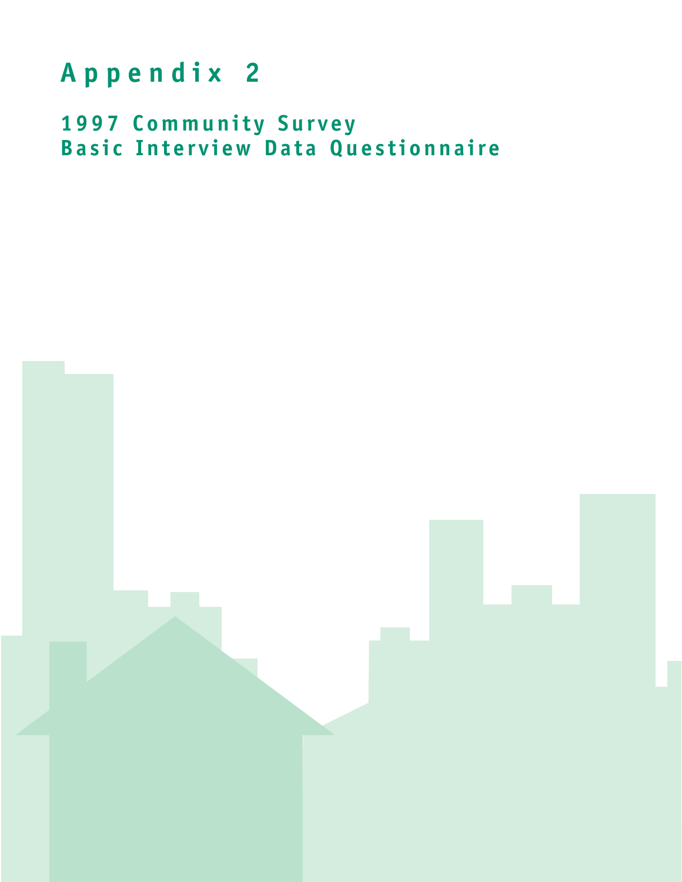## **Appendix 2**

**1997 Community Survey Basic Interview Data Questionnaire**

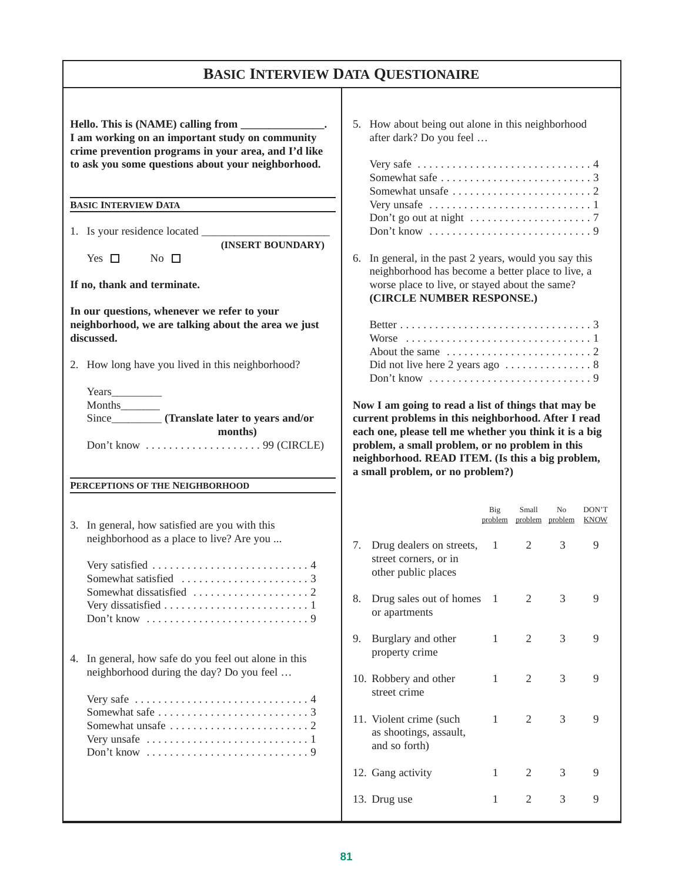## **BASIC INTERVIEW DATA QUESTIONAIRE**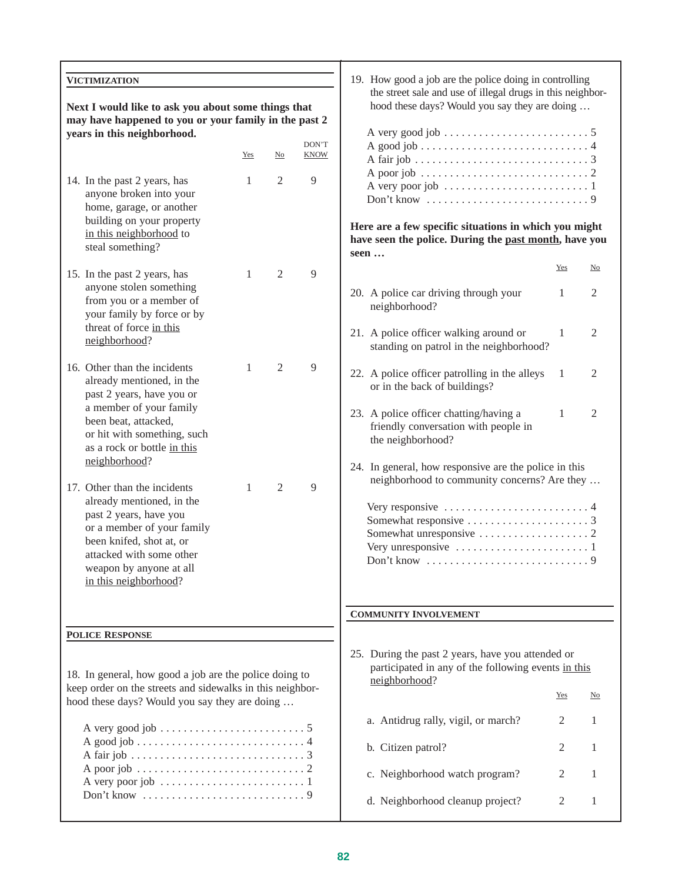| VICTIMIZATION                                                                                                                                                   |                                                                                                                                                    |                |                      | 19. How good a job are the police doing in controlling<br>the street sale and use of illegal drugs in this neighbor-      |              |                            |  |  |  |  |  |
|-----------------------------------------------------------------------------------------------------------------------------------------------------------------|----------------------------------------------------------------------------------------------------------------------------------------------------|----------------|----------------------|---------------------------------------------------------------------------------------------------------------------------|--------------|----------------------------|--|--|--|--|--|
| Next I would like to ask you about some things that                                                                                                             |                                                                                                                                                    |                |                      | hood these days? Would you say they are doing                                                                             |              |                            |  |  |  |  |  |
| may have happened to you or your family in the past 2                                                                                                           |                                                                                                                                                    |                |                      |                                                                                                                           |              |                            |  |  |  |  |  |
| years in this neighborhood.                                                                                                                                     | Yes                                                                                                                                                | $\mathbf{N}$ o | DON'T<br><b>KNOW</b> |                                                                                                                           |              |                            |  |  |  |  |  |
| 14. In the past 2 years, has<br>anyone broken into your<br>home, garage, or another<br>building on your property<br>in this neighborhood to<br>steal something? | $\overline{9}$<br>1<br>2<br>Here are a few specific situations in which you might<br>have seen the police. During the past month, have you<br>seen |                |                      |                                                                                                                           |              |                            |  |  |  |  |  |
| 15. In the past 2 years, has                                                                                                                                    | 1                                                                                                                                                  | $\mathfrak{2}$ | $\overline{9}$       |                                                                                                                           | Yes          | $\mathop{\rm No}\nolimits$ |  |  |  |  |  |
| anyone stolen something<br>from you or a member of<br>your family by force or by                                                                                |                                                                                                                                                    |                |                      | 20. A police car driving through your<br>neighborhood?                                                                    | 1            | 2                          |  |  |  |  |  |
| threat of force in this<br>neighborhood?                                                                                                                        |                                                                                                                                                    |                |                      | 21. A police officer walking around or<br>standing on patrol in the neighborhood?                                         | 1            | 2                          |  |  |  |  |  |
| 16. Other than the incidents<br>already mentioned, in the<br>past 2 years, have you or                                                                          | 1                                                                                                                                                  | $\mathfrak{2}$ | $\overline{9}$       | 22. A police officer patrolling in the alleys<br>or in the back of buildings?                                             | 1            | 2                          |  |  |  |  |  |
| a member of your family<br>been beat, attacked,<br>or hit with something, such<br>as a rock or bottle in this<br>neighborhood?                                  |                                                                                                                                                    |                |                      | 23. A police officer chatting/having a<br>friendly conversation with people in<br>the neighborhood?                       | $\mathbf{1}$ | 2                          |  |  |  |  |  |
| 17. Other than the incidents                                                                                                                                    | 1                                                                                                                                                  | $\mathfrak{2}$ | 9                    | 24. In general, how responsive are the police in this<br>neighborhood to community concerns? Are they                     |              |                            |  |  |  |  |  |
| already mentioned, in the<br>past 2 years, have you<br>or a member of your family<br>been knifed, shot at, or                                                   |                                                                                                                                                    |                |                      |                                                                                                                           |              |                            |  |  |  |  |  |
| attacked with some other<br>weapon by anyone at all<br>in this neighborhood?                                                                                    |                                                                                                                                                    |                |                      | Don't know                                                                                                                |              | 9                          |  |  |  |  |  |
|                                                                                                                                                                 |                                                                                                                                                    |                |                      | <b>COMMUNITY INVOLVEMENT</b>                                                                                              |              |                            |  |  |  |  |  |
| <b>POLICE RESPONSE</b>                                                                                                                                          |                                                                                                                                                    |                |                      |                                                                                                                           |              |                            |  |  |  |  |  |
| 18. In general, how good a job are the police doing to<br>keep order on the streets and sidewalks in this neighbor-                                             |                                                                                                                                                    |                |                      | 25. During the past 2 years, have you attended or<br>participated in any of the following events in this<br>neighborhood? | Yes          | $\mathop{\rm No}\nolimits$ |  |  |  |  |  |
| hood these days? Would you say they are doing                                                                                                                   |                                                                                                                                                    |                |                      |                                                                                                                           |              |                            |  |  |  |  |  |
|                                                                                                                                                                 |                                                                                                                                                    |                |                      | a. Antidrug rally, vigil, or march?<br>b. Citizen patrol?                                                                 | 2<br>2       | 1<br>1                     |  |  |  |  |  |
| A poor job $\dots \dots \dots \dots \dots \dots \dots \dots \dots \dots 2$                                                                                      |                                                                                                                                                    |                |                      | c. Neighborhood watch program?                                                                                            | 2            | 1                          |  |  |  |  |  |
| A very poor job $\dots \dots \dots \dots \dots \dots \dots \dots \dots$                                                                                         |                                                                                                                                                    |                |                      | d. Neighborhood cleanup project?                                                                                          | 2            | 1                          |  |  |  |  |  |
|                                                                                                                                                                 |                                                                                                                                                    |                |                      |                                                                                                                           |              |                            |  |  |  |  |  |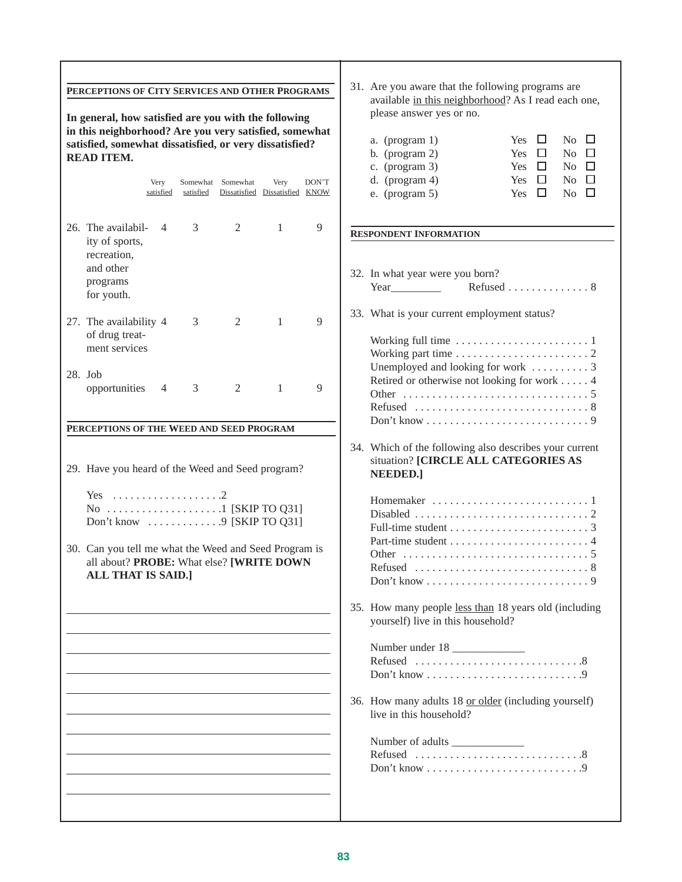| PERCEPTIONS OF CITY SERVICES AND OTHER PROGRAMS<br>In general, how satisfied are you with the following<br>in this neighborhood? Are you very satisfied, somewhat<br>satisfied, somewhat dissatisfied, or very dissatisfied?<br><b>READ ITEM.</b><br>DON'T<br>Very<br>Somewhat Somewhat<br>Very<br>Dissatisfied Dissatisfied KNOW<br>satisfied<br>satisfied                                                                                                                                                                                                                                                               | 31. Are you aware that the following programs are<br>available in this neighborhood? As I read each one,<br>please answer yes or no.<br>$\Box$<br>No $\Box$<br>a. (program 1)<br>Yes.<br>b. (program $2$ )<br>Yes<br>□<br>N <sub>0</sub><br>$\Box$<br>c. (program $3$ )<br>No $\square$<br>Yes<br>□<br>d. (program $4$ )<br>No $\square$<br>Yes<br>□<br>e. (program $5$ )<br>$\Box$<br>No $\square$<br>Yes                                                                                                                                                                                                                                                                                               |
|---------------------------------------------------------------------------------------------------------------------------------------------------------------------------------------------------------------------------------------------------------------------------------------------------------------------------------------------------------------------------------------------------------------------------------------------------------------------------------------------------------------------------------------------------------------------------------------------------------------------------|----------------------------------------------------------------------------------------------------------------------------------------------------------------------------------------------------------------------------------------------------------------------------------------------------------------------------------------------------------------------------------------------------------------------------------------------------------------------------------------------------------------------------------------------------------------------------------------------------------------------------------------------------------------------------------------------------------|
| 3<br>26. The availabil-<br>2<br>9<br>1<br>4<br>ity of sports,<br>recreation,<br>and other<br>programs<br>for youth.<br>9<br>3<br>$\overline{2}$<br>$\mathbf{1}$<br>27. The availability 4<br>of drug treat-<br>ment services<br>28. Job<br>3<br>2<br>9<br>opportunities<br>1<br>4<br>PERCEPTIONS OF THE WEED AND SEED PROGRAM<br>29. Have you heard of the Weed and Seed program?<br>Yes $\dots\dots\dots\dots\dots\dots\dots2$<br>Don't know $\dots \dots \dots \dots$ 9 [SKIP TO Q31]<br>30. Can you tell me what the Weed and Seed Program is<br>all about? PROBE: What else? [WRITE DOWN<br><b>ALL THAT IS SAID.]</b> | <b>RESPONDENT INFORMATION</b><br>32. In what year were you born?<br>Refused 8<br>Year<br>33. What is your current employment status?<br>Unemployed and looking for work  3<br>Retired or otherwise not looking for work 4<br>Refused $\ldots \ldots \ldots \ldots \ldots \ldots \ldots \ldots \ldots 8$<br>34. Which of the following also describes your current<br>situation? [CIRCLE ALL CATEGORIES AS<br><b>NEEDED.]</b><br>Don't know $\ldots \ldots \ldots \ldots \ldots \ldots \ldots \ldots$<br>35. How many people less than 18 years old (including<br>yourself) live in this household?<br>Number under 18<br>36. How many adults 18 or older (including yourself)<br>live in this household? |
|                                                                                                                                                                                                                                                                                                                                                                                                                                                                                                                                                                                                                           |                                                                                                                                                                                                                                                                                                                                                                                                                                                                                                                                                                                                                                                                                                          |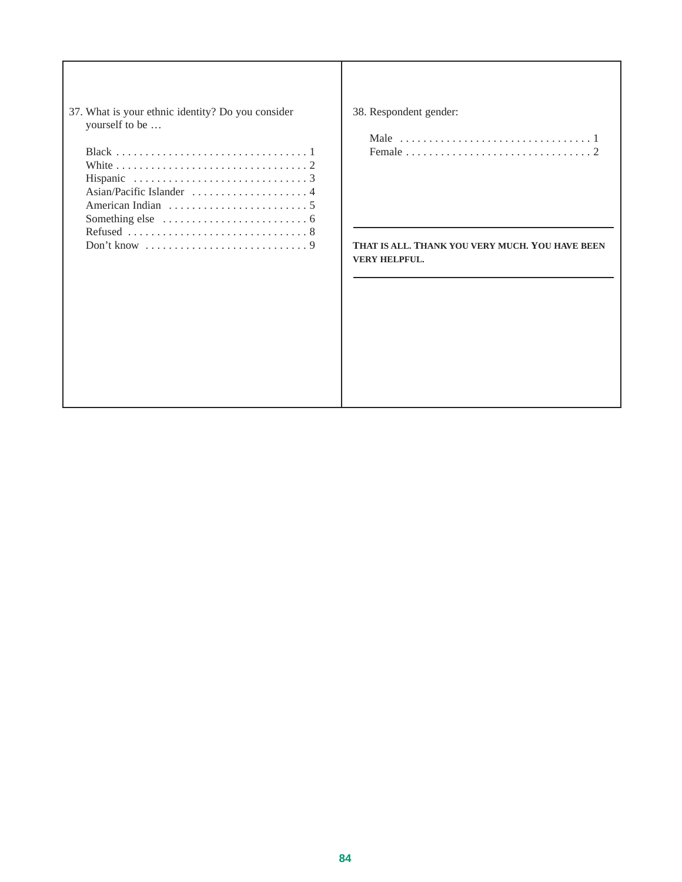| 37. What is your ethnic identity? Do you consider | 38. Res       |
|---------------------------------------------------|---------------|
| yourself to be                                    |               |
|                                                   | Ma            |
|                                                   | Fer           |
|                                                   |               |
|                                                   |               |
|                                                   |               |
|                                                   |               |
|                                                   |               |
|                                                   |               |
|                                                   | <b>THAT I</b> |
|                                                   | <b>VERY F</b> |
|                                                   |               |
|                                                   |               |
|                                                   |               |
|                                                   |               |
|                                                   |               |
|                                                   |               |
|                                                   |               |
|                                                   |               |
|                                                   |               |
|                                                   |               |
|                                                   |               |

#### spondent gender:

| Male $\dots \dots \dots \dots \dots \dots \dots \dots \dots \dots \dots \dots 1$ |  |  |  |  |  |  |  |  |  |  |  |  |  |  |  |  |  |
|----------------------------------------------------------------------------------|--|--|--|--|--|--|--|--|--|--|--|--|--|--|--|--|--|
|                                                                                  |  |  |  |  |  |  |  |  |  |  |  |  |  |  |  |  |  |

**THAT IS ALL. THANK YOU VERY MUCH. YOU HAVE BEEN HELPFUL.**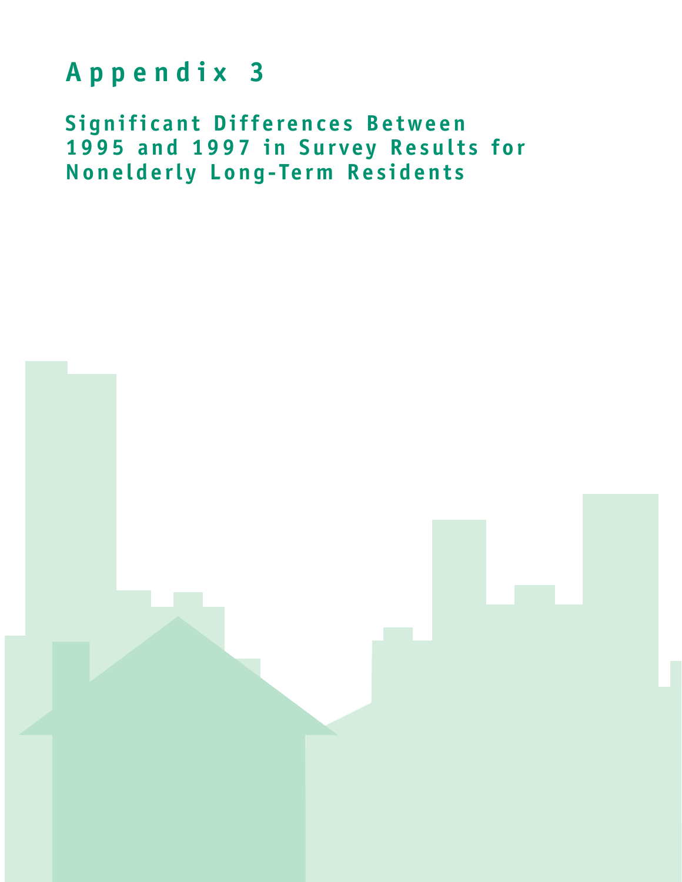# **Appendix 3**

**Significant Differences Between 1995 and 1997 in Survey Results for Nonelderly Long-Term Residents**

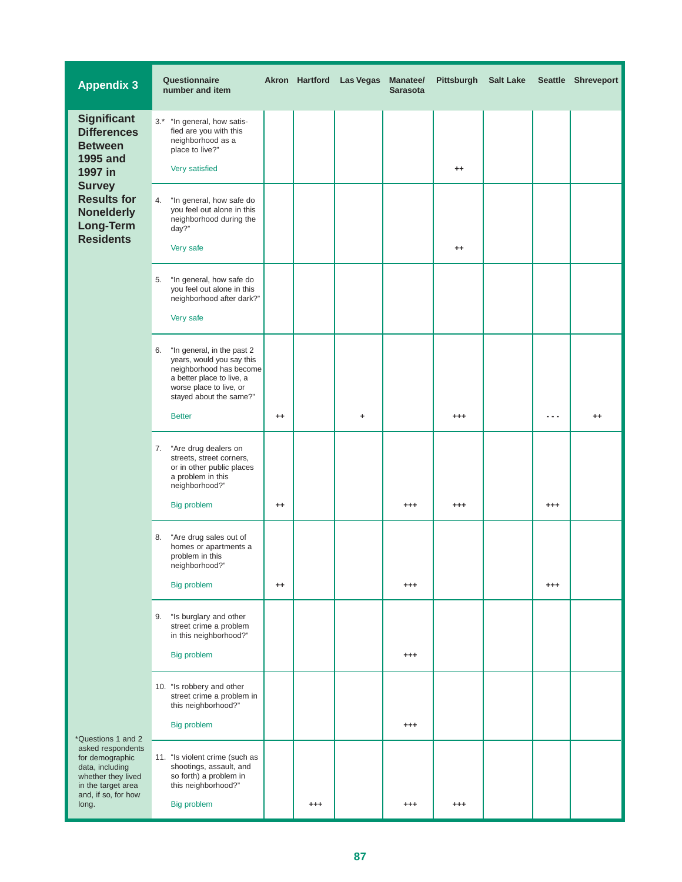| <b>Appendix 3</b>                                                                                                          | Questionnaire<br>number and item                                                                                                                                            |         |          | Akron Hartford Las Vegas | <b>Manatee/</b><br><b>Sarasota</b> | Pittsburgh | <b>Salt Lake</b> |          | Seattle Shreveport |
|----------------------------------------------------------------------------------------------------------------------------|-----------------------------------------------------------------------------------------------------------------------------------------------------------------------------|---------|----------|--------------------------|------------------------------------|------------|------------------|----------|--------------------|
| <b>Significant</b><br><b>Differences</b><br><b>Between</b><br><b>1995 and</b><br>1997 in                                   | $3.*$<br>"In general, how satis-<br>fied are you with this<br>neighborhood as a<br>place to live?"<br>Very satisfied                                                        |         |          |                          |                                    | $^{++}$    |                  |          |                    |
| <b>Survey</b><br><b>Results for</b><br><b>Nonelderly</b><br><b>Long-Term</b><br><b>Residents</b>                           | "In general, how safe do<br>4.<br>you feel out alone in this<br>neighborhood during the<br>day?"<br>Very safe                                                               |         |          |                          |                                    | $^{++}$    |                  |          |                    |
|                                                                                                                            | "In general, how safe do<br>5.<br>you feel out alone in this<br>neighborhood after dark?"<br>Very safe                                                                      |         |          |                          |                                    |            |                  |          |                    |
|                                                                                                                            | "In general, in the past 2<br>6.<br>years, would you say this<br>neighborhood has become<br>a better place to live, a<br>worse place to live, or<br>stayed about the same?" |         |          |                          |                                    |            |                  |          |                    |
|                                                                                                                            | <b>Better</b>                                                                                                                                                               | $^{++}$ |          | ٠                        |                                    | $^{+++}$   |                  | ---      | $^{++}$            |
|                                                                                                                            | 7. "Are drug dealers on<br>streets, street corners,<br>or in other public places<br>a problem in this<br>neighborhood?"                                                     |         |          |                          |                                    |            |                  |          |                    |
|                                                                                                                            | Big problem                                                                                                                                                                 | $^{++}$ |          |                          | $^{++}$                            | $^{+++}$   |                  | $^{++}$  |                    |
|                                                                                                                            | "Are drug sales out of<br>8.<br>homes or apartments a<br>problem in this<br>neighborhood?"                                                                                  |         |          |                          |                                    |            |                  |          |                    |
|                                                                                                                            | <b>Big problem</b>                                                                                                                                                          | $^{++}$ |          |                          | $^{+++}$                           |            |                  | $^{+++}$ |                    |
|                                                                                                                            | "Is burglary and other<br>9.<br>street crime a problem<br>in this neighborhood?"                                                                                            |         |          |                          |                                    |            |                  |          |                    |
|                                                                                                                            | <b>Big problem</b>                                                                                                                                                          |         |          |                          | $^{++}$                            |            |                  |          |                    |
|                                                                                                                            | 10. "Is robbery and other<br>street crime a problem in<br>this neighborhood?"                                                                                               |         |          |                          |                                    |            |                  |          |                    |
| *Questions 1 and 2                                                                                                         | Big problem                                                                                                                                                                 |         |          |                          | $^{+++}$                           |            |                  |          |                    |
| asked respondents<br>for demographic<br>data, including<br>whether they lived<br>in the target area<br>and, if so, for how | 11. "Is violent crime (such as<br>shootings, assault, and<br>so forth) a problem in<br>this neighborhood?"                                                                  |         |          |                          |                                    |            |                  |          |                    |
| long.                                                                                                                      | Big problem                                                                                                                                                                 |         | $^{+++}$ |                          | $^{+++}$                           | $^{+++}$   |                  |          |                    |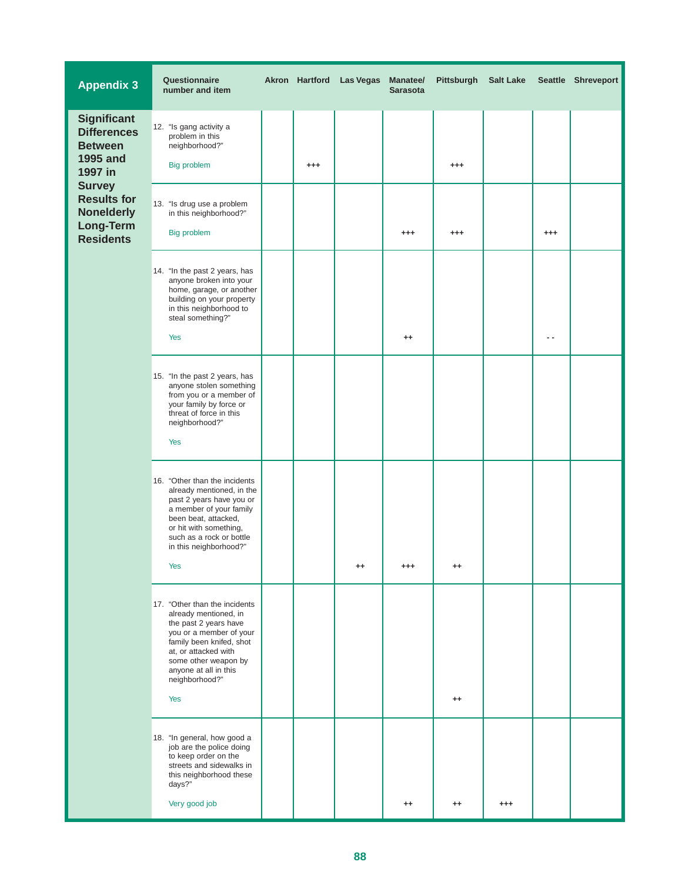| <b>Appendix 3</b>                                                                         | Questionnaire<br>number and item                                                                                                                                                                                                                |         | Akron Hartford Las Vegas | <b>Manatee/</b><br><b>Sarasota</b> | Pittsburgh     | <b>Salt Lake</b> |         | Seattle Shreveport |
|-------------------------------------------------------------------------------------------|-------------------------------------------------------------------------------------------------------------------------------------------------------------------------------------------------------------------------------------------------|---------|--------------------------|------------------------------------|----------------|------------------|---------|--------------------|
| <b>Significant</b><br><b>Differences</b><br><b>Between</b><br><b>1995 and</b><br>1997 in  | 12. "Is gang activity a<br>problem in this<br>neighborhood?"<br><b>Big problem</b>                                                                                                                                                              | $^{++}$ |                          |                                    | $^{++}$        |                  |         |                    |
| <b>Survey</b><br><b>Results for</b><br><b>Nonelderly</b><br>Long-Term<br><b>Residents</b> | 13. "Is drug use a problem<br>in this neighborhood?"<br>Big problem                                                                                                                                                                             |         |                          | $^{+++}$                           | $^{++}$        |                  | $^{++}$ |                    |
|                                                                                           | 14. "In the past 2 years, has<br>anyone broken into your<br>home, garage, or another<br>building on your property<br>in this neighborhood to<br>steal something?"<br>Yes                                                                        |         |                          | $^{++}$                            |                |                  | ٠.      |                    |
|                                                                                           | 15. "In the past 2 years, has<br>anyone stolen something<br>from you or a member of<br>your family by force or<br>threat of force in this<br>neighborhood?"<br><b>Yes</b>                                                                       |         |                          |                                    |                |                  |         |                    |
|                                                                                           | 16. "Other than the incidents<br>already mentioned, in the<br>past 2 years have you or<br>a member of your family<br>been beat, attacked,<br>or hit with something,<br>such as a rock or bottle<br>in this neighborhood?"<br>Yes                |         |                          |                                    |                |                  |         |                    |
|                                                                                           | 17. "Other than the incidents<br>already mentioned, in<br>the past 2 years have<br>you or a member of your<br>family been knifed, shot<br>at, or attacked with<br>some other weapon by<br>anyone at all in this<br>neighborhood?"<br><b>Yes</b> |         |                          |                                    | $^{++}$        |                  |         |                    |
|                                                                                           | 18. "In general, how good a<br>job are the police doing<br>to keep order on the<br>streets and sidewalks in<br>this neighborhood these<br>days?"<br>Very good job                                                                               |         |                          | $^{\tiny{++}}$                     | $^{\tiny{++}}$ | +++              |         |                    |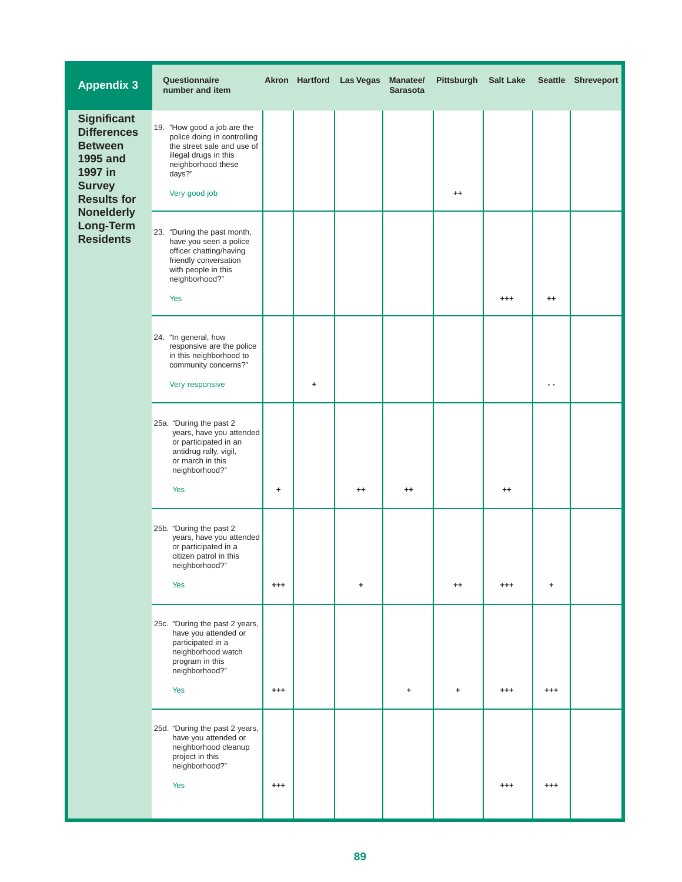| <b>Appendix 3</b>                                                                                                                                                              | Questionnaire<br>number and item                                                                                                                                   |          |   | Akron Hartford Las Vegas | Manatee/<br><b>Sarasota</b> | Pittsburgh | <b>Salt Lake</b> |            | Seattle Shreveport |
|--------------------------------------------------------------------------------------------------------------------------------------------------------------------------------|--------------------------------------------------------------------------------------------------------------------------------------------------------------------|----------|---|--------------------------|-----------------------------|------------|------------------|------------|--------------------|
| <b>Significant</b><br><b>Differences</b><br><b>Between</b><br>1995 and<br>1997 in<br><b>Survey</b><br><b>Results for</b><br><b>Nonelderly</b><br>Long-Term<br><b>Residents</b> | 19. "How good a job are the<br>police doing in controlling<br>the street sale and use of<br>illegal drugs in this<br>neighborhood these<br>days?"<br>Very good job |          |   |                          |                             | $^{++}$    |                  |            |                    |
|                                                                                                                                                                                | 23. "During the past month,<br>have you seen a police<br>officer chatting/having<br>friendly conversation<br>with people in this<br>neighborhood?"<br>Yes          |          |   |                          |                             |            | $^{+++}$         | $^{++}$    |                    |
|                                                                                                                                                                                | 24. "In general, how<br>responsive are the police<br>in this neighborhood to<br>community concerns?"<br>Very responsive                                            |          | ÷ |                          |                             |            |                  | $\sim$ $-$ |                    |
|                                                                                                                                                                                | 25a. "During the past 2<br>years, have you attended<br>or participated in an<br>antidrug rally, vigil,<br>or march in this<br>neighborhood?"<br><b>Yes</b>         | ٠        |   | $^{++}$                  | $^{++}$                     |            | $^{++}$          |            |                    |
|                                                                                                                                                                                | 25b. "During the past 2<br>years, have you attended<br>or participated in a<br>citizen patrol in this<br>neighborhood?"<br><b>Yes</b>                              | $^{+++}$ |   | ٠                        |                             | $^{++}$    | $^{+++}$         | ٠          |                    |
|                                                                                                                                                                                | 25c. "During the past 2 years,<br>have you attended or<br>participated in a<br>neighborhood watch<br>program in this<br>neighborhood?"<br><b>Yes</b>               | $^{+++}$ |   |                          | ٠                           | ٠          | $^{+++}$         | $^{++}$    |                    |
|                                                                                                                                                                                | 25d. "During the past 2 years,<br>have you attended or<br>neighborhood cleanup<br>project in this<br>neighborhood?"<br><b>Yes</b>                                  | $^{+++}$ |   |                          |                             |            | $^{+++}$         | $^{+++}$   |                    |